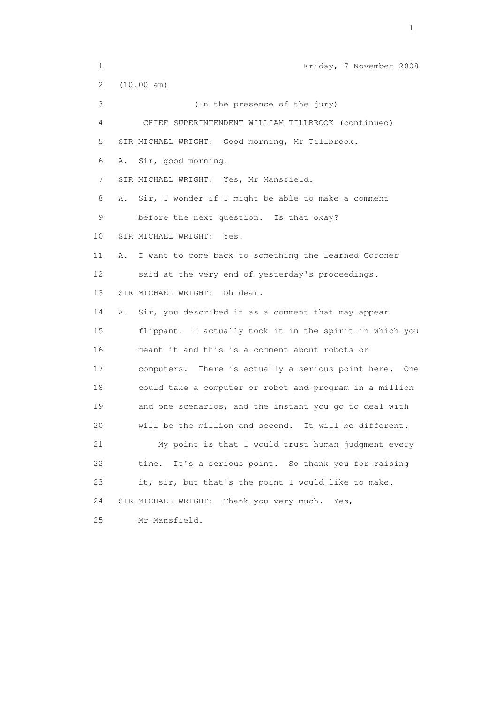1 Friday, 7 November 2008 2 (10.00 am) 3 (In the presence of the jury) 4 CHIEF SUPERINTENDENT WILLIAM TILLBROOK (continued) 5 SIR MICHAEL WRIGHT: Good morning, Mr Tillbrook. 6 A. Sir, good morning. 7 SIR MICHAEL WRIGHT: Yes, Mr Mansfield. 8 A. Sir, I wonder if I might be able to make a comment 9 before the next question. Is that okay? 10 SIR MICHAEL WRIGHT: Yes. 11 A. I want to come back to something the learned Coroner 12 said at the very end of yesterday's proceedings. 13 SIR MICHAEL WRIGHT: Oh dear. 14 A. Sir, you described it as a comment that may appear 15 flippant. I actually took it in the spirit in which you 16 meant it and this is a comment about robots or 17 computers. There is actually a serious point here. One 18 could take a computer or robot and program in a million 19 and one scenarios, and the instant you go to deal with 20 will be the million and second. It will be different. 21 My point is that I would trust human judgment every 22 time. It's a serious point. So thank you for raising 23 it, sir, but that's the point I would like to make. 24 SIR MICHAEL WRIGHT: Thank you very much. Yes, 25 Mr Mansfield.

the contract of the contract of the contract of the contract of the contract of the contract of the contract of the contract of the contract of the contract of the contract of the contract of the contract of the contract o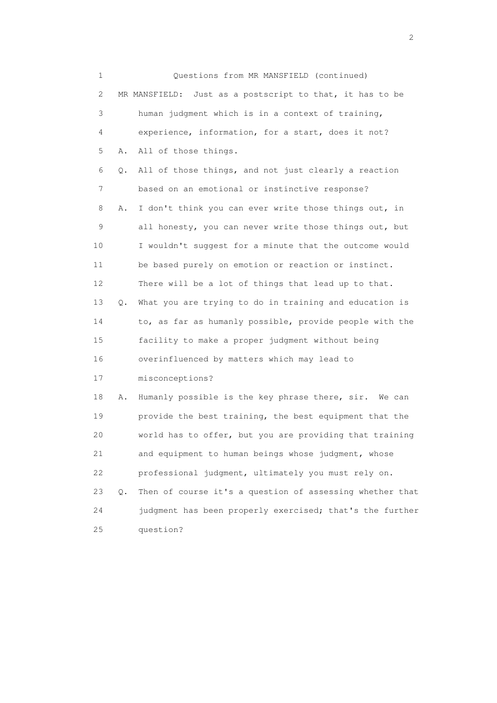1 Questions from MR MANSFIELD (continued) 2 MR MANSFIELD: Just as a postscript to that, it has to be 3 human judgment which is in a context of training, 4 experience, information, for a start, does it not? 5 A. All of those things. 6 Q. All of those things, and not just clearly a reaction 7 based on an emotional or instinctive response? 8 A. I don't think you can ever write those things out, in 9 all honesty, you can never write those things out, but 10 I wouldn't suggest for a minute that the outcome would 11 be based purely on emotion or reaction or instinct. 12 There will be a lot of things that lead up to that. 13 Q. What you are trying to do in training and education is 14 to, as far as humanly possible, provide people with the 15 facility to make a proper judgment without being 16 overinfluenced by matters which may lead to 17 misconceptions? 18 A. Humanly possible is the key phrase there, sir. We can 19 provide the best training, the best equipment that the 20 world has to offer, but you are providing that training 21 and equipment to human beings whose judgment, whose 22 professional judgment, ultimately you must rely on. 23 Q. Then of course it's a question of assessing whether that 24 judgment has been properly exercised; that's the further 25 question?

 $\overline{2}$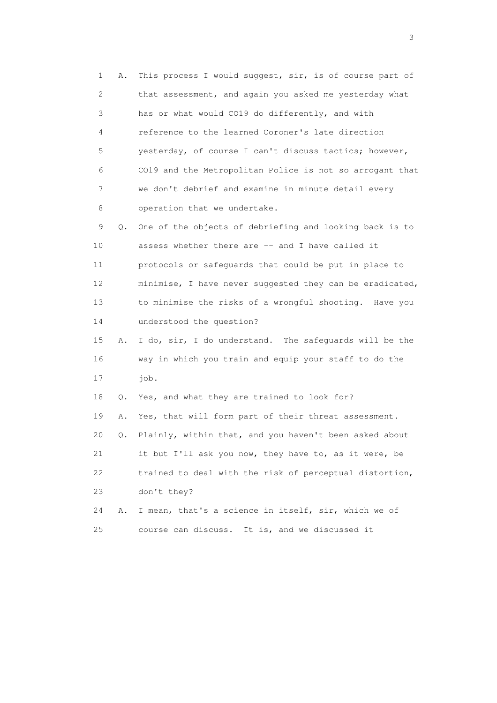1 A. This process I would suggest, sir, is of course part of 2 that assessment, and again you asked me yesterday what 3 has or what would CO19 do differently, and with 4 reference to the learned Coroner's late direction 5 yesterday, of course I can't discuss tactics; however, 6 CO19 and the Metropolitan Police is not so arrogant that 7 we don't debrief and examine in minute detail every 8 operation that we undertake. 9 Q. One of the objects of debriefing and looking back is to 10 assess whether there are -- and I have called it 11 protocols or safeguards that could be put in place to 12 minimise, I have never suggested they can be eradicated, 13 to minimise the risks of a wrongful shooting. Have you 14 understood the question? 15 A. I do, sir, I do understand. The safeguards will be the 16 way in which you train and equip your staff to do the 17 job. 18 Q. Yes, and what they are trained to look for? 19 A. Yes, that will form part of their threat assessment. 20 Q. Plainly, within that, and you haven't been asked about 21 it but I'll ask you now, they have to, as it were, be 22 trained to deal with the risk of perceptual distortion, 23 don't they? 24 A. I mean, that's a science in itself, sir, which we of 25 course can discuss. It is, and we discussed it

 $\sim$  3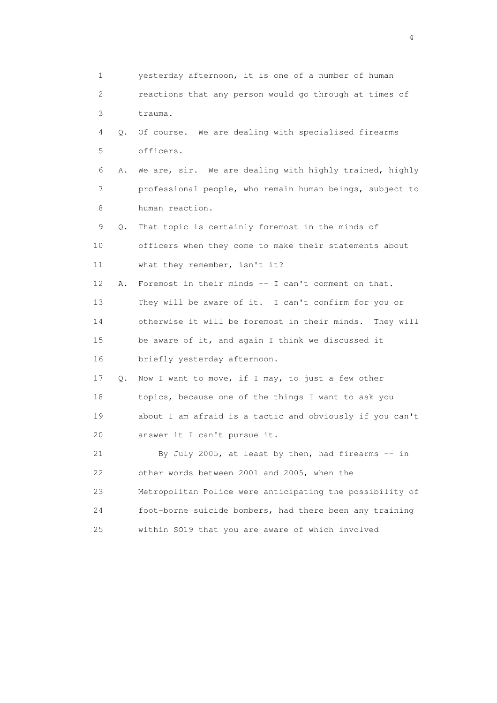1 yesterday afternoon, it is one of a number of human 2 reactions that any person would go through at times of 3 trauma. 4 Q. Of course. We are dealing with specialised firearms 5 officers. 6 A. We are, sir. We are dealing with highly trained, highly 7 professional people, who remain human beings, subject to 8 human reaction. 9 Q. That topic is certainly foremost in the minds of 10 officers when they come to make their statements about 11 what they remember, isn't it? 12 A. Foremost in their minds -- I can't comment on that. 13 They will be aware of it. I can't confirm for you or 14 otherwise it will be foremost in their minds. They will 15 be aware of it, and again I think we discussed it 16 briefly yesterday afternoon. 17 Q. Now I want to move, if I may, to just a few other 18 topics, because one of the things I want to ask you 19 about I am afraid is a tactic and obviously if you can't 20 answer it I can't pursue it. 21 By July 2005, at least by then, had firearms -- in 22 other words between 2001 and 2005, when the 23 Metropolitan Police were anticipating the possibility of 24 foot-borne suicide bombers, had there been any training 25 within SO19 that you are aware of which involved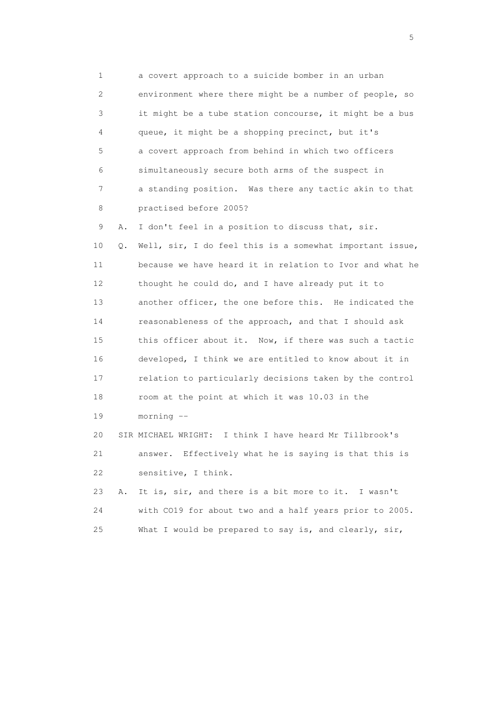1 a covert approach to a suicide bomber in an urban 2 environment where there might be a number of people, so 3 it might be a tube station concourse, it might be a bus 4 queue, it might be a shopping precinct, but it's 5 a covert approach from behind in which two officers 6 simultaneously secure both arms of the suspect in 7 a standing position. Was there any tactic akin to that 8 practised before 2005?

 9 A. I don't feel in a position to discuss that, sir. 10 Q. Well, sir, I do feel this is a somewhat important issue, 11 because we have heard it in relation to Ivor and what he 12 thought he could do, and I have already put it to 13 another officer, the one before this. He indicated the 14 reasonableness of the approach, and that I should ask 15 this officer about it. Now, if there was such a tactic 16 developed, I think we are entitled to know about it in 17 relation to particularly decisions taken by the control 18 room at the point at which it was 10.03 in the 19 morning --

 20 SIR MICHAEL WRIGHT: I think I have heard Mr Tillbrook's 21 answer. Effectively what he is saying is that this is 22 sensitive, I think.

 23 A. It is, sir, and there is a bit more to it. I wasn't 24 with CO19 for about two and a half years prior to 2005. 25 What I would be prepared to say is, and clearly, sir,

 $\sim$  5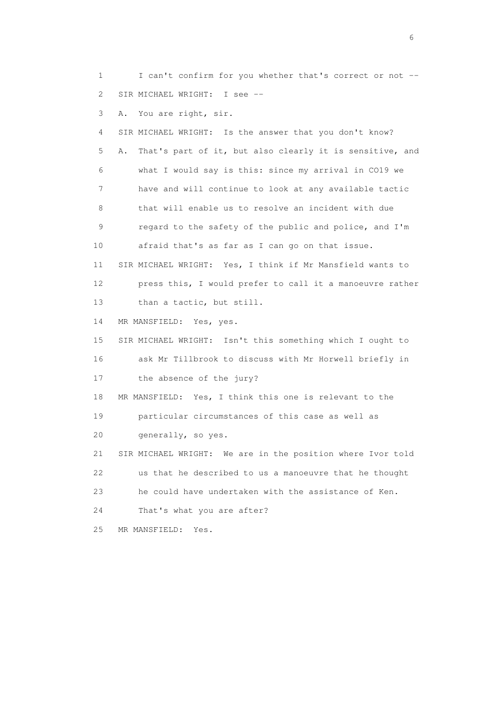1 I can't confirm for you whether that's correct or not -- 2 SIR MICHAEL WRIGHT: I see --

3 A. You are right, sir.

 4 SIR MICHAEL WRIGHT: Is the answer that you don't know? 5 A. That's part of it, but also clearly it is sensitive, and 6 what I would say is this: since my arrival in CO19 we 7 have and will continue to look at any available tactic 8 that will enable us to resolve an incident with due 9 regard to the safety of the public and police, and I'm 10 afraid that's as far as I can go on that issue. 11 SIR MICHAEL WRIGHT: Yes, I think if Mr Mansfield wants to 12 press this, I would prefer to call it a manoeuvre rather 13 than a tactic, but still. 14 MR MANSFIELD: Yes, yes. 15 SIR MICHAEL WRIGHT: Isn't this something which I ought to 16 ask Mr Tillbrook to discuss with Mr Horwell briefly in 17 the absence of the jury? 18 MR MANSFIELD: Yes, I think this one is relevant to the 19 particular circumstances of this case as well as 20 generally, so yes. 21 SIR MICHAEL WRIGHT: We are in the position where Ivor told 22 us that he described to us a manoeuvre that he thought 23 he could have undertaken with the assistance of Ken.

24 That's what you are after?

25 MR MANSFIELD: Yes.

 $\sim$  6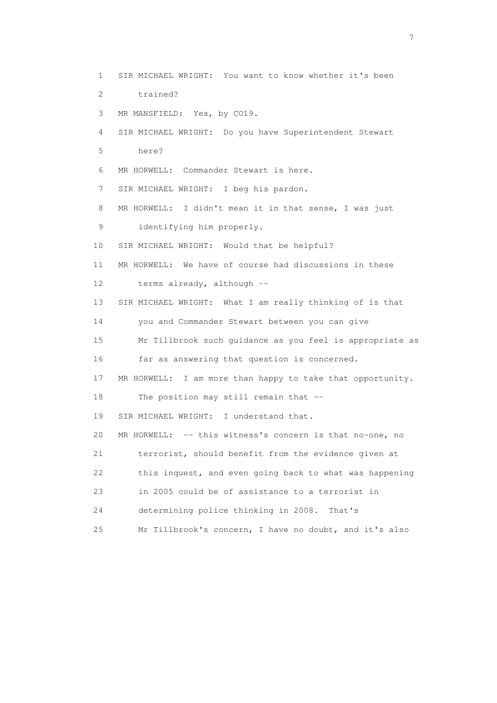1 SIR MICHAEL WRIGHT: You want to know whether it's been 2 trained? 3 MR MANSFIELD: Yes, by CO19. 4 SIR MICHAEL WRIGHT: Do you have Superintendent Stewart 5 here? 6 MR HORWELL: Commander Stewart is here. 7 SIR MICHAEL WRIGHT: I beg his pardon. 8 MR HORWELL: I didn't mean it in that sense, I was just 9 identifying him properly. 10 SIR MICHAEL WRIGHT: Would that be helpful? 11 MR HORWELL: We have of course had discussions in these 12 terms already, although -- 13 SIR MICHAEL WRIGHT: What I am really thinking of is that 14 you and Commander Stewart between you can give 15 Mr Tillbrook such guidance as you feel is appropriate as 16 far as answering that question is concerned. 17 MR HORWELL: I am more than happy to take that opportunity. 18 The position may still remain that -- 19 SIR MICHAEL WRIGHT: I understand that. 20 MR HORWELL: -- this witness's concern is that no-one, no 21 terrorist, should benefit from the evidence given at 22 this inquest, and even going back to what was happening 23 in 2005 could be of assistance to a terrorist in 24 determining police thinking in 2008. That's 25 Mr Tillbrook's concern, I have no doubt, and it's also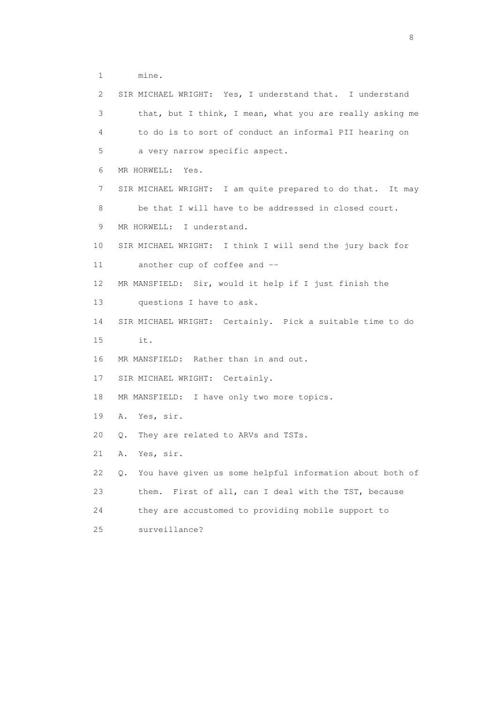1 mine.

| 2  | SIR MICHAEL WRIGHT: Yes, I understand that. I understand       |
|----|----------------------------------------------------------------|
| 3  | that, but I think, I mean, what you are really asking me       |
| 4  | to do is to sort of conduct an informal PII hearing on         |
| 5  | a very narrow specific aspect.                                 |
| 6  | MR HORWELL: Yes.                                               |
| 7  | SIR MICHAEL WRIGHT: I am quite prepared to do that. It may     |
| 8  | be that I will have to be addressed in closed court.           |
| 9  | MR HORWELL: I understand.                                      |
| 10 | SIR MICHAEL WRIGHT: I think I will send the jury back for      |
| 11 | another cup of coffee and --                                   |
| 12 | MR MANSFIELD: Sir, would it help if I just finish the          |
| 13 | questions I have to ask.                                       |
| 14 | SIR MICHAEL WRIGHT: Certainly. Pick a suitable time to do      |
| 15 | it.                                                            |
| 16 | MR MANSFIELD: Rather than in and out.                          |
| 17 | SIR MICHAEL WRIGHT: Certainly.                                 |
| 18 | MR MANSFIELD: I have only two more topics.                     |
| 19 | A. Yes, sir.                                                   |
| 20 | They are related to ARVs and TSTs.<br>Q.                       |
| 21 | Yes, sir.<br>Α.                                                |
| 22 | You have given us some helpful information about both of<br>Q. |
| 23 | First of all, can I deal with the TST, because<br>them.        |
| 24 | they are accustomed to providing mobile support to             |
| 25 | surveillance?                                                  |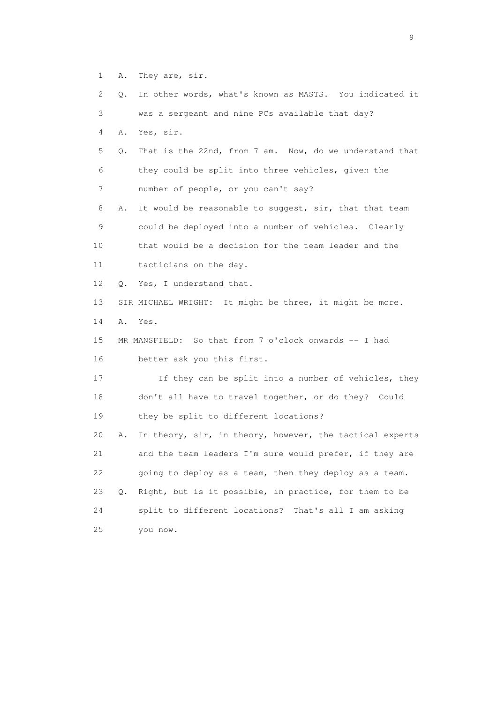1 A. They are, sir.

 2 Q. In other words, what's known as MASTS. You indicated it 3 was a sergeant and nine PCs available that day? 4 A. Yes, sir. 5 Q. That is the 22nd, from 7 am. Now, do we understand that 6 they could be split into three vehicles, given the 7 number of people, or you can't say? 8 A. It would be reasonable to suggest, sir, that that team 9 could be deployed into a number of vehicles. Clearly 10 that would be a decision for the team leader and the 11 tacticians on the day. 12 Q. Yes, I understand that. 13 SIR MICHAEL WRIGHT: It might be three, it might be more. 14 A. Yes. 15 MR MANSFIELD: So that from 7 o'clock onwards -- I had 16 better ask you this first. 17 If they can be split into a number of vehicles, they 18 don't all have to travel together, or do they? Could 19 they be split to different locations? 20 A. In theory, sir, in theory, however, the tactical experts 21 and the team leaders I'm sure would prefer, if they are 22 going to deploy as a team, then they deploy as a team. 23 Q. Right, but is it possible, in practice, for them to be 24 split to different locations? That's all I am asking 25 you now.

en de la construction de la construction de la construction de la construction de la construction de la constr<br>1911 : la construction de la construction de la construction de la construction de la construction de la const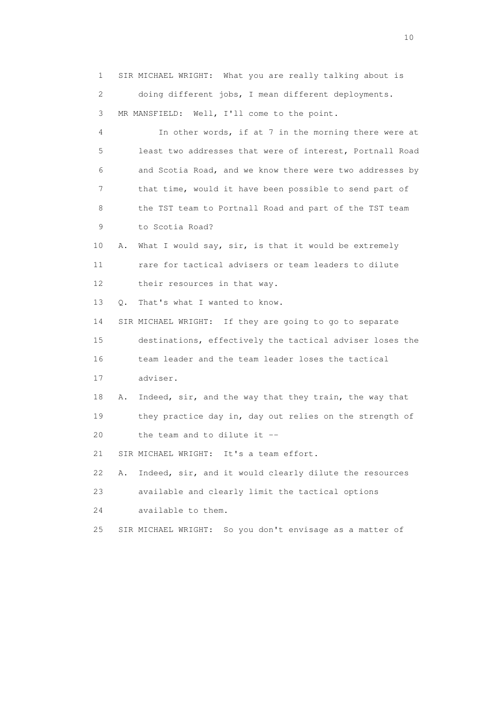1 SIR MICHAEL WRIGHT: What you are really talking about is 2 doing different jobs, I mean different deployments. 3 MR MANSFIELD: Well, I'll come to the point.

 4 In other words, if at 7 in the morning there were at 5 least two addresses that were of interest, Portnall Road 6 and Scotia Road, and we know there were two addresses by 7 that time, would it have been possible to send part of 8 the TST team to Portnall Road and part of the TST team 9 to Scotia Road?

 10 A. What I would say, sir, is that it would be extremely 11 rare for tactical advisers or team leaders to dilute 12 their resources in that way.

13 O. That's what I wanted to know.

 14 SIR MICHAEL WRIGHT: If they are going to go to separate 15 destinations, effectively the tactical adviser loses the 16 team leader and the team leader loses the tactical 17 adviser.

 18 A. Indeed, sir, and the way that they train, the way that 19 they practice day in, day out relies on the strength of 20 the team and to dilute it  $-$ 

21 SIR MICHAEL WRIGHT: It's a team effort.

22 A. Indeed, sir, and it would clearly dilute the resources

23 available and clearly limit the tactical options

24 available to them.

25 SIR MICHAEL WRIGHT: So you don't envisage as a matter of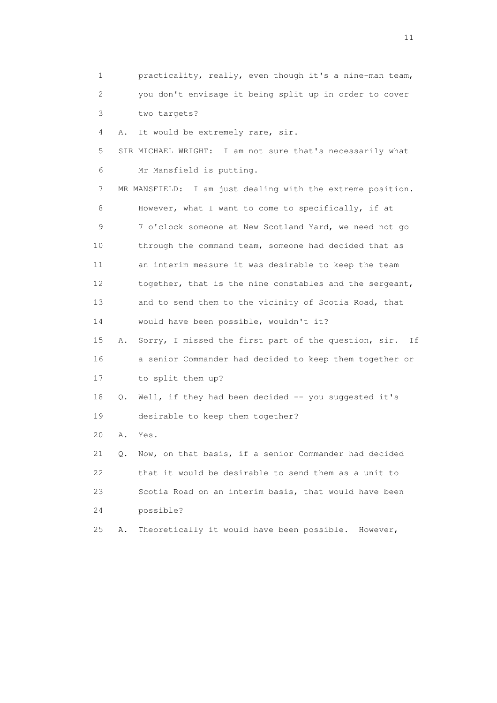1 practicality, really, even though it's a nine-man team, 2 you don't envisage it being split up in order to cover 3 two targets? 4 A. It would be extremely rare, sir. 5 SIR MICHAEL WRIGHT: I am not sure that's necessarily what 6 Mr Mansfield is putting. 7 MR MANSFIELD: I am just dealing with the extreme position. 8 However, what I want to come to specifically, if at 9 7 o'clock someone at New Scotland Yard, we need not go 10 through the command team, someone had decided that as 11 an interim measure it was desirable to keep the team 12 together, that is the nine constables and the sergeant, 13 and to send them to the vicinity of Scotia Road, that 14 would have been possible, wouldn't it? 15 A. Sorry, I missed the first part of the question, sir. If 16 a senior Commander had decided to keep them together or 17 to split them up? 18 Q. Well, if they had been decided -- you suggested it's 19 desirable to keep them together? 20 A. Yes. 21 Q. Now, on that basis, if a senior Commander had decided 22 that it would be desirable to send them as a unit to 23 Scotia Road on an interim basis, that would have been 24 possible? 25 A. Theoretically it would have been possible. However,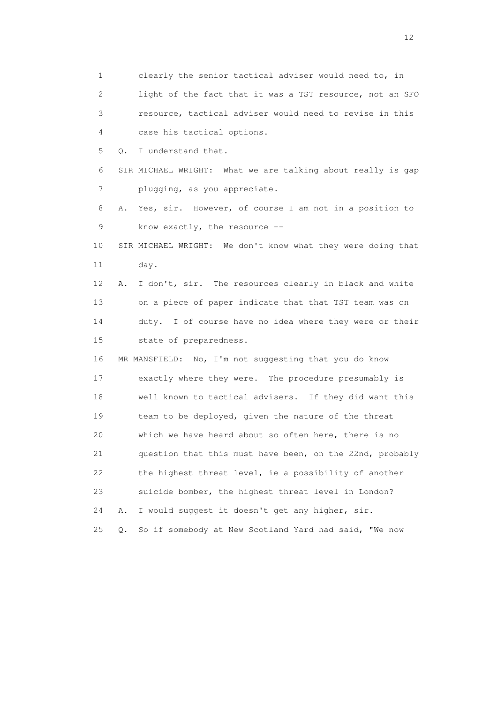1 clearly the senior tactical adviser would need to, in 2 light of the fact that it was a TST resource, not an SFO 3 resource, tactical adviser would need to revise in this 4 case his tactical options. 5 Q. I understand that. 6 SIR MICHAEL WRIGHT: What we are talking about really is gap 7 plugging, as you appreciate. 8 A. Yes, sir. However, of course I am not in a position to 9 know exactly, the resource -- 10 SIR MICHAEL WRIGHT: We don't know what they were doing that 11 day. 12 A. I don't, sir. The resources clearly in black and white 13 on a piece of paper indicate that that TST team was on 14 duty. I of course have no idea where they were or their 15 state of preparedness. 16 MR MANSFIELD: No, I'm not suggesting that you do know 17 exactly where they were. The procedure presumably is 18 well known to tactical advisers. If they did want this 19 team to be deployed, given the nature of the threat 20 which we have heard about so often here, there is no 21 question that this must have been, on the 22nd, probably 22 the highest threat level, ie a possibility of another 23 suicide bomber, the highest threat level in London? 24 A. I would suggest it doesn't get any higher, sir. 25 Q. So if somebody at New Scotland Yard had said, "We now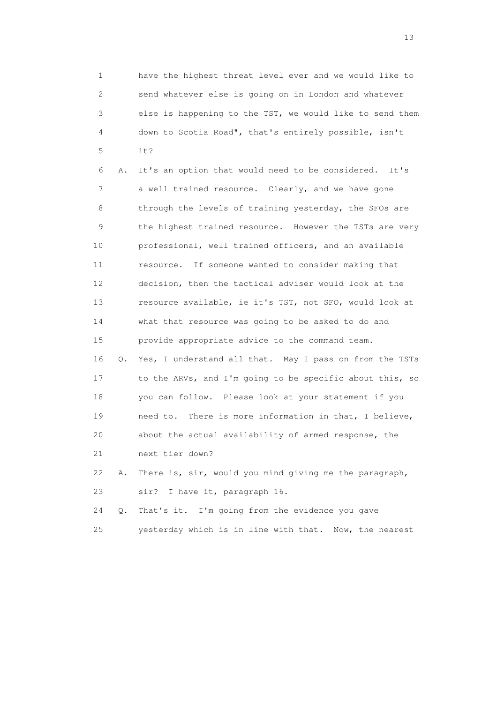1 have the highest threat level ever and we would like to 2 send whatever else is going on in London and whatever 3 else is happening to the TST, we would like to send them 4 down to Scotia Road", that's entirely possible, isn't 5 it?

 6 A. It's an option that would need to be considered. It's 7 a well trained resource. Clearly, and we have gone 8 through the levels of training yesterday, the SFOs are 9 the highest trained resource. However the TSTs are very 10 professional, well trained officers, and an available 11 resource. If someone wanted to consider making that 12 decision, then the tactical adviser would look at the 13 resource available, ie it's TST, not SFO, would look at 14 what that resource was going to be asked to do and 15 provide appropriate advice to the command team. 16 Q. Yes, I understand all that. May I pass on from the TSTs 17 to the ARVs, and I'm going to be specific about this, so 18 you can follow. Please look at your statement if you 19 need to. There is more information in that, I believe, 20 about the actual availability of armed response, the 21 next tier down?

 22 A. There is, sir, would you mind giving me the paragraph, 23 sir? I have it, paragraph 16.

 24 Q. That's it. I'm going from the evidence you gave 25 yesterday which is in line with that. Now, the nearest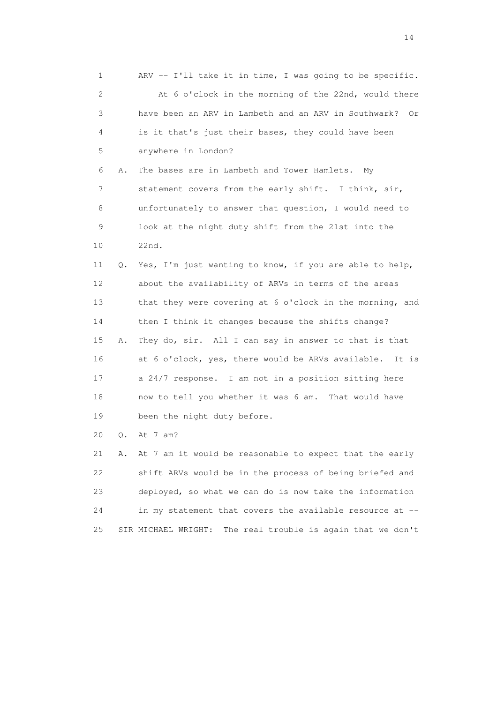1 ARV -- I'll take it in time, I was going to be specific. 2 At 6 o'clock in the morning of the 22nd, would there 3 have been an ARV in Lambeth and an ARV in Southwark? Or 4 is it that's just their bases, they could have been 5 anywhere in London? 6 A. The bases are in Lambeth and Tower Hamlets. My 7 statement covers from the early shift. I think, sir, 8 unfortunately to answer that question, I would need to 9 look at the night duty shift from the 21st into the 10 22nd. 11 Q. Yes, I'm just wanting to know, if you are able to help, 12 about the availability of ARVs in terms of the areas 13 that they were covering at 6 o'clock in the morning, and 14 then I think it changes because the shifts change? 15 A. They do, sir. All I can say in answer to that is that 16 at 6 o'clock, yes, there would be ARVs available. It is 17 a 24/7 response. I am not in a position sitting here 18 now to tell you whether it was 6 am. That would have 19 been the night duty before. 20 Q. At 7 am? 21 A. At 7 am it would be reasonable to expect that the early 22 shift ARVs would be in the process of being briefed and 23 deployed, so what we can do is now take the information

25 SIR MICHAEL WRIGHT: The real trouble is again that we don't

24 in my statement that covers the available resource at --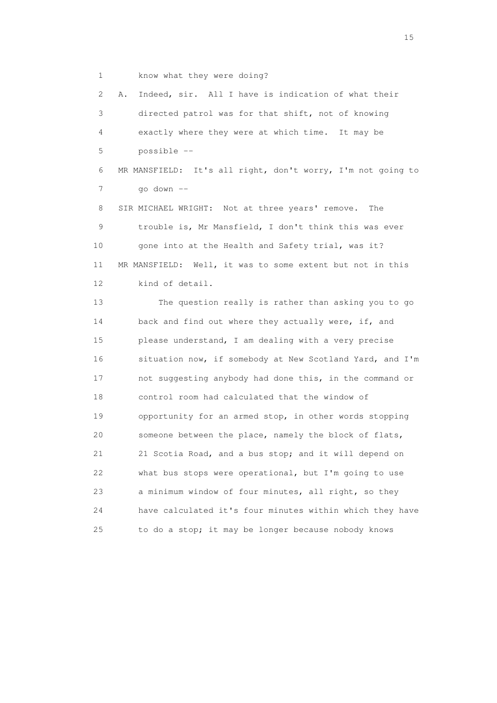1 know what they were doing?

 2 A. Indeed, sir. All I have is indication of what their 3 directed patrol was for that shift, not of knowing 4 exactly where they were at which time. It may be 5 possible -- 6 MR MANSFIELD: It's all right, don't worry, I'm not going to 7 go down -- 8 SIR MICHAEL WRIGHT: Not at three years' remove. The 9 trouble is, Mr Mansfield, I don't think this was ever

10 gone into at the Health and Safety trial, was it? 11 MR MANSFIELD: Well, it was to some extent but not in this 12 kind of detail.

 13 The question really is rather than asking you to go 14 back and find out where they actually were, if, and 15 please understand, I am dealing with a very precise 16 situation now, if somebody at New Scotland Yard, and I'm 17 not suggesting anybody had done this, in the command or 18 control room had calculated that the window of 19 opportunity for an armed stop, in other words stopping 20 someone between the place, namely the block of flats, 21 21 Scotia Road, and a bus stop; and it will depend on 22 what bus stops were operational, but I'm going to use 23 a minimum window of four minutes, all right, so they 24 have calculated it's four minutes within which they have 25 to do a stop; it may be longer because nobody knows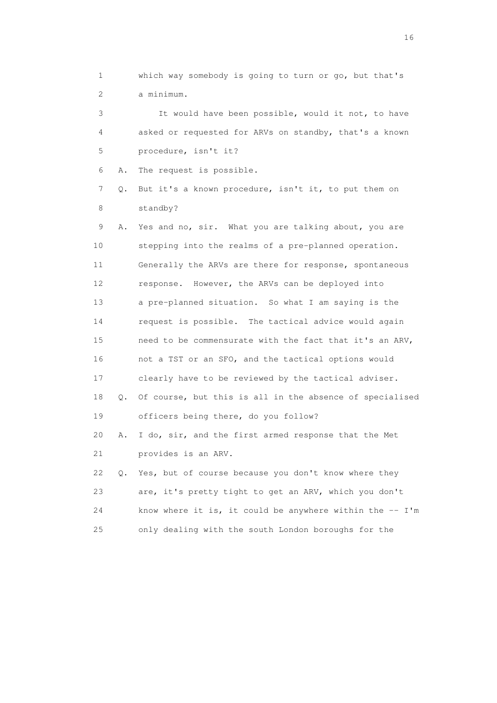1 which way somebody is going to turn or go, but that's 2 a minimum.

 3 It would have been possible, would it not, to have 4 asked or requested for ARVs on standby, that's a known 5 procedure, isn't it?

6 A. The request is possible.

 7 Q. But it's a known procedure, isn't it, to put them on 8 standby?

 9 A. Yes and no, sir. What you are talking about, you are 10 stepping into the realms of a pre-planned operation. 11 Generally the ARVs are there for response, spontaneous 12 response. However, the ARVs can be deployed into 13 a pre-planned situation. So what I am saying is the 14 request is possible. The tactical advice would again 15 need to be commensurate with the fact that it's an ARV, 16 not a TST or an SFO, and the tactical options would 17 clearly have to be reviewed by the tactical adviser. 18 Q. Of course, but this is all in the absence of specialised 19 officers being there, do you follow? 20 A. I do, sir, and the first armed response that the Met 21 provides is an ARV. 22 Q. Yes, but of course because you don't know where they 23 are, it's pretty tight to get an ARV, which you don't 24 know where it is, it could be anywhere within the -- I'm 25 only dealing with the south London boroughs for the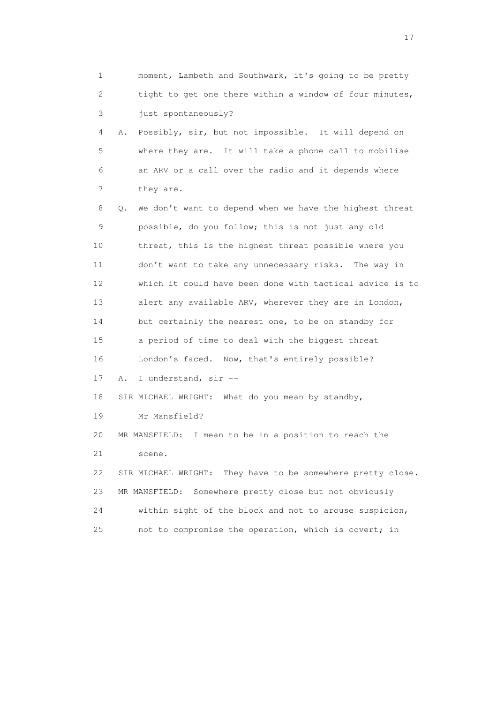| 1  | moment, Lambeth and Southwark, it's going to be pretty         |
|----|----------------------------------------------------------------|
| 2  | tight to get one there within a window of four minutes,        |
| 3  | just spontaneously?                                            |
| 4  | Possibly, sir, but not impossible. It will depend on<br>Α.     |
| 5  | where they are. It will take a phone call to mobilise          |
| 6  | an ARV or a call over the radio and it depends where           |
| 7  | they are.                                                      |
| 8  | We don't want to depend when we have the highest threat<br>Q.  |
| 9  | possible, do you follow; this is not just any old              |
| 10 | threat, this is the highest threat possible where you          |
| 11 | don't want to take any unnecessary risks. The way in           |
| 12 | which it could have been done with tactical advice is to       |
| 13 | alert any available ARV, wherever they are in London,          |
| 14 | but certainly the nearest one, to be on standby for            |
| 15 | a period of time to deal with the biggest threat               |
| 16 | London's faced. Now, that's entirely possible?                 |
| 17 | I understand, sir --<br>Α.                                     |
| 18 | SIR MICHAEL WRIGHT:<br>What do you mean by standby,            |
| 19 | Mr Mansfield?                                                  |
| 20 | I mean to be in a position to reach the<br>MR MANSFIELD:       |
| 21 | scene.                                                         |
| 22 | SIR MICHAEL WRIGHT:<br>They have to be somewhere pretty close. |
| 23 | Somewhere pretty close but not obviously<br>MR MANSFIELD:      |
| 24 | within sight of the block and not to arouse suspicion,         |
| 25 | not to compromise the operation, which is covert; in           |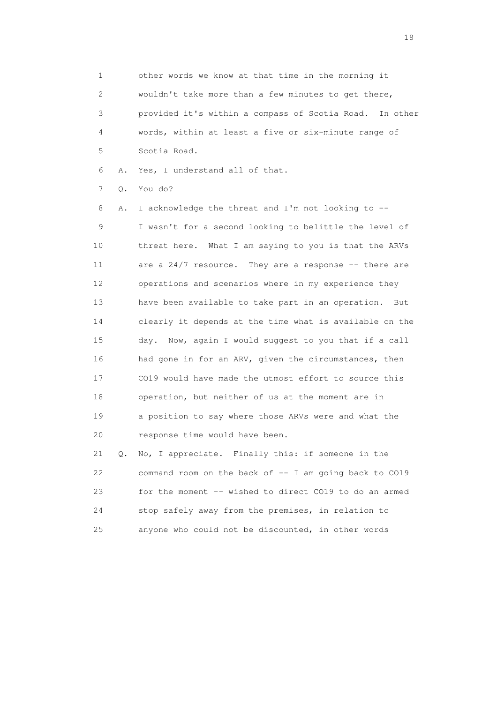1 other words we know at that time in the morning it 2 wouldn't take more than a few minutes to get there, 3 provided it's within a compass of Scotia Road. In other 4 words, within at least a five or six-minute range of 5 Scotia Road.

6 A. Yes, I understand all of that.

7 Q. You do?

 8 A. I acknowledge the threat and I'm not looking to -- 9 I wasn't for a second looking to belittle the level of 10 threat here. What I am saying to you is that the ARVs 11 are a 24/7 resource. They are a response -- there are 12 operations and scenarios where in my experience they 13 have been available to take part in an operation. But 14 clearly it depends at the time what is available on the 15 day. Now, again I would suggest to you that if a call 16 had gone in for an ARV, given the circumstances, then 17 CO19 would have made the utmost effort to source this 18 operation, but neither of us at the moment are in 19 a position to say where those ARVs were and what the 20 response time would have been.

 21 Q. No, I appreciate. Finally this: if someone in the 22 command room on the back of -- I am going back to CO19 23 for the moment -- wished to direct CO19 to do an armed 24 stop safely away from the premises, in relation to 25 anyone who could not be discounted, in other words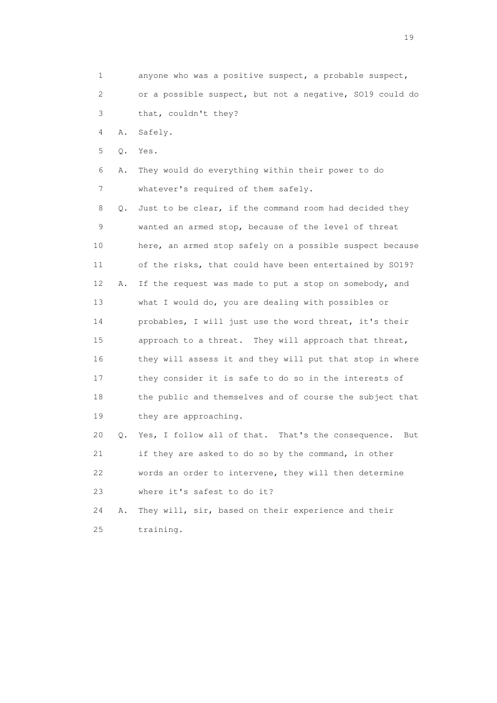1 anyone who was a positive suspect, a probable suspect, 2 or a possible suspect, but not a negative, SO19 could do 3 that, couldn't they? 4 A. Safely. 5 Q. Yes. 6 A. They would do everything within their power to do 7 whatever's required of them safely. 8 Q. Just to be clear, if the command room had decided they 9 wanted an armed stop, because of the level of threat 10 here, an armed stop safely on a possible suspect because 11 of the risks, that could have been entertained by SO19? 12 A. If the request was made to put a stop on somebody, and

 13 what I would do, you are dealing with possibles or 14 probables, I will just use the word threat, it's their 15 approach to a threat. They will approach that threat, 16 they will assess it and they will put that stop in where 17 they consider it is safe to do so in the interests of 18 the public and themselves and of course the subject that 19 they are approaching.

 20 Q. Yes, I follow all of that. That's the consequence. But 21 if they are asked to do so by the command, in other 22 words an order to intervene, they will then determine 23 where it's safest to do it?

 24 A. They will, sir, based on their experience and their 25 training.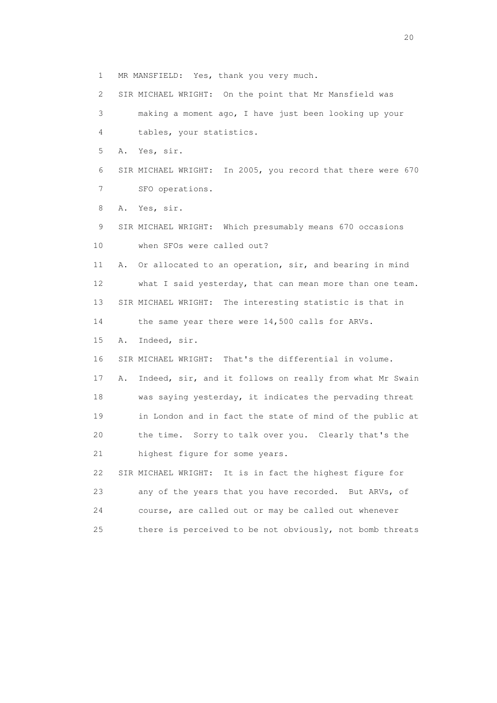1 MR MANSFIELD: Yes, thank you very much.

2 SIR MICHAEL WRIGHT: On the point that Mr Mansfield was

 3 making a moment ago, I have just been looking up your 4 tables, your statistics.

5 A. Yes, sir.

 6 SIR MICHAEL WRIGHT: In 2005, you record that there were 670 7 SFO operations.

8 A. Yes, sir.

 9 SIR MICHAEL WRIGHT: Which presumably means 670 occasions 10 when SFOs were called out?

 11 A. Or allocated to an operation, sir, and bearing in mind 12 what I said yesterday, that can mean more than one team. 13 SIR MICHAEL WRIGHT: The interesting statistic is that in 14 the same year there were 14,500 calls for ARVs.

15 A. Indeed, sir.

 16 SIR MICHAEL WRIGHT: That's the differential in volume. 17 A. Indeed, sir, and it follows on really from what Mr Swain 18 was saying yesterday, it indicates the pervading threat 19 in London and in fact the state of mind of the public at 20 the time. Sorry to talk over you. Clearly that's the 21 highest figure for some years. 22 SIR MICHAEL WRIGHT: It is in fact the highest figure for

 23 any of the years that you have recorded. But ARVs, of 24 course, are called out or may be called out whenever 25 there is perceived to be not obviously, not bomb threats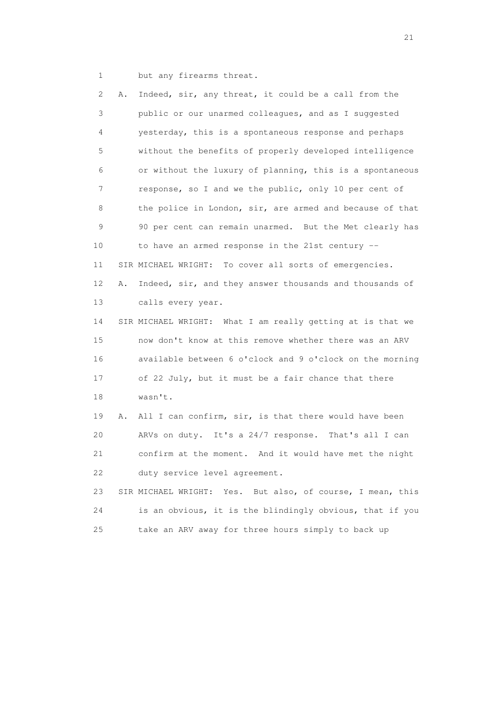1 but any firearms threat.

 2 A. Indeed, sir, any threat, it could be a call from the 3 public or our unarmed colleagues, and as I suggested 4 yesterday, this is a spontaneous response and perhaps 5 without the benefits of properly developed intelligence 6 or without the luxury of planning, this is a spontaneous 7 response, so I and we the public, only 10 per cent of 8 the police in London, sir, are armed and because of that 9 90 per cent can remain unarmed. But the Met clearly has 10 to have an armed response in the 21st century -- 11 SIR MICHAEL WRIGHT: To cover all sorts of emergencies. 12 A. Indeed, sir, and they answer thousands and thousands of 13 calls every year. 14 SIR MICHAEL WRIGHT: What I am really getting at is that we 15 now don't know at this remove whether there was an ARV 16 available between 6 o'clock and 9 o'clock on the morning 17 of 22 July, but it must be a fair chance that there 18 wasn't. 19 A. All I can confirm, sir, is that there would have been 20 ARVs on duty. It's a 24/7 response. That's all I can 21 confirm at the moment. And it would have met the night 22 duty service level agreement. 23 SIR MICHAEL WRIGHT: Yes. But also, of course, I mean, this 24 is an obvious, it is the blindingly obvious, that if you 25 take an ARV away for three hours simply to back up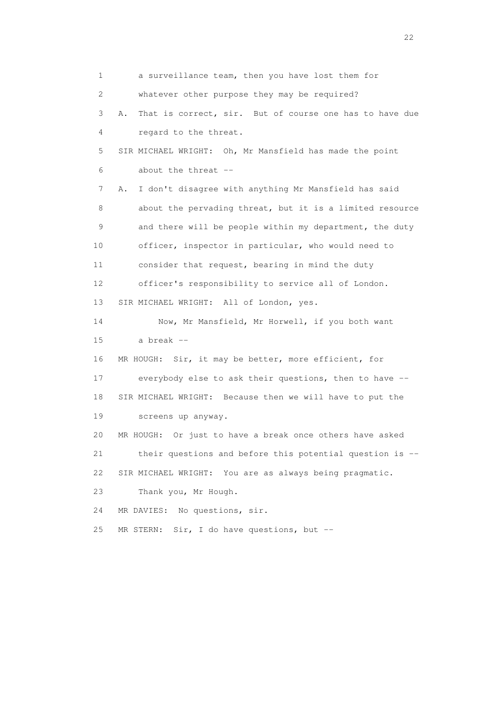1 a surveillance team, then you have lost them for 2 whatever other purpose they may be required? 3 A. That is correct, sir. But of course one has to have due 4 regard to the threat. 5 SIR MICHAEL WRIGHT: Oh, Mr Mansfield has made the point 6 about the threat -- 7 A. I don't disagree with anything Mr Mansfield has said 8 about the pervading threat, but it is a limited resource 9 and there will be people within my department, the duty 10 officer, inspector in particular, who would need to 11 consider that request, bearing in mind the duty 12 officer's responsibility to service all of London. 13 SIR MICHAEL WRIGHT: All of London, yes. 14 Now, Mr Mansfield, Mr Horwell, if you both want 15 a break -- 16 MR HOUGH: Sir, it may be better, more efficient, for 17 everybody else to ask their questions, then to have -- 18 SIR MICHAEL WRIGHT: Because then we will have to put the 19 screens up anyway. 20 MR HOUGH: Or just to have a break once others have asked 21 their questions and before this potential question is -- 22 SIR MICHAEL WRIGHT: You are as always being pragmatic. 23 Thank you, Mr Hough. 24 MR DAVIES: No questions, sir. 25 MR STERN: Sir, I do have questions, but --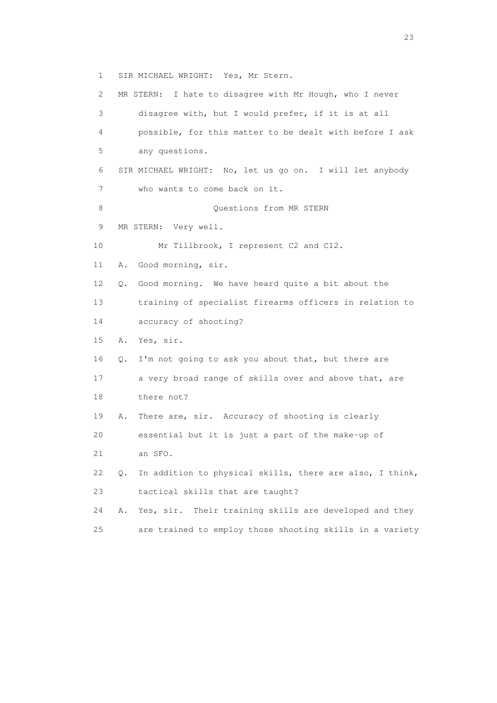1 SIR MICHAEL WRIGHT: Yes, Mr Stern.

 2 MR STERN: I hate to disagree with Mr Hough, who I never 3 disagree with, but I would prefer, if it is at all 4 possible, for this matter to be dealt with before I ask 5 any questions. 6 SIR MICHAEL WRIGHT: No, let us go on. I will let anybody 7 who wants to come back on it. 8 Ouestions from MR STERN 9 MR STERN: Very well. 10 Mr Tillbrook, I represent C2 and C12. 11 A. Good morning, sir. 12 Q. Good morning. We have heard quite a bit about the 13 training of specialist firearms officers in relation to 14 accuracy of shooting? 15 A. Yes, sir. 16 Q. I'm not going to ask you about that, but there are 17 a very broad range of skills over and above that, are 18 there not? 19 A. There are, sir. Accuracy of shooting is clearly 20 essential but it is just a part of the make-up of 21 an SFO. 22 Q. In addition to physical skills, there are also, I think, 23 tactical skills that are taught? 24 A. Yes, sir. Their training skills are developed and they 25 are trained to employ those shooting skills in a variety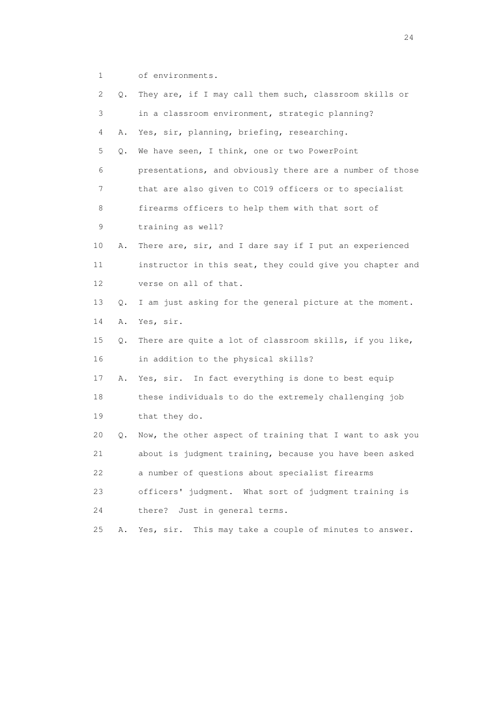1 of environments.

| 2  | Q. | They are, if I may call them such, classroom skills or    |
|----|----|-----------------------------------------------------------|
| 3  |    | in a classroom environment, strategic planning?           |
| 4  | Α. | Yes, sir, planning, briefing, researching.                |
| 5  | Q. | We have seen, I think, one or two PowerPoint              |
| 6  |    | presentations, and obviously there are a number of those  |
| 7  |    | that are also given to CO19 officers or to specialist     |
| 8  |    | firearms officers to help them with that sort of          |
| 9  |    | training as well?                                         |
| 10 | Α. | There are, sir, and I dare say if I put an experienced    |
| 11 |    | instructor in this seat, they could give you chapter and  |
| 12 |    | verse on all of that.                                     |
| 13 | О. | I am just asking for the general picture at the moment.   |
| 14 | Α. | Yes, sir.                                                 |
| 15 | Q. | There are quite a lot of classroom skills, if you like,   |
| 16 |    | in addition to the physical skills?                       |
| 17 | Α. | Yes, sir. In fact everything is done to best equip        |
| 18 |    | these individuals to do the extremely challenging job     |
| 19 |    | that they do.                                             |
| 20 | Q. | Now, the other aspect of training that I want to ask you  |
| 21 |    | about is judgment training, because you have been asked   |
| 22 |    | a number of questions about specialist firearms           |
| 23 |    | officers' judgment. What sort of judgment training is     |
| 24 |    | Just in general terms.<br>there?                          |
| 25 | Α. | Yes, sir.<br>This may take a couple of minutes to answer. |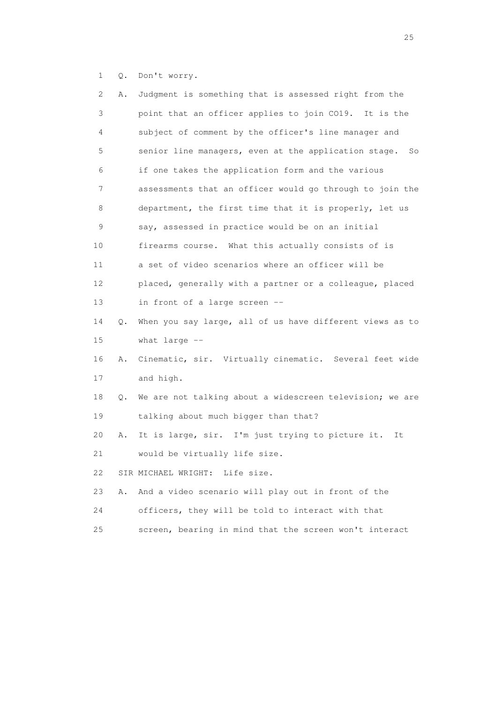1 Q. Don't worry.

| $\mathbf{2}^{\mathsf{I}}$ | Α. | Judgment is something that is assessed right from the      |
|---------------------------|----|------------------------------------------------------------|
| 3                         |    | point that an officer applies to join CO19. It is the      |
| 4                         |    | subject of comment by the officer's line manager and       |
| 5                         |    | senior line managers, even at the application stage.<br>So |
| 6                         |    | if one takes the application form and the various          |
| 7                         |    | assessments that an officer would go through to join the   |
| 8                         |    | department, the first time that it is properly, let us     |
| 9                         |    | say, assessed in practice would be on an initial           |
| 10                        |    | firearms course. What this actually consists of is         |
| 11                        |    | a set of video scenarios where an officer will be          |
| 12                        |    | placed, generally with a partner or a colleague, placed    |
| 13                        |    | in front of a large screen --                              |
| 14                        | Q. | When you say large, all of us have different views as to   |
| 15                        |    | what large --                                              |
| 16                        | Α. | Cinematic, sir. Virtually cinematic. Several feet wide     |
| 17                        |    | and high.                                                  |
| 18                        | Q. | We are not talking about a widescreen television; we are   |
| 19                        |    | talking about much bigger than that?                       |
| 20                        | Α. | It is large, sir. I'm just trying to picture it.<br>It     |
| 21                        |    | would be virtually life size.                              |
| 22                        |    | SIR MICHAEL WRIGHT: Life size.                             |
| 23                        | Α. | And a video scenario will play out in front of the         |
| 24                        |    | officers, they will be told to interact with that          |
| 25                        |    | screen, bearing in mind that the screen won't interact     |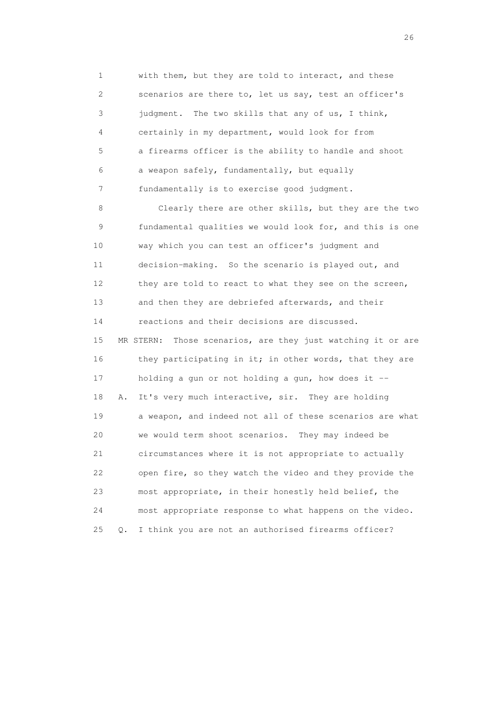1 with them, but they are told to interact, and these 2 scenarios are there to, let us say, test an officer's 3 judgment. The two skills that any of us, I think, 4 certainly in my department, would look for from 5 a firearms officer is the ability to handle and shoot 6 a weapon safely, fundamentally, but equally 7 fundamentally is to exercise good judgment.

 8 Clearly there are other skills, but they are the two 9 fundamental qualities we would look for, and this is one 10 way which you can test an officer's judgment and 11 decision-making. So the scenario is played out, and 12 they are told to react to what they see on the screen, 13 and then they are debriefed afterwards, and their 14 reactions and their decisions are discussed. 15 MR STERN: Those scenarios, are they just watching it or are 16 they participating in it; in other words, that they are 17 holding a gun or not holding a gun, how does it -- 18 A. It's very much interactive, sir. They are holding 19 a weapon, and indeed not all of these scenarios are what 20 we would term shoot scenarios. They may indeed be 21 circumstances where it is not appropriate to actually 22 open fire, so they watch the video and they provide the 23 most appropriate, in their honestly held belief, the 24 most appropriate response to what happens on the video. 25 Q. I think you are not an authorised firearms officer?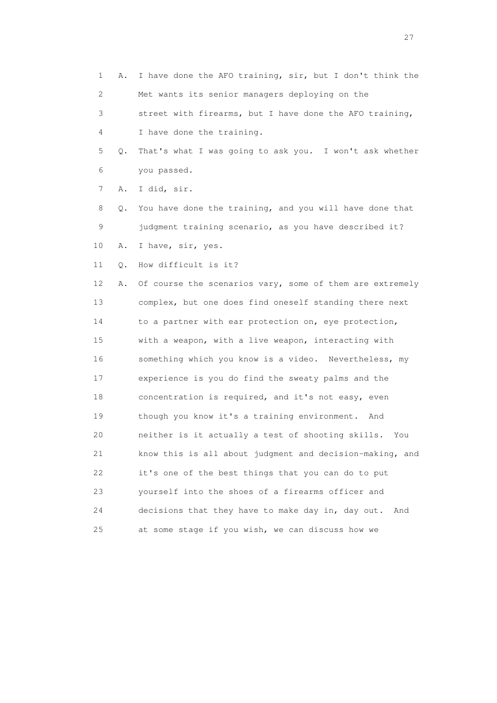1 A. I have done the AFO training, sir, but I don't think the 2 Met wants its senior managers deploying on the 3 street with firearms, but I have done the AFO training,

4 I have done the training.

 5 Q. That's what I was going to ask you. I won't ask whether 6 you passed.

7 A. I did, sir.

 8 Q. You have done the training, and you will have done that 9 judgment training scenario, as you have described it? 10 A. I have, sir, yes.

11 Q. How difficult is it?

12 A. Of course the scenarios vary, some of them are extremely 13 complex, but one does find oneself standing there next 14 to a partner with ear protection on, eye protection, 15 with a weapon, with a live weapon, interacting with 16 something which you know is a video. Nevertheless, my 17 experience is you do find the sweaty palms and the 18 concentration is required, and it's not easy, even 19 though you know it's a training environment. And 20 neither is it actually a test of shooting skills. You 21 know this is all about judgment and decision-making, and 22 it's one of the best things that you can do to put 23 yourself into the shoes of a firearms officer and 24 decisions that they have to make day in, day out. And 25 at some stage if you wish, we can discuss how we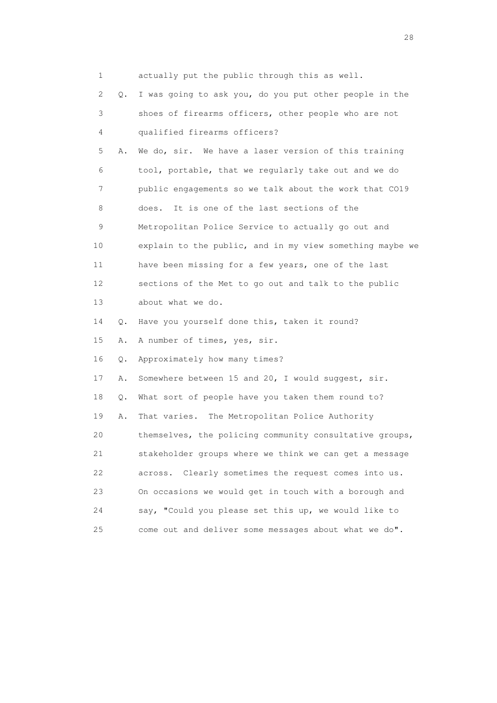| 1  |       | actually put the public through this as well.            |
|----|-------|----------------------------------------------------------|
| 2  | Q.    | I was going to ask you, do you put other people in the   |
| 3  |       | shoes of firearms officers, other people who are not     |
| 4  |       | qualified firearms officers?                             |
| 5  | Α.    | We do, sir. We have a laser version of this training     |
| 6  |       | tool, portable, that we regularly take out and we do     |
| 7  |       | public engagements so we talk about the work that CO19   |
| 8  |       | It is one of the last sections of the<br>does.           |
| 9  |       | Metropolitan Police Service to actually go out and       |
| 10 |       | explain to the public, and in my view something maybe we |
| 11 |       | have been missing for a few years, one of the last       |
| 12 |       | sections of the Met to go out and talk to the public     |
| 13 |       | about what we do.                                        |
| 14 | Q.    | Have you yourself done this, taken it round?             |
| 15 | Α.    | A number of times, yes, sir.                             |
| 16 | $Q$ . | Approximately how many times?                            |
| 17 | Α.    | Somewhere between 15 and 20, I would suggest, sir.       |
| 18 | Q.    | What sort of people have you taken them round to?        |
| 19 | Α.    | That varies. The Metropolitan Police Authority           |
| 20 |       | themselves, the policing community consultative groups,  |
| 21 |       | stakeholder groups where we think we can get a message   |
| 22 |       | Clearly sometimes the request comes into us.<br>across.  |
| 23 |       | On occasions we would get in touch with a borough and    |
| 24 |       | say, "Could you please set this up, we would like to     |
| 25 |       | come out and deliver some messages about what we do".    |

28 and 28 and 28 and 28 and 28 and 28 and 28 and 28 and 28 and 28 and 28 and 28 and 28 and 28 and 28 and 28 and 28 and 28 and 28 and 28 and 28 and 28 and 28 and 28 and 28 and 28 and 28 and 28 and 28 and 28 and 28 and 28 an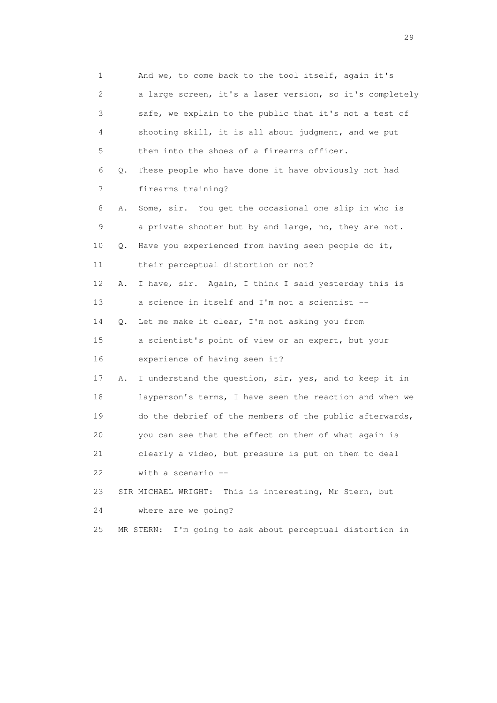| 1                         |    | And we, to come back to the tool itself, again it's       |
|---------------------------|----|-----------------------------------------------------------|
| $\mathbf{2}^{\mathsf{I}}$ |    | a large screen, it's a laser version, so it's completely  |
| 3                         |    | safe, we explain to the public that it's not a test of    |
| 4                         |    | shooting skill, it is all about judgment, and we put      |
| 5                         |    | them into the shoes of a firearms officer.                |
| 6                         | Q. | These people who have done it have obviously not had      |
| 7                         |    | firearms training?                                        |
| 8                         | Α. | Some, sir. You get the occasional one slip in who is      |
| 9                         |    | a private shooter but by and large, no, they are not.     |
| 10                        | Q. | Have you experienced from having seen people do it,       |
| 11                        |    | their perceptual distortion or not?                       |
| 12                        | Α. | I have, sir. Again, I think I said yesterday this is      |
| 13                        |    | a science in itself and I'm not a scientist --            |
| 14                        | Q. | Let me make it clear, I'm not asking you from             |
| 15                        |    | a scientist's point of view or an expert, but your        |
| 16                        |    | experience of having seen it?                             |
| 17                        | Α. | I understand the question, sir, yes, and to keep it in    |
| 18                        |    | layperson's terms, I have seen the reaction and when we   |
| 19                        |    | do the debrief of the members of the public afterwards,   |
| 20                        |    | you can see that the effect on them of what again is      |
| 21                        |    | clearly a video, but pressure is put on them to deal      |
| 22                        |    | with a scenario --                                        |
| 23                        |    | SIR MICHAEL WRIGHT: This is interesting, Mr Stern, but    |
| 24                        |    | where are we going?                                       |
| 25                        |    | MR STERN: I'm going to ask about perceptual distortion in |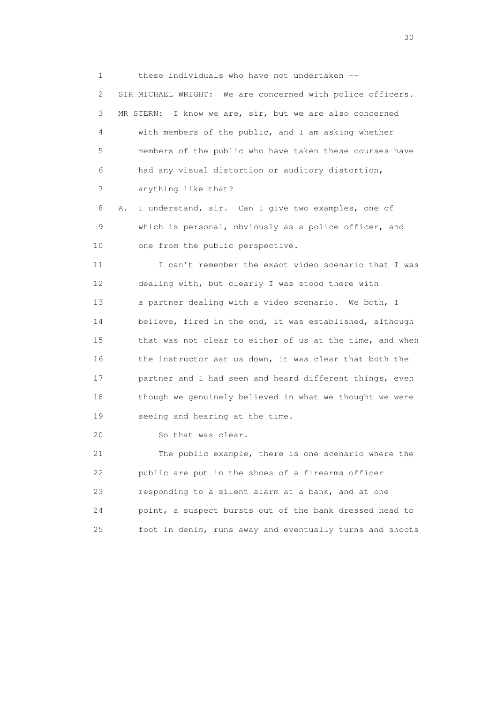1 these individuals who have not undertaken -- 2 SIR MICHAEL WRIGHT: We are concerned with police officers. 3 MR STERN: I know we are, sir, but we are also concerned 4 with members of the public, and I am asking whether 5 members of the public who have taken these courses have 6 had any visual distortion or auditory distortion, 7 anything like that?

 8 A. I understand, sir. Can I give two examples, one of 9 which is personal, obviously as a police officer, and 10 one from the public perspective.

11 I can't remember the exact video scenario that I was 12 dealing with, but clearly I was stood there with 13 a partner dealing with a video scenario. We both, I 14 believe, fired in the end, it was established, although 15 that was not clear to either of us at the time, and when 16 the instructor sat us down, it was clear that both the 17 partner and I had seen and heard different things, even 18 though we genuinely believed in what we thought we were 19 seeing and hearing at the time.

20 So that was clear.

 21 The public example, there is one scenario where the 22 public are put in the shoes of a firearms officer 23 responding to a silent alarm at a bank, and at one 24 point, a suspect bursts out of the bank dressed head to 25 foot in denim, runs away and eventually turns and shoots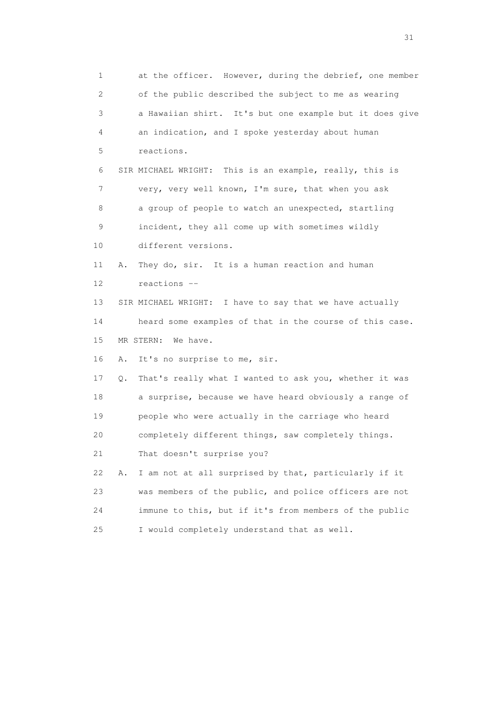1 at the officer. However, during the debrief, one member 2 of the public described the subject to me as wearing 3 a Hawaiian shirt. It's but one example but it does give 4 an indication, and I spoke yesterday about human 5 reactions. 6 SIR MICHAEL WRIGHT: This is an example, really, this is 7 very, very well known, I'm sure, that when you ask 8 a group of people to watch an unexpected, startling 9 incident, they all come up with sometimes wildly 10 different versions. 11 A. They do, sir. It is a human reaction and human 12 reactions -- 13 SIR MICHAEL WRIGHT: I have to say that we have actually 14 heard some examples of that in the course of this case. 15 MR STERN: We have. 16 A. It's no surprise to me, sir. 17 Q. That's really what I wanted to ask you, whether it was 18 a surprise, because we have heard obviously a range of 19 people who were actually in the carriage who heard 20 completely different things, saw completely things. 21 That doesn't surprise you? 22 A. I am not at all surprised by that, particularly if it 23 was members of the public, and police officers are not 24 immune to this, but if it's from members of the public 25 I would completely understand that as well.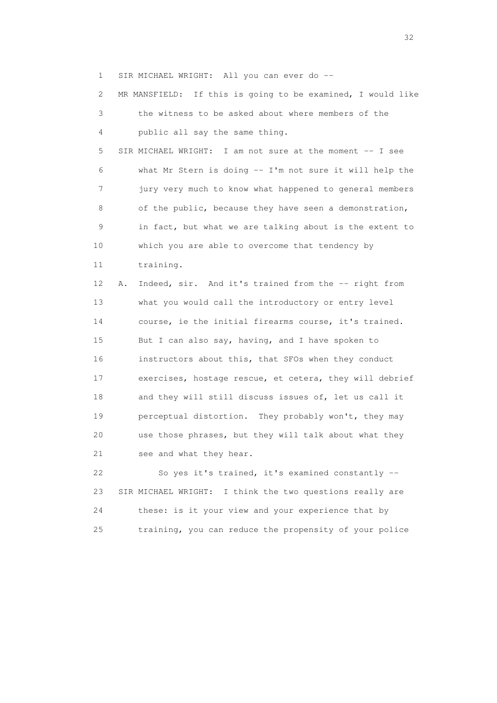1 SIR MICHAEL WRIGHT: All you can ever do --

 2 MR MANSFIELD: If this is going to be examined, I would like 3 the witness to be asked about where members of the 4 public all say the same thing. 5 SIR MICHAEL WRIGHT: I am not sure at the moment -- I see 6 what Mr Stern is doing -- I'm not sure it will help the 7 jury very much to know what happened to general members 8 of the public, because they have seen a demonstration, 9 in fact, but what we are talking about is the extent to 10 which you are able to overcome that tendency by 11 training. 12 A. Indeed, sir. And it's trained from the -- right from 13 what you would call the introductory or entry level 14 course, ie the initial firearms course, it's trained. 15 But I can also say, having, and I have spoken to 16 instructors about this, that SFOs when they conduct 17 exercises, hostage rescue, et cetera, they will debrief 18 and they will still discuss issues of, let us call it 19 perceptual distortion. They probably won't, they may 20 use those phrases, but they will talk about what they 21 see and what they hear. 22 So yes it's trained, it's examined constantly --

 23 SIR MICHAEL WRIGHT: I think the two questions really are 24 these: is it your view and your experience that by 25 training, you can reduce the propensity of your police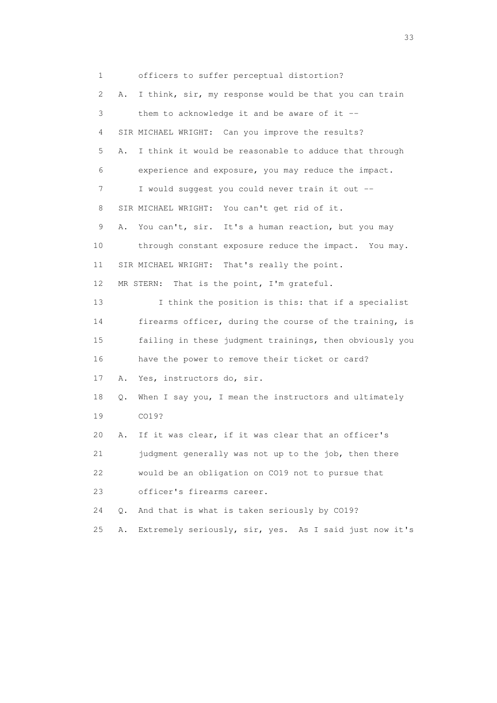1 officers to suffer perceptual distortion? 2 A. I think, sir, my response would be that you can train 3 them to acknowledge it and be aware of it -- 4 SIR MICHAEL WRIGHT: Can you improve the results? 5 A. I think it would be reasonable to adduce that through 6 experience and exposure, you may reduce the impact. 7 I would suggest you could never train it out -- 8 SIR MICHAEL WRIGHT: You can't get rid of it. 9 A. You can't, sir. It's a human reaction, but you may 10 through constant exposure reduce the impact. You may. 11 SIR MICHAEL WRIGHT: That's really the point. 12 MR STERN: That is the point, I'm grateful. 13 I think the position is this: that if a specialist 14 firearms officer, during the course of the training, is 15 failing in these judgment trainings, then obviously you 16 have the power to remove their ticket or card? 17 A. Yes, instructors do, sir. 18 Q. When I say you, I mean the instructors and ultimately 19 CO19? 20 A. If it was clear, if it was clear that an officer's 21 judgment generally was not up to the job, then there 22 would be an obligation on CO19 not to pursue that 23 officer's firearms career. 24 Q. And that is what is taken seriously by CO19? 25 A. Extremely seriously, sir, yes. As I said just now it's

<u>33</u> and the state of the state of the state of the state of the state of the state of the state of the state of the state of the state of the state of the state of the state of the state of the state of the state of the s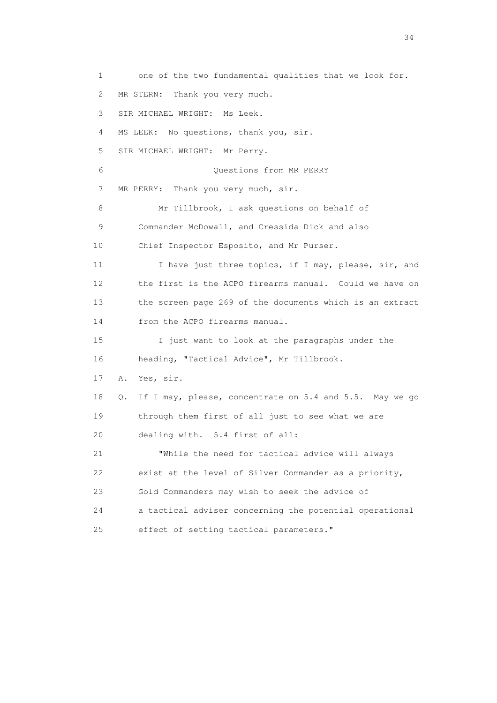1 one of the two fundamental qualities that we look for. 2 MR STERN: Thank you very much. 3 SIR MICHAEL WRIGHT: Ms Leek. 4 MS LEEK: No questions, thank you, sir. 5 SIR MICHAEL WRIGHT: Mr Perry. 6 Questions from MR PERRY 7 MR PERRY: Thank you very much, sir. 8 Mr Tillbrook, I ask questions on behalf of 9 Commander McDowall, and Cressida Dick and also 10 Chief Inspector Esposito, and Mr Purser. 11 I have just three topics, if I may, please, sir, and 12 the first is the ACPO firearms manual. Could we have on 13 the screen page 269 of the documents which is an extract 14 from the ACPO firearms manual. 15 I just want to look at the paragraphs under the 16 heading, "Tactical Advice", Mr Tillbrook. 17 A. Yes, sir. 18 Q. If I may, please, concentrate on 5.4 and 5.5. May we go 19 through them first of all just to see what we are 20 dealing with. 5.4 first of all: 21 "While the need for tactical advice will always 22 exist at the level of Silver Commander as a priority, 23 Gold Commanders may wish to seek the advice of 24 a tactical adviser concerning the potential operational 25 effect of setting tactical parameters."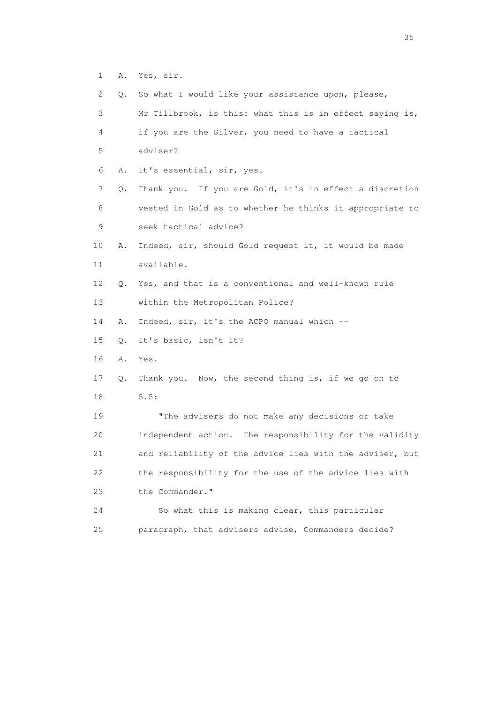1 A. Yes, sir.

| 2  | Q. | So what I would like your assistance upon, please,       |
|----|----|----------------------------------------------------------|
| 3  |    | Mr Tillbrook, is this: what this is in effect saying is, |
| 4  |    | if you are the Silver, you need to have a tactical       |
| 5  |    | adviser?                                                 |
| 6  | Α. | It's essential, sir, yes.                                |
| 7  | Q. | Thank you. If you are Gold, it's in effect a discretion  |
| 8  |    | vested in Gold as to whether he thinks it appropriate to |
| 9  |    | seek tactical advice?                                    |
| 10 | Α. | Indeed, sir, should Gold request it, it would be made    |
| 11 |    | available.                                               |
| 12 | Q. | Yes, and that is a conventional and well-known rule      |
| 13 |    | within the Metropolitan Police?                          |
| 14 | Α. | Indeed, sir, it's the ACPO manual which --               |
| 15 | Q. | It's basic, isn't it?                                    |
| 16 | Α. | Yes.                                                     |
| 17 | Q. | Thank you. Now, the second thing is, if we go on to      |
| 18 |    | 5.5:                                                     |
| 19 |    | "The advisers do not make any decisions or take          |
| 20 |    | independent action. The responsibility for the validity  |
| 21 |    | and reliability of the advice lies with the adviser, but |
| 22 |    | the responsibility for the use of the advice lies with   |
| 23 |    | the Commander."                                          |
| 24 |    | So what this is making clear, this particular            |
| 25 |    | paragraph, that advisers advise, Commanders decide?      |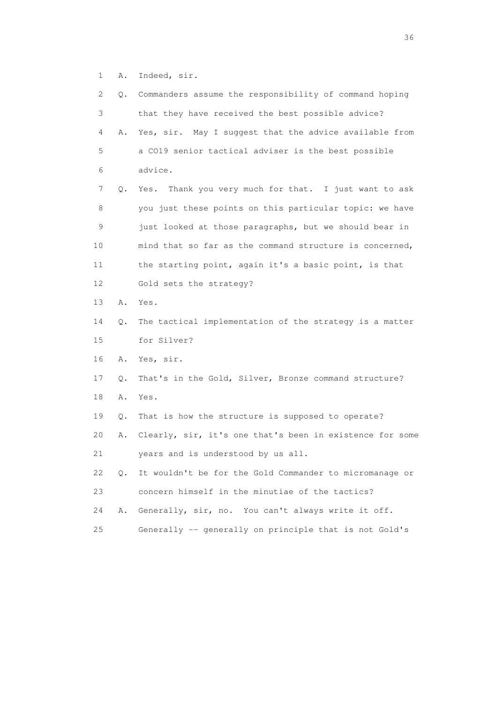1 A. Indeed, sir.

| $\mathbf{2}^{\mathsf{I}}$ |    | Q. Commanders assume the responsibility of command hoping |
|---------------------------|----|-----------------------------------------------------------|
| 3                         |    | that they have received the best possible advice?         |
| 4                         | Α. | Yes, sir. May I suggest that the advice available from    |
| 5                         |    | a CO19 senior tactical adviser is the best possible       |
| 6                         |    | advice.                                                   |
| 7                         | Q. | Thank you very much for that. I just want to ask<br>Yes.  |
| 8                         |    | you just these points on this particular topic: we have   |
| 9                         |    | just looked at those paragraphs, but we should bear in    |
| 10                        |    | mind that so far as the command structure is concerned,   |
| 11                        |    | the starting point, again it's a basic point, is that     |
| 12                        |    | Gold sets the strategy?                                   |
| 13                        | Α. | Yes.                                                      |
| 14                        | Q. | The tactical implementation of the strategy is a matter   |
| 15                        |    | for Silver?                                               |
| 16                        | Α. | Yes, sir.                                                 |
| 17                        | Q. | That's in the Gold, Silver, Bronze command structure?     |
| 18                        | Α. | Yes.                                                      |
| 19                        | Q. | That is how the structure is supposed to operate?         |
| 20                        | Α. | Clearly, sir, it's one that's been in existence for some  |
| 21                        |    | years and is understood by us all.                        |
| 22                        | Q. | It wouldn't be for the Gold Commander to micromanage or   |
| 23                        |    | concern himself in the minutiae of the tactics?           |
| 24                        | Α. | Generally, sir, no. You can't always write it off.        |
| 25                        |    | Generally -- generally on principle that is not Gold's    |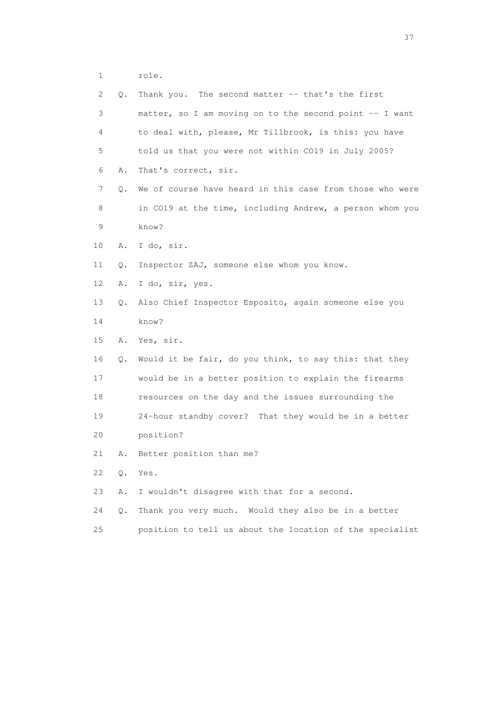1 role.

| 2  | Q.    | Thank you. The second matter -- that's the first         |
|----|-------|----------------------------------------------------------|
| 3  |       | matter, so I am moving on to the second point -- I want  |
| 4  |       | to deal with, please, Mr Tillbrook, is this: you have    |
| 5  |       | told us that you were not within CO19 in July 2005?      |
| 6  | Α.    | That's correct, sir.                                     |
| 7  | Q.    | We of course have heard in this case from those who were |
| 8  |       | in CO19 at the time, including Andrew, a person whom you |
| 9  |       | know?                                                    |
| 10 | Α.    | I do, sir.                                               |
| 11 | Q.    | Inspector ZAJ, someone else whom you know.               |
| 12 | Α.    | I do, sir, yes.                                          |
| 13 | О.    | Also Chief Inspector Esposito, again someone else you    |
| 14 |       | know?                                                    |
| 15 | Α.    | Yes, sir.                                                |
| 16 | Q.    | Would it be fair, do you think, to say this: that they   |
| 17 |       | would be in a better position to explain the firearms    |
| 18 |       | resources on the day and the issues surrounding the      |
| 19 |       | 24-hour standby cover? That they would be in a better    |
| 20 |       | position?                                                |
| 21 | Α.    | Better position than me?                                 |
| 22 | Q.    | Yes.                                                     |
| 23 | Α.    | I wouldn't disagree with that for a second.              |
| 24 | $Q$ . | Thank you very much. Would they also be in a better      |
| 25 |       | position to tell us about the location of the specialist |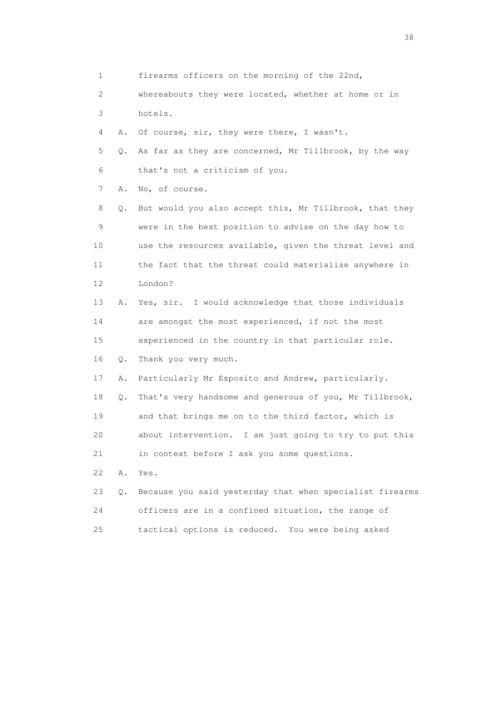1 firearms officers on the morning of the 22nd,

 2 whereabouts they were located, whether at home or in 3 hotels.

4 A. Of course, sir, they were there, I wasn't.

 5 Q. As far as they are concerned, Mr Tillbrook, by the way 6 that's not a criticism of you.

7 A. No, of course.

 8 Q. But would you also accept this, Mr Tillbrook, that they 9 were in the best position to advise on the day how to 10 use the resources available, given the threat level and 11 the fact that the threat could materialise anywhere in 12 London?

 13 A. Yes, sir. I would acknowledge that those individuals 14 are amongst the most experienced, if not the most 15 experienced in the country in that particular role. 16 Q. Thank you very much.

17 A. Particularly Mr Esposito and Andrew, particularly.

 18 Q. That's very handsome and generous of you, Mr Tillbrook, 19 and that brings me on to the third factor, which is 20 about intervention. I am just going to try to put this 21 in context before I ask you some questions.

22 A. Yes.

|    | 23 Q. Because you said yesterday that when specialist firearms |
|----|----------------------------------------------------------------|
| 24 | officers are in a confined situation, the range of             |
| 25 | tactical options is reduced. You were being asked              |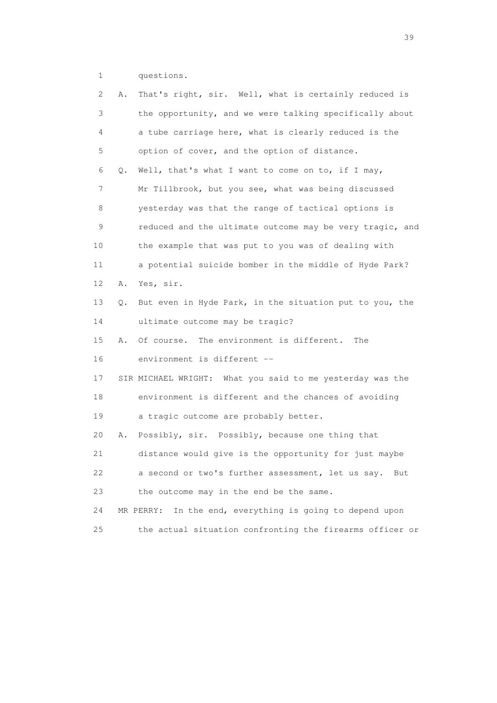1 questions.

| 2  | Α. | That's right, sir. Well, what is certainly reduced is       |
|----|----|-------------------------------------------------------------|
| 3  |    | the opportunity, and we were talking specifically about     |
| 4  |    | a tube carriage here, what is clearly reduced is the        |
| 5  |    | option of cover, and the option of distance.                |
| 6  | Q. | Well, that's what I want to come on to, if I may,           |
| 7  |    | Mr Tillbrook, but you see, what was being discussed         |
| 8  |    | yesterday was that the range of tactical options is         |
| 9  |    | reduced and the ultimate outcome may be very tragic, and    |
| 10 |    | the example that was put to you was of dealing with         |
| 11 |    | a potential suicide bomber in the middle of Hyde Park?      |
| 12 | Α. | Yes, sir.                                                   |
| 13 | Q. | But even in Hyde Park, in the situation put to you, the     |
| 14 |    | ultimate outcome may be tragic?                             |
| 15 | Α. | Of course. The environment is different.<br>The             |
| 16 |    | environment is different --                                 |
| 17 |    | SIR MICHAEL WRIGHT: What you said to me yesterday was the   |
| 18 |    | environment is different and the chances of avoiding        |
| 19 |    | a tragic outcome are probably better.                       |
| 20 | Α. | Possibly, sir. Possibly, because one thing that             |
| 21 |    | distance would give is the opportunity for just maybe       |
| 22 |    | a second or two's further assessment, let us say.<br>But    |
| 23 |    | the outcome may in the end be the same.                     |
| 24 |    | In the end, everything is going to depend upon<br>MR PERRY: |
| 25 |    | the actual situation confronting the firearms officer or    |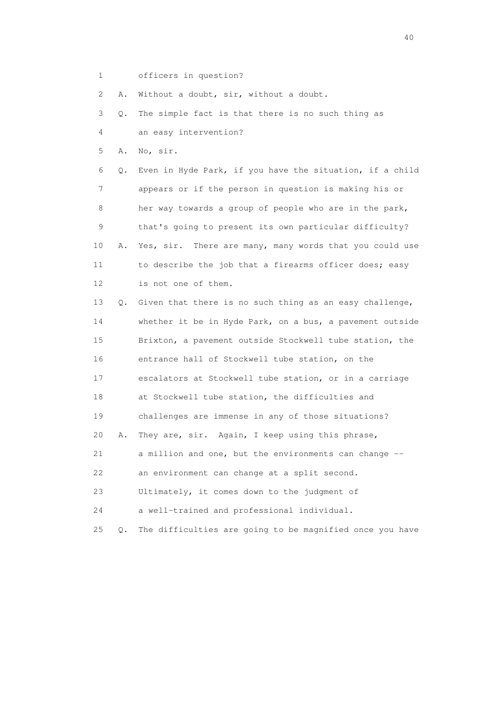1 officers in question?

2 A. Without a doubt, sir, without a doubt.

3 Q. The simple fact is that there is no such thing as

4 an easy intervention?

5 A. No, sir.

 6 Q. Even in Hyde Park, if you have the situation, if a child 7 appears or if the person in question is making his or 8 her way towards a group of people who are in the park, 9 that's going to present its own particular difficulty? 10 A. Yes, sir. There are many, many words that you could use 11 to describe the job that a firearms officer does; easy 12 is not one of them.

 13 Q. Given that there is no such thing as an easy challenge, 14 whether it be in Hyde Park, on a bus, a pavement outside 15 Brixton, a pavement outside Stockwell tube station, the 16 entrance hall of Stockwell tube station, on the 17 escalators at Stockwell tube station, or in a carriage 18 at Stockwell tube station, the difficulties and 19 challenges are immense in any of those situations? 20 A. They are, sir. Again, I keep using this phrase, 21 a million and one, but the environments can change -- 22 an environment can change at a split second. 23 Ultimately, it comes down to the judgment of 24 a well-trained and professional individual.

25 Q. The difficulties are going to be magnified once you have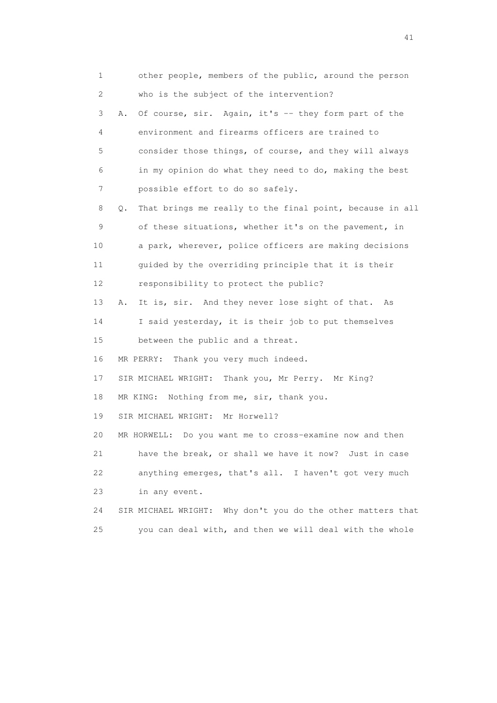1 other people, members of the public, around the person 2 who is the subject of the intervention? 3 A. Of course, sir. Again, it's -- they form part of the 4 environment and firearms officers are trained to 5 consider those things, of course, and they will always 6 in my opinion do what they need to do, making the best 7 possible effort to do so safely. 8 Q. That brings me really to the final point, because in all 9 of these situations, whether it's on the pavement, in 10 a park, wherever, police officers are making decisions 11 guided by the overriding principle that it is their 12 responsibility to protect the public? 13 A. It is, sir. And they never lose sight of that. As 14 I said yesterday, it is their job to put themselves 15 between the public and a threat. 16 MR PERRY: Thank you very much indeed. 17 SIR MICHAEL WRIGHT: Thank you, Mr Perry. Mr King? 18 MR KING: Nothing from me, sir, thank you. 19 SIR MICHAEL WRIGHT: Mr Horwell? 20 MR HORWELL: Do you want me to cross-examine now and then 21 have the break, or shall we have it now? Just in case 22 anything emerges, that's all. I haven't got very much 23 in any event. 24 SIR MICHAEL WRIGHT: Why don't you do the other matters that 25 you can deal with, and then we will deal with the whole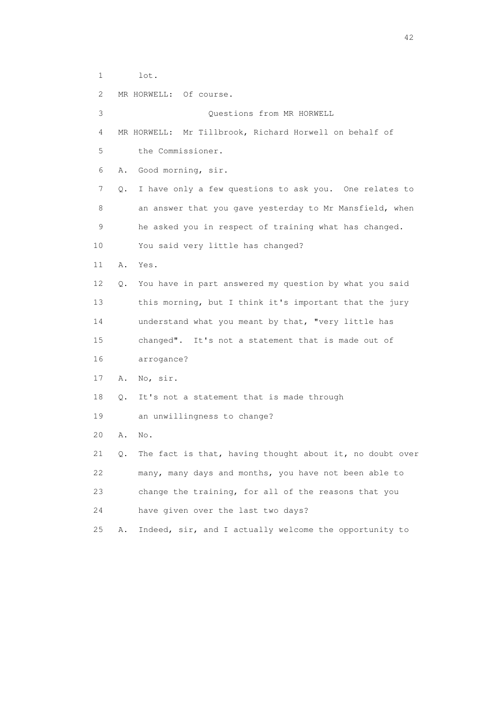1 lot.

 2 MR HORWELL: Of course. 3 Questions from MR HORWELL 4 MR HORWELL: Mr Tillbrook, Richard Horwell on behalf of 5 the Commissioner. 6 A. Good morning, sir. 7 Q. I have only a few questions to ask you. One relates to 8 an answer that you gave yesterday to Mr Mansfield, when 9 he asked you in respect of training what has changed. 10 You said very little has changed? 11 A. Yes. 12 Q. You have in part answered my question by what you said 13 this morning, but I think it's important that the jury 14 understand what you meant by that, "very little has 15 changed". It's not a statement that is made out of 16 arrogance? 17 A. No, sir. 18 Q. It's not a statement that is made through 19 an unwillingness to change? 20 A. No. 21 Q. The fact is that, having thought about it, no doubt over 22 many, many days and months, you have not been able to 23 change the training, for all of the reasons that you 24 have given over the last two days? 25 A. Indeed, sir, and I actually welcome the opportunity to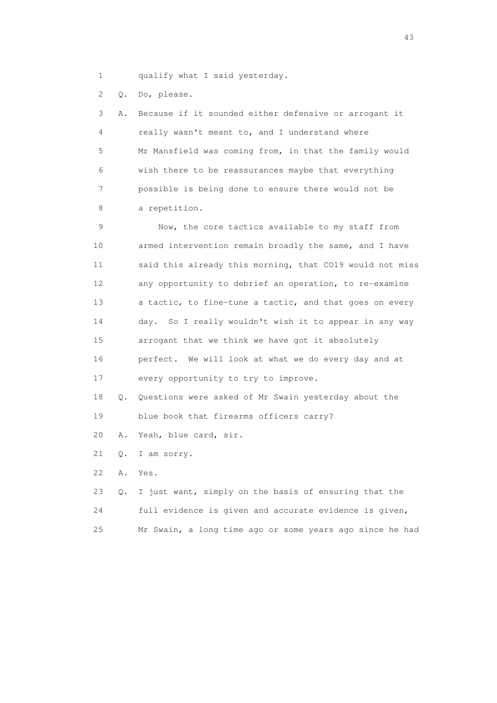1 qualify what I said yesterday.

2 Q. Do, please.

 3 A. Because if it sounded either defensive or arrogant it 4 really wasn't meant to, and I understand where 5 Mr Mansfield was coming from, in that the family would 6 wish there to be reassurances maybe that everything 7 possible is being done to ensure there would not be 8 a repetition.

 9 Now, the core tactics available to my staff from 10 armed intervention remain broadly the same, and I have 11 said this already this morning, that CO19 would not miss 12 any opportunity to debrief an operation, to re-examine 13 a tactic, to fine-tune a tactic, and that goes on every 14 day. So I really wouldn't wish it to appear in any way 15 arrogant that we think we have got it absolutely 16 perfect. We will look at what we do every day and at 17 every opportunity to try to improve.

 18 Q. Questions were asked of Mr Swain yesterday about the 19 blue book that firearms officers carry?

20 A. Yeah, blue card, sir.

21 Q. I am sorry.

22 A. Yes.

|     | 23 Q. I just want, simply on the basis of ensuring that the |
|-----|-------------------------------------------------------------|
| 24  | full evidence is given and accurate evidence is given,      |
| 2.5 | Mr Swain, a long time ago or some years ago since he had    |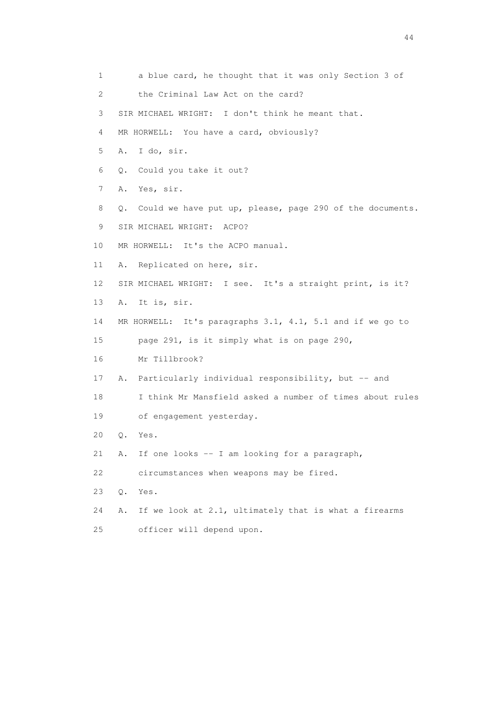| 1                         | a blue card, he thought that it was only Section 3 of          |
|---------------------------|----------------------------------------------------------------|
| $\mathbf{2}^{\mathsf{I}}$ | the Criminal Law Act on the card?                              |
| 3                         | SIR MICHAEL WRIGHT: I don't think he meant that.               |
| 4                         | MR HORWELL: You have a card, obviously?                        |
| 5                         | I do, sir.<br>Α.                                               |
| 6                         | Could you take it out?<br>$\circ$ .                            |
| 7                         | Yes, sir.<br>Α.                                                |
| 8                         | Could we have put up, please, page 290 of the documents.<br>Q. |
| 9                         | SIR MICHAEL WRIGHT: ACPO?                                      |
| 10                        | MR HORWELL: It's the ACPO manual.                              |
| 11                        | A. Replicated on here, sir.                                    |
| 12                        | SIR MICHAEL WRIGHT: I see. It's a straight print, is it?       |
| 13                        | It is, sir.<br>Α.                                              |
| 14                        | MR HORWELL: It's paragraphs 3.1, 4.1, 5.1 and if we go to      |
| 15                        | page 291, is it simply what is on page 290,                    |
| 16                        | Mr Tillbrook?                                                  |
| 17                        | Particularly individual responsibility, but -- and<br>Α.       |
| 18                        | I think Mr Mansfield asked a number of times about rules       |
| 19                        | of engagement yesterday.                                       |
| 20                        | $Q$ .<br>Yes.                                                  |
| 21                        | If one looks -- I am looking for a paragraph,<br>Α.            |
| 22                        | circumstances when weapons may be fired.                       |
| 23                        | Q.<br>Yes.                                                     |
| 24                        | If we look at 2.1, ultimately that is what a firearms<br>Α.    |
| 25                        | officer will depend upon.                                      |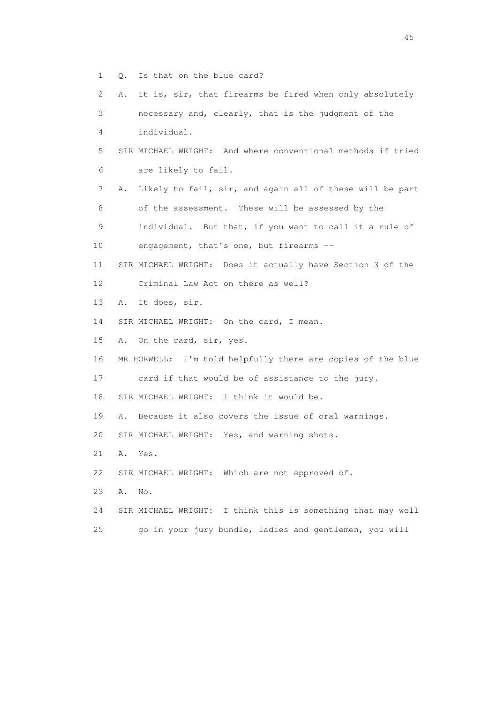- 1 Q. Is that on the blue card?
- 2 A. It is, sir, that firearms be fired when only absolutely
- 3 necessary and, clearly, that is the judgment of the 4 individual.
- 5 SIR MICHAEL WRIGHT: And where conventional methods if tried 6 are likely to fail.
- 7 A. Likely to fail, sir, and again all of these will be part 8 of the assessment. These will be assessed by the
- 9 individual. But that, if you want to call it a rule of 10 engagement, that's one, but firearms --
- 11 SIR MICHAEL WRIGHT: Does it actually have Section 3 of the 12 Criminal Law Act on there as well?
- 13 A. It does, sir.
- 14 SIR MICHAEL WRIGHT: On the card, I mean.
- 15 A. On the card, sir, yes.
- 16 MR HORWELL: I'm told helpfully there are copies of the blue
- 17 card if that would be of assistance to the jury.
- 18 SIR MICHAEL WRIGHT: I think it would be.
- 19 A. Because it also covers the issue of oral warnings.
- 20 SIR MICHAEL WRIGHT: Yes, and warning shots.
- 21 A. Yes.
- 22 SIR MICHAEL WRIGHT: Which are not approved of.
- 23 A. No.
- 24 SIR MICHAEL WRIGHT: I think this is something that may well
- 25 go in your jury bundle, ladies and gentlemen, you will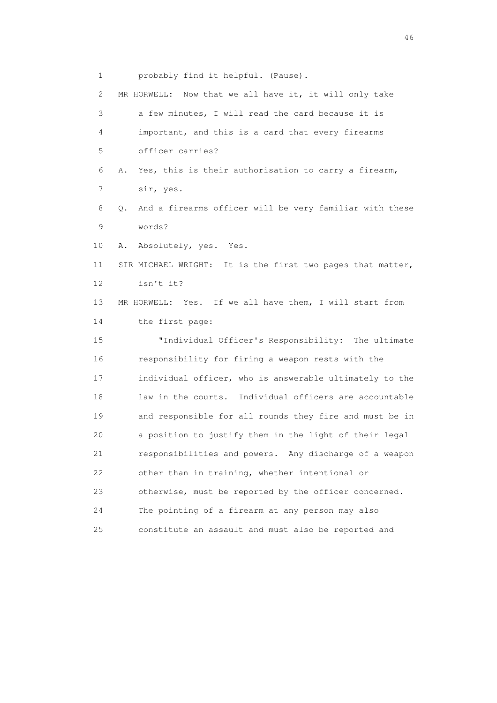1 probably find it helpful. (Pause).

| 2  | MR HORWELL: Now that we all have it, it will only take        |
|----|---------------------------------------------------------------|
| 3  | a few minutes, I will read the card because it is             |
| 4  | important, and this is a card that every firearms             |
| 5  | officer carries?                                              |
| 6  | Yes, this is their authorisation to carry a firearm,<br>Α.    |
| 7  | sir, yes.                                                     |
| 8  | And a firearms officer will be very familiar with these<br>0. |
| 9  | words?                                                        |
| 10 | Absolutely, yes. Yes.<br>Α.                                   |
| 11 | SIR MICHAEL WRIGHT: It is the first two pages that matter,    |
| 12 | isn't it?                                                     |
| 13 | MR HORWELL: Yes. If we all have them, I will start from       |
| 14 | the first page:                                               |
| 15 | "Individual Officer's Responsibility: The ultimate            |
| 16 | responsibility for firing a weapon rests with the             |
| 17 | individual officer, who is answerable ultimately to the       |
| 18 | law in the courts. Individual officers are accountable        |
| 19 | and responsible for all rounds they fire and must be in       |
| 20 | a position to justify them in the light of their legal        |
| 21 | responsibilities and powers. Any discharge of a weapon        |
| 22 | other than in training, whether intentional or                |
| 23 | otherwise, must be reported by the officer concerned.         |
| 24 | The pointing of a firearm at any person may also              |
| 25 | constitute an assault and must also be reported and           |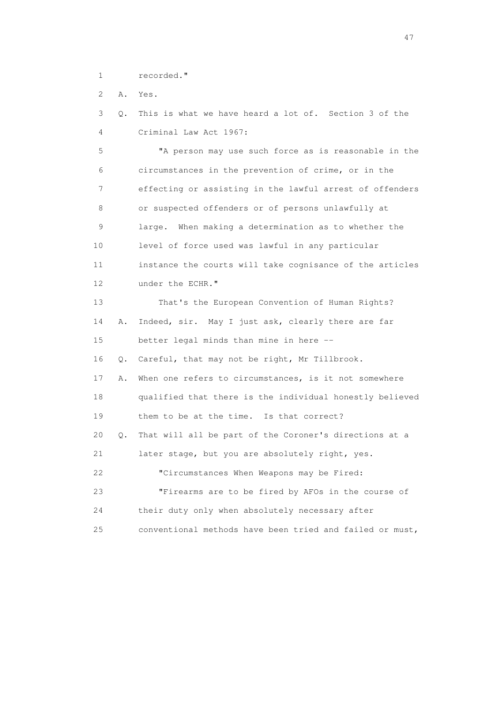1 recorded."

2 A. Yes.

 3 Q. This is what we have heard a lot of. Section 3 of the 4 Criminal Law Act 1967:

 5 "A person may use such force as is reasonable in the 6 circumstances in the prevention of crime, or in the 7 effecting or assisting in the lawful arrest of offenders 8 or suspected offenders or of persons unlawfully at 9 large. When making a determination as to whether the 10 level of force used was lawful in any particular 11 instance the courts will take cognisance of the articles 12 under the ECHR." 13 That's the European Convention of Human Rights? 14 A. Indeed, sir. May I just ask, clearly there are far 15 better legal minds than mine in here -- 16 Q. Careful, that may not be right, Mr Tillbrook. 17 A. When one refers to circumstances, is it not somewhere 18 qualified that there is the individual honestly believed 19 them to be at the time. Is that correct? 20 Q. That will all be part of the Coroner's directions at a 21 later stage, but you are absolutely right, yes. 22 "Circumstances When Weapons may be Fired: 23 "Firearms are to be fired by AFOs in the course of 24 their duty only when absolutely necessary after 25 conventional methods have been tried and failed or must,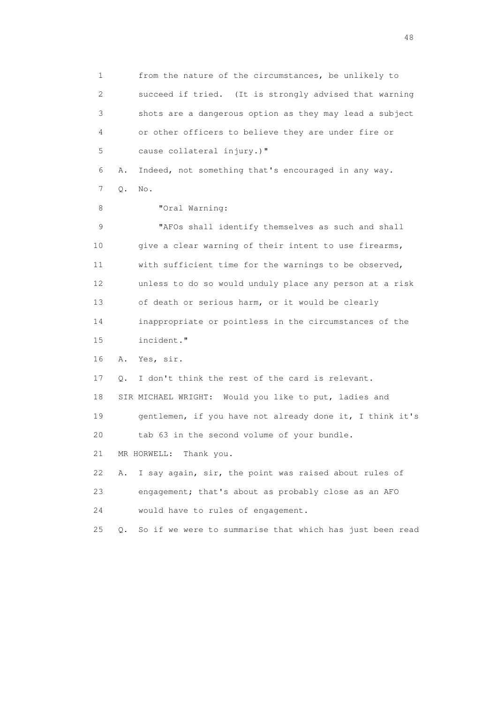1 from the nature of the circumstances, be unlikely to 2 succeed if tried. (It is strongly advised that warning 3 shots are a dangerous option as they may lead a subject 4 or other officers to believe they are under fire or 5 cause collateral injury.)" 6 A. Indeed, not something that's encouraged in any way. 7 Q. No. 8 "Oral Warning: 9 "AFOs shall identify themselves as such and shall 10 give a clear warning of their intent to use firearms, 11 with sufficient time for the warnings to be observed, 12 unless to do so would unduly place any person at a risk 13 of death or serious harm, or it would be clearly 14 inappropriate or pointless in the circumstances of the 15 incident." 16 A. Yes, sir. 17 Q. I don't think the rest of the card is relevant. 18 SIR MICHAEL WRIGHT: Would you like to put, ladies and 19 gentlemen, if you have not already done it, I think it's 20 tab 63 in the second volume of your bundle. 21 MR HORWELL: Thank you. 22 A. I say again, sir, the point was raised about rules of 23 engagement; that's about as probably close as an AFO 24 would have to rules of engagement. 25 Q. So if we were to summarise that which has just been read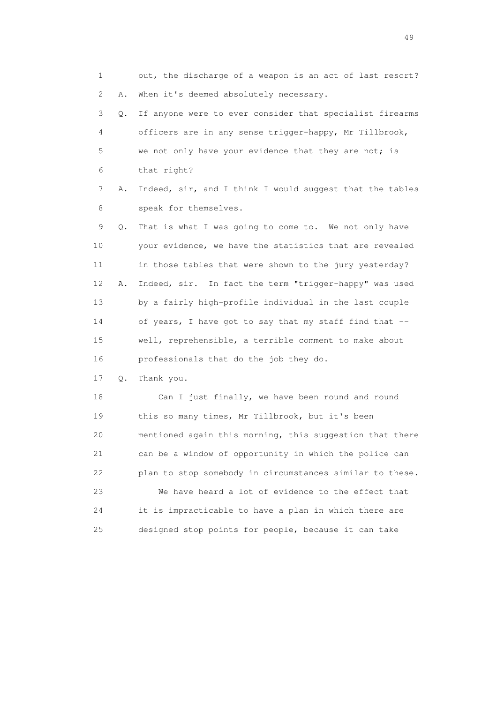1 out, the discharge of a weapon is an act of last resort? 2 A. When it's deemed absolutely necessary. 3 Q. If anyone were to ever consider that specialist firearms 4 officers are in any sense trigger-happy, Mr Tillbrook, 5 we not only have your evidence that they are not; is 6 that right? 7 A. Indeed, sir, and I think I would suggest that the tables 8 speak for themselves. 9 Q. That is what I was going to come to. We not only have 10 your evidence, we have the statistics that are revealed 11 in those tables that were shown to the jury yesterday? 12 A. Indeed, sir. In fact the term "trigger-happy" was used 13 by a fairly high-profile individual in the last couple 14 of years, I have got to say that my staff find that -- 15 well, reprehensible, a terrible comment to make about 16 professionals that do the job they do. 17 Q. Thank you. 18 Can I just finally, we have been round and round 19 this so many times, Mr Tillbrook, but it's been 20 mentioned again this morning, this suggestion that there 21 can be a window of opportunity in which the police can

 22 plan to stop somebody in circumstances similar to these. 23 We have heard a lot of evidence to the effect that 24 it is impracticable to have a plan in which there are 25 designed stop points for people, because it can take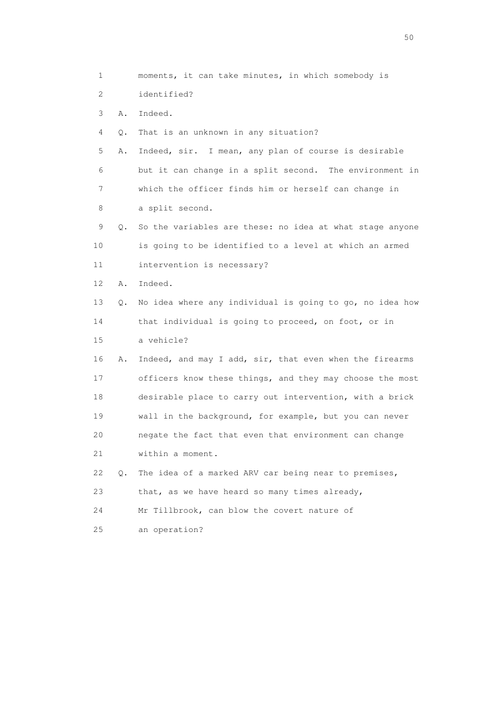1 moments, it can take minutes, in which somebody is 2 identified? 3 A. Indeed. 4 Q. That is an unknown in any situation? 5 A. Indeed, sir. I mean, any plan of course is desirable 6 but it can change in a split second. The environment in 7 which the officer finds him or herself can change in 8 a split second. 9 Q. So the variables are these: no idea at what stage anyone 10 is going to be identified to a level at which an armed 11 intervention is necessary? 12 A. Indeed. 13 Q. No idea where any individual is going to go, no idea how 14 that individual is going to proceed, on foot, or in 15 a vehicle? 16 A. Indeed, and may I add, sir, that even when the firearms 17 officers know these things, and they may choose the most 18 desirable place to carry out intervention, with a brick 19 wall in the background, for example, but you can never 20 negate the fact that even that environment can change 21 within a moment. 22 Q. The idea of a marked ARV car being near to premises, 23 that, as we have heard so many times already, 24 Mr Tillbrook, can blow the covert nature of 25 an operation?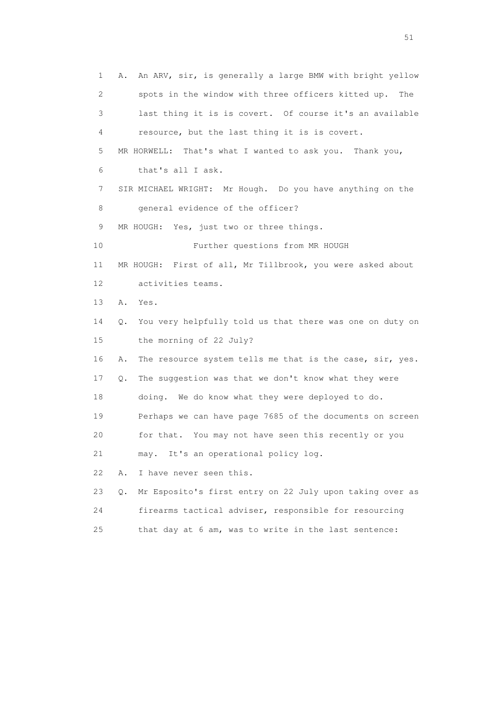1 A. An ARV, sir, is generally a large BMW with bright yellow 2 spots in the window with three officers kitted up. The 3 last thing it is is covert. Of course it's an available 4 resource, but the last thing it is is covert. 5 MR HORWELL: That's what I wanted to ask you. Thank you, 6 that's all I ask. 7 SIR MICHAEL WRIGHT: Mr Hough. Do you have anything on the 8 general evidence of the officer? 9 MR HOUGH: Yes, just two or three things. 10 Further questions from MR HOUGH 11 MR HOUGH: First of all, Mr Tillbrook, you were asked about 12 activities teams. 13 A. Yes. 14 Q. You very helpfully told us that there was one on duty on 15 the morning of 22 July? 16 A. The resource system tells me that is the case, sir, yes. 17 Q. The suggestion was that we don't know what they were 18 doing. We do know what they were deployed to do. 19 Perhaps we can have page 7685 of the documents on screen 20 for that. You may not have seen this recently or you 21 may. It's an operational policy log. 22 A. I have never seen this. 23 Q. Mr Esposito's first entry on 22 July upon taking over as 24 firearms tactical adviser, responsible for resourcing 25 that day at 6 am, was to write in the last sentence: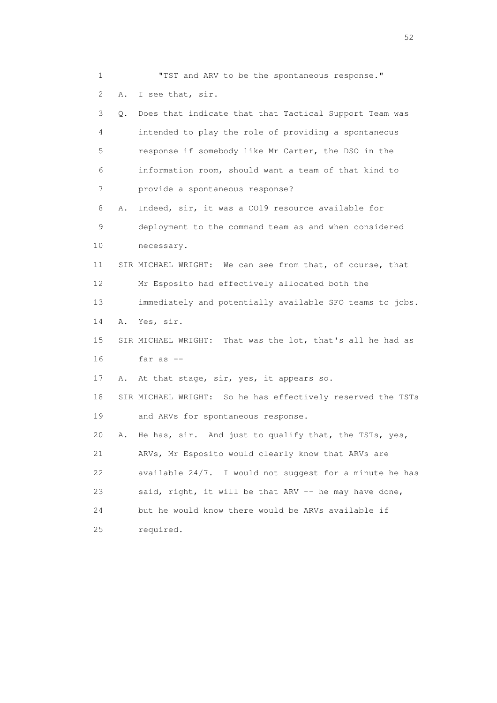1 "TST and ARV to be the spontaneous response." 2 A. I see that, sir. 3 Q. Does that indicate that that Tactical Support Team was 4 intended to play the role of providing a spontaneous 5 response if somebody like Mr Carter, the DSO in the 6 information room, should want a team of that kind to 7 provide a spontaneous response? 8 A. Indeed, sir, it was a CO19 resource available for 9 deployment to the command team as and when considered 10 necessary. 11 SIR MICHAEL WRIGHT: We can see from that, of course, that 12 Mr Esposito had effectively allocated both the 13 immediately and potentially available SFO teams to jobs. 14 A. Yes, sir. 15 SIR MICHAEL WRIGHT: That was the lot, that's all he had as 16 far as -- 17 A. At that stage, sir, yes, it appears so. 18 SIR MICHAEL WRIGHT: So he has effectively reserved the TSTs 19 and ARVs for spontaneous response. 20 A. He has, sir. And just to qualify that, the TSTs, yes, 21 ARVs, Mr Esposito would clearly know that ARVs are 22 available 24/7. I would not suggest for a minute he has 23 said, right, it will be that ARV -- he may have done, 24 but he would know there would be ARVs available if 25 required.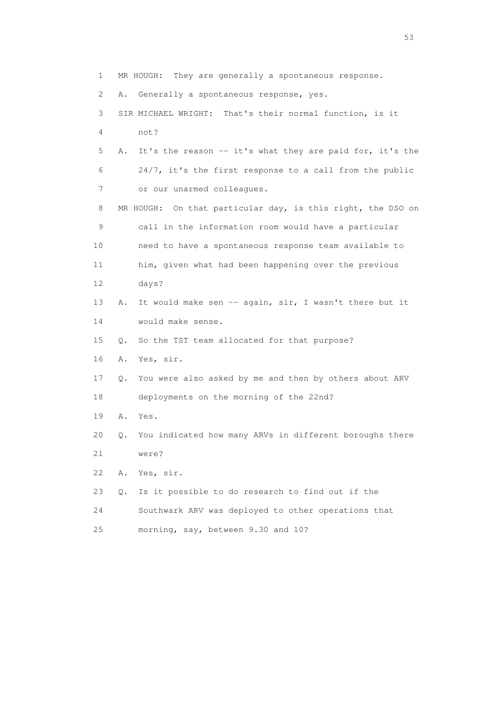1 MR HOUGH: They are generally a spontaneous response. 2 A. Generally a spontaneous response, yes. 3 SIR MICHAEL WRIGHT: That's their normal function, is it 4 not? 5 A. It's the reason -- it's what they are paid for, it's the 6 24/7, it's the first response to a call from the public 7 or our unarmed colleagues. 8 MR HOUGH: On that particular day, is this right, the DSO on 9 call in the information room would have a particular 10 need to have a spontaneous response team available to 11 him, given what had been happening over the previous 12 days? 13 A. It would make sen -- again, sir, I wasn't there but it 14 would make sense. 15 Q. So the TST team allocated for that purpose? 16 A. Yes, sir. 17 Q. You were also asked by me and then by others about ARV 18 deployments on the morning of the 22nd? 19 A. Yes. 20 Q. You indicated how many ARVs in different boroughs there 21 were? 22 A. Yes, sir. 23 Q. Is it possible to do research to find out if the 24 Southwark ARV was deployed to other operations that 25 morning, say, between 9.30 and 10?

 $\sim$  53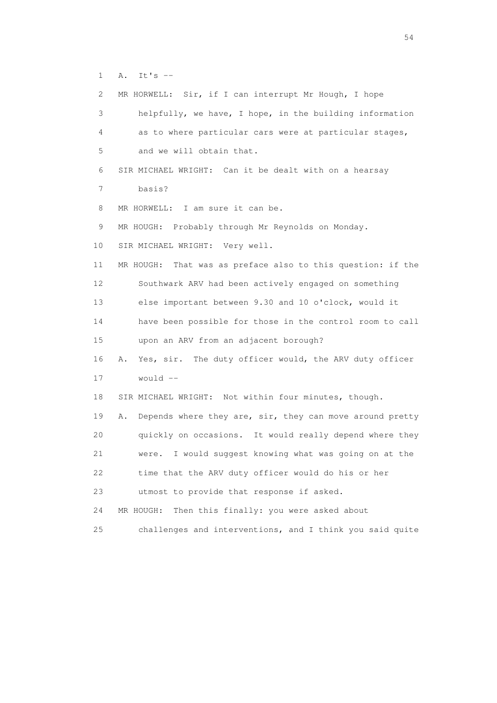1 A. It's --

 2 MR HORWELL: Sir, if I can interrupt Mr Hough, I hope 3 helpfully, we have, I hope, in the building information 4 as to where particular cars were at particular stages, 5 and we will obtain that. 6 SIR MICHAEL WRIGHT: Can it be dealt with on a hearsay 7 basis? 8 MR HORWELL: I am sure it can be. 9 MR HOUGH: Probably through Mr Reynolds on Monday. 10 SIR MICHAEL WRIGHT: Very well. 11 MR HOUGH: That was as preface also to this question: if the 12 Southwark ARV had been actively engaged on something 13 else important between 9.30 and 10 o'clock, would it 14 have been possible for those in the control room to call 15 upon an ARV from an adjacent borough? 16 A. Yes, sir. The duty officer would, the ARV duty officer  $17$  would  $-$  18 SIR MICHAEL WRIGHT: Not within four minutes, though. 19 A. Depends where they are, sir, they can move around pretty 20 quickly on occasions. It would really depend where they 21 were. I would suggest knowing what was going on at the 22 time that the ARV duty officer would do his or her 23 utmost to provide that response if asked. 24 MR HOUGH: Then this finally: you were asked about 25 challenges and interventions, and I think you said quite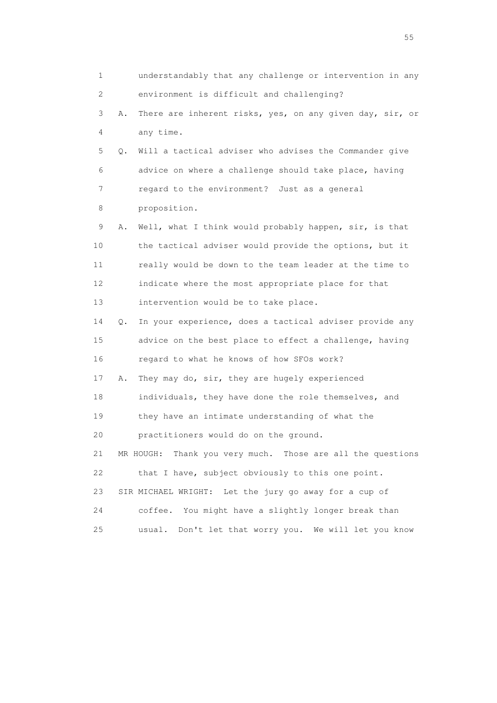1 understandably that any challenge or intervention in any 2 environment is difficult and challenging? 3 A. There are inherent risks, yes, on any given day, sir, or 4 any time. 5 Q. Will a tactical adviser who advises the Commander give 6 advice on where a challenge should take place, having 7 regard to the environment? Just as a general 8 proposition. 9 A. Well, what I think would probably happen, sir, is that 10 the tactical adviser would provide the options, but it 11 really would be down to the team leader at the time to 12 indicate where the most appropriate place for that 13 intervention would be to take place. 14 Q. In your experience, does a tactical adviser provide any 15 advice on the best place to effect a challenge, having 16 regard to what he knows of how SFOs work? 17 A. They may do, sir, they are hugely experienced 18 individuals, they have done the role themselves, and 19 they have an intimate understanding of what the 20 practitioners would do on the ground. 21 MR HOUGH: Thank you very much. Those are all the questions 22 that I have, subject obviously to this one point. 23 SIR MICHAEL WRIGHT: Let the jury go away for a cup of 24 coffee. You might have a slightly longer break than 25 usual. Don't let that worry you. We will let you know

the state of the state of the state of the state of the state of the state of the state of the state of the state of the state of the state of the state of the state of the state of the state of the state of the state of t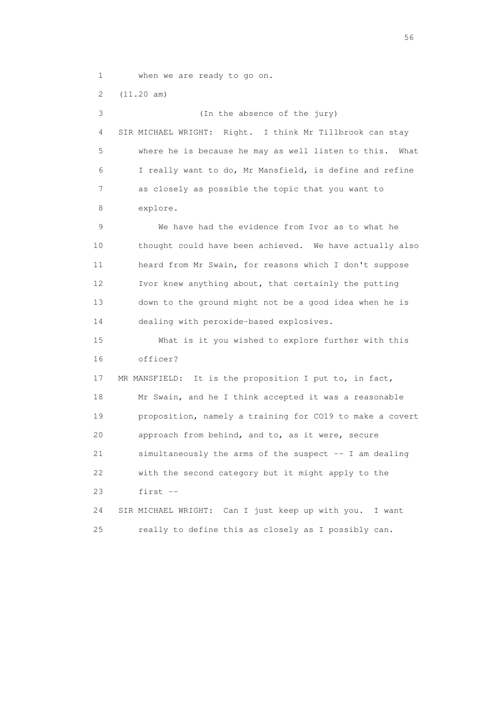1 when we are ready to go on.

 2 (11.20 am) 3 (In the absence of the jury) 4 SIR MICHAEL WRIGHT: Right. I think Mr Tillbrook can stay 5 where he is because he may as well listen to this. What 6 I really want to do, Mr Mansfield, is define and refine 7 as closely as possible the topic that you want to 8 explore. 9 We have had the evidence from Ivor as to what he 10 thought could have been achieved. We have actually also 11 heard from Mr Swain, for reasons which I don't suppose 12 Ivor knew anything about, that certainly the putting 13 down to the ground might not be a good idea when he is 14 dealing with peroxide-based explosives. 15 What is it you wished to explore further with this 16 officer? 17 MR MANSFIELD: It is the proposition I put to, in fact, 18 Mr Swain, and he I think accepted it was a reasonable 19 proposition, namely a training for CO19 to make a covert 20 approach from behind, and to, as it were, secure 21 simultaneously the arms of the suspect -- I am dealing 22 with the second category but it might apply to the 23 first -- 24 SIR MICHAEL WRIGHT: Can I just keep up with you. I want 25 really to define this as closely as I possibly can.

 $56<sup>o</sup>$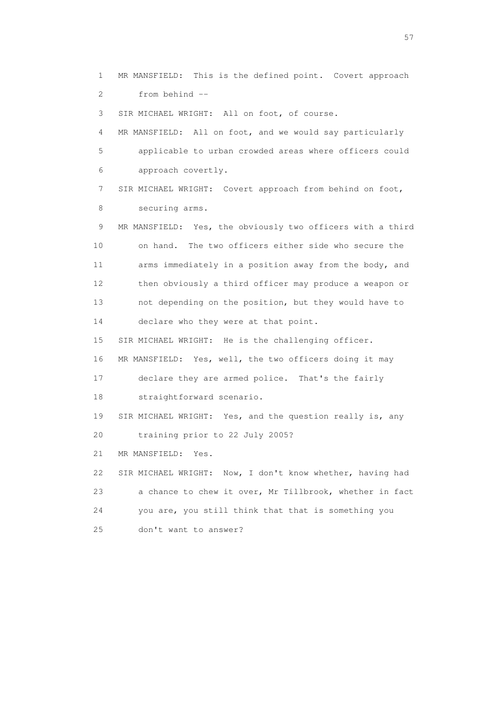1 MR MANSFIELD: This is the defined point. Covert approach 2 from behind --

3 SIR MICHAEL WRIGHT: All on foot, of course.

 4 MR MANSFIELD: All on foot, and we would say particularly 5 applicable to urban crowded areas where officers could 6 approach covertly.

 7 SIR MICHAEL WRIGHT: Covert approach from behind on foot, 8 securing arms.

 9 MR MANSFIELD: Yes, the obviously two officers with a third 10 on hand. The two officers either side who secure the 11 arms immediately in a position away from the body, and 12 then obviously a third officer may produce a weapon or 13 not depending on the position, but they would have to 14 declare who they were at that point.

15 SIR MICHAEL WRIGHT: He is the challenging officer.

16 MR MANSFIELD: Yes, well, the two officers doing it may

 17 declare they are armed police. That's the fairly 18 straightforward scenario.

19 SIR MICHAEL WRIGHT: Yes, and the question really is, any

20 training prior to 22 July 2005?

21 MR MANSFIELD: Yes.

 22 SIR MICHAEL WRIGHT: Now, I don't know whether, having had 23 a chance to chew it over, Mr Tillbrook, whether in fact 24 you are, you still think that that is something you 25 don't want to answer?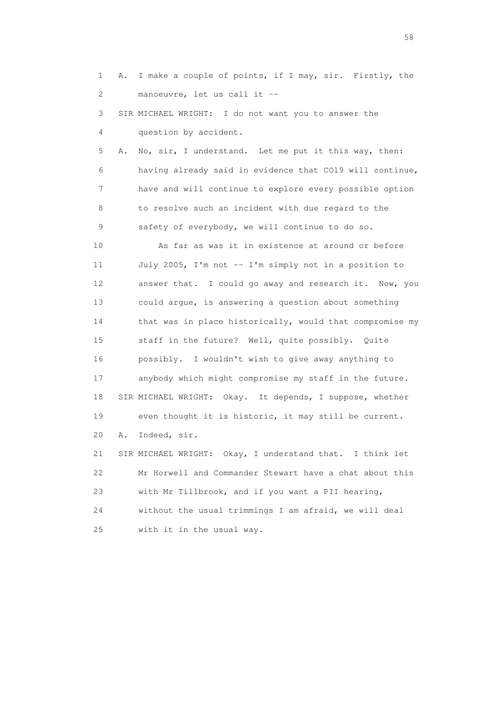1 A. I make a couple of points, if I may, sir. Firstly, the 2 manoeuvre, let us call it -- 3 SIR MICHAEL WRIGHT: I do not want you to answer the 4 question by accident. 5 A. No, sir, I understand. Let me put it this way, then: 6 having already said in evidence that CO19 will continue, 7 have and will continue to explore every possible option 8 to resolve such an incident with due regard to the 9 safety of everybody, we will continue to do so. 10 As far as was it in existence at around or before 11 July 2005, I'm not -- I'm simply not in a position to 12 answer that. I could go away and research it. Now, you 13 could argue, is answering a question about something 14 that was in place historically, would that compromise my 15 staff in the future? Well, quite possibly. Quite 16 possibly. I wouldn't wish to give away anything to 17 anybody which might compromise my staff in the future. 18 SIR MICHAEL WRIGHT: Okay. It depends, I suppose, whether 19 even thought it is historic, it may still be current. 20 A. Indeed, sir. 21 SIR MICHAEL WRIGHT: Okay, I understand that. I think let 22 Mr Horwell and Commander Stewart have a chat about this 23 with Mr Tillbrook, and if you want a PII hearing, 24 without the usual trimmings I am afraid, we will deal 25 with it in the usual way.

the state of the state of the state of the state of the state of the state of the state of the state of the state of the state of the state of the state of the state of the state of the state of the state of the state of t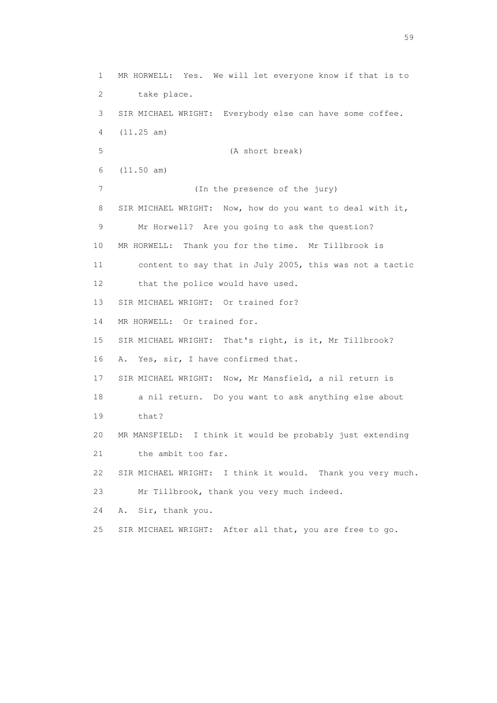1 MR HORWELL: Yes. We will let everyone know if that is to 2 take place. 3 SIR MICHAEL WRIGHT: Everybody else can have some coffee. 4 (11.25 am) 5 (A short break) 6 (11.50 am) 7 (In the presence of the jury) 8 SIR MICHAEL WRIGHT: Now, how do you want to deal with it, 9 Mr Horwell? Are you going to ask the question? 10 MR HORWELL: Thank you for the time. Mr Tillbrook is 11 content to say that in July 2005, this was not a tactic 12 that the police would have used. 13 SIR MICHAEL WRIGHT: Or trained for? 14 MR HORWELL: Or trained for. 15 SIR MICHAEL WRIGHT: That's right, is it, Mr Tillbrook? 16 A. Yes, sir, I have confirmed that. 17 SIR MICHAEL WRIGHT: Now, Mr Mansfield, a nil return is 18 a nil return. Do you want to ask anything else about 19 that? 20 MR MANSFIELD: I think it would be probably just extending 21 the ambit too far. 22 SIR MICHAEL WRIGHT: I think it would. Thank you very much. 23 Mr Tillbrook, thank you very much indeed. 24 A. Sir, thank you. 25 SIR MICHAEL WRIGHT: After all that, you are free to go.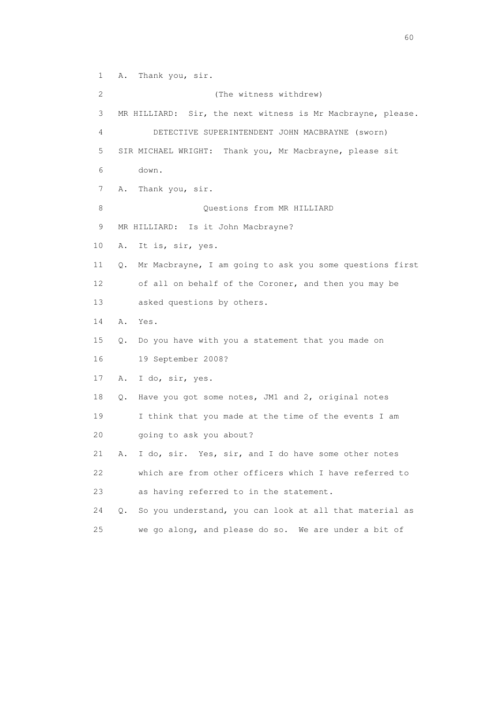1 A. Thank you, sir.

 2 (The witness withdrew) 3 MR HILLIARD: Sir, the next witness is Mr Macbrayne, please. 4 DETECTIVE SUPERINTENDENT JOHN MACBRAYNE (sworn) 5 SIR MICHAEL WRIGHT: Thank you, Mr Macbrayne, please sit 6 down. 7 A. Thank you, sir. 8 Ouestions from MR HILLIARD 9 MR HILLIARD: Is it John Macbrayne? 10 A. It is, sir, yes. 11 Q. Mr Macbrayne, I am going to ask you some questions first 12 of all on behalf of the Coroner, and then you may be 13 asked questions by others. 14 A. Yes. 15 Q. Do you have with you a statement that you made on 16 19 September 2008? 17 A. I do, sir, yes. 18 Q. Have you got some notes, JM1 and 2, original notes 19 I think that you made at the time of the events I am 20 going to ask you about? 21 A. I do, sir. Yes, sir, and I do have some other notes 22 which are from other officers which I have referred to 23 as having referred to in the statement. 24 Q. So you understand, you can look at all that material as 25 we go along, and please do so. We are under a bit of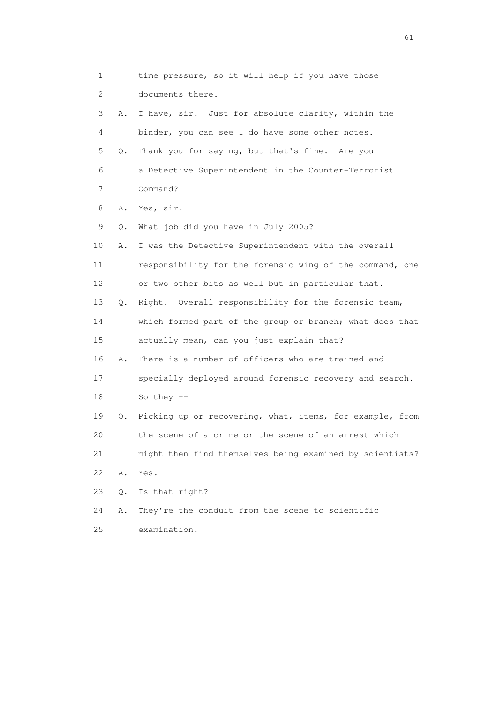1 time pressure, so it will help if you have those 2 documents there. 3 A. I have, sir. Just for absolute clarity, within the 4 binder, you can see I do have some other notes. 5 Q. Thank you for saying, but that's fine. Are you 6 a Detective Superintendent in the Counter-Terrorist 7 Command? 8 A. Yes, sir. 9 Q. What job did you have in July 2005? 10 A. I was the Detective Superintendent with the overall 11 responsibility for the forensic wing of the command, one 12 or two other bits as well but in particular that. 13 Q. Right. Overall responsibility for the forensic team, 14 which formed part of the group or branch; what does that 15 actually mean, can you just explain that? 16 A. There is a number of officers who are trained and 17 specially deployed around forensic recovery and search. 18 So they -- 19 Q. Picking up or recovering, what, items, for example, from 20 the scene of a crime or the scene of an arrest which 21 might then find themselves being examined by scientists? 22 A. Yes. 23 Q. Is that right? 24 A. They're the conduit from the scene to scientific 25 examination.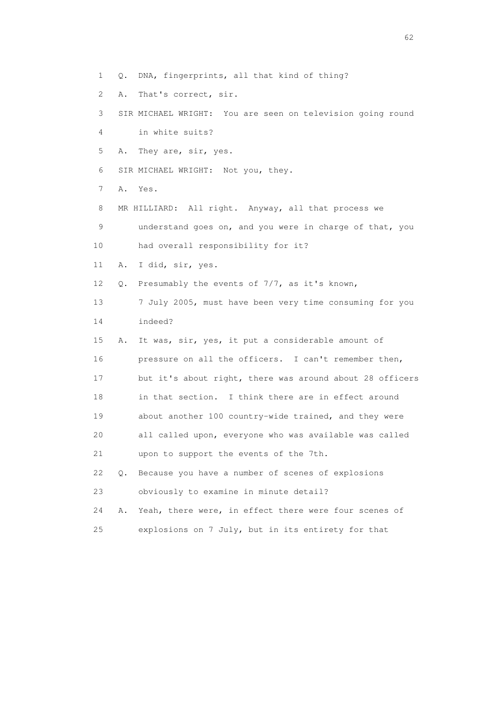- 1 Q. DNA, fingerprints, all that kind of thing?
- 2 A. That's correct, sir.

 3 SIR MICHAEL WRIGHT: You are seen on television going round 4 in white suits?

5 A. They are, sir, yes.

6 SIR MICHAEL WRIGHT: Not you, they.

7 A. Yes.

8 MR HILLIARD: All right. Anyway, all that process we

 9 understand goes on, and you were in charge of that, you 10 had overall responsibility for it?

11 A. I did, sir, yes.

12 Q. Presumably the events of 7/7, as it's known,

 13 7 July 2005, must have been very time consuming for you 14 indeed?

 15 A. It was, sir, yes, it put a considerable amount of 16 pressure on all the officers. I can't remember then, 17 but it's about right, there was around about 28 officers 18 in that section. I think there are in effect around 19 about another 100 country-wide trained, and they were 20 all called upon, everyone who was available was called 21 upon to support the events of the 7th. 22 Q. Because you have a number of scenes of explosions 23 obviously to examine in minute detail?

 24 A. Yeah, there were, in effect there were four scenes of 25 explosions on 7 July, but in its entirety for that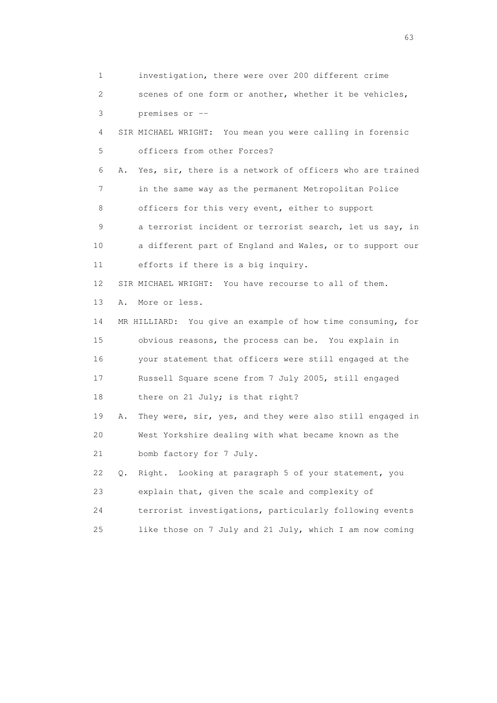1 investigation, there were over 200 different crime 2 scenes of one form or another, whether it be vehicles, 3 premises or -- 4 SIR MICHAEL WRIGHT: You mean you were calling in forensic 5 officers from other Forces? 6 A. Yes, sir, there is a network of officers who are trained 7 in the same way as the permanent Metropolitan Police 8 officers for this very event, either to support 9 a terrorist incident or terrorist search, let us say, in 10 a different part of England and Wales, or to support our 11 efforts if there is a big inquiry. 12 SIR MICHAEL WRIGHT: You have recourse to all of them. 13 A. More or less. 14 MR HILLIARD: You give an example of how time consuming, for 15 obvious reasons, the process can be. You explain in 16 your statement that officers were still engaged at the 17 Russell Square scene from 7 July 2005, still engaged 18 there on 21 July; is that right? 19 A. They were, sir, yes, and they were also still engaged in 20 West Yorkshire dealing with what became known as the 21 bomb factory for 7 July. 22 Q. Right. Looking at paragraph 5 of your statement, you 23 explain that, given the scale and complexity of 24 terrorist investigations, particularly following events 25 like those on 7 July and 21 July, which I am now coming

experience of the contract of the contract of the contract of the contract of the contract of the contract of the contract of the contract of the contract of the contract of the contract of the contract of the contract of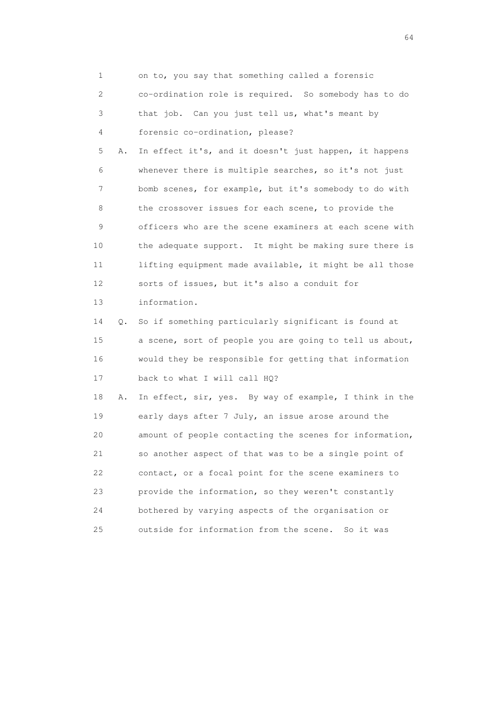1 on to, you say that something called a forensic 2 co-ordination role is required. So somebody has to do 3 that job. Can you just tell us, what's meant by 4 forensic co-ordination, please? 5 A. In effect it's, and it doesn't just happen, it happens 6 whenever there is multiple searches, so it's not just 7 bomb scenes, for example, but it's somebody to do with 8 the crossover issues for each scene, to provide the 9 officers who are the scene examiners at each scene with 10 the adequate support. It might be making sure there is 11 lifting equipment made available, it might be all those 12 sorts of issues, but it's also a conduit for 13 information. 14 Q. So if something particularly significant is found at 15 a scene, sort of people you are going to tell us about, 16 would they be responsible for getting that information 17 back to what I will call HQ? 18 A. In effect, sir, yes. By way of example, I think in the 19 early days after 7 July, an issue arose around the 20 amount of people contacting the scenes for information, 21 so another aspect of that was to be a single point of 22 contact, or a focal point for the scene examiners to 23 provide the information, so they weren't constantly 24 bothered by varying aspects of the organisation or 25 outside for information from the scene. So it was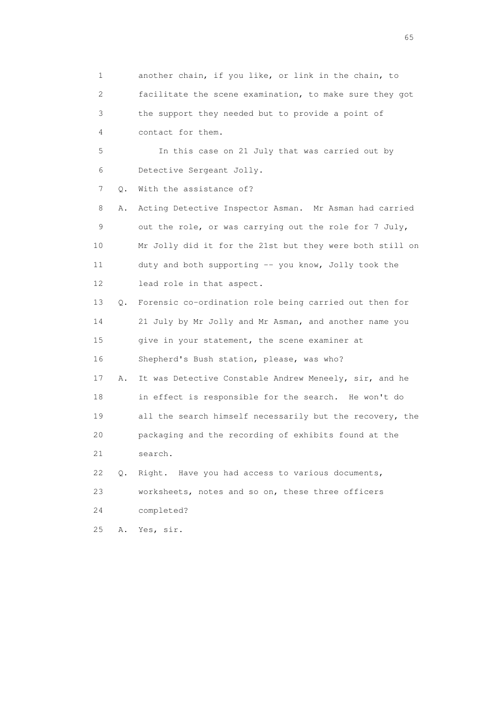1 another chain, if you like, or link in the chain, to 2 facilitate the scene examination, to make sure they got 3 the support they needed but to provide a point of 4 contact for them. 5 In this case on 21 July that was carried out by 6 Detective Sergeant Jolly. 7 0. With the assistance of? 8 A. Acting Detective Inspector Asman. Mr Asman had carried 9 out the role, or was carrying out the role for 7 July, 10 Mr Jolly did it for the 21st but they were both still on 11 duty and both supporting -- you know, Jolly took the 12 lead role in that aspect. 13 Q. Forensic co-ordination role being carried out then for 14 21 July by Mr Jolly and Mr Asman, and another name you 15 give in your statement, the scene examiner at 16 Shepherd's Bush station, please, was who? 17 A. It was Detective Constable Andrew Meneely, sir, and he 18 in effect is responsible for the search. He won't do 19 all the search himself necessarily but the recovery, the 20 packaging and the recording of exhibits found at the 21 search. 22 Q. Right. Have you had access to various documents, 23 worksheets, notes and so on, these three officers 24 completed? 25 A. Yes, sir.

 $\sim$  65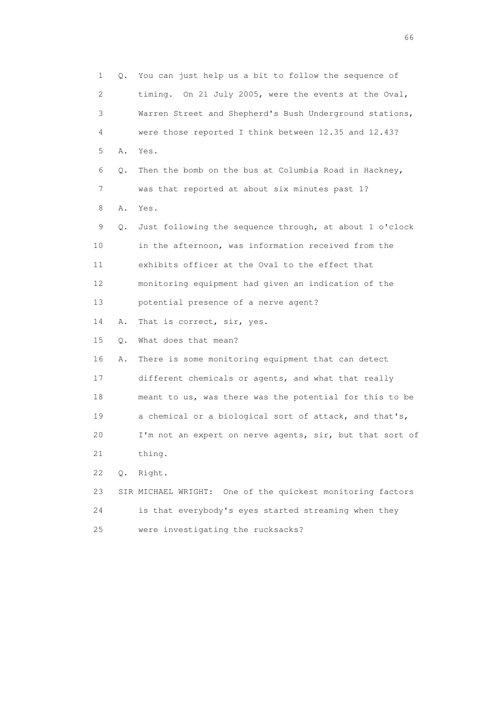1 Q. You can just help us a bit to follow the sequence of 2 timing. On 21 July 2005, were the events at the Oval, 3 Warren Street and Shepherd's Bush Underground stations, 4 were those reported I think between 12.35 and 12.43? 5 A. Yes. 6 Q. Then the bomb on the bus at Columbia Road in Hackney, 7 was that reported at about six minutes past 1? 8 A. Yes. 9 Q. Just following the sequence through, at about 1 o'clock 10 in the afternoon, was information received from the 11 exhibits officer at the Oval to the effect that 12 monitoring equipment had given an indication of the 13 potential presence of a nerve agent? 14 A. That is correct, sir, yes. 15 Q. What does that mean? 16 A. There is some monitoring equipment that can detect 17 different chemicals or agents, and what that really 18 meant to us, was there was the potential for this to be 19 a chemical or a biological sort of attack, and that's, 20 I'm not an expert on nerve agents, sir, but that sort of 21 thing. 22 Q. Right. 23 SIR MICHAEL WRIGHT: One of the quickest monitoring factors 24 is that everybody's eyes started streaming when they 25 were investigating the rucksacks?

 $\sim$  66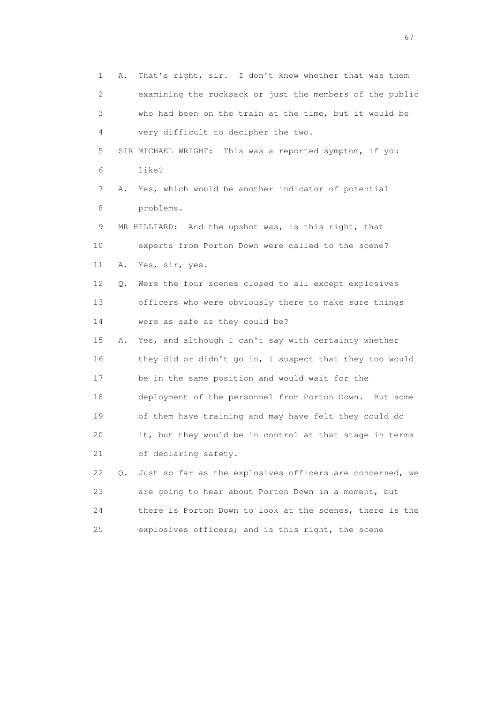1 A. That's right, sir. I don't know whether that was them 2 examining the rucksack or just the members of the public 3 who had been on the train at the time, but it would be 4 very difficult to decipher the two. 5 SIR MICHAEL WRIGHT: This was a reported symptom, if you 6 like? 7 A. Yes, which would be another indicator of potential 8 problems. 9 MR HILLIARD: And the upshot was, is this right, that 10 experts from Porton Down were called to the scene? 11 A. Yes, sir, yes. 12 Q. Were the four scenes closed to all except explosives 13 officers who were obviously there to make sure things 14 were as safe as they could be? 15 A. Yes, and although I can't say with certainty whether 16 they did or didn't go in, I suspect that they too would 17 be in the same position and would wait for the 18 deployment of the personnel from Porton Down. But some 19 of them have training and may have felt they could do 20 it, but they would be in control at that stage in terms 21 of declaring safety. 22 Q. Just so far as the explosives officers are concerned, we 23 are going to hear about Porton Down in a moment, but 24 there is Porton Down to look at the scenes, there is the 25 explosives officers; and is this right, the scene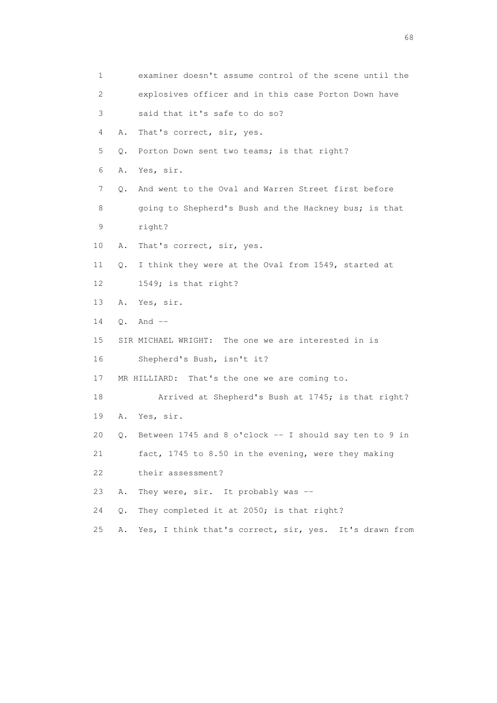| $\mathbf 1$ |    | examiner doesn't assume control of the scene until the |
|-------------|----|--------------------------------------------------------|
| 2           |    | explosives officer and in this case Porton Down have   |
| 3           |    | said that it's safe to do so?                          |
| 4           | Α. | That's correct, sir, yes.                              |
| 5           | Q. | Porton Down sent two teams; is that right?             |
| 6           | Α. | Yes, sir.                                              |
| 7           | Q. | And went to the Oval and Warren Street first before    |
| 8           |    | going to Shepherd's Bush and the Hackney bus; is that  |
| 9           |    | right?                                                 |
| 10          | Α. | That's correct, sir, yes.                              |
| 11          | Q. | I think they were at the Oval from 1549, started at    |
| 12          |    | 1549; is that right?                                   |
| 13          | Α. | Yes, sir.                                              |
| 14          |    | $Q$ . And $--$                                         |
| 15          |    | SIR MICHAEL WRIGHT: The one we are interested in is    |
| 16          |    | Shepherd's Bush, isn't it?                             |
| 17          |    | MR HILLIARD: That's the one we are coming to.          |
| 18          |    | Arrived at Shepherd's Bush at 1745; is that right?     |
| 19          | Α. | Yes, sir.                                              |
| 20          | Q. | Between 1745 and 8 o'clock -- I should say ten to 9 in |
| 21          |    | fact, 1745 to 8.50 in the evening, were they making    |
| 22          |    | their assessment?                                      |
| 23          | Α. | They were, sir. It probably was --                     |
| 24          | О. | They completed it at 2050; is that right?              |
| 25          | Α. | Yes, I think that's correct, sir, yes. It's drawn from |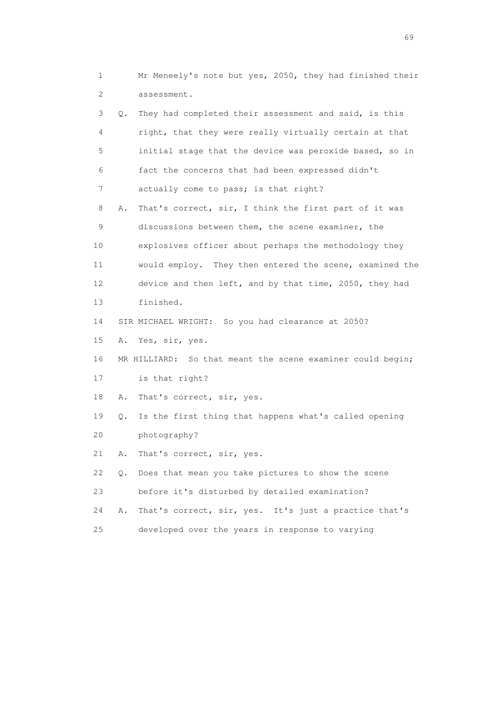1 Mr Meneely's note but yes, 2050, they had finished their 2 assessment.

 3 Q. They had completed their assessment and said, is this 4 right, that they were really virtually certain at that 5 initial stage that the device was peroxide based, so in 6 fact the concerns that had been expressed didn't 7 actually come to pass; is that right?

 8 A. That's correct, sir, I think the first part of it was 9 discussions between them, the scene examiner, the 10 explosives officer about perhaps the methodology they 11 would employ. They then entered the scene, examined the 12 device and then left, and by that time, 2050, they had 13 finished.

14 SIR MICHAEL WRIGHT: So you had clearance at 2050?

15 A. Yes, sir, yes.

16 MR HILLIARD: So that meant the scene examiner could begin;

17 is that right?

18 A. That's correct, sir, yes.

 19 Q. Is the first thing that happens what's called opening 20 photography?

21 A. That's correct, sir, yes.

 22 Q. Does that mean you take pictures to show the scene 23 before it's disturbed by detailed examination?

24 A. That's correct, sir, yes. It's just a practice that's

25 developed over the years in response to varying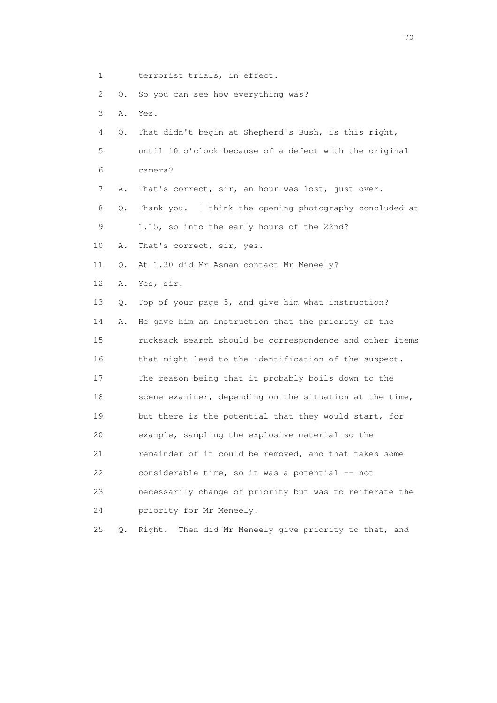1 terrorist trials, in effect.

2 Q. So you can see how everything was?

3 A. Yes.

 4 Q. That didn't begin at Shepherd's Bush, is this right, 5 until 10 o'clock because of a defect with the original

- 6 camera?
- 7 A. That's correct, sir, an hour was lost, just over.

 8 Q. Thank you. I think the opening photography concluded at 9 1.15, so into the early hours of the 22nd?

10 A. That's correct, sir, yes.

11 Q. At 1.30 did Mr Asman contact Mr Meneely?

12 A. Yes, sir.

13 Q. Top of your page 5, and give him what instruction?

 14 A. He gave him an instruction that the priority of the 15 rucksack search should be correspondence and other items 16 that might lead to the identification of the suspect. 17 The reason being that it probably boils down to the 18 scene examiner, depending on the situation at the time, 19 but there is the potential that they would start, for 20 example, sampling the explosive material so the 21 remainder of it could be removed, and that takes some 22 considerable time, so it was a potential -- not 23 necessarily change of priority but was to reiterate the

24 priority for Mr Meneely.

25 Q. Right. Then did Mr Meneely give priority to that, and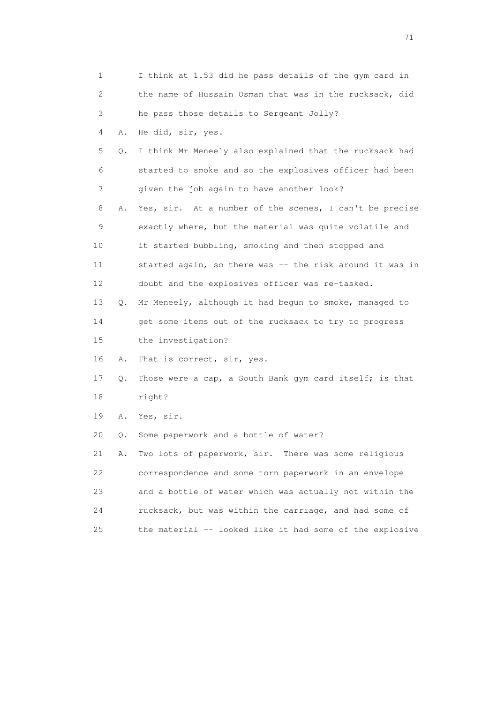| 1  |    | I think at 1.53 did he pass details of the gym card in   |
|----|----|----------------------------------------------------------|
| 2  |    | the name of Hussain Osman that was in the rucksack, did  |
| 3  |    | he pass those details to Sergeant Jolly?                 |
| 4  | Α. | He did, sir, yes.                                        |
| 5  | Q. | I think Mr Meneely also explained that the rucksack had  |
| 6  |    | started to smoke and so the explosives officer had been  |
| 7  |    | given the job again to have another look?                |
| 8  | Α. | Yes, sir. At a number of the scenes, I can't be precise  |
| 9  |    | exactly where, but the material was quite volatile and   |
| 10 |    | it started bubbling, smoking and then stopped and        |
| 11 |    | started again, so there was -- the risk around it was in |
| 12 |    | doubt and the explosives officer was re-tasked.          |
| 13 | Q. | Mr Meneely, although it had begun to smoke, managed to   |
| 14 |    | get some items out of the rucksack to try to progress    |
| 15 |    | the investigation?                                       |
| 16 | Α. | That is correct, sir, yes.                               |
| 17 | Q. | Those were a cap, a South Bank gym card itself; is that  |
| 18 |    | right?                                                   |
| 19 | Α. | Yes, sir.                                                |
| 20 | Q. | Some paperwork and a bottle of water?                    |
| 21 | Α. | Two lots of paperwork, sir. There was some religious     |
| 22 |    | correspondence and some torn paperwork in an envelope    |
| 23 |    | and a bottle of water which was actually not within the  |
| 24 |    | rucksack, but was within the carriage, and had some of   |
| 25 |    | the material -- looked like it had some of the explosive |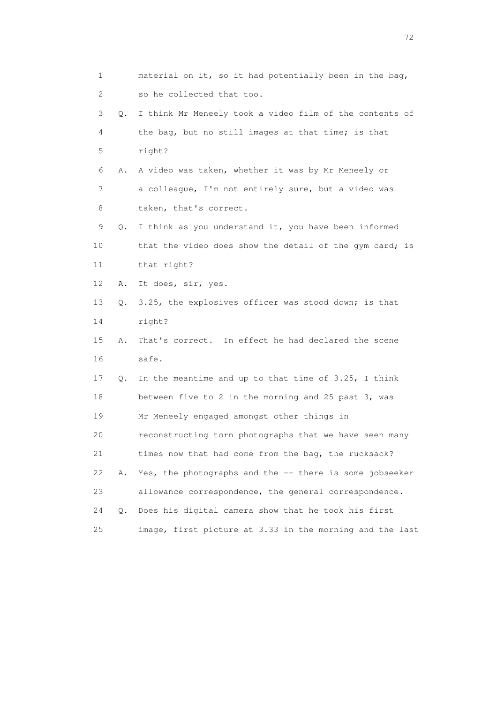1 material on it, so it had potentially been in the bag, 2 so he collected that too. 3 Q. I think Mr Meneely took a video film of the contents of 4 the bag, but no still images at that time; is that 5 right? 6 A. A video was taken, whether it was by Mr Meneely or 7 a colleague, I'm not entirely sure, but a video was 8 taken, that's correct. 9 Q. I think as you understand it, you have been informed 10 that the video does show the detail of the gym card; is 11 that right? 12 A. It does, sir, yes. 13 Q. 3.25, the explosives officer was stood down; is that 14 right? 15 A. That's correct. In effect he had declared the scene 16 safe. 17 Q. In the meantime and up to that time of 3.25, I think 18 between five to 2 in the morning and 25 past 3, was 19 Mr Meneely engaged amongst other things in 20 reconstructing torn photographs that we have seen many 21 times now that had come from the bag, the rucksack? 22 A. Yes, the photographs and the -- there is some jobseeker 23 allowance correspondence, the general correspondence. 24 Q. Does his digital camera show that he took his first 25 image, first picture at 3.33 in the morning and the last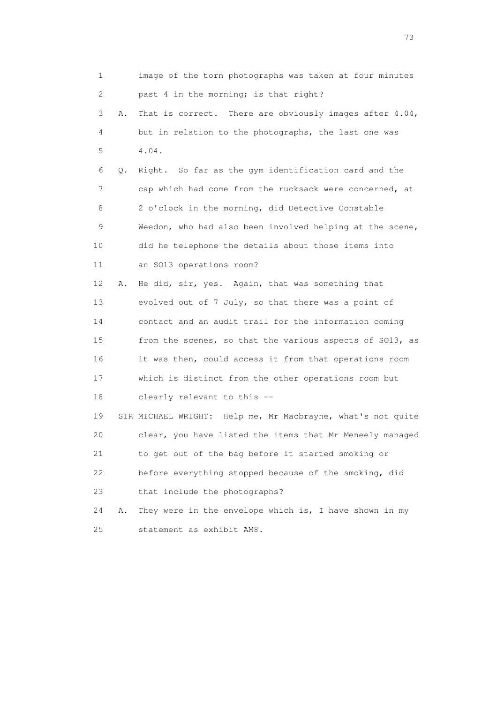| 1  |    | image of the torn photographs was taken at four minutes     |
|----|----|-------------------------------------------------------------|
| 2  |    | past 4 in the morning; is that right?                       |
| 3  | Α. | That is correct. There are obviously images after 4.04,     |
| 4  |    | but in relation to the photographs, the last one was        |
| 5  |    | 4.04.                                                       |
| 6  | Q. | Right. So far as the gym identification card and the        |
| 7  |    | cap which had come from the rucksack were concerned, at     |
| 8  |    | 2 o'clock in the morning, did Detective Constable           |
| 9  |    | Weedon, who had also been involved helping at the scene,    |
| 10 |    | did he telephone the details about those items into         |
| 11 |    | an SO13 operations room?                                    |
| 12 | Α. | He did, sir, yes. Again, that was something that            |
| 13 |    | evolved out of 7 July, so that there was a point of         |
| 14 |    | contact and an audit trail for the information coming       |
| 15 |    | from the scenes, so that the various aspects of SO13, as    |
| 16 |    | it was then, could access it from that operations room      |
| 17 |    | which is distinct from the other operations room but        |
| 18 |    | clearly relevant to this --                                 |
| 19 |    | SIR MICHAEL WRIGHT: Help me, Mr Macbrayne, what's not quite |
| 20 |    | clear, you have listed the items that Mr Meneely managed    |
| 21 |    | to get out of the bag before it started smoking or          |
| 22 |    | before everything stopped because of the smoking, did       |
| 23 |    | that include the photographs?                               |
| 24 | Α. | They were in the envelope which is, I have shown in my      |
| 25 |    | statement as exhibit AM8.                                   |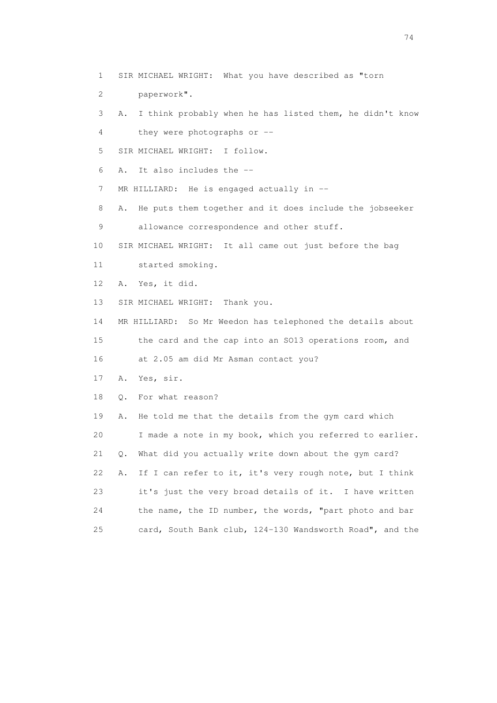1 SIR MICHAEL WRIGHT: What you have described as "torn

2 paperwork".

3 A. I think probably when he has listed them, he didn't know

4 they were photographs or --

5 SIR MICHAEL WRIGHT: I follow.

6 A. It also includes the --

7 MR HILLIARD: He is engaged actually in --

 8 A. He puts them together and it does include the jobseeker 9 allowance correspondence and other stuff.

10 SIR MICHAEL WRIGHT: It all came out just before the bag

11 started smoking.

12 A. Yes, it did.

13 SIR MICHAEL WRIGHT: Thank you.

 14 MR HILLIARD: So Mr Weedon has telephoned the details about 15 the card and the cap into an SO13 operations room, and

16 at 2.05 am did Mr Asman contact you?

17 A. Yes, sir.

18 Q. For what reason?

 19 A. He told me that the details from the gym card which 20 I made a note in my book, which you referred to earlier. 21 Q. What did you actually write down about the gym card? 22 A. If I can refer to it, it's very rough note, but I think 23 it's just the very broad details of it. I have written 24 the name, the ID number, the words, "part photo and bar 25 card, South Bank club, 124-130 Wandsworth Road", and the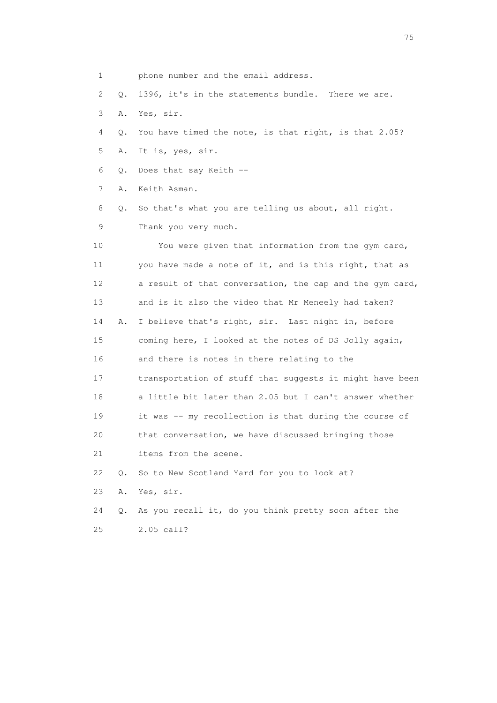1 phone number and the email address. 2 Q. 1396, it's in the statements bundle. There we are. 3 A. Yes, sir. 4 Q. You have timed the note, is that right, is that 2.05? 5 A. It is, yes, sir. 6 Q. Does that say Keith -- 7 A. Keith Asman. 8 Q. So that's what you are telling us about, all right. 9 Thank you very much. 10 You were given that information from the gym card, 11 you have made a note of it, and is this right, that as 12 a result of that conversation, the cap and the gym card, 13 and is it also the video that Mr Meneely had taken? 14 A. I believe that's right, sir. Last night in, before 15 coming here, I looked at the notes of DS Jolly again, 16 and there is notes in there relating to the 17 transportation of stuff that suggests it might have been 18 a little bit later than 2.05 but I can't answer whether 19 it was -- my recollection is that during the course of 20 that conversation, we have discussed bringing those 21 items from the scene. 22 Q. So to New Scotland Yard for you to look at? 23 A. Yes, sir. 24 Q. As you recall it, do you think pretty soon after the 25 2.05 call?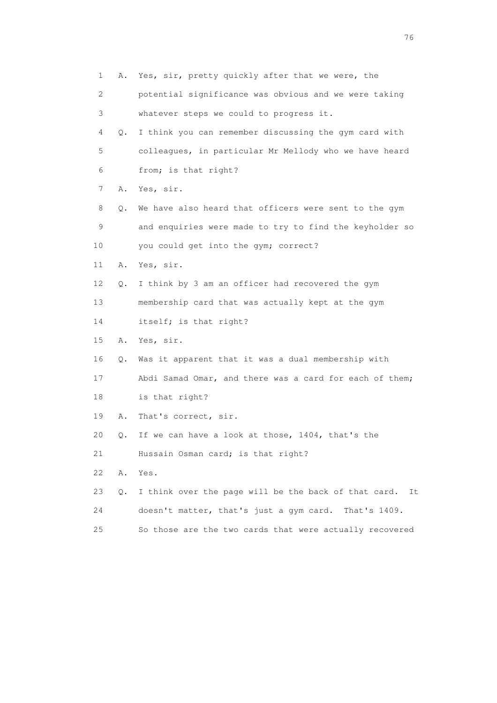1 A. Yes, sir, pretty quickly after that we were, the 2 potential significance was obvious and we were taking 3 whatever steps we could to progress it. 4 Q. I think you can remember discussing the gym card with 5 colleagues, in particular Mr Mellody who we have heard 6 from; is that right? 7 A. Yes, sir. 8 Q. We have also heard that officers were sent to the gym 9 and enquiries were made to try to find the keyholder so 10 you could get into the gym; correct? 11 A. Yes, sir. 12 Q. I think by 3 am an officer had recovered the gym 13 membership card that was actually kept at the gym 14 itself; is that right? 15 A. Yes, sir. 16 Q. Was it apparent that it was a dual membership with 17 Abdi Samad Omar, and there was a card for each of them; 18 is that right? 19 A. That's correct, sir. 20 Q. If we can have a look at those, 1404, that's the 21 Hussain Osman card; is that right? 22 A. Yes. 23 Q. I think over the page will be the back of that card. It 24 doesn't matter, that's just a gym card. That's 1409. 25 So those are the two cards that were actually recovered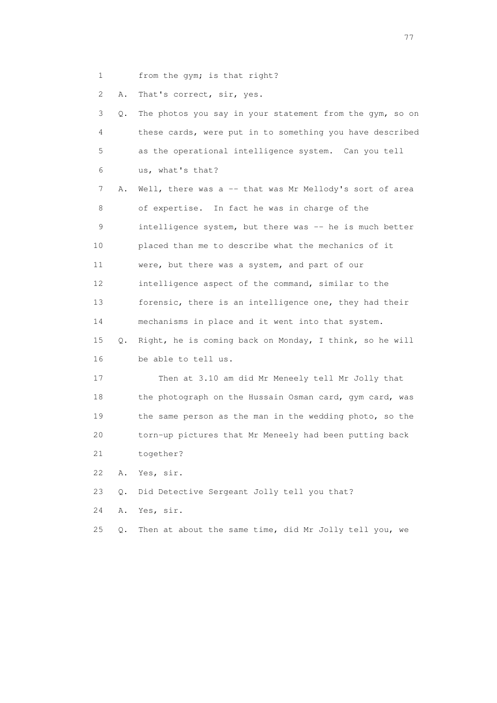1 from the gym; is that right?

2 A. That's correct, sir, yes.

| 3               | Q. | The photos you say in your statement from the gym, so on |
|-----------------|----|----------------------------------------------------------|
| 4               |    | these cards, were put in to something you have described |
| 5               |    | as the operational intelligence system. Can you tell     |
| 6               |    | us, what's that?                                         |
| 7               | Α. | Well, there was a $-$ that was Mr Mellody's sort of area |
| 8               |    | of expertise. In fact he was in charge of the            |
| 9               |    | intelligence system, but there was -- he is much better  |
| 10              |    | placed than me to describe what the mechanics of it      |
| 11              |    | were, but there was a system, and part of our            |
| 12 <sup>°</sup> |    | intelligence aspect of the command, similar to the       |
| 13              |    | forensic, there is an intelligence one, they had their   |
| 14              |    | mechanisms in place and it went into that system.        |
| 15              | Q. | Right, he is coming back on Monday, I think, so he will  |
| 16              |    | be able to tell us.                                      |
| 17              |    | Then at 3.10 am did Mr Meneely tell Mr Jolly that        |
| 18              |    | the photograph on the Hussain Osman card, gym card, was  |
| 19              |    | the same person as the man in the wedding photo, so the  |
| 20              |    | torn-up pictures that Mr Meneely had been putting back   |
| 21              |    | together?                                                |
| 22              | Α. | Yes, sir.                                                |
| 23              | Q. | Did Detective Sergeant Jolly tell you that?              |
| 24              | Α. | Yes, sir.                                                |
| 25              | Q. | Then at about the same time, did Mr Jolly tell you, we   |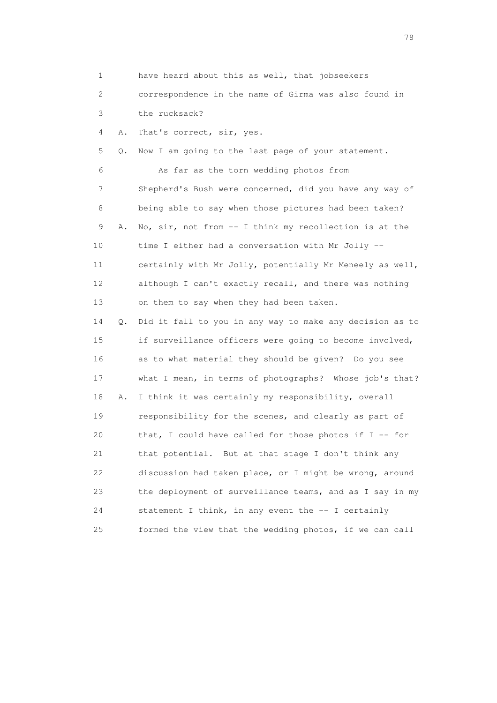| $\mathbf 1$ |    | have heard about this as well, that jobseekers           |
|-------------|----|----------------------------------------------------------|
| 2           |    | correspondence in the name of Girma was also found in    |
| 3           |    | the rucksack?                                            |
| 4           | Α. | That's correct, sir, yes.                                |
| 5           | Q. | Now I am going to the last page of your statement.       |
| 6           |    | As far as the torn wedding photos from                   |
| 7           |    | Shepherd's Bush were concerned, did you have any way of  |
| 8           |    | being able to say when those pictures had been taken?    |
| 9           | Α. | No, sir, not from -- I think my recollection is at the   |
| 10          |    | time I either had a conversation with Mr Jolly --        |
| 11          |    | certainly with Mr Jolly, potentially Mr Meneely as well, |
| 12          |    | although I can't exactly recall, and there was nothing   |
| 13          |    | on them to say when they had been taken.                 |
| 14          | Q. | Did it fall to you in any way to make any decision as to |
| 15          |    | if surveillance officers were going to become involved,  |
| 16          |    | as to what material they should be given? Do you see     |
| 17          |    | what I mean, in terms of photographs? Whose job's that?  |
| 18          | Α. | I think it was certainly my responsibility, overall      |
| 19          |    | responsibility for the scenes, and clearly as part of    |
| 20          |    | that, I could have called for those photos if $I -$ for  |
| 21          |    | that potential. But at that stage I don't think any      |
| 22          |    | discussion had taken place, or I might be wrong, around  |
| 23          |    | the deployment of surveillance teams, and as I say in my |
| 24          |    | statement I think, in any event the -- I certainly       |
| 25          |    | formed the view that the wedding photos, if we can call  |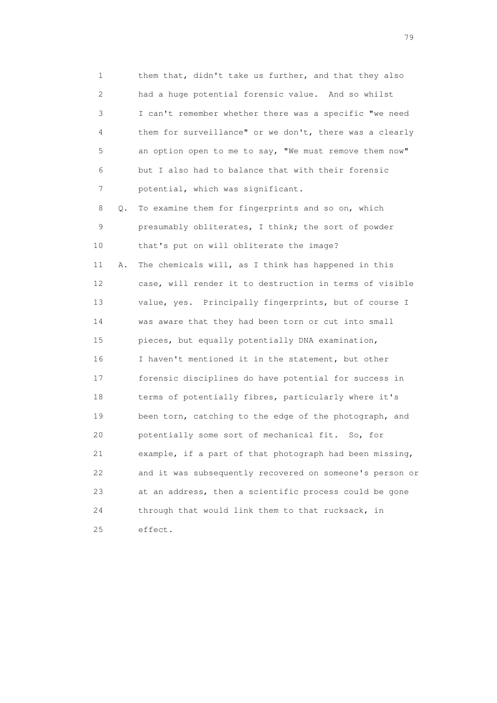1 them that, didn't take us further, and that they also 2 had a huge potential forensic value. And so whilst 3 I can't remember whether there was a specific "we need 4 them for surveillance" or we don't, there was a clearly 5 an option open to me to say, "We must remove them now" 6 but I also had to balance that with their forensic 7 potential, which was significant.

 8 Q. To examine them for fingerprints and so on, which 9 presumably obliterates, I think; the sort of powder 10 that's put on will obliterate the image?

 11 A. The chemicals will, as I think has happened in this 12 case, will render it to destruction in terms of visible 13 value, yes. Principally fingerprints, but of course I 14 was aware that they had been torn or cut into small 15 pieces, but equally potentially DNA examination, 16 I haven't mentioned it in the statement, but other 17 forensic disciplines do have potential for success in 18 terms of potentially fibres, particularly where it's 19 been torn, catching to the edge of the photograph, and 20 potentially some sort of mechanical fit. So, for 21 example, if a part of that photograph had been missing, 22 and it was subsequently recovered on someone's person or 23 at an address, then a scientific process could be gone 24 through that would link them to that rucksack, in 25 effect.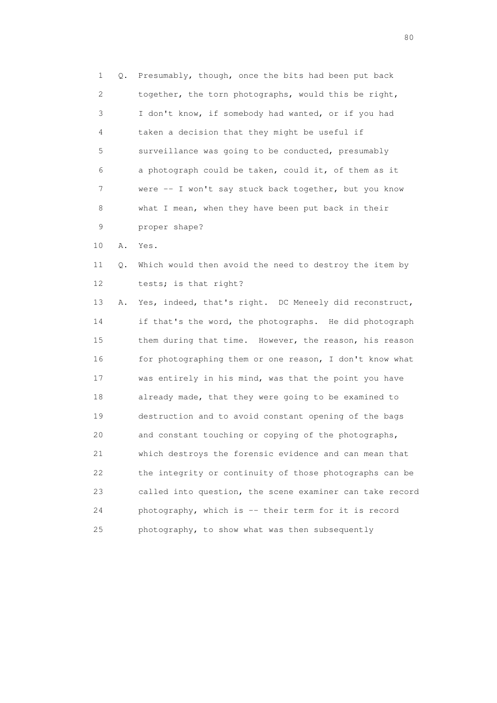1 Q. Presumably, though, once the bits had been put back 2 together, the torn photographs, would this be right, 3 I don't know, if somebody had wanted, or if you had 4 taken a decision that they might be useful if 5 surveillance was going to be conducted, presumably 6 a photograph could be taken, could it, of them as it 7 were -- I won't say stuck back together, but you know 8 what I mean, when they have been put back in their 9 proper shape?

10 A. Yes.

 11 Q. Which would then avoid the need to destroy the item by 12 tests; is that right?

 13 A. Yes, indeed, that's right. DC Meneely did reconstruct, 14 if that's the word, the photographs. He did photograph 15 them during that time. However, the reason, his reason 16 for photographing them or one reason, I don't know what 17 was entirely in his mind, was that the point you have 18 already made, that they were going to be examined to 19 destruction and to avoid constant opening of the bags 20 and constant touching or copying of the photographs, 21 which destroys the forensic evidence and can mean that 22 the integrity or continuity of those photographs can be 23 called into question, the scene examiner can take record 24 photography, which is -- their term for it is record 25 photography, to show what was then subsequently

entration of the state of the state of the state of the state of the state of the state of the state of the state of the state of the state of the state of the state of the state of the state of the state of the state of t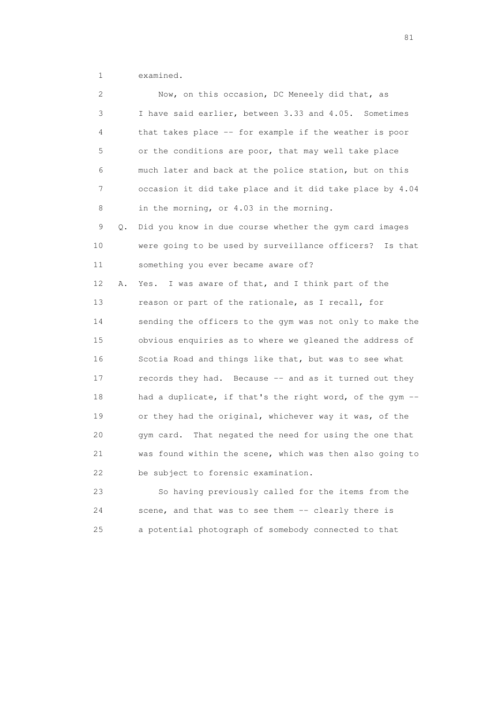1 examined.

| 2  |    | Now, on this occasion, DC Meneely did that, as           |
|----|----|----------------------------------------------------------|
| 3  |    | I have said earlier, between 3.33 and 4.05. Sometimes    |
| 4  |    | that takes place -- for example if the weather is poor   |
| 5  |    | or the conditions are poor, that may well take place     |
| 6  |    | much later and back at the police station, but on this   |
| 7  |    | occasion it did take place and it did take place by 4.04 |
| 8  |    | in the morning, or 4.03 in the morning.                  |
| 9  | Q. | Did you know in due course whether the gym card images   |
| 10 |    | were going to be used by surveillance officers? Is that  |
| 11 |    | something you ever became aware of?                      |
| 12 | Α. | I was aware of that, and I think part of the<br>Yes.     |
| 13 |    | reason or part of the rationale, as I recall, for        |
| 14 |    | sending the officers to the gym was not only to make the |
| 15 |    | obvious enquiries as to where we gleaned the address of  |
| 16 |    | Scotia Road and things like that, but was to see what    |
| 17 |    | records they had. Because -- and as it turned out they   |
| 18 |    | had a duplicate, if that's the right word, of the gym -- |
| 19 |    | or they had the original, whichever way it was, of the   |
| 20 |    | gym card. That negated the need for using the one that   |
| 21 |    | was found within the scene, which was then also going to |
| 22 |    | be subject to forensic examination.                      |
| 23 |    | So having previously called for the items from the       |
|    |    |                                                          |

 24 scene, and that was to see them -- clearly there is 25 a potential photograph of somebody connected to that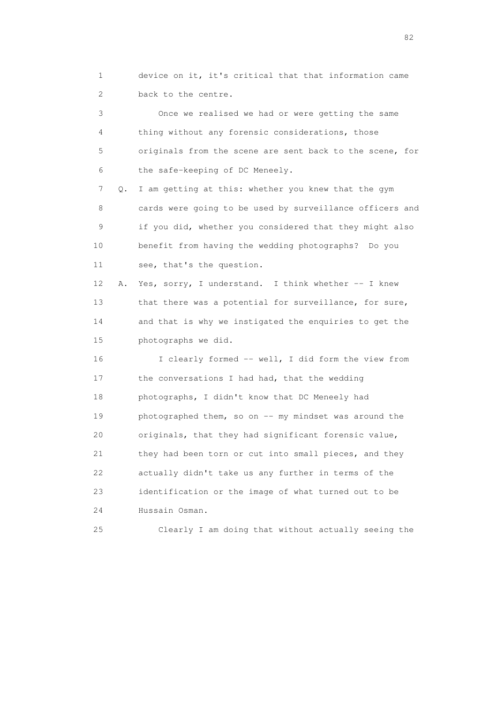1 device on it, it's critical that that information came 2 back to the centre.

 3 Once we realised we had or were getting the same 4 thing without any forensic considerations, those 5 originals from the scene are sent back to the scene, for 6 the safe-keeping of DC Meneely. 7 Q. I am getting at this: whether you knew that the gym 8 cards were going to be used by surveillance officers and 9 if you did, whether you considered that they might also 10 benefit from having the wedding photographs? Do you

11 see, that's the question.

 12 A. Yes, sorry, I understand. I think whether -- I knew 13 that there was a potential for surveillance, for sure, 14 and that is why we instigated the enquiries to get the 15 photographs we did.

 16 I clearly formed -- well, I did form the view from 17 the conversations I had had, that the wedding 18 photographs, I didn't know that DC Meneely had 19 photographed them, so on -- my mindset was around the 20 originals, that they had significant forensic value, 21 they had been torn or cut into small pieces, and they 22 actually didn't take us any further in terms of the 23 identification or the image of what turned out to be 24 Hussain Osman.

25 Clearly I am doing that without actually seeing the

experience of the state of the state of the state of the state of the state of the state of the state of the s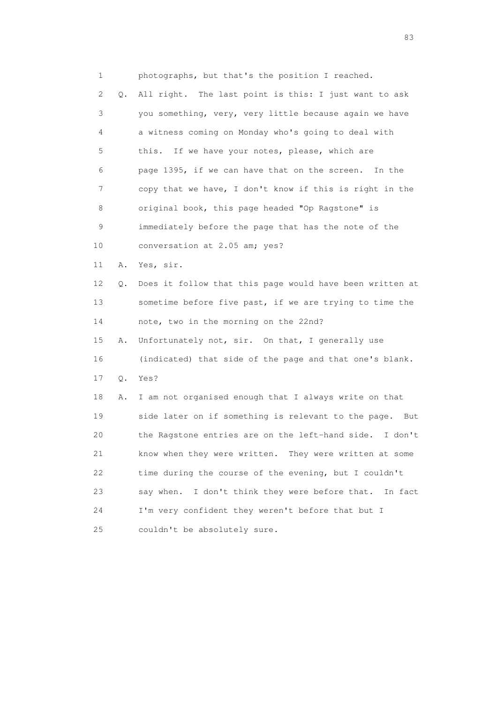1 photographs, but that's the position I reached. 2 Q. All right. The last point is this: I just want to ask 3 you something, very, very little because again we have 4 a witness coming on Monday who's going to deal with 5 this. If we have your notes, please, which are 6 page 1395, if we can have that on the screen. In the 7 copy that we have, I don't know if this is right in the 8 original book, this page headed "Op Ragstone" is 9 immediately before the page that has the note of the 10 conversation at 2.05 am; yes? 11 A. Yes, sir. 12 Q. Does it follow that this page would have been written at 13 sometime before five past, if we are trying to time the 14 note, two in the morning on the 22nd? 15 A. Unfortunately not, sir. On that, I generally use 16 (indicated) that side of the page and that one's blank. 17 Q. Yes? 18 A. I am not organised enough that I always write on that 19 side later on if something is relevant to the page. But 20 the Ragstone entries are on the left-hand side. I don't 21 know when they were written. They were written at some 22 time during the course of the evening, but I couldn't 23 say when. I don't think they were before that. In fact 24 I'm very confident they weren't before that but I 25 couldn't be absolutely sure.

experience and the contract of the contract of the contract of the contract of the contract of the contract of the contract of the contract of the contract of the contract of the contract of the contract of the contract of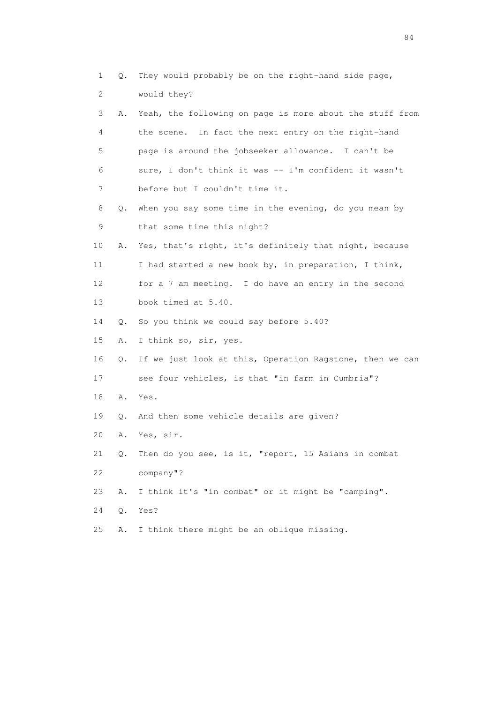| 1  | Q.    | They would probably be on the right-hand side page,      |
|----|-------|----------------------------------------------------------|
| 2  |       | would they?                                              |
| 3  | Α.    | Yeah, the following on page is more about the stuff from |
| 4  |       | In fact the next entry on the right-hand<br>the scene.   |
| 5  |       | page is around the jobseeker allowance. I can't be       |
| 6  |       | sure, I don't think it was -- I'm confident it wasn't    |
| 7  |       | before but I couldn't time it.                           |
| 8  | Q.    | When you say some time in the evening, do you mean by    |
| 9  |       | that some time this night?                               |
| 10 | Α.    | Yes, that's right, it's definitely that night, because   |
| 11 |       | I had started a new book by, in preparation, I think,    |
| 12 |       | for a 7 am meeting. I do have an entry in the second     |
| 13 |       | book timed at 5.40.                                      |
| 14 | Q.    | So you think we could say before 5.40?                   |
| 15 | Α.    | I think so, sir, yes.                                    |
| 16 | $Q$ . | If we just look at this, Operation Ragstone, then we can |
| 17 |       | see four vehicles, is that "in farm in Cumbria"?         |
| 18 | Α.    | Yes.                                                     |
| 19 | Q.    | And then some vehicle details are given?                 |
| 20 | Α.    | Yes, sir.                                                |
| 21 | Q.    | Then do you see, is it, "report, 15 Asians in combat     |
| 22 |       | company"?                                                |
| 23 | Α.    | I think it's "in combat" or it might be "camping".       |
| 24 | Q.    | Yes?                                                     |
| 25 | Α.    | I think there might be an oblique missing.               |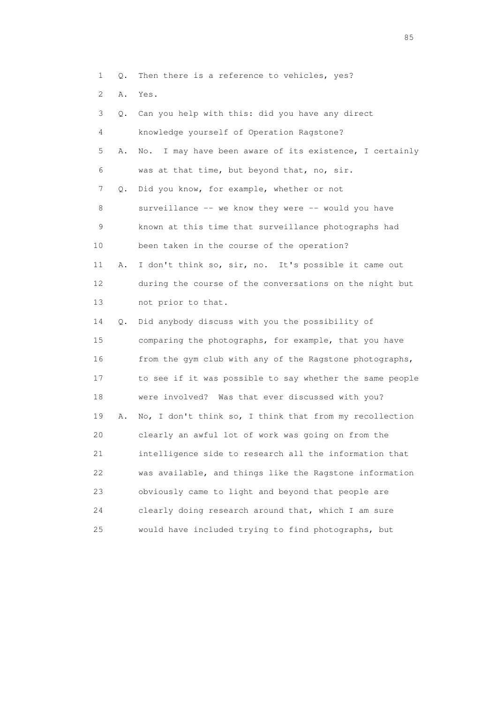1 Q. Then there is a reference to vehicles, yes?

2 A. Yes.

|    | 3<br>О. | Can you help with this: did you have any direct            |
|----|---------|------------------------------------------------------------|
|    | 4       | knowledge yourself of Operation Ragstone?                  |
|    | 5<br>Α. | I may have been aware of its existence, I certainly<br>No. |
|    | 6       | was at that time, but beyond that, no, sir.                |
|    | 7<br>Q. | Did you know, for example, whether or not                  |
|    | 8       | surveillance -- we know they were -- would you have        |
|    | 9       | known at this time that surveillance photographs had       |
| 10 |         | been taken in the course of the operation?                 |
| 11 | Α.      | I don't think so, sir, no. It's possible it came out       |
| 12 |         | during the course of the conversations on the night but    |
| 13 |         | not prior to that.                                         |
| 14 | Q.      | Did anybody discuss with you the possibility of            |
| 15 |         | comparing the photographs, for example, that you have      |
| 16 |         | from the gym club with any of the Ragstone photographs,    |
| 17 |         | to see if it was possible to say whether the same people   |
| 18 |         | were involved? Was that ever discussed with you?           |
| 19 | Α.      | No, I don't think so, I think that from my recollection    |
| 20 |         | clearly an awful lot of work was going on from the         |
| 21 |         | intelligence side to research all the information that     |
| 22 |         | was available, and things like the Ragstone information    |
| 23 |         | obviously came to light and beyond that people are         |
| 24 |         | clearly doing research around that, which I am sure        |
| 25 |         | would have included trying to find photographs, but        |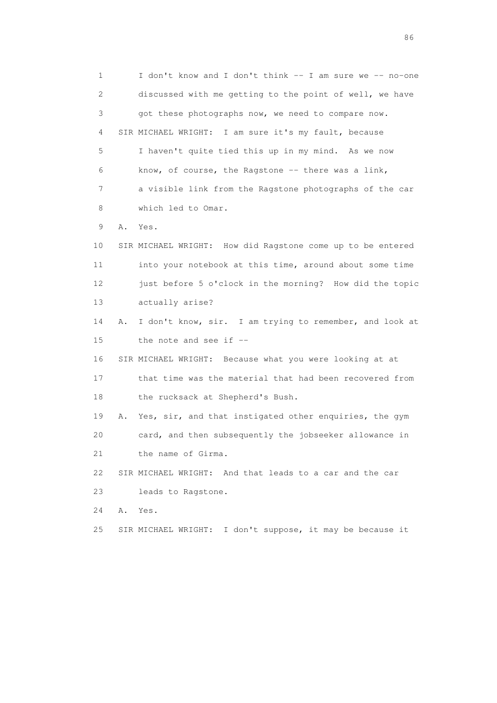1 I don't know and I don't think -- I am sure we -- no-one 2 discussed with me getting to the point of well, we have 3 got these photographs now, we need to compare now. 4 SIR MICHAEL WRIGHT: I am sure it's my fault, because 5 I haven't quite tied this up in my mind. As we now 6 know, of course, the Ragstone -- there was a link, 7 a visible link from the Ragstone photographs of the car 8 which led to Omar. 9 A. Yes. 10 SIR MICHAEL WRIGHT: How did Ragstone come up to be entered 11 into your notebook at this time, around about some time 12 just before 5 o'clock in the morning? How did the topic 13 actually arise? 14 A. I don't know, sir. I am trying to remember, and look at 15 the note and see if -- 16 SIR MICHAEL WRIGHT: Because what you were looking at at 17 that time was the material that had been recovered from 18 the rucksack at Shepherd's Bush. 19 A. Yes, sir, and that instigated other enquiries, the gym 20 card, and then subsequently the jobseeker allowance in 21 the name of Girma. 22 SIR MICHAEL WRIGHT: And that leads to a car and the car 23 leads to Ragstone. 24 A. Yes. 25 SIR MICHAEL WRIGHT: I don't suppose, it may be because it

entration of the contract of the contract of the contract of the contract of the contract of the contract of the contract of the contract of the contract of the contract of the contract of the contract of the contract of t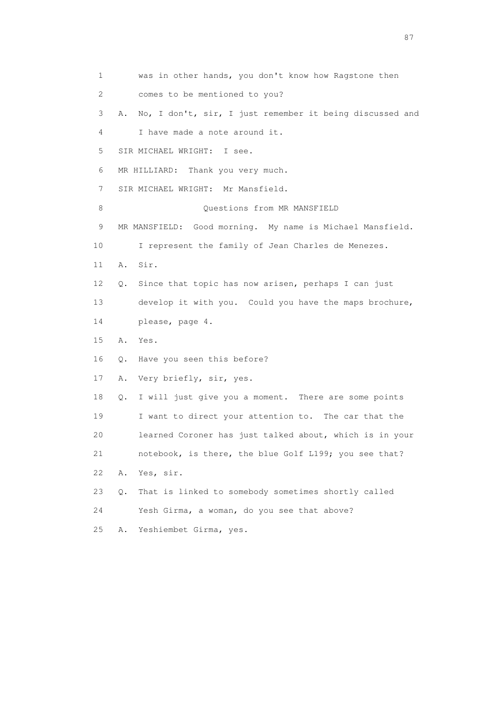| 1  | was in other hands, you don't know how Ragstone then           |
|----|----------------------------------------------------------------|
| 2  | comes to be mentioned to you?                                  |
| 3  | No, I don't, sir, I just remember it being discussed and<br>Α. |
| 4  | I have made a note around it.                                  |
| 5  | SIR MICHAEL WRIGHT:<br>I see.                                  |
| 6  | MR HILLIARD: Thank you very much.                              |
| 7  | SIR MICHAEL WRIGHT: Mr Mansfield.                              |
| 8  | Questions from MR MANSFIELD                                    |
| 9  | MR MANSFIELD: Good morning. My name is Michael Mansfield.      |
| 10 | I represent the family of Jean Charles de Menezes.             |
| 11 | Sir.<br>Α.                                                     |
| 12 | Since that topic has now arisen, perhaps I can just<br>Q.      |
| 13 | develop it with you. Could you have the maps brochure,         |
| 14 | please, page 4.                                                |
| 15 | Α.<br>Yes.                                                     |
| 16 | Have you seen this before?<br>Q.                               |
| 17 | Very briefly, sir, yes.<br>Α.                                  |
| 18 | I will just give you a moment. There are some points<br>Q.     |
| 19 | I want to direct your attention to. The car that the           |
| 20 | learned Coroner has just talked about, which is in your        |
| 21 | notebook, is there, the blue Golf L199; you see that?          |
| 22 | Yes, sir.<br>Α.                                                |
| 23 | That is linked to somebody sometimes shortly called<br>Q.      |
| 24 | Yesh Girma, a woman, do you see that above?                    |
| 25 | Yeshiembet Girma, yes.<br>Α.                                   |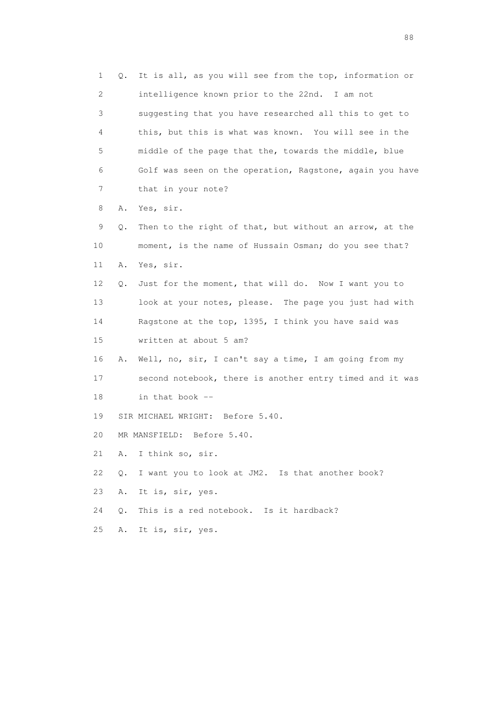1 Q. It is all, as you will see from the top, information or 2 intelligence known prior to the 22nd. I am not 3 suggesting that you have researched all this to get to 4 this, but this is what was known. You will see in the 5 middle of the page that the, towards the middle, blue 6 Golf was seen on the operation, Ragstone, again you have 7 that in your note? 8 A. Yes, sir. 9 Q. Then to the right of that, but without an arrow, at the 10 moment, is the name of Hussain Osman; do you see that? 11 A. Yes, sir. 12 Q. Just for the moment, that will do. Now I want you to 13 look at your notes, please. The page you just had with 14 Ragstone at the top, 1395, I think you have said was 15 written at about 5 am? 16 A. Well, no, sir, I can't say a time, I am going from my 17 second notebook, there is another entry timed and it was 18 in that book -- 19 SIR MICHAEL WRIGHT: Before 5.40. 20 MR MANSFIELD: Before 5.40. 21 A. I think so, sir. 22 Q. I want you to look at JM2. Is that another book? 23 A. It is, sir, yes. 24 Q. This is a red notebook. Is it hardback? 25 A. It is, sir, yes.

en de la construction de la construction de la construction de la construction de la construction de la constr<br>1880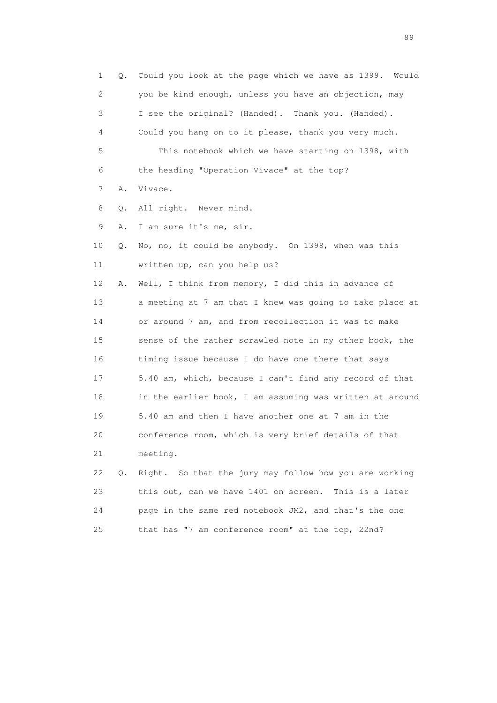1 Q. Could you look at the page which we have as 1399. Would 2 you be kind enough, unless you have an objection, may 3 I see the original? (Handed). Thank you. (Handed). 4 Could you hang on to it please, thank you very much. 5 This notebook which we have starting on 1398, with 6 the heading "Operation Vivace" at the top? 7 A. Vivace. 8 Q. All right. Never mind. 9 A. I am sure it's me, sir. 10 Q. No, no, it could be anybody. On 1398, when was this 11 written up, can you help us? 12 A. Well, I think from memory, I did this in advance of 13 a meeting at 7 am that I knew was going to take place at 14 or around 7 am, and from recollection it was to make 15 sense of the rather scrawled note in my other book, the 16 timing issue because I do have one there that says 17 5.40 am, which, because I can't find any record of that 18 in the earlier book, I am assuming was written at around 19 5.40 am and then I have another one at 7 am in the 20 conference room, which is very brief details of that 21 meeting. 22 Q. Right. So that the jury may follow how you are working 23 this out, can we have 1401 on screen. This is a later 24 page in the same red notebook JM2, and that's the one

25 that has "7 am conference room" at the top, 22nd?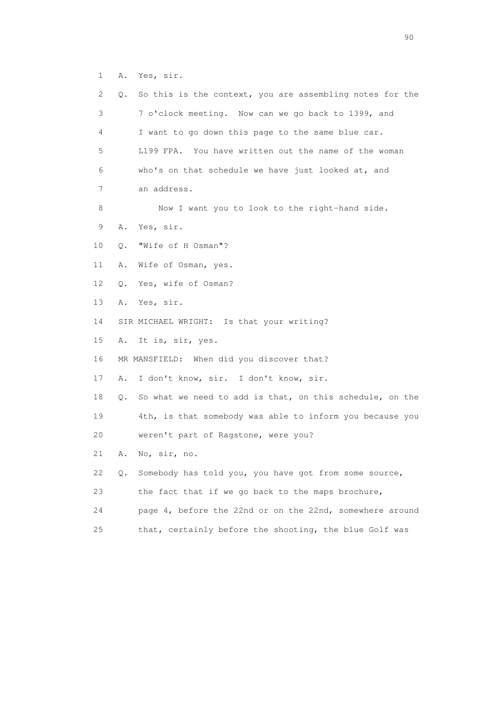1 A. Yes, sir.

| 2  | Q. | So this is the context, you are assembling notes for the |
|----|----|----------------------------------------------------------|
| 3  |    | 7 o'clock meeting. Now can we go back to 1399, and       |
| 4  |    | I want to go down this page to the same blue car.        |
| 5  |    | L199 FPA. You have written out the name of the woman     |
| 6  |    | who's on that schedule we have just looked at, and       |
| 7  |    | an address.                                              |
| 8  |    | Now I want you to look to the right-hand side.           |
| 9  | Α. | Yes, sir.                                                |
| 10 | Q. | "Wife of H Osman"?                                       |
| 11 | Α. | Wife of Osman, yes.                                      |
| 12 | Q. | Yes, wife of Osman?                                      |
| 13 | Α. | Yes, sir.                                                |
| 14 |    | SIR MICHAEL WRIGHT: Is that your writing?                |
| 15 | Α. | It is, sir, yes.                                         |
| 16 |    | MR MANSFIELD: When did you discover that?                |
| 17 | Α. | I don't know, sir. I don't know, sir.                    |
| 18 | О. | So what we need to add is that, on this schedule, on the |
| 19 |    | 4th, is that somebody was able to inform you because you |
| 20 |    | weren't part of Ragstone, were you?                      |
| 21 | Α. | No, sir, no.                                             |
| 22 | Q. | Somebody has told you, you have got from some source,    |
| 23 |    | the fact that if we go back to the maps brochure,        |
| 24 |    | page 4, before the 22nd or on the 22nd, somewhere around |
| 25 |    | that, certainly before the shooting, the blue Golf was   |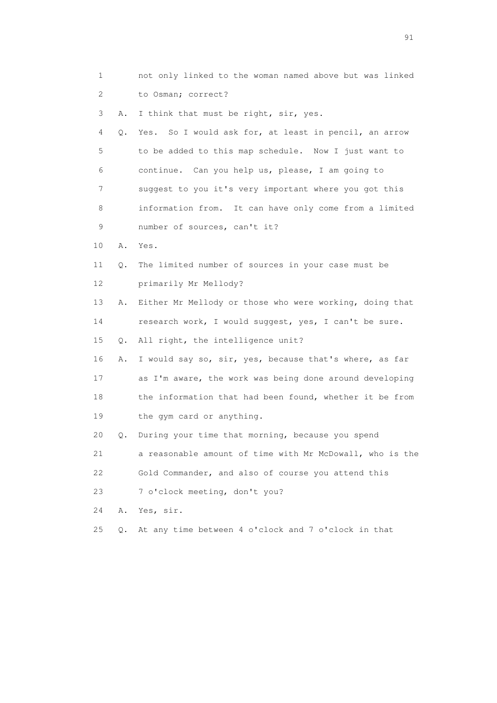- 1 not only linked to the woman named above but was linked 2 to Osman; correct?
- 3 A. I think that must be right, sir, yes.

 4 Q. Yes. So I would ask for, at least in pencil, an arrow 5 to be added to this map schedule. Now I just want to 6 continue. Can you help us, please, I am going to 7 suggest to you it's very important where you got this 8 information from. It can have only come from a limited 9 number of sources, can't it?

- 10 A. Yes.
- 11 Q. The limited number of sources in your case must be 12 primarily Mr Mellody?
- 13 A. Either Mr Mellody or those who were working, doing that 14 research work, I would suggest, yes, I can't be sure.
- 15 Q. All right, the intelligence unit?
- 16 A. I would say so, sir, yes, because that's where, as far 17 as I'm aware, the work was being done around developing 18 the information that had been found, whether it be from 19 the gym card or anything.
- 20 Q. During your time that morning, because you spend

21 a reasonable amount of time with Mr McDowall, who is the

- 22 Gold Commander, and also of course you attend this
- 23 7 o'clock meeting, don't you?
- 24 A. Yes, sir.
- 25 Q. At any time between 4 o'clock and 7 o'clock in that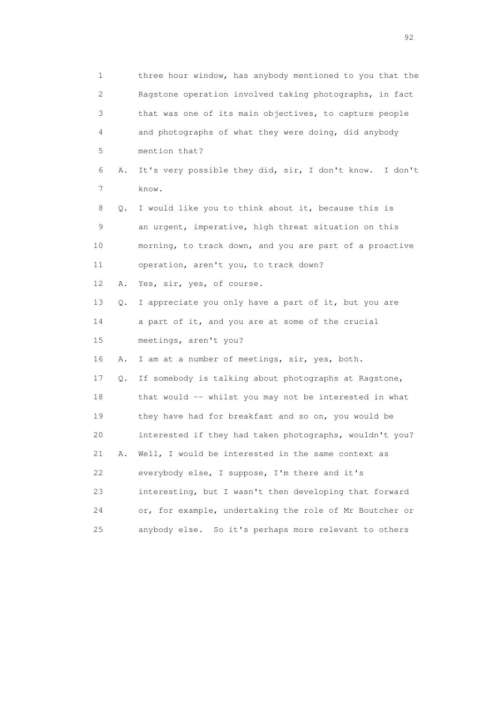| $\mathbf 1$    |    | three hour window, has anybody mentioned to you that the |
|----------------|----|----------------------------------------------------------|
| $\overline{c}$ |    | Ragstone operation involved taking photographs, in fact  |
| 3              |    | that was one of its main objectives, to capture people   |
| 4              |    | and photographs of what they were doing, did anybody     |
| 5              |    | mention that?                                            |
| 6              | Α. | It's very possible they did, sir, I don't know. I don't  |
| 7              |    | know.                                                    |
| 8              | Q. | I would like you to think about it, because this is      |
| 9              |    | an urgent, imperative, high threat situation on this     |
| 10             |    | morning, to track down, and you are part of a proactive  |
| 11             |    | operation, aren't you, to track down?                    |
| 12             | Α. | Yes, sir, yes, of course.                                |
| 13             | Q. | I appreciate you only have a part of it, but you are     |
| 14             |    | a part of it, and you are at some of the crucial         |
| 15             |    | meetings, aren't you?                                    |
| 16             | Α. | I am at a number of meetings, sir, yes, both.            |
| 17             | Q. | If somebody is talking about photographs at Ragstone,    |
| 18             |    | that would -- whilst you may not be interested in what   |
| 19             |    | they have had for breakfast and so on, you would be      |
| 20             |    | interested if they had taken photographs, wouldn't you?  |
| 21             | Α. | Well, I would be interested in the same context as       |
| 22             |    | everybody else, I suppose, I'm there and it's            |
| 23             |    | interesting, but I wasn't then developing that forward   |
| 24             |    | or, for example, undertaking the role of Mr Boutcher or  |
| 25             |    | anybody else. So it's perhaps more relevant to others    |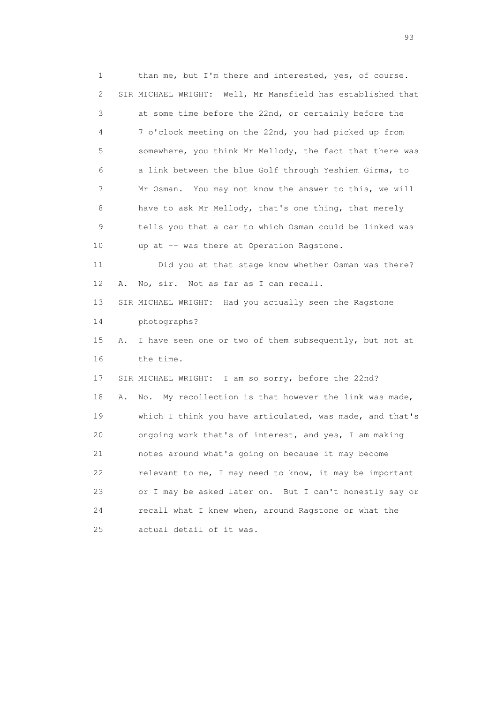1 than me, but I'm there and interested, yes, of course. 2 SIR MICHAEL WRIGHT: Well, Mr Mansfield has established that 3 at some time before the 22nd, or certainly before the 4 7 o'clock meeting on the 22nd, you had picked up from 5 somewhere, you think Mr Mellody, the fact that there was 6 a link between the blue Golf through Yeshiem Girma, to 7 Mr Osman. You may not know the answer to this, we will 8 have to ask Mr Mellody, that's one thing, that merely 9 tells you that a car to which Osman could be linked was 10 up at -- was there at Operation Ragstone. 11 Did you at that stage know whether Osman was there? 12 A. No, sir. Not as far as I can recall. 13 SIR MICHAEL WRIGHT: Had you actually seen the Ragstone 14 photographs? 15 A. I have seen one or two of them subsequently, but not at 16 the time. 17 SIR MICHAEL WRIGHT: I am so sorry, before the 22nd? 18 A. No. My recollection is that however the link was made, 19 which I think you have articulated, was made, and that's 20 ongoing work that's of interest, and yes, I am making 21 notes around what's going on because it may become 22 relevant to me, I may need to know, it may be important 23 or I may be asked later on. But I can't honestly say or 24 recall what I knew when, around Ragstone or what the 25 actual detail of it was.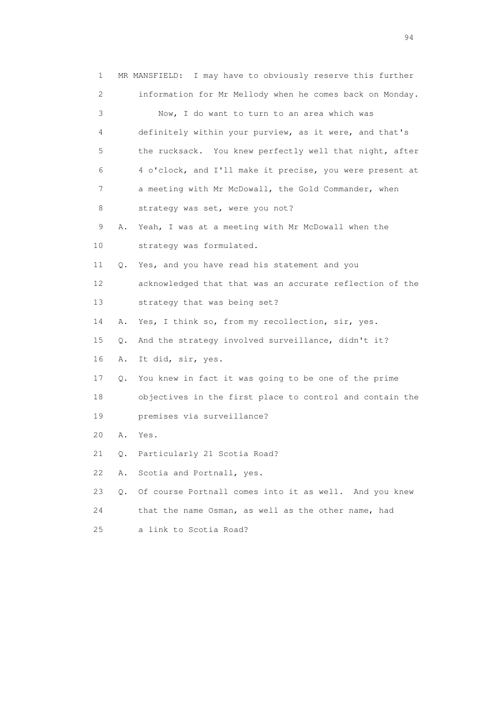1 MR MANSFIELD: I may have to obviously reserve this further 2 information for Mr Mellody when he comes back on Monday. 3 Now, I do want to turn to an area which was 4 definitely within your purview, as it were, and that's 5 the rucksack. You knew perfectly well that night, after 6 4 o'clock, and I'll make it precise, you were present at 7 a meeting with Mr McDowall, the Gold Commander, when 8 strategy was set, were you not? 9 A. Yeah, I was at a meeting with Mr McDowall when the 10 strategy was formulated. 11 Q. Yes, and you have read his statement and you 12 acknowledged that that was an accurate reflection of the 13 strategy that was being set? 14 A. Yes, I think so, from my recollection, sir, yes. 15 Q. And the strategy involved surveillance, didn't it? 16 A. It did, sir, yes. 17 Q. You knew in fact it was going to be one of the prime 18 objectives in the first place to control and contain the 19 premises via surveillance? 20 A. Yes. 21 Q. Particularly 21 Scotia Road? 22 A. Scotia and Portnall, yes. 23 Q. Of course Portnall comes into it as well. And you knew 24 that the name Osman, as well as the other name, had 25 a link to Scotia Road?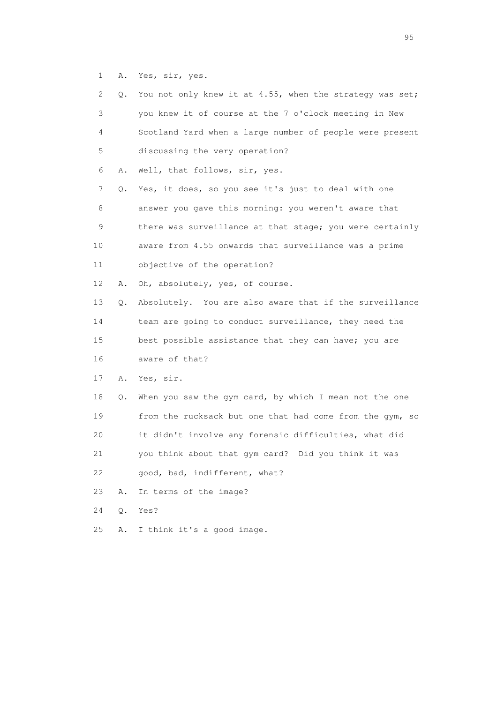1 A. Yes, sir, yes.

| 2  | Q.    | You not only knew it at 4.55, when the strategy was set; |
|----|-------|----------------------------------------------------------|
| 3  |       | you knew it of course at the 7 o'clock meeting in New    |
| 4  |       | Scotland Yard when a large number of people were present |
| 5  |       | discussing the very operation?                           |
| 6  | Α.    | Well, that follows, sir, yes.                            |
| 7  | Q.    | Yes, it does, so you see it's just to deal with one      |
| 8  |       | answer you gave this morning: you weren't aware that     |
| 9  |       | there was surveillance at that stage; you were certainly |
| 10 |       | aware from 4.55 onwards that surveillance was a prime    |
| 11 |       | objective of the operation?                              |
| 12 | Α.    | Oh, absolutely, yes, of course.                          |
| 13 | Q.    | Absolutely. You are also aware that if the surveillance  |
| 14 |       | team are going to conduct surveillance, they need the    |
| 15 |       | best possible assistance that they can have; you are     |
| 16 |       | aware of that?                                           |
| 17 | Α.    | Yes, sir.                                                |
| 18 | Q.    | When you saw the gym card, by which I mean not the one   |
| 19 |       | from the rucksack but one that had come from the gym, so |
| 20 |       | it didn't involve any forensic difficulties, what did    |
| 21 |       | you think about that gym card? Did you think it was      |
| 22 |       | good, bad, indifferent, what?                            |
| 23 | Α.    | In terms of the image?                                   |
| 24 | $Q$ . | Yes?                                                     |
| 25 | Α.    | I think it's a good image.                               |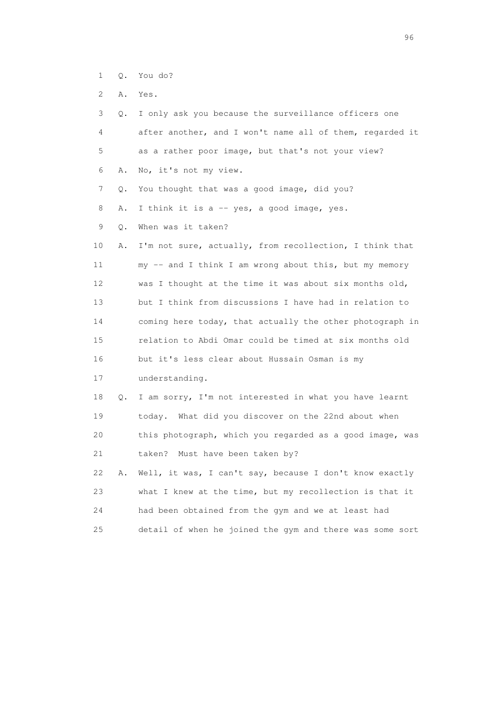- 1 Q. You do?
- 2 A. Yes.

| 3  | 0. | I only ask you because the surveillance officers one     |
|----|----|----------------------------------------------------------|
| 4  |    | after another, and I won't name all of them, regarded it |
| 5  |    | as a rather poor image, but that's not your view?        |
| 6  | Α. | No, it's not my view.                                    |
| 7  | О. | You thought that was a good image, did you?              |
| 8  | Α. | I think it is a -- yes, a good image, yes.               |
| 9  | О. | When was it taken?                                       |
| 10 | Α. | I'm not sure, actually, from recollection, I think that  |
| 11 |    | my -- and I think I am wrong about this, but my memory   |
| 12 |    | was I thought at the time it was about six months old,   |
| 13 |    | but I think from discussions I have had in relation to   |
| 14 |    | coming here today, that actually the other photograph in |
| 15 |    | relation to Abdi Omar could be timed at six months old   |
| 16 |    | but it's less clear about Hussain Osman is my            |
| 17 |    | understanding.                                           |
| 18 | Q. | I am sorry, I'm not interested in what you have learnt   |
| 19 |    | today. What did you discover on the 22nd about when      |
| 20 |    | this photograph, which you regarded as a good image, was |
| 21 |    | Must have been taken by?<br>taken?                       |
| 22 | Α. | Well, it was, I can't say, because I don't know exactly  |
| 23 |    | what I knew at the time, but my recollection is that it  |
| 24 |    | had been obtained from the gym and we at least had       |
| 25 |    | detail of when he joined the gym and there was some sort |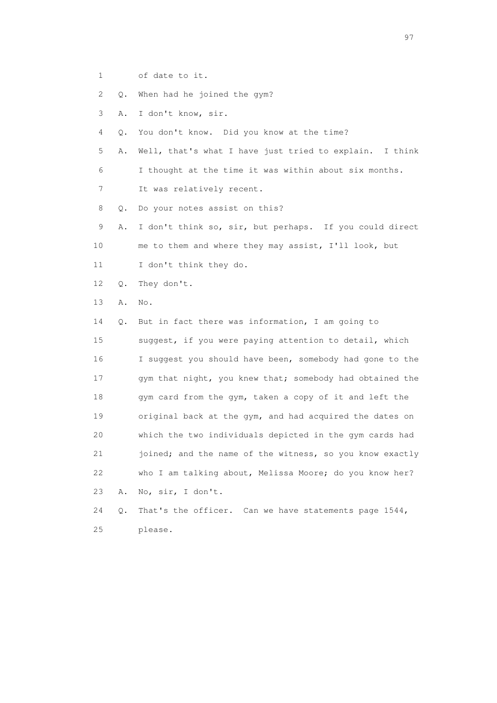1 of date to it.

2 Q. When had he joined the gym?

3 A. I don't know, sir.

4 Q. You don't know. Did you know at the time?

 5 A. Well, that's what I have just tried to explain. I think 6 I thought at the time it was within about six months.

7 It was relatively recent.

8 Q. Do your notes assist on this?

 9 A. I don't think so, sir, but perhaps. If you could direct 10 me to them and where they may assist, I'll look, but 11 I don't think they do.

12 Q. They don't.

13 A. No.

 14 Q. But in fact there was information, I am going to 15 suggest, if you were paying attention to detail, which 16 I suggest you should have been, somebody had gone to the 17 gym that night, you knew that; somebody had obtained the 18 gym card from the gym, taken a copy of it and left the 19 original back at the gym, and had acquired the dates on 20 which the two individuals depicted in the gym cards had 21 joined; and the name of the witness, so you know exactly 22 who I am talking about, Melissa Moore; do you know her? 23 A. No, sir, I don't.

 24 Q. That's the officer. Can we have statements page 1544, 25 please.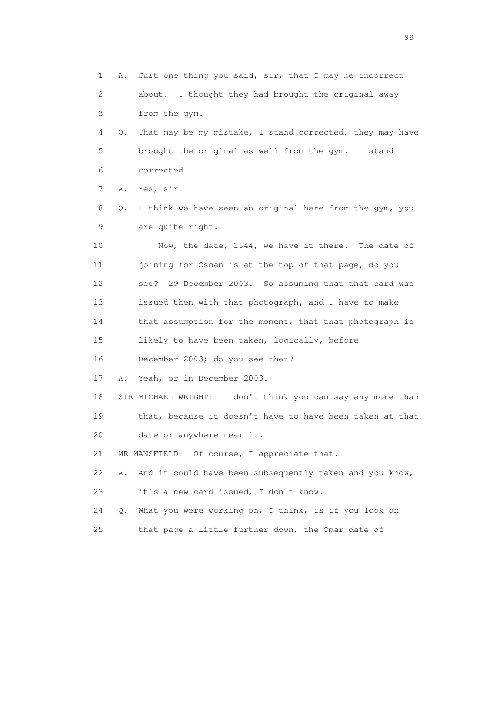1 A. Just one thing you said, sir, that I may be incorrect 2 about. I thought they had brought the original away 3 from the gym. 4 Q. That may be my mistake, I stand corrected, they may have 5 brought the original as well from the gym. I stand 6 corrected. 7 A. Yes, sir. 8 Q. I think we have seen an original here from the gym, you 9 are quite right. 10 Now, the date, 1544, we have it there. The date of 11 joining for Osman is at the top of that page, do you 12 see? 29 December 2003. So assuming that that card was 13 issued then with that photograph, and I have to make 14 that assumption for the moment, that that photograph is 15 likely to have been taken, logically, before 16 December 2003; do you see that? 17 A. Yeah, or in December 2003. 18 SIR MICHAEL WRIGHT: I don't think you can say any more than 19 that, because it doesn't have to have been taken at that 20 date or anywhere near it. 21 MR MANSFIELD: Of course, I appreciate that. 22 A. And it could have been subsequently taken and you know, 23 it's a new card issued, I don't know. 24 Q. What you were working on, I think, is if you look on 25 that page a little further down, the Omar date of

en 1988 en 1989 en 1989 en 1989 en 1989 en 1989 en 1989 en 1989 en 1989 en 1989 en 1989 en 1989 en 1989 en 19<br>De grote en 1989 en 1989 en 1989 en 1989 en 1989 en 1989 en 1989 en 1989 en 1989 en 1989 en 1989 en 1989 en 19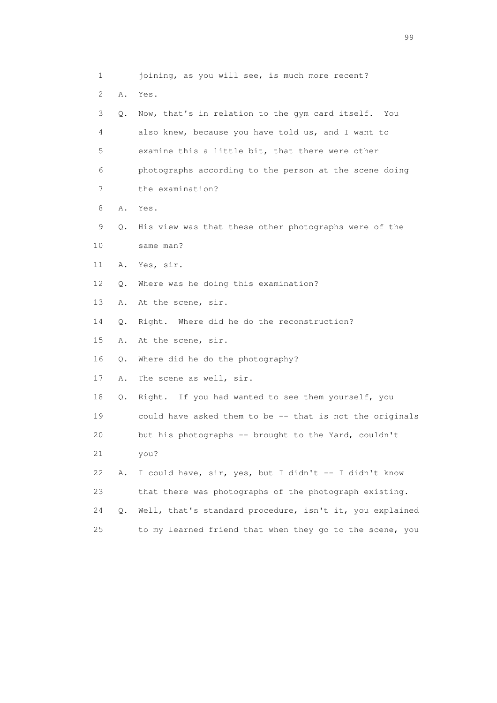1 joining, as you will see, is much more recent? 2 A. Yes. 3 Q. Now, that's in relation to the gym card itself. You 4 also knew, because you have told us, and I want to 5 examine this a little bit, that there were other 6 photographs according to the person at the scene doing 7 the examination? 8 A. Yes. 9 Q. His view was that these other photographs were of the 10 same man? 11 A. Yes, sir. 12 Q. Where was he doing this examination? 13 A. At the scene, sir. 14 Q. Right. Where did he do the reconstruction? 15 A. At the scene, sir. 16 Q. Where did he do the photography? 17 A. The scene as well, sir. 18 Q. Right. If you had wanted to see them yourself, you 19 could have asked them to be -- that is not the originals 20 but his photographs -- brought to the Yard, couldn't 21 you? 22 A. I could have, sir, yes, but I didn't -- I didn't know 23 that there was photographs of the photograph existing. 24 Q. Well, that's standard procedure, isn't it, you explained 25 to my learned friend that when they go to the scene, you

en de la construction de la construction de la construction de la construction de la construction de la constr<br>1990 : le construction de la construction de la construction de la construction de la construction de la const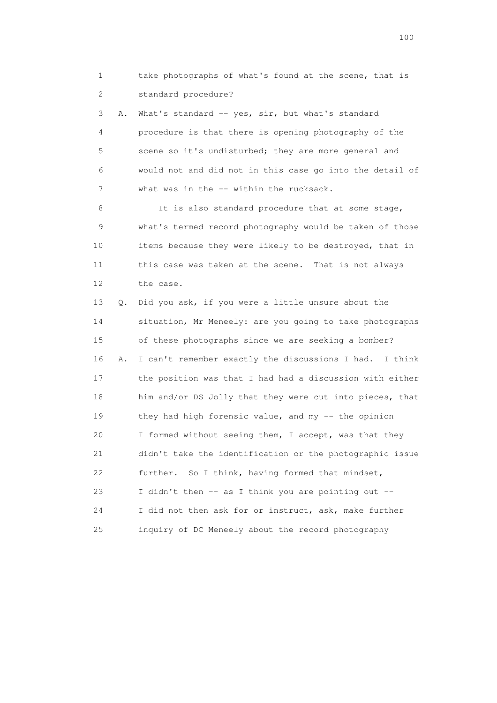1 take photographs of what's found at the scene, that is 2 standard procedure?

3 A. What's standard -- yes, sir, but what's standard 4 procedure is that there is opening photography of the 5 scene so it's undisturbed; they are more general and 6 would not and did not in this case go into the detail of 7 what was in the -- within the rucksack.

8 It is also standard procedure that at some stage, 9 what's termed record photography would be taken of those 10 items because they were likely to be destroyed, that in 11 this case was taken at the scene. That is not always 12 the case.

 13 Q. Did you ask, if you were a little unsure about the 14 situation, Mr Meneely: are you going to take photographs 15 of these photographs since we are seeking a bomber? 16 A. I can't remember exactly the discussions I had. I think 17 the position was that I had had a discussion with either 18 him and/or DS Jolly that they were cut into pieces, that 19 they had high forensic value, and my -- the opinion 20 I formed without seeing them, I accept, was that they 21 didn't take the identification or the photographic issue 22 further. So I think, having formed that mindset, 23 I didn't then -- as I think you are pointing out -- 24 I did not then ask for or instruct, ask, make further 25 inquiry of DC Meneely about the record photography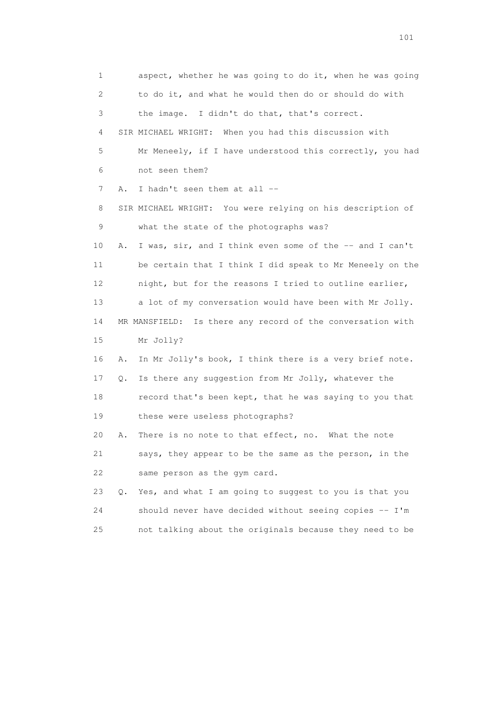1 aspect, whether he was going to do it, when he was going 2 to do it, and what he would then do or should do with 3 the image. I didn't do that, that's correct. 4 SIR MICHAEL WRIGHT: When you had this discussion with 5 Mr Meneely, if I have understood this correctly, you had 6 not seen them? 7 A. I hadn't seen them at all -- 8 SIR MICHAEL WRIGHT: You were relying on his description of 9 what the state of the photographs was? 10 A. I was, sir, and I think even some of the -- and I can't 11 be certain that I think I did speak to Mr Meneely on the 12 night, but for the reasons I tried to outline earlier, 13 a lot of my conversation would have been with Mr Jolly. 14 MR MANSFIELD: Is there any record of the conversation with 15 Mr Jolly? 16 A. In Mr Jolly's book, I think there is a very brief note. 17 Q. Is there any suggestion from Mr Jolly, whatever the 18 record that's been kept, that he was saying to you that 19 these were useless photographs? 20 A. There is no note to that effect, no. What the note 21 says, they appear to be the same as the person, in the 22 same person as the gym card. 23 Q. Yes, and what I am going to suggest to you is that you 24 should never have decided without seeing copies -- I'm 25 not talking about the originals because they need to be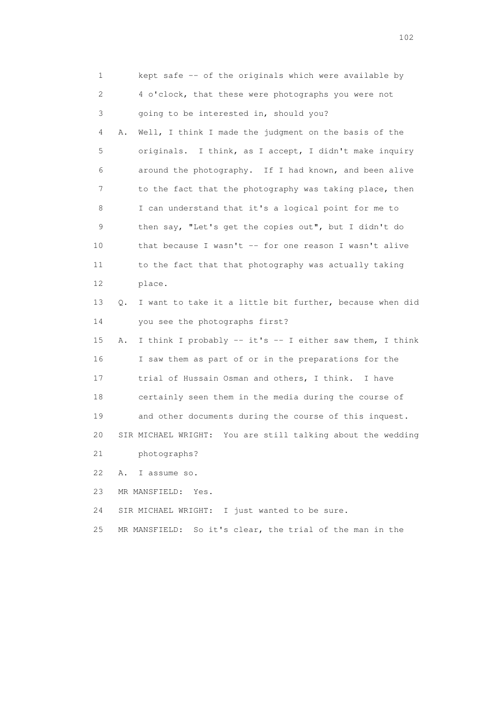1 kept safe -- of the originals which were available by 2 4 o'clock, that these were photographs you were not 3 going to be interested in, should you? 4 A. Well, I think I made the judgment on the basis of the 5 originals. I think, as I accept, I didn't make inquiry 6 around the photography. If I had known, and been alive 7 to the fact that the photography was taking place, then 8 I can understand that it's a logical point for me to 9 then say, "Let's get the copies out", but I didn't do 10 that because I wasn't -- for one reason I wasn't alive 11 to the fact that that photography was actually taking 12 place. 13 Q. I want to take it a little bit further, because when did 14 you see the photographs first? 15 A. I think I probably -- it's -- I either saw them, I think 16 I saw them as part of or in the preparations for the 17 trial of Hussain Osman and others, I think. I have 18 certainly seen them in the media during the course of 19 and other documents during the course of this inquest. 20 SIR MICHAEL WRIGHT: You are still talking about the wedding 21 photographs? 22 A. I assume so. 23 MR MANSFIELD: Yes. 24 SIR MICHAEL WRIGHT: I just wanted to be sure. 25 MR MANSFIELD: So it's clear, the trial of the man in the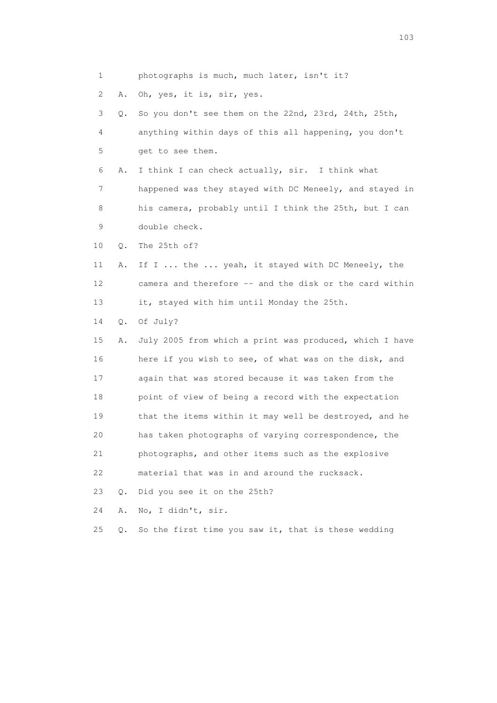1 photographs is much, much later, isn't it?

2 A. Oh, yes, it is, sir, yes.

 3 Q. So you don't see them on the 22nd, 23rd, 24th, 25th, 4 anything within days of this all happening, you don't 5 get to see them.

 6 A. I think I can check actually, sir. I think what 7 happened was they stayed with DC Meneely, and stayed in 8 his camera, probably until I think the 25th, but I can 9 double check.

10 Q. The 25th of?

 11 A. If I ... the ... yeah, it stayed with DC Meneely, the 12 camera and therefore -- and the disk or the card within 13 it, stayed with him until Monday the 25th.

14 Q. Of July?

 15 A. July 2005 from which a print was produced, which I have 16 here if you wish to see, of what was on the disk, and 17 again that was stored because it was taken from the 18 point of view of being a record with the expectation 19 that the items within it may well be destroyed, and he 20 has taken photographs of varying correspondence, the 21 photographs, and other items such as the explosive 22 material that was in and around the rucksack. 23 Q. Did you see it on the 25th?

24 A. No, I didn't, sir.

25 Q. So the first time you saw it, that is these wedding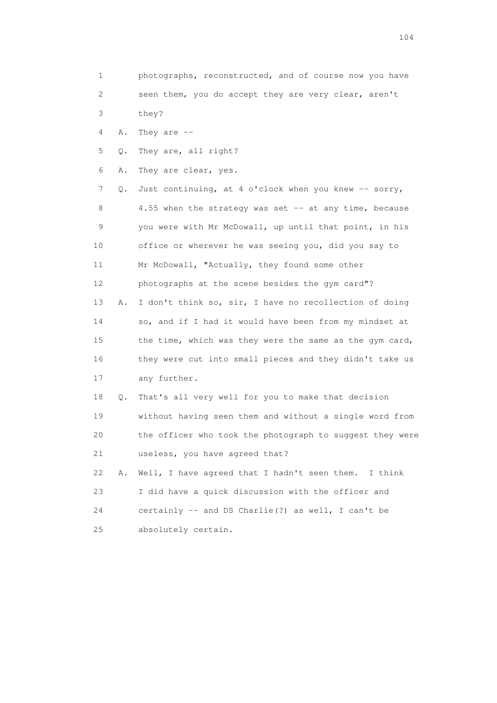- 1 photographs, reconstructed, and of course now you have 2 seen them, you do accept they are very clear, aren't
- 3 they?
- 4 A. They are --
- 5 Q. They are, all right?
- 6 A. They are clear, yes.

 7 Q. Just continuing, at 4 o'clock when you knew -- sorry, 8 4.55 when the strategy was set -- at any time, because 9 you were with Mr McDowall, up until that point, in his 10 office or wherever he was seeing you, did you say to 11 Mr McDowall, "Actually, they found some other 12 photographs at the scene besides the gym card"? 13 A. I don't think so, sir, I have no recollection of doing 14 so, and if I had it would have been from my mindset at 15 the time, which was they were the same as the gym card, 16 they were cut into small pieces and they didn't take us 17 any further. 18 Q. That's all very well for you to make that decision 19 without having seen them and without a single word from 20 the officer who took the photograph to suggest they were 21 useless, you have agreed that?

 22 A. Well, I have agreed that I hadn't seen them. I think 23 I did have a quick discussion with the officer and 24 certainly -- and DS Charlie(?) as well, I can't be 25 absolutely certain.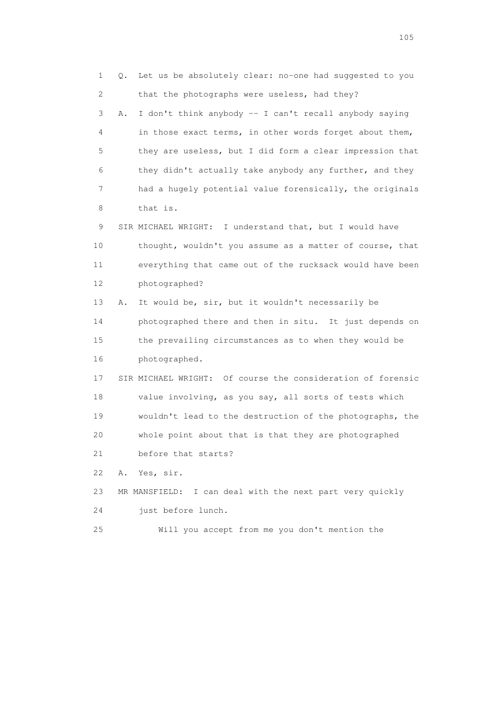1 Q. Let us be absolutely clear: no-one had suggested to you 2 that the photographs were useless, had they?

 3 A. I don't think anybody -- I can't recall anybody saying 4 in those exact terms, in other words forget about them, 5 they are useless, but I did form a clear impression that 6 they didn't actually take anybody any further, and they 7 had a hugely potential value forensically, the originals 8 that is.

 9 SIR MICHAEL WRIGHT: I understand that, but I would have 10 thought, wouldn't you assume as a matter of course, that 11 everything that came out of the rucksack would have been 12 photographed?

 13 A. It would be, sir, but it wouldn't necessarily be 14 photographed there and then in situ. It just depends on 15 the prevailing circumstances as to when they would be 16 photographed.

 17 SIR MICHAEL WRIGHT: Of course the consideration of forensic 18 value involving, as you say, all sorts of tests which 19 wouldn't lead to the destruction of the photographs, the 20 whole point about that is that they are photographed 21 before that starts?

22 A. Yes, sir.

## 23 MR MANSFIELD: I can deal with the next part very quickly 24 just before lunch.

25 Will you accept from me you don't mention the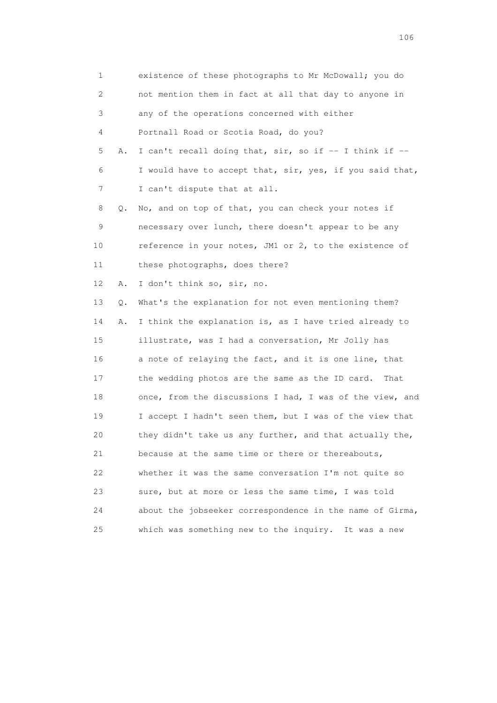| 1                         |    | existence of these photographs to Mr McDowall; you do    |
|---------------------------|----|----------------------------------------------------------|
| $\mathbf{2}^{\mathsf{I}}$ |    | not mention them in fact at all that day to anyone in    |
| 3                         |    | any of the operations concerned with either              |
| 4                         |    | Portnall Road or Scotia Road, do you?                    |
| 5                         | Α. | I can't recall doing that, sir, so if -- I think if --   |
| 6                         |    | I would have to accept that, sir, yes, if you said that, |
| 7                         |    | I can't dispute that at all.                             |
| 8                         | Q. | No, and on top of that, you can check your notes if      |
| 9                         |    | necessary over lunch, there doesn't appear to be any     |
| 10                        |    | reference in your notes, JM1 or 2, to the existence of   |
| 11                        |    | these photographs, does there?                           |
| 12                        | Α. | I don't think so, sir, no.                               |
| 13                        | Q. | What's the explanation for not even mentioning them?     |
| 14                        | Α. | I think the explanation is, as I have tried already to   |
| 15                        |    | illustrate, was I had a conversation, Mr Jolly has       |
| 16                        |    | a note of relaying the fact, and it is one line, that    |
| 17                        |    | the wedding photos are the same as the ID card.<br>That  |
| 18                        |    | once, from the discussions I had, I was of the view, and |
| 19                        |    | I accept I hadn't seen them, but I was of the view that  |
| 20                        |    | they didn't take us any further, and that actually the,  |
| 21                        |    | because at the same time or there or thereabouts,        |
| 22                        |    | whether it was the same conversation I'm not quite so    |
| 23                        |    | sure, but at more or less the same time, I was told      |
| 24                        |    | about the jobseeker correspondence in the name of Girma, |
| 25                        |    | which was something new to the inquiry. It was a new     |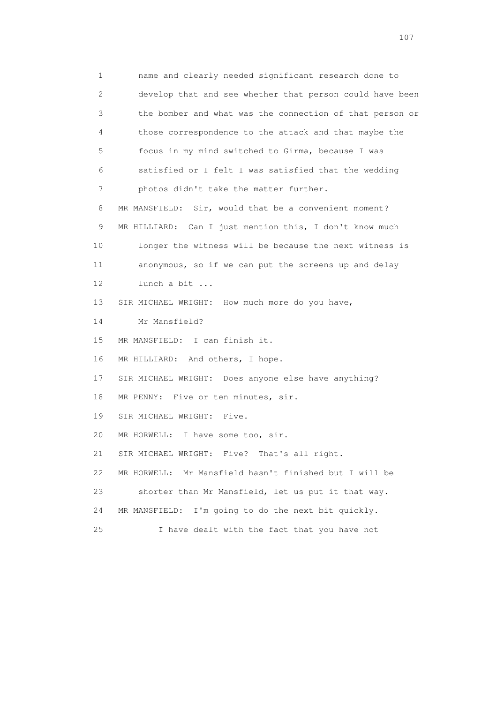1 name and clearly needed significant research done to 2 develop that and see whether that person could have been 3 the bomber and what was the connection of that person or 4 those correspondence to the attack and that maybe the 5 focus in my mind switched to Girma, because I was 6 satisfied or I felt I was satisfied that the wedding 7 photos didn't take the matter further.

8 MR MANSFIELD: Sir, would that be a convenient moment? 9 MR HILLIARD: Can I just mention this, I don't know much 10 longer the witness will be because the next witness is 11 anonymous, so if we can put the screens up and delay 12 lunch a bit ...

13 SIR MICHAEL WRIGHT: How much more do you have,

14 Mr Mansfield?

15 MR MANSFIELD: I can finish it.

16 MR HILLIARD: And others, I hope.

17 SIR MICHAEL WRIGHT: Does anyone else have anything?

18 MR PENNY: Five or ten minutes, sir.

19 SIR MICHAEL WRIGHT: Five.

20 MR HORWELL: I have some too, sir.

21 SIR MICHAEL WRIGHT: Five? That's all right.

22 MR HORWELL: Mr Mansfield hasn't finished but I will be

23 shorter than Mr Mansfield, let us put it that way.

24 MR MANSFIELD: I'm going to do the next bit quickly.

25 I have dealt with the fact that you have not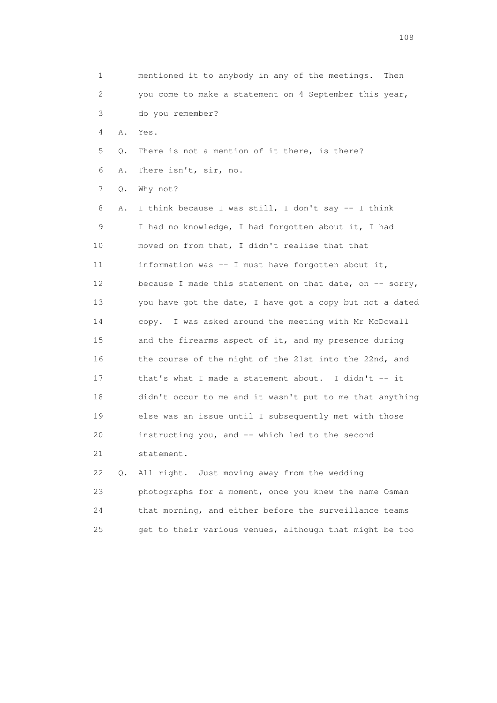| 1  |       | mentioned it to anybody in any of the meetings. Then      |
|----|-------|-----------------------------------------------------------|
| 2  |       | you come to make a statement on 4 September this year,    |
| 3  |       | do you remember?                                          |
| 4  | Α.    | Yes.                                                      |
| 5  | Q.    | There is not a mention of it there, is there?             |
| 6  | Α.    | There isn't, sir, no.                                     |
| 7  | $Q$ . | Why not?                                                  |
| 8  | Α.    | I think because I was still, I don't say -- I think       |
| 9  |       | I had no knowledge, I had forgotten about it, I had       |
| 10 |       | moved on from that, I didn't realise that that            |
| 11 |       | information was -- I must have forgotten about it,        |
| 12 |       | because I made this statement on that date, on $-$ sorry, |
| 13 |       | you have got the date, I have got a copy but not a dated  |
| 14 |       | copy. I was asked around the meeting with Mr McDowall     |
| 15 |       | and the firearms aspect of it, and my presence during     |
| 16 |       | the course of the night of the 21st into the 22nd, and    |
| 17 |       | that's what I made a statement about. I didn't -- it      |
| 18 |       | didn't occur to me and it wasn't put to me that anything  |
| 19 |       | else was an issue until I subsequently met with those     |
| 20 |       | instructing you, and -- which led to the second           |
| 21 |       | statement.                                                |
| 22 | $Q$ . | Just moving away from the wedding<br>All right.           |
| 23 |       | photographs for a moment, once you knew the name Osman    |
| 24 |       | that morning, and either before the surveillance teams    |

25 get to their various venues, although that might be too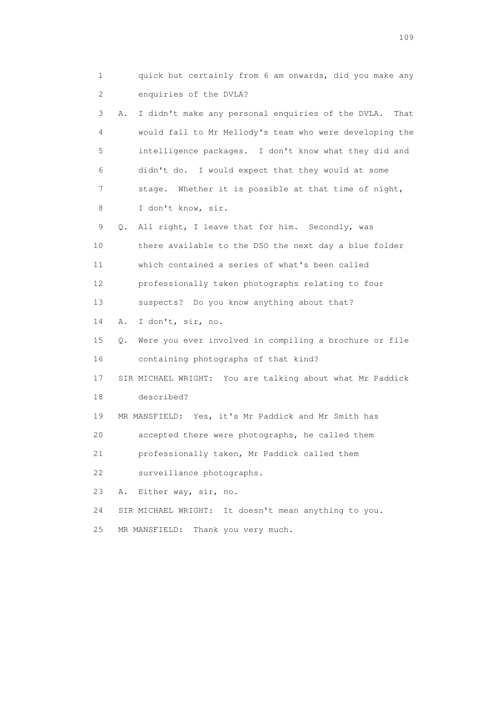1 quick but certainly from 6 am onwards, did you make any 2 enquiries of the DVLA? 3 A. I didn't make any personal enquiries of the DVLA. That 4 would fall to Mr Mellody's team who were developing the 5 intelligence packages. I don't know what they did and 6 didn't do. I would expect that they would at some 7 stage. Whether it is possible at that time of night, 8 I don't know, sir. 9 Q. All right, I leave that for him. Secondly, was 10 there available to the DSO the next day a blue folder 11 which contained a series of what's been called 12 professionally taken photographs relating to four 13 suspects? Do you know anything about that? 14 A. I don't, sir, no. 15 Q. Were you ever involved in compiling a brochure or file 16 containing photographs of that kind? 17 SIR MICHAEL WRIGHT: You are talking about what Mr Paddick 18 described? 19 MR MANSFIELD: Yes, it's Mr Paddick and Mr Smith has 20 accepted there were photographs, he called them 21 professionally taken, Mr Paddick called them 22 surveillance photographs. 23 A. Either way, sir, no. 24 SIR MICHAEL WRIGHT: It doesn't mean anything to you. 25 MR MANSFIELD: Thank you very much.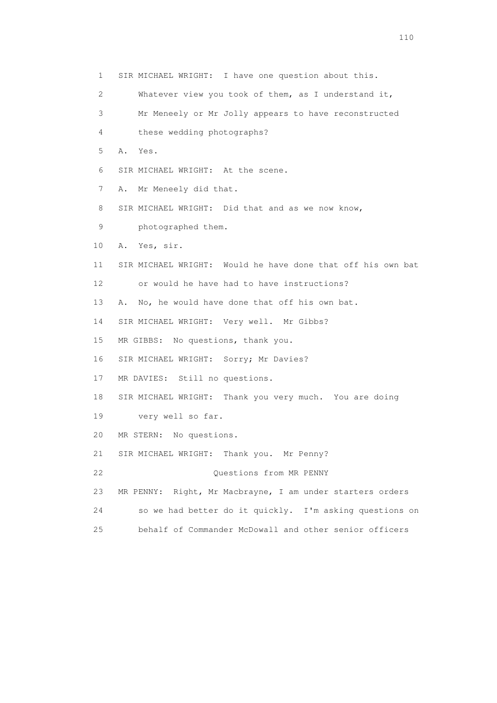1 SIR MICHAEL WRIGHT: I have one question about this. 2 Whatever view you took of them, as I understand it, 3 Mr Meneely or Mr Jolly appears to have reconstructed 4 these wedding photographs? 5 A. Yes. 6 SIR MICHAEL WRIGHT: At the scene. 7 A. Mr Meneely did that. 8 SIR MICHAEL WRIGHT: Did that and as we now know, 9 photographed them. 10 A. Yes, sir. 11 SIR MICHAEL WRIGHT: Would he have done that off his own bat 12 or would he have had to have instructions? 13 A. No, he would have done that off his own bat. 14 SIR MICHAEL WRIGHT: Very well. Mr Gibbs? 15 MR GIBBS: No questions, thank you. 16 SIR MICHAEL WRIGHT: Sorry; Mr Davies? 17 MR DAVIES: Still no questions. 18 SIR MICHAEL WRIGHT: Thank you very much. You are doing 19 very well so far. 20 MR STERN: No questions. 21 SIR MICHAEL WRIGHT: Thank you. Mr Penny? 22 Questions from MR PENNY 23 MR PENNY: Right, Mr Macbrayne, I am under starters orders 24 so we had better do it quickly. I'm asking questions on 25 behalf of Commander McDowall and other senior officers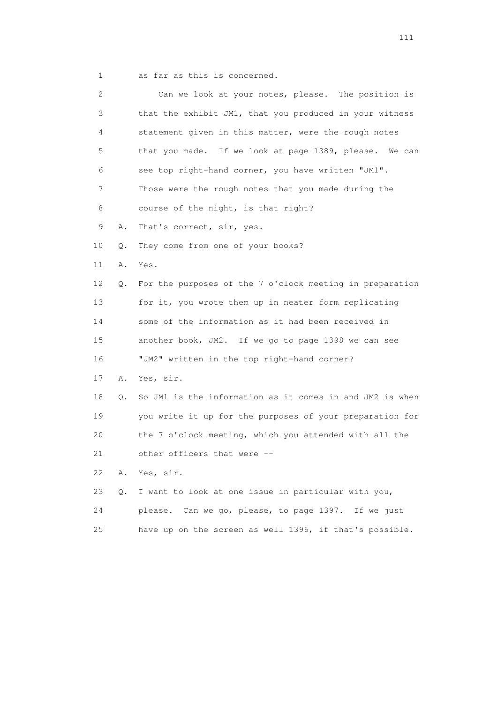1 as far as this is concerned.

| 2  |    | Can we look at your notes, please. The position is       |
|----|----|----------------------------------------------------------|
| 3  |    | that the exhibit JM1, that you produced in your witness  |
| 4  |    | statement given in this matter, were the rough notes     |
| 5  |    | that you made. If we look at page 1389, please. We can   |
| 6  |    | see top right-hand corner, you have written "JM1".       |
| 7  |    | Those were the rough notes that you made during the      |
| 8  |    | course of the night, is that right?                      |
| 9  | Α. | That's correct, sir, yes.                                |
| 10 | Q. | They come from one of your books?                        |
| 11 | Α. | Yes.                                                     |
| 12 | Q. | For the purposes of the 7 o'clock meeting in preparation |
| 13 |    | for it, you wrote them up in neater form replicating     |
| 14 |    | some of the information as it had been received in       |
| 15 |    | another book, JM2. If we go to page 1398 we can see      |
| 16 |    | "JM2" written in the top right-hand corner?              |
| 17 | Α. | Yes, sir.                                                |
| 18 | Q. | So JM1 is the information as it comes in and JM2 is when |
| 19 |    | you write it up for the purposes of your preparation for |
| 20 |    | the 7 o'clock meeting, which you attended with all the   |
| 21 |    | other officers that were --                              |
| 22 | Α. | Yes, sir.                                                |
| 23 | Q. | I want to look at one issue in particular with you,      |
| 24 |    | please. Can we go, please, to page 1397. If we just      |
| 25 |    | have up on the screen as well 1396, if that's possible.  |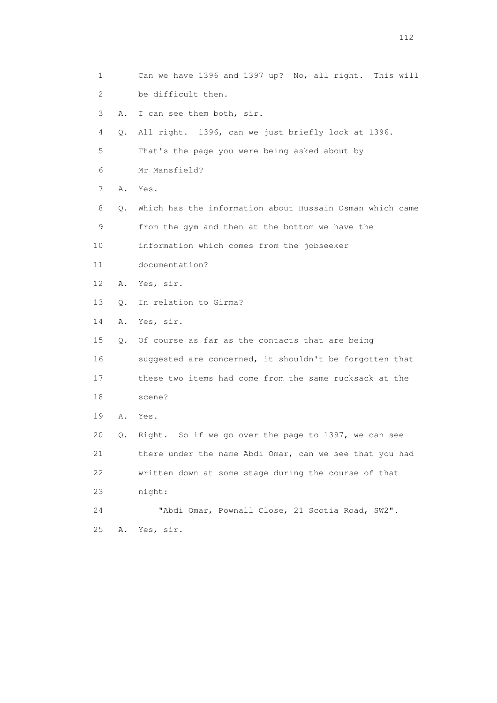| 1                         |           | Can we have 1396 and 1397 up? No, all right. This will   |
|---------------------------|-----------|----------------------------------------------------------|
| $\mathbf{2}^{\mathsf{I}}$ |           | be difficult then.                                       |
| 3                         | Α.        | I can see them both, sir.                                |
| 4                         | Q.        | All right. 1396, can we just briefly look at 1396.       |
| 5                         |           | That's the page you were being asked about by            |
| 6                         |           | Mr Mansfield?                                            |
| 7                         | Α.        | Yes.                                                     |
| 8                         | Q.        | Which has the information about Hussain Osman which came |
| 9                         |           | from the gym and then at the bottom we have the          |
| 10                        |           | information which comes from the jobseeker               |
| 11                        |           | documentation?                                           |
| 12                        | Α.        | Yes, sir.                                                |
| 13                        | О.        | In relation to Girma?                                    |
| 14                        | Α.        | Yes, sir.                                                |
| 15                        | $\circ$ . | Of course as far as the contacts that are being          |
| 16                        |           | suggested are concerned, it shouldn't be forgotten that  |
| 17                        |           | these two items had come from the same rucksack at the   |
| 18                        |           | scene?                                                   |
| 19                        | Α.        | Yes.                                                     |
| 20                        | Q.        | Right. So if we go over the page to 1397, we can see     |
| 21                        |           | there under the name Abdi Omar, can we see that you had  |
| 22                        |           | written down at some stage during the course of that     |
| 23                        |           | night:                                                   |
| 24                        |           | "Abdi Omar, Pownall Close, 21 Scotia Road, SW2".         |
| 25                        | Α.        | Yes, sir.                                                |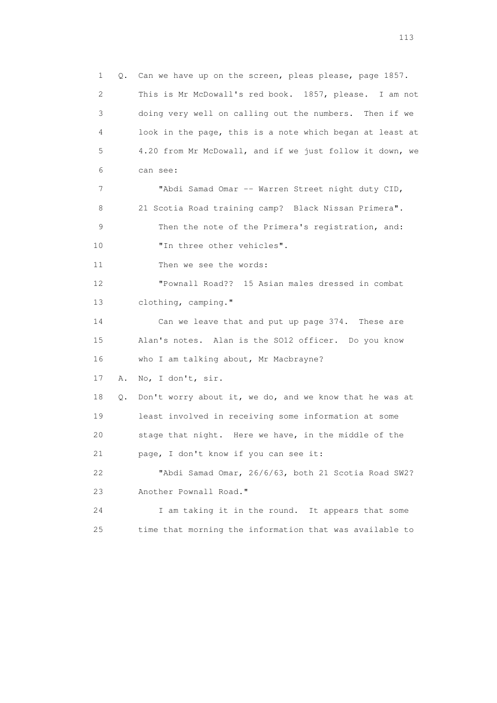1 Q. Can we have up on the screen, pleas please, page 1857. 2 This is Mr McDowall's red book. 1857, please. I am not 3 doing very well on calling out the numbers. Then if we 4 look in the page, this is a note which began at least at 5 4.20 from Mr McDowall, and if we just follow it down, we 6 can see: 7 "Abdi Samad Omar -- Warren Street night duty CID, 8 21 Scotia Road training camp? Black Nissan Primera". 9 Then the note of the Primera's registration, and: 10 Th three other vehicles". 11 Then we see the words: 12 "Pownall Road?? 15 Asian males dressed in combat 13 clothing, camping." 14 Can we leave that and put up page 374. These are 15 Alan's notes. Alan is the SO12 officer. Do you know 16 who I am talking about, Mr Macbrayne? 17 A. No, I don't, sir. 18 Q. Don't worry about it, we do, and we know that he was at 19 least involved in receiving some information at some 20 stage that night. Here we have, in the middle of the 21 page, I don't know if you can see it: 22 "Abdi Samad Omar, 26/6/63, both 21 Scotia Road SW2? 23 Another Pownall Road." 24 I am taking it in the round. It appears that some 25 time that morning the information that was available to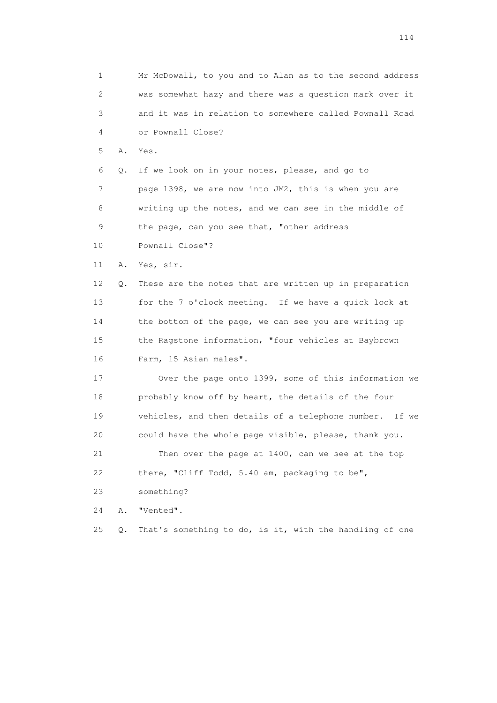1 Mr McDowall, to you and to Alan as to the second address 2 was somewhat hazy and there was a question mark over it 3 and it was in relation to somewhere called Pownall Road 4 or Pownall Close? 5 A. Yes. 6 Q. If we look on in your notes, please, and go to 7 page 1398, we are now into JM2, this is when you are 8 writing up the notes, and we can see in the middle of 9 the page, can you see that, "other address 10 Pownall Close"? 11 A. Yes, sir. 12 Q. These are the notes that are written up in preparation 13 for the 7 o'clock meeting. If we have a quick look at 14 the bottom of the page, we can see you are writing up 15 the Ragstone information, "four vehicles at Baybrown 16 Farm, 15 Asian males". 17 Over the page onto 1399, some of this information we 18 probably know off by heart, the details of the four 19 vehicles, and then details of a telephone number. If we 20 could have the whole page visible, please, thank you. 21 Then over the page at 1400, can we see at the top 22 there, "Cliff Todd, 5.40 am, packaging to be", 23 something? 24 A. "Vented". 25 Q. That's something to do, is it, with the handling of one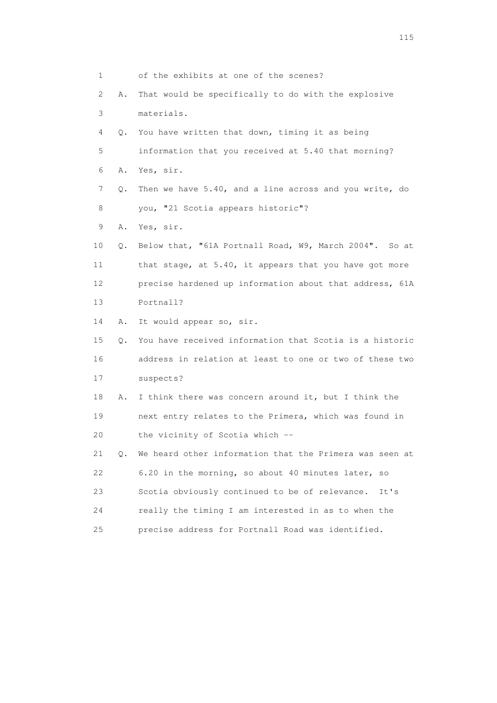| $\mathbf{1}$ |           | of the exhibits at one of the scenes?                   |
|--------------|-----------|---------------------------------------------------------|
| 2            | Α.        | That would be specifically to do with the explosive     |
| 3            |           | materials.                                              |
| 4            | 0.        | You have written that down, timing it as being          |
| 5            |           | information that you received at 5.40 that morning?     |
| 6            | Α.        | Yes, sir.                                               |
| 7            | Q.        | Then we have 5.40, and a line across and you write, do  |
| 8            |           | you, "21 Scotia appears historic"?                      |
| 9            | Α.        | Yes, sir.                                               |
| 10           | Q.        | Below that, "61A Portnall Road, W9, March 2004". So at  |
| 11           |           | that stage, at 5.40, it appears that you have got more  |
| 12           |           | precise hardened up information about that address, 61A |
| 13           |           | Portnall?                                               |
| 14           | Α.        | It would appear so, sir.                                |
| 15           | $\circ$ . | You have received information that Scotia is a historic |
| 16           |           | address in relation at least to one or two of these two |
| 17           |           | suspects?                                               |
| 18           | Α.        | I think there was concern around it, but I think the    |
| 19           |           | next entry relates to the Primera, which was found in   |
| 20           |           | the vicinity of Scotia which --                         |
| 21           | $\circ$ . | We heard other information that the Primera was seen at |
| 22           |           | 6.20 in the morning, so about 40 minutes later, so      |
| 23           |           | Scotia obviously continued to be of relevance.<br>It's  |
| 24           |           | really the timing I am interested in as to when the     |
| 25           |           | precise address for Portnall Road was identified.       |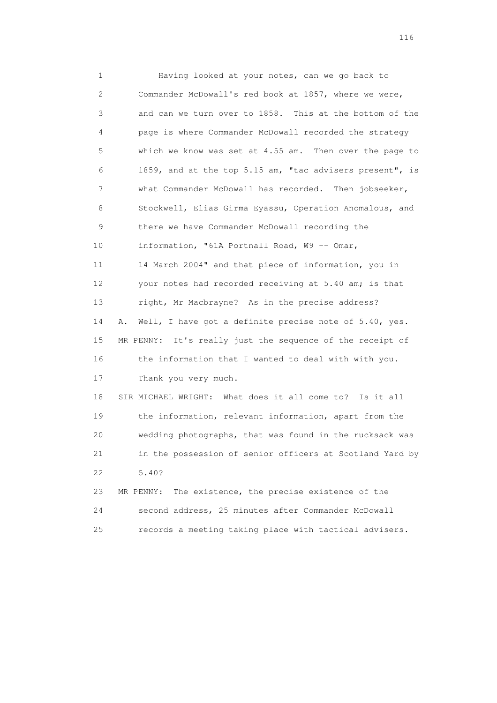1 Having looked at your notes, can we go back to 2 Commander McDowall's red book at 1857, where we were, 3 and can we turn over to 1858. This at the bottom of the 4 page is where Commander McDowall recorded the strategy 5 which we know was set at 4.55 am. Then over the page to 6 1859, and at the top 5.15 am, "tac advisers present", is 7 what Commander McDowall has recorded. Then jobseeker, 8 Stockwell, Elias Girma Eyassu, Operation Anomalous, and 9 there we have Commander McDowall recording the 10 information, "61A Portnall Road, W9 -- Omar, 11 14 March 2004" and that piece of information, you in 12 your notes had recorded receiving at 5.40 am; is that 13 right, Mr Macbrayne? As in the precise address? 14 A. Well, I have got a definite precise note of 5.40, yes. 15 MR PENNY: It's really just the sequence of the receipt of 16 the information that I wanted to deal with with you. 17 Thank you very much. 18 SIR MICHAEL WRIGHT: What does it all come to? Is it all 19 the information, relevant information, apart from the 20 wedding photographs, that was found in the rucksack was 21 in the possession of senior officers at Scotland Yard by 22 5.40? 23 MR PENNY: The existence, the precise existence of the 24 second address, 25 minutes after Commander McDowall

25 records a meeting taking place with tactical advisers.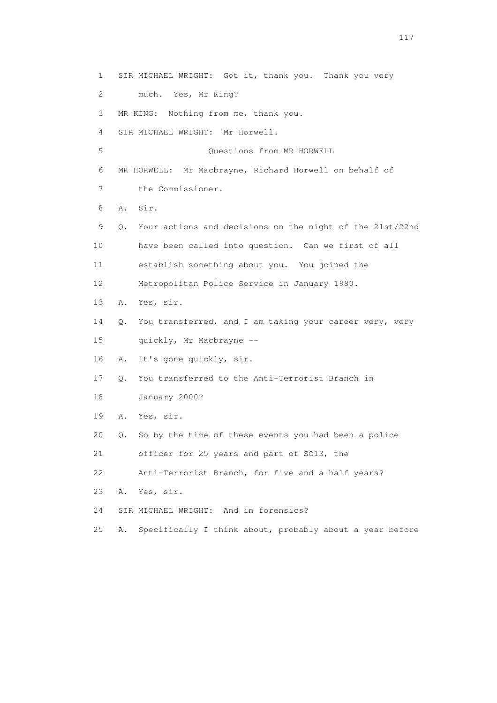1 SIR MICHAEL WRIGHT: Got it, thank you. Thank you very 2 much. Yes, Mr King? 3 MR KING: Nothing from me, thank you. 4 SIR MICHAEL WRIGHT: Mr Horwell. 5 Questions from MR HORWELL 6 MR HORWELL: Mr Macbrayne, Richard Horwell on behalf of 7 the Commissioner. 8 A. Sir. 9 Q. Your actions and decisions on the night of the 21st/22nd 10 have been called into question. Can we first of all 11 establish something about you. You joined the 12 Metropolitan Police Service in January 1980. 13 A. Yes, sir. 14 Q. You transferred, and I am taking your career very, very 15 quickly, Mr Macbrayne -- 16 A. It's gone quickly, sir. 17 Q. You transferred to the Anti-Terrorist Branch in 18 January 2000? 19 A. Yes, sir. 20 Q. So by the time of these events you had been a police 21 officer for 25 years and part of SO13, the 22 Anti-Terrorist Branch, for five and a half years? 23 A. Yes, sir. 24 SIR MICHAEL WRIGHT: And in forensics? 25 A. Specifically I think about, probably about a year before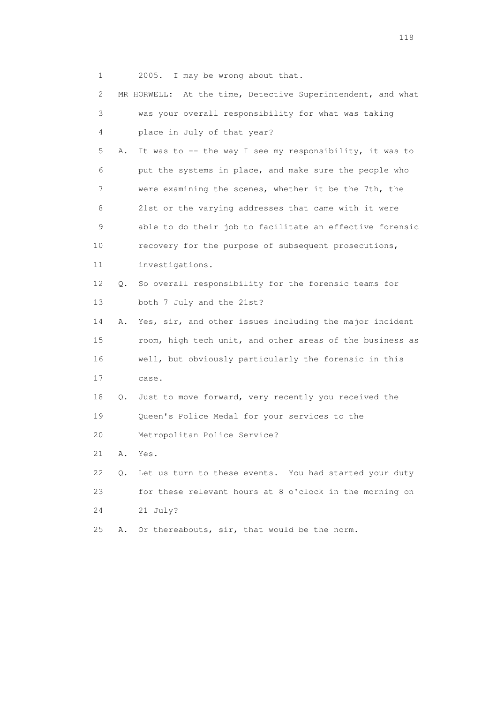1 2005. I may be wrong about that.

| 2  |           | MR HORWELL: At the time, Detective Superintendent, and what |
|----|-----------|-------------------------------------------------------------|
| 3  |           | was your overall responsibility for what was taking         |
| 4  |           | place in July of that year?                                 |
| 5  | Α.        | It was to -- the way I see my responsibility, it was to     |
| 6  |           | put the systems in place, and make sure the people who      |
| 7  |           | were examining the scenes, whether it be the 7th, the       |
| 8  |           | 21st or the varying addresses that came with it were        |
| 9  |           | able to do their job to facilitate an effective forensic    |
| 10 |           | recovery for the purpose of subsequent prosecutions,        |
| 11 |           | investigations.                                             |
| 12 | Q.        | So overall responsibility for the forensic teams for        |
| 13 |           | both 7 July and the 21st?                                   |
| 14 | Α.        | Yes, sir, and other issues including the major incident     |
| 15 |           | room, high tech unit, and other areas of the business as    |
| 16 |           | well, but obviously particularly the forensic in this       |
| 17 |           | case.                                                       |
| 18 | Q.        | Just to move forward, very recently you received the        |
| 19 |           | Queen's Police Medal for your services to the               |
| 20 |           | Metropolitan Police Service?                                |
| 21 | Α.        | Yes.                                                        |
| 22 | $\circ$ . | Let us turn to these events. You had started your duty      |
| 23 |           | for these relevant hours at 8 o'clock in the morning on     |
| 24 |           | 21 July?                                                    |
| 25 | Α.        | Or thereabouts, sir, that would be the norm.                |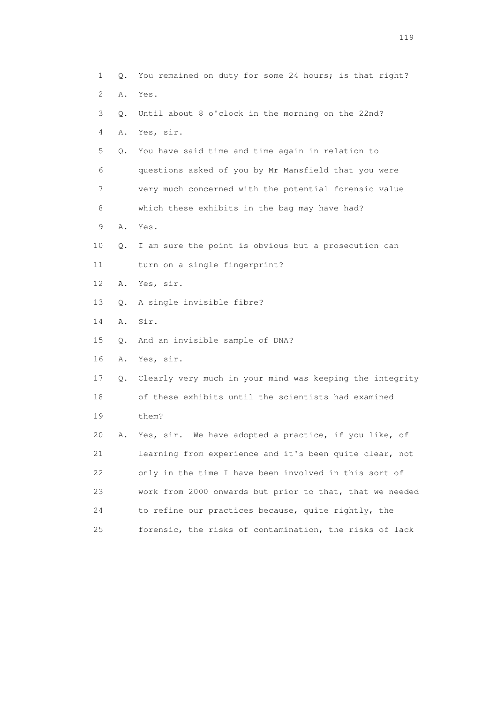| $\mathbf{1}$   | Q. | You remained on duty for some 24 hours; is that right?   |
|----------------|----|----------------------------------------------------------|
| 2              | Α. | Yes.                                                     |
| 3              | Q. | Until about 8 o'clock in the morning on the 22nd?        |
| 4              | Α. | Yes, sir.                                                |
| 5              | Q. | You have said time and time again in relation to         |
| 6              |    | questions asked of you by Mr Mansfield that you were     |
| $\overline{7}$ |    | very much concerned with the potential forensic value    |
| 8              |    | which these exhibits in the bag may have had?            |
| 9              | Α. | Yes.                                                     |
| 10             | Q. | I am sure the point is obvious but a prosecution can     |
| 11             |    | turn on a single fingerprint?                            |
| 12             | Α. | Yes, sir.                                                |
| 13             | Q. | A single invisible fibre?                                |
| 14             | Α. | Sir.                                                     |
| 15             | Q. | And an invisible sample of DNA?                          |
| 16             | Α. | Yes, sir.                                                |
| 17             | Q. | Clearly very much in your mind was keeping the integrity |
| 18             |    | of these exhibits until the scientists had examined      |
| 19             |    | them?                                                    |
| 20             | Α. | Yes, sir. We have adopted a practice, if you like, of    |
| 21             |    | learning from experience and it's been quite clear, not  |
| 22             |    | only in the time I have been involved in this sort of    |
| 23             |    | work from 2000 onwards but prior to that, that we needed |
| 24             |    | to refine our practices because, quite rightly, the      |
| 25             |    | forensic, the risks of contamination, the risks of lack  |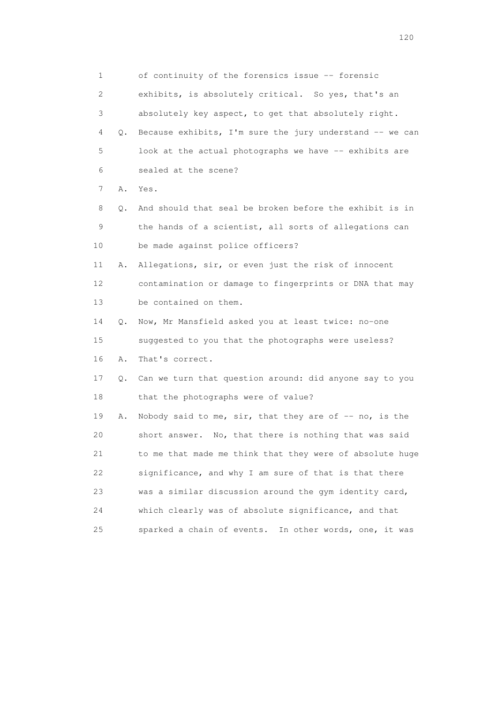1 of continuity of the forensics issue -- forensic 2 exhibits, is absolutely critical. So yes, that's an 3 absolutely key aspect, to get that absolutely right. 4 Q. Because exhibits, I'm sure the jury understand -- we can 5 look at the actual photographs we have -- exhibits are 6 sealed at the scene? 7 A. Yes. 8 Q. And should that seal be broken before the exhibit is in 9 the hands of a scientist, all sorts of allegations can 10 be made against police officers? 11 A. Allegations, sir, or even just the risk of innocent 12 contamination or damage to fingerprints or DNA that may 13 be contained on them. 14 Q. Now, Mr Mansfield asked you at least twice: no-one 15 suggested to you that the photographs were useless? 16 A. That's correct. 17 Q. Can we turn that question around: did anyone say to you 18 that the photographs were of value? 19 A. Nobody said to me, sir, that they are of -- no, is the 20 short answer. No, that there is nothing that was said 21 to me that made me think that they were of absolute huge 22 significance, and why I am sure of that is that there 23 was a similar discussion around the gym identity card, 24 which clearly was of absolute significance, and that 25 sparked a chain of events. In other words, one, it was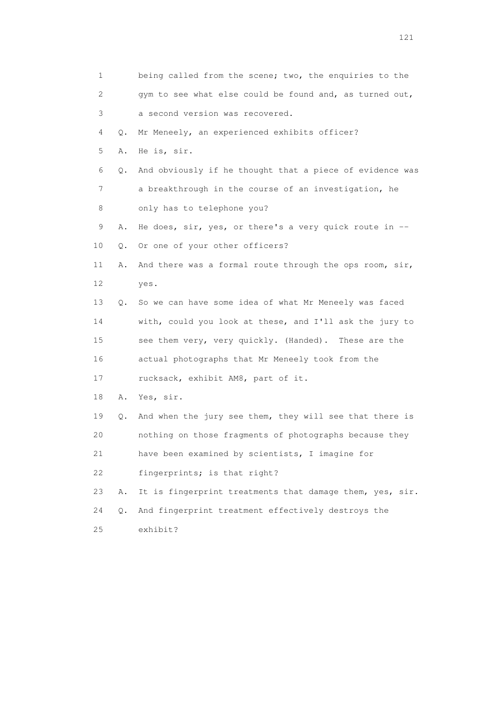| 1        | being called from the scene; two, the enquiries to the      |
|----------|-------------------------------------------------------------|
| 2        | gym to see what else could be found and, as turned out,     |
| 3        | a second version was recovered.                             |
| 4<br>Q.  | Mr Meneely, an experienced exhibits officer?                |
| 5<br>Α.  | He is, sir.                                                 |
| 6<br>Q.  | And obviously if he thought that a piece of evidence was    |
| 7        | a breakthrough in the course of an investigation, he        |
| 8        | only has to telephone you?                                  |
| 9<br>Α.  | He does, $\sin$ , yes, or there's a very quick route in $-$ |
| 10<br>Q. | Or one of your other officers?                              |
| 11<br>Α. | And there was a formal route through the ops room, sir,     |
| 12       | yes.                                                        |
| 13<br>Q. | So we can have some idea of what Mr Meneely was faced       |
| 14       | with, could you look at these, and I'll ask the jury to     |
| 15       | see them very, very quickly. (Handed). These are the        |
| 16       | actual photographs that Mr Meneely took from the            |
| 17       | rucksack, exhibit AM8, part of it.                          |
| 18<br>Α. | Yes, sir.                                                   |
| 19<br>Q. | And when the jury see them, they will see that there is     |
| 20       | nothing on those fragments of photographs because they      |
| 21       | have been examined by scientists, I imagine for             |
| 22       | fingerprints; is that right?                                |
| 23<br>Α. | It is fingerprint treatments that damage them, yes, sir.    |
| 24<br>Q. | And fingerprint treatment effectively destroys the          |
| 25       | exhibit?                                                    |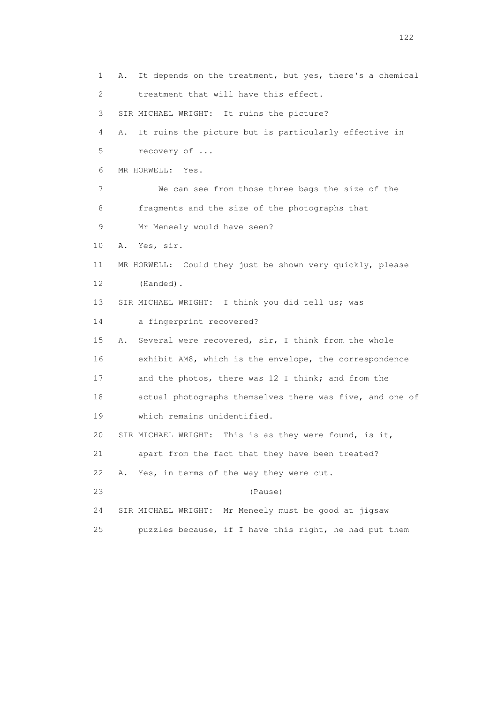1 A. It depends on the treatment, but yes, there's a chemical 2 treatment that will have this effect. 3 SIR MICHAEL WRIGHT: It ruins the picture? 4 A. It ruins the picture but is particularly effective in 5 recovery of ... 6 MR HORWELL: Yes. 7 We can see from those three bags the size of the 8 fragments and the size of the photographs that 9 Mr Meneely would have seen? 10 A. Yes, sir. 11 MR HORWELL: Could they just be shown very quickly, please 12 (Handed). 13 SIR MICHAEL WRIGHT: I think you did tell us; was 14 a fingerprint recovered? 15 A. Several were recovered, sir, I think from the whole 16 exhibit AM8, which is the envelope, the correspondence 17 and the photos, there was 12 I think; and from the 18 actual photographs themselves there was five, and one of 19 which remains unidentified. 20 SIR MICHAEL WRIGHT: This is as they were found, is it, 21 apart from the fact that they have been treated? 22 A. Yes, in terms of the way they were cut. 23 (Pause) 24 SIR MICHAEL WRIGHT: Mr Meneely must be good at jigsaw 25 puzzles because, if I have this right, he had put them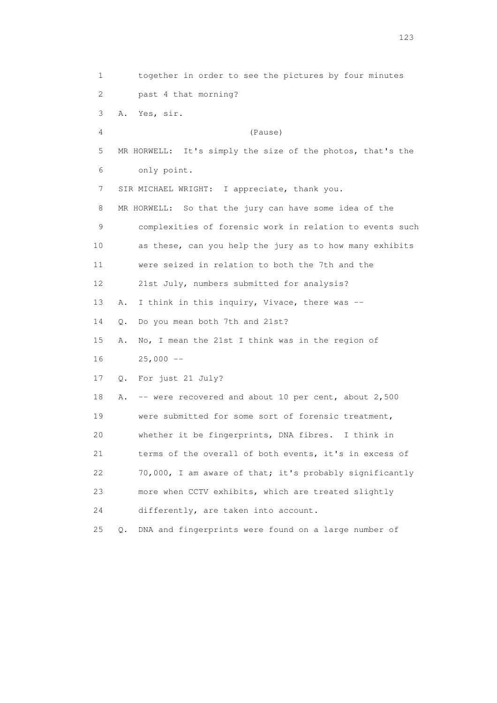1 together in order to see the pictures by four minutes 2 past 4 that morning? 3 A. Yes, sir. 4 (Pause) 5 MR HORWELL: It's simply the size of the photos, that's the 6 only point. 7 SIR MICHAEL WRIGHT: I appreciate, thank you. 8 MR HORWELL: So that the jury can have some idea of the 9 complexities of forensic work in relation to events such 10 as these, can you help the jury as to how many exhibits 11 were seized in relation to both the 7th and the 12 21st July, numbers submitted for analysis? 13 A. I think in this inquiry, Vivace, there was -- 14 Q. Do you mean both 7th and 21st? 15 A. No, I mean the 21st I think was in the region of 16 25,000 -- 17 Q. For just 21 July? 18 A. -- were recovered and about 10 per cent, about 2,500 19 were submitted for some sort of forensic treatment, 20 whether it be fingerprints, DNA fibres. I think in 21 terms of the overall of both events, it's in excess of 22 70,000, I am aware of that; it's probably significantly 23 more when CCTV exhibits, which are treated slightly 24 differently, are taken into account. 25 Q. DNA and fingerprints were found on a large number of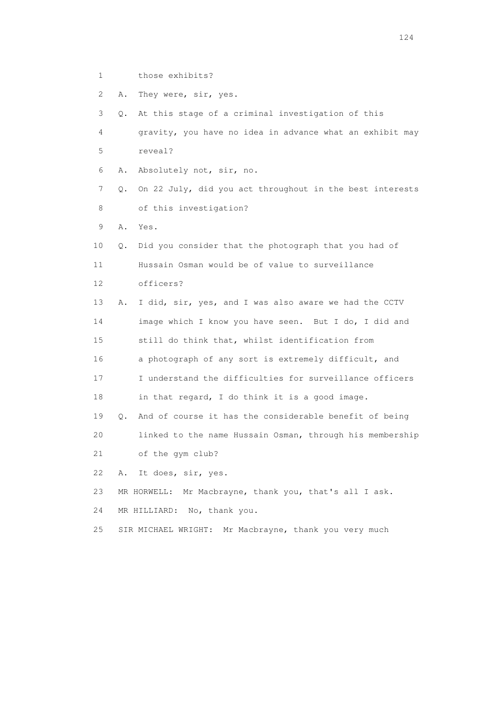- 1 those exhibits?
- 2 A. They were, sir, yes.

 3 Q. At this stage of a criminal investigation of this 4 gravity, you have no idea in advance what an exhibit may 5 reveal? 6 A. Absolutely not, sir, no. 7 Q. On 22 July, did you act throughout in the best interests 8 of this investigation? 9 A. Yes. 10 Q. Did you consider that the photograph that you had of 11 Hussain Osman would be of value to surveillance 12 officers? 13 A. I did, sir, yes, and I was also aware we had the CCTV 14 image which I know you have seen. But I do, I did and 15 still do think that, whilst identification from 16 a photograph of any sort is extremely difficult, and 17 I understand the difficulties for surveillance officers 18 in that regard, I do think it is a good image. 19 Q. And of course it has the considerable benefit of being 20 linked to the name Hussain Osman, through his membership 21 of the gym club? 22 A. It does, sir, yes. 23 MR HORWELL: Mr Macbrayne, thank you, that's all I ask. 24 MR HILLIARD: No, thank you. 25 SIR MICHAEL WRIGHT: Mr Macbrayne, thank you very much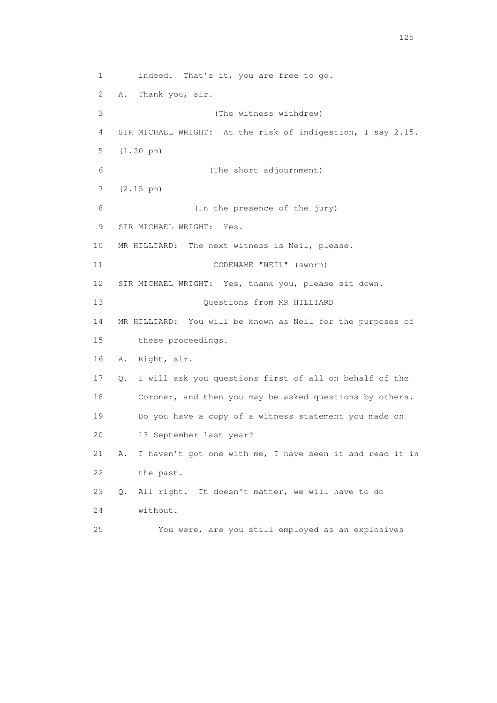1 indeed. That's it, you are free to go. 2 A. Thank you, sir. 3 (The witness withdrew) 4 SIR MICHAEL WRIGHT: At the risk of indigestion, I say 2.15. 5 (1.30 pm) 6 (The short adjournment) 7 (2.15 pm) 8 (In the presence of the jury) 9 SIR MICHAEL WRIGHT: Yes. 10 MR HILLIARD: The next witness is Neil, please. 11 CODENAME "NEIL" (sworn) 12 SIR MICHAEL WRIGHT: Yes, thank you, please sit down. 13 Ouestions from MR HILLIARD 14 MR HILLIARD: You will be known as Neil for the purposes of 15 these proceedings. 16 A. Right, sir. 17 Q. I will ask you questions first of all on behalf of the 18 Coroner, and then you may be asked questions by others. 19 Do you have a copy of a witness statement you made on 20 13 September last year? 21 A. I haven't got one with me, I have seen it and read it in 22 the past. 23 Q. All right. It doesn't matter, we will have to do 24 without. 25 You were, are you still employed as an explosives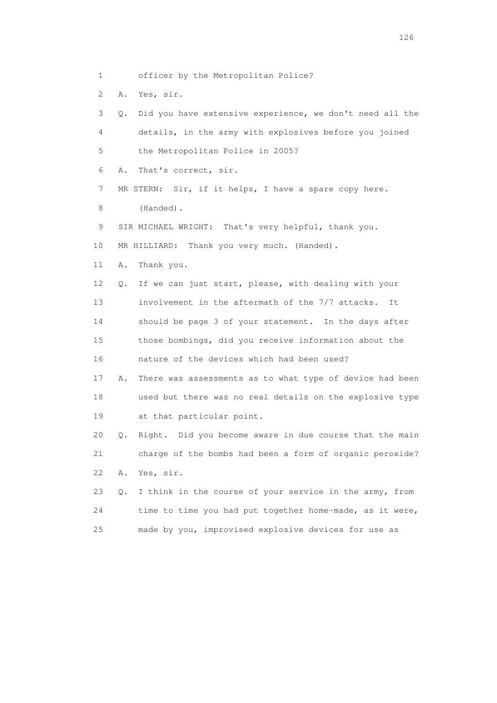1 officer by the Metropolitan Police?

2 A. Yes, sir.

 3 Q. Did you have extensive experience, we don't need all the 4 details, in the army with explosives before you joined 5 the Metropolitan Police in 2005? 6 A. That's correct, sir. 7 MR STERN: Sir, if it helps, I have a spare copy here. 8 (Handed). 9 SIR MICHAEL WRIGHT: That's very helpful, thank you. 10 MR HILLIARD: Thank you very much. (Handed). 11 A. Thank you. 12 Q. If we can just start, please, with dealing with your 13 involvement in the aftermath of the 7/7 attacks. It 14 should be page 3 of your statement. In the days after 15 those bombings, did you receive information about the 16 nature of the devices which had been used? 17 A. There was assessments as to what type of device had been 18 used but there was no real details on the explosive type 19 at that particular point. 20 Q. Right. Did you become aware in due course that the main 21 charge of the bombs had been a form of organic peroxide? 22 A. Yes, sir. 23 Q. I think in the course of your service in the army, from 24 time to time you had put together home-made, as it were, 25 made by you, improvised explosive devices for use as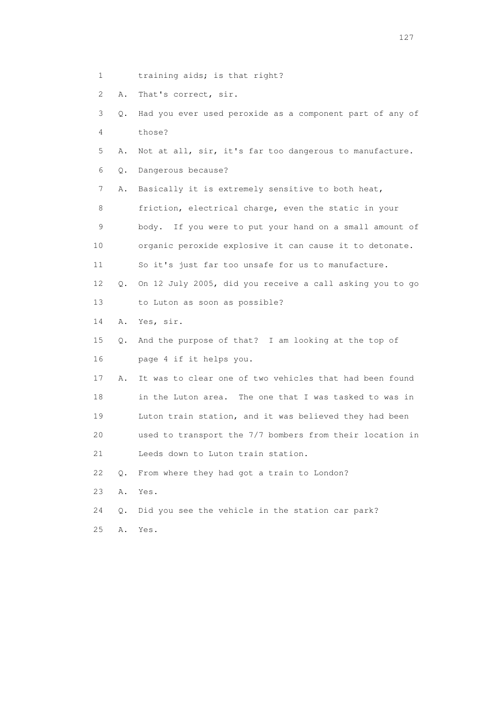1 training aids; is that right?

2 A. That's correct, sir.

|  |          |  |  | 3 0. Had you ever used peroxide as a component part of any of |  |  |
|--|----------|--|--|---------------------------------------------------------------|--|--|
|  | 4 those? |  |  |                                                               |  |  |

5 A. Not at all, sir, it's far too dangerous to manufacture.

6 Q. Dangerous because?

7 A. Basically it is extremely sensitive to both heat,

 8 friction, electrical charge, even the static in your 9 body. If you were to put your hand on a small amount of 10 organic peroxide explosive it can cause it to detonate. 11 So it's just far too unsafe for us to manufacture.

 12 Q. On 12 July 2005, did you receive a call asking you to go 13 to Luton as soon as possible?

14 A. Yes, sir.

 15 Q. And the purpose of that? I am looking at the top of 16 page 4 if it helps you.

 17 A. It was to clear one of two vehicles that had been found 18 in the Luton area. The one that I was tasked to was in 19 Luton train station, and it was believed they had been 20 used to transport the 7/7 bombers from their location in 21 Leeds down to Luton train station.

22 Q. From where they had got a train to London?

23 A. Yes.

24 Q. Did you see the vehicle in the station car park?

25 A. Yes.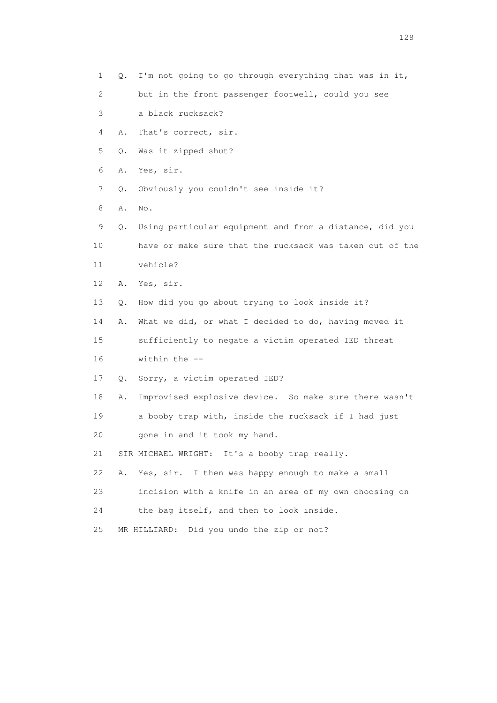1 Q. I'm not going to go through everything that was in it, 2 but in the front passenger footwell, could you see 3 a black rucksack? 4 A. That's correct, sir. 5 Q. Was it zipped shut? 6 A. Yes, sir. 7 Q. Obviously you couldn't see inside it? 8 A. No. 9 Q. Using particular equipment and from a distance, did you 10 have or make sure that the rucksack was taken out of the 11 vehicle? 12 A. Yes, sir. 13 Q. How did you go about trying to look inside it? 14 A. What we did, or what I decided to do, having moved it 15 sufficiently to negate a victim operated IED threat 16 within the -- 17 Q. Sorry, a victim operated IED? 18 A. Improvised explosive device. So make sure there wasn't 19 a booby trap with, inside the rucksack if I had just 20 gone in and it took my hand. 21 SIR MICHAEL WRIGHT: It's a booby trap really. 22 A. Yes, sir. I then was happy enough to make a small 23 incision with a knife in an area of my own choosing on 24 the bag itself, and then to look inside. 25 MR HILLIARD: Did you undo the zip or not?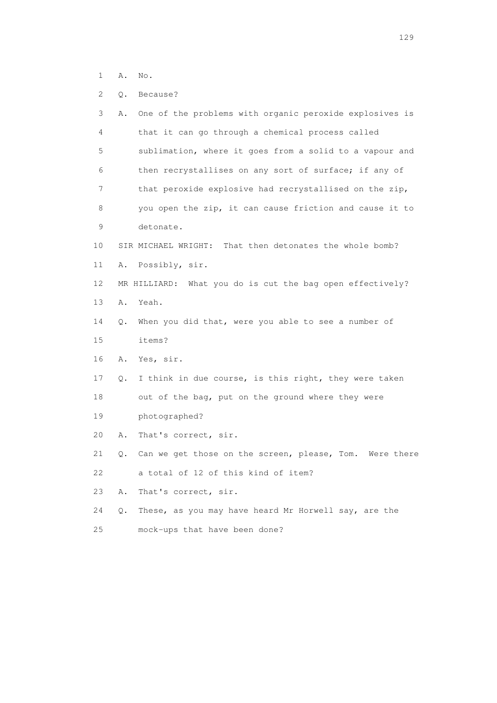- 1 A. No.
- 2 Q. Because?

| 3  | Α. | One of the problems with organic peroxide explosives is   |
|----|----|-----------------------------------------------------------|
| 4  |    | that it can go through a chemical process called          |
| 5  |    | sublimation, where it goes from a solid to a vapour and   |
| 6  |    | then recrystallises on any sort of surface; if any of     |
| 7  |    | that peroxide explosive had recrystallised on the zip,    |
| 8  |    | you open the zip, it can cause friction and cause it to   |
| 9  |    | detonate.                                                 |
| 10 |    | SIR MICHAEL WRIGHT: That then detonates the whole bomb?   |
| 11 | Α. | Possibly, sir.                                            |
| 12 |    | MR HILLIARD: What you do is cut the bag open effectively? |
| 13 | Α. | Yeah.                                                     |
| 14 | Q. | When you did that, were you able to see a number of       |
| 15 |    | items?                                                    |
| 16 | Α. | Yes, sir.                                                 |
| 17 | Q. | I think in due course, is this right, they were taken     |
| 18 |    | out of the bag, put on the ground where they were         |
| 19 |    | photographed?                                             |
| 20 | Α. | That's correct, sir.                                      |
| 21 | Q. | Can we get those on the screen, please, Tom. Were there   |
| 22 |    | a total of 12 of this kind of item?                       |
| 23 | Α. | That's correct, sir.                                      |
| 24 | Q. | These, as you may have heard Mr Horwell say, are the      |
| 25 |    | mock-ups that have been done?                             |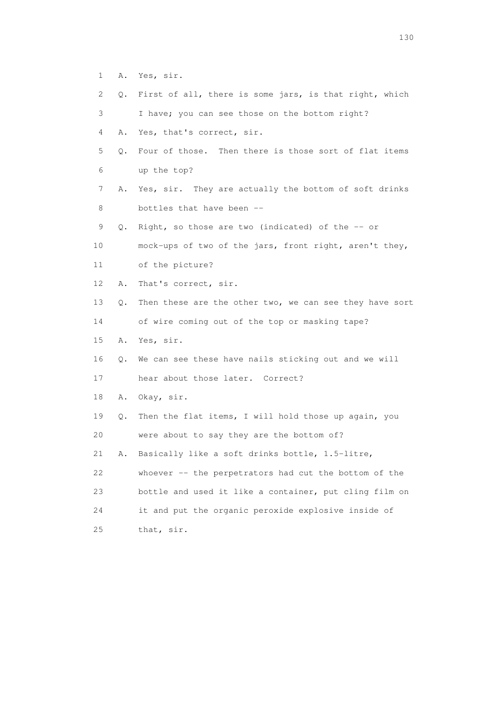- 1 A. Yes, sir.
- 2 Q. First of all, there is some jars, is that right, which
- 3 I have; you can see those on the bottom right?
- 4 A. Yes, that's correct, sir.
- 5 Q. Four of those. Then there is those sort of flat items 6 up the top?
- 7 A. Yes, sir. They are actually the bottom of soft drinks 8 bottles that have been --
- 9 Q. Right, so those are two (indicated) of the -- or
- 10 mock-ups of two of the jars, front right, aren't they,
- 11 of the picture?
- 12 A. That's correct, sir.
- 13 Q. Then these are the other two, we can see they have sort
- 14 of wire coming out of the top or masking tape?
- 15 A. Yes, sir.
- 16 Q. We can see these have nails sticking out and we will
- 17 hear about those later. Correct?
- 18 A. Okay, sir.
- 19 Q. Then the flat items, I will hold those up again, you 20 were about to say they are the bottom of?
- 21 A. Basically like a soft drinks bottle, 1.5-litre,
- 22 whoever -- the perpetrators had cut the bottom of the 23 bottle and used it like a container, put cling film on 24 it and put the organic peroxide explosive inside of 25 that, sir.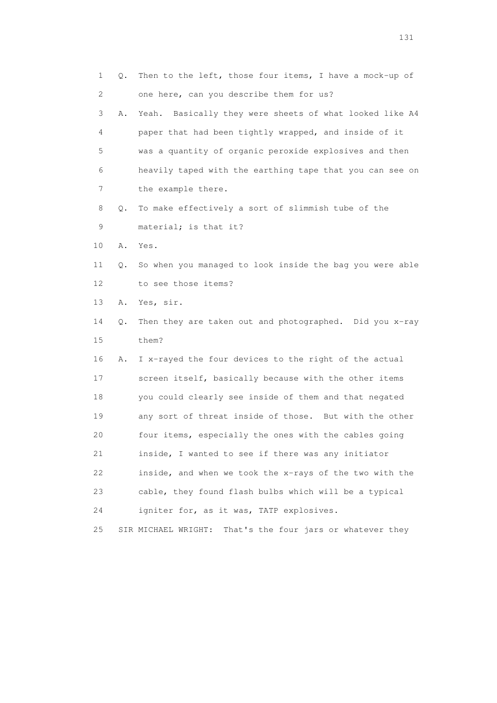| 1  | Q. | Then to the left, those four items, I have a mock-up of      |
|----|----|--------------------------------------------------------------|
| 2  |    | one here, can you describe them for us?                      |
| 3  | Α. | Basically they were sheets of what looked like A4<br>Yeah.   |
| 4  |    | paper that had been tightly wrapped, and inside of it        |
| 5  |    | was a quantity of organic peroxide explosives and then       |
| 6  |    | heavily taped with the earthing tape that you can see on     |
| 7  |    | the example there.                                           |
| 8  | Q. | To make effectively a sort of slimmish tube of the           |
| 9  |    | material; is that it?                                        |
| 10 | Α. | Yes.                                                         |
| 11 | Q. | So when you managed to look inside the bag you were able     |
| 12 |    | to see those items?                                          |
| 13 | Α. | Yes, sir.                                                    |
| 14 | Q. | Then they are taken out and photographed. Did you x-ray      |
| 15 |    | them?                                                        |
| 16 | Α. | I x-rayed the four devices to the right of the actual        |
| 17 |    | screen itself, basically because with the other items        |
| 18 |    | you could clearly see inside of them and that negated        |
| 19 |    | any sort of threat inside of those. But with the other       |
| 20 |    | four items, especially the ones with the cables going        |
| 21 |    | inside, I wanted to see if there was any initiator           |
| 22 |    | inside, and when we took the x-rays of the two with the      |
| 23 |    | cable, they found flash bulbs which will be a typical        |
| 24 |    | igniter for, as it was, TATP explosives.                     |
| 25 |    | SIR MICHAEL WRIGHT:<br>That's the four jars or whatever they |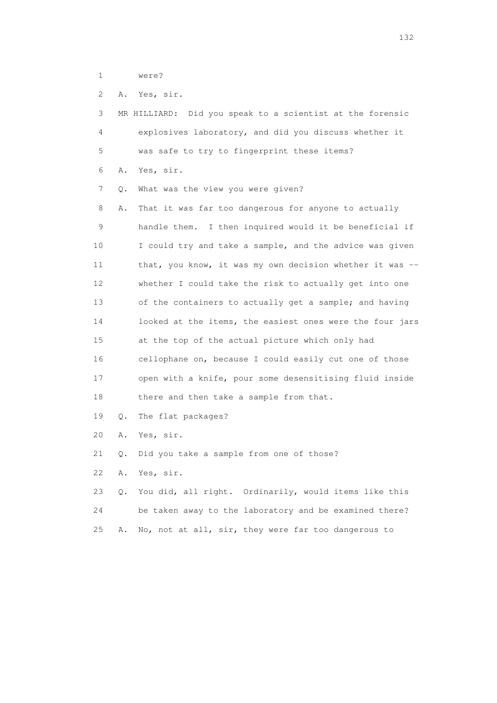1 were?

2 A. Yes, sir.

 3 MR HILLIARD: Did you speak to a scientist at the forensic 4 explosives laboratory, and did you discuss whether it 5 was safe to try to fingerprint these items? 6 A. Yes, sir. 7 Q. What was the view you were given? 8 A. That it was far too dangerous for anyone to actually 9 handle them. I then inquired would it be beneficial if 10 I could try and take a sample, and the advice was given 11 that, you know, it was my own decision whether it was -- 12 whether I could take the risk to actually get into one 13 of the containers to actually get a sample; and having 14 looked at the items, the easiest ones were the four jars 15 at the top of the actual picture which only had 16 cellophane on, because I could easily cut one of those 17 open with a knife, pour some desensitising fluid inside 18 there and then take a sample from that. 19 Q. The flat packages? 20 A. Yes, sir. 21 Q. Did you take a sample from one of those? 22 A. Yes, sir. 23 Q. You did, all right. Ordinarily, would items like this

 24 be taken away to the laboratory and be examined there? 25 A. No, not at all, sir, they were far too dangerous to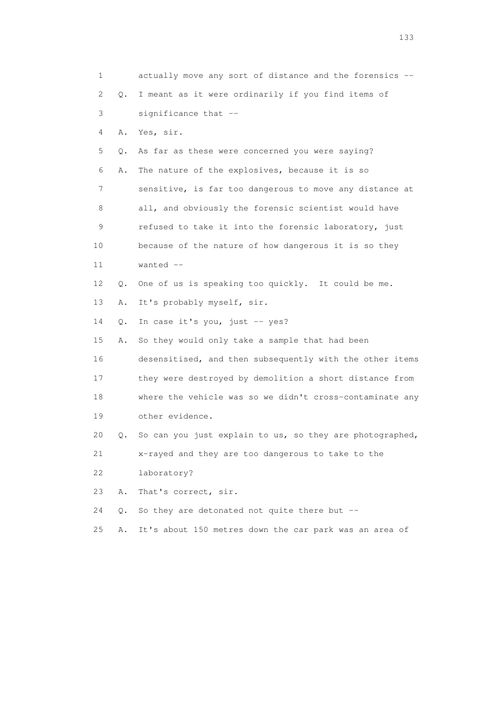| 1              |    | actually move any sort of distance and the forensics --  |
|----------------|----|----------------------------------------------------------|
| $\overline{c}$ | Q. | I meant as it were ordinarily if you find items of       |
| 3              |    | significance that --                                     |
| 4              | Α. | Yes, sir.                                                |
| 5              | Q. | As far as these were concerned you were saying?          |
| 6              | Α. | The nature of the explosives, because it is so           |
| 7              |    | sensitive, is far too dangerous to move any distance at  |
| 8              |    | all, and obviously the forensic scientist would have     |
| 9              |    | refused to take it into the forensic laboratory, just    |
| 10             |    | because of the nature of how dangerous it is so they     |
| 11             |    | wanted --                                                |
| 12             | Q. | One of us is speaking too quickly. It could be me.       |
| 13             | Α. | It's probably myself, sir.                               |
| 14             | Q. | In case it's you, just -- yes?                           |
| 15             | Α. | So they would only take a sample that had been           |
| 16             |    | desensitised, and then subsequently with the other items |
| 17             |    | they were destroyed by demolition a short distance from  |
| 18             |    | where the vehicle was so we didn't cross-contaminate any |
| 19             |    | other evidence.                                          |
| 20             | Q. | So can you just explain to us, so they are photographed, |
| 21             |    | x-rayed and they are too dangerous to take to the        |
| 22             |    | laboratory?                                              |
| 23             | Α. | That's correct, sir.                                     |
| 24             | Q. | So they are detonated not quite there but --             |
| 25             | Α. | It's about 150 metres down the car park was an area of   |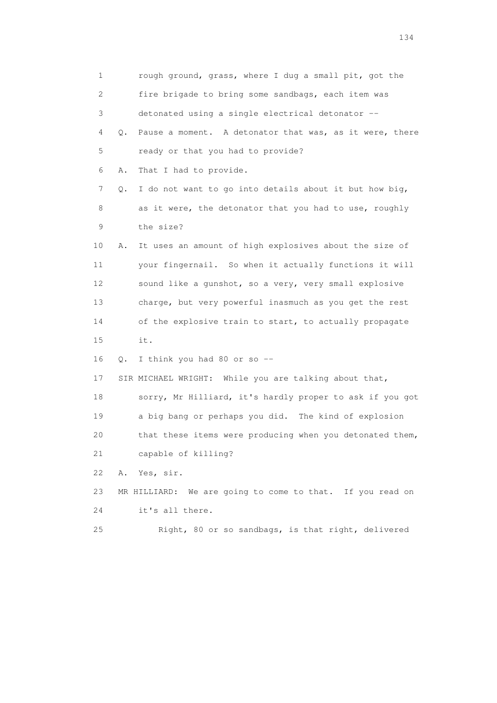1 rough ground, grass, where I dug a small pit, got the 2 fire brigade to bring some sandbags, each item was 3 detonated using a single electrical detonator -- 4 Q. Pause a moment. A detonator that was, as it were, there 5 ready or that you had to provide? 6 A. That I had to provide. 7 Q. I do not want to go into details about it but how big, 8 as it were, the detonator that you had to use, roughly 9 the size? 10 A. It uses an amount of high explosives about the size of 11 your fingernail. So when it actually functions it will 12 sound like a gunshot, so a very, very small explosive 13 charge, but very powerful inasmuch as you get the rest 14 of the explosive train to start, to actually propagate 15 it. 16 Q. I think you had 80 or so -- 17 SIR MICHAEL WRIGHT: While you are talking about that, 18 sorry, Mr Hilliard, it's hardly proper to ask if you got 19 a big bang or perhaps you did. The kind of explosion 20 that these items were producing when you detonated them, 21 capable of killing? 22 A. Yes, sir. 23 MR HILLIARD: We are going to come to that. If you read on 24 it's all there. 25 Right, 80 or so sandbags, is that right, delivered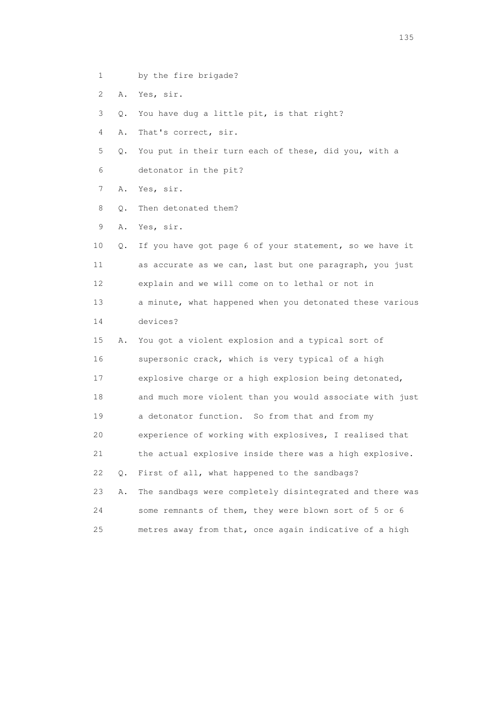- 1 by the fire brigade?
- 2 A. Yes, sir.

3 Q. You have dug a little pit, is that right?

- 4 A. That's correct, sir.
- 5 Q. You put in their turn each of these, did you, with a 6 detonator in the pit?

7 A. Yes, sir.

- 8 O. Then detonated them?
- 9 A. Yes, sir.
- 10 Q. If you have got page 6 of your statement, so we have it 11 as accurate as we can, last but one paragraph, you just 12 explain and we will come on to lethal or not in 13 a minute, what happened when you detonated these various 14 devices?
- 15 A. You got a violent explosion and a typical sort of 16 supersonic crack, which is very typical of a high 17 explosive charge or a high explosion being detonated, 18 and much more violent than you would associate with just 19 a detonator function. So from that and from my 20 experience of working with explosives, I realised that 21 the actual explosive inside there was a high explosive. 22 Q. First of all, what happened to the sandbags? 23 A. The sandbags were completely disintegrated and there was 24 some remnants of them, they were blown sort of 5 or 6 25 metres away from that, once again indicative of a high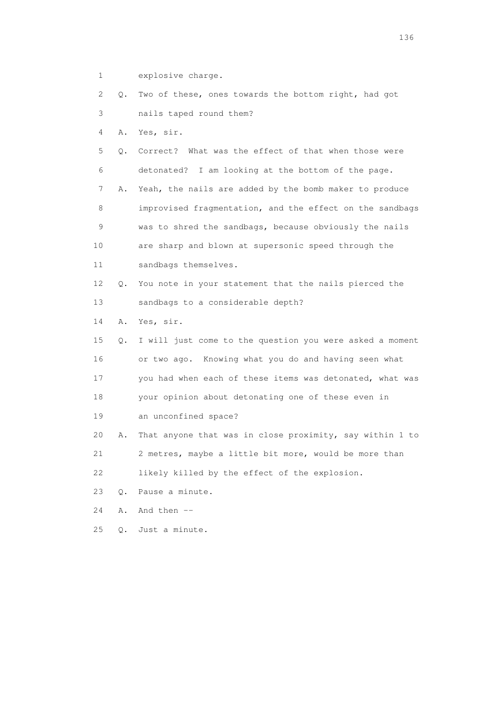1 explosive charge.

 2 Q. Two of these, ones towards the bottom right, had got 3 nails taped round them?

4 A. Yes, sir.

 5 Q. Correct? What was the effect of that when those were 6 detonated? I am looking at the bottom of the page. 7 A. Yeah, the nails are added by the bomb maker to produce 8 improvised fragmentation, and the effect on the sandbags 9 was to shred the sandbags, because obviously the nails 10 are sharp and blown at supersonic speed through the 11 sandbags themselves. 12 Q. You note in your statement that the nails pierced the 13 sandbags to a considerable depth? 14 A. Yes, sir. 15 Q. I will just come to the question you were asked a moment 16 or two ago. Knowing what you do and having seen what 17 you had when each of these items was detonated, what was 18 your opinion about detonating one of these even in

19 an unconfined space?

 20 A. That anyone that was in close proximity, say within 1 to 21 2 metres, maybe a little bit more, would be more than 22 likely killed by the effect of the explosion.

23 Q. Pause a minute.

24 A. And then --

25 Q. Just a minute.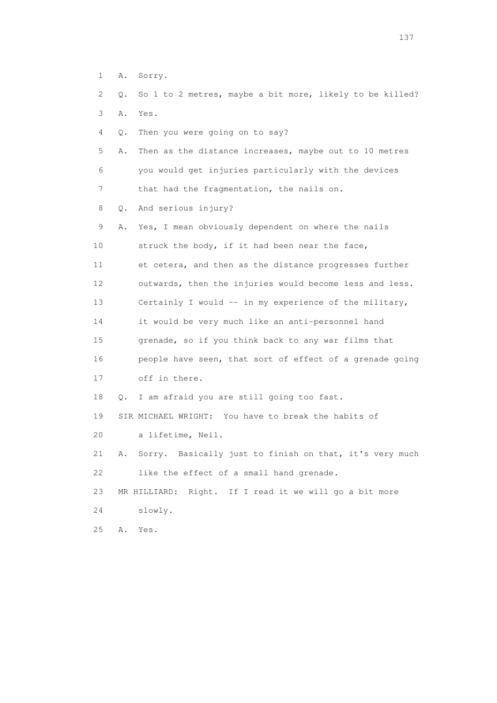1 A. Sorry. 2 Q. So 1 to 2 metres, maybe a bit more, likely to be killed? 3 A. Yes. 4 Q. Then you were going on to say? 5 A. Then as the distance increases, maybe out to 10 metres 6 you would get injuries particularly with the devices 7 that had the fragmentation, the nails on. 8 Q. And serious injury? 9 A. Yes, I mean obviously dependent on where the nails 10 struck the body, if it had been near the face, 11 et cetera, and then as the distance progresses further 12 outwards, then the injuries would become less and less. 13 Certainly I would -- in my experience of the military, 14 it would be very much like an anti-personnel hand 15 grenade, so if you think back to any war films that 16 people have seen, that sort of effect of a grenade going 17 off in there. 18 Q. I am afraid you are still going too fast. 19 SIR MICHAEL WRIGHT: You have to break the habits of 20 a lifetime, Neil. 21 A. Sorry. Basically just to finish on that, it's very much 22 like the effect of a small hand grenade. 23 MR HILLIARD: Right. If I read it we will go a bit more 24 slowly. 25 A. Yes.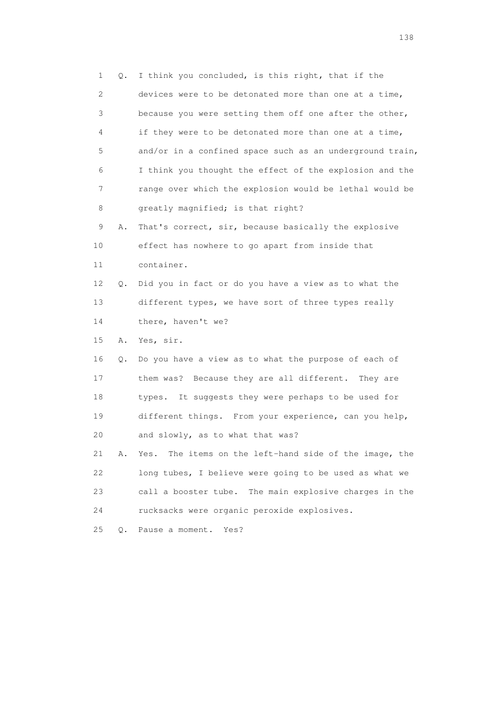1 Q. I think you concluded, is this right, that if the 2 devices were to be detonated more than one at a time, 3 because you were setting them off one after the other, 4 if they were to be detonated more than one at a time, 5 and/or in a confined space such as an underground train, 6 I think you thought the effect of the explosion and the 7 range over which the explosion would be lethal would be 8 greatly magnified; is that right? 9 A. That's correct, sir, because basically the explosive 10 effect has nowhere to go apart from inside that 11 container. 12 Q. Did you in fact or do you have a view as to what the 13 different types, we have sort of three types really 14 there, haven't we? 15 A. Yes, sir. 16 Q. Do you have a view as to what the purpose of each of 17 them was? Because they are all different. They are 18 types. It suggests they were perhaps to be used for 19 different things. From your experience, can you help, 20 and slowly, as to what that was? 21 A. Yes. The items on the left-hand side of the image, the 22 long tubes, I believe were going to be used as what we 23 call a booster tube. The main explosive charges in the 24 rucksacks were organic peroxide explosives. 25 Q. Pause a moment. Yes?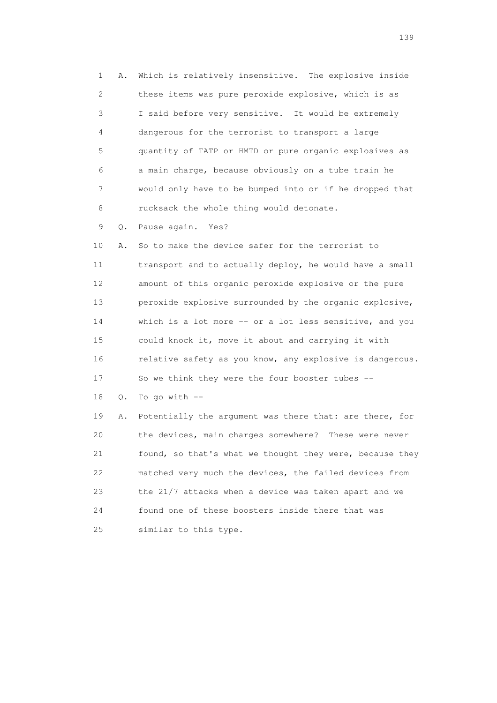1 A. Which is relatively insensitive. The explosive inside 2 these items was pure peroxide explosive, which is as 3 I said before very sensitive. It would be extremely 4 dangerous for the terrorist to transport a large 5 quantity of TATP or HMTD or pure organic explosives as 6 a main charge, because obviously on a tube train he 7 would only have to be bumped into or if he dropped that 8 rucksack the whole thing would detonate.

9 Q. Pause again. Yes?

 10 A. So to make the device safer for the terrorist to 11 transport and to actually deploy, he would have a small 12 amount of this organic peroxide explosive or the pure 13 peroxide explosive surrounded by the organic explosive, 14 which is a lot more -- or a lot less sensitive, and you 15 could knock it, move it about and carrying it with 16 relative safety as you know, any explosive is dangerous. 17 So we think they were the four booster tubes --

18 Q. To go with --

 19 A. Potentially the argument was there that: are there, for 20 the devices, main charges somewhere? These were never 21 found, so that's what we thought they were, because they 22 matched very much the devices, the failed devices from 23 the 21/7 attacks when a device was taken apart and we 24 found one of these boosters inside there that was 25 similar to this type.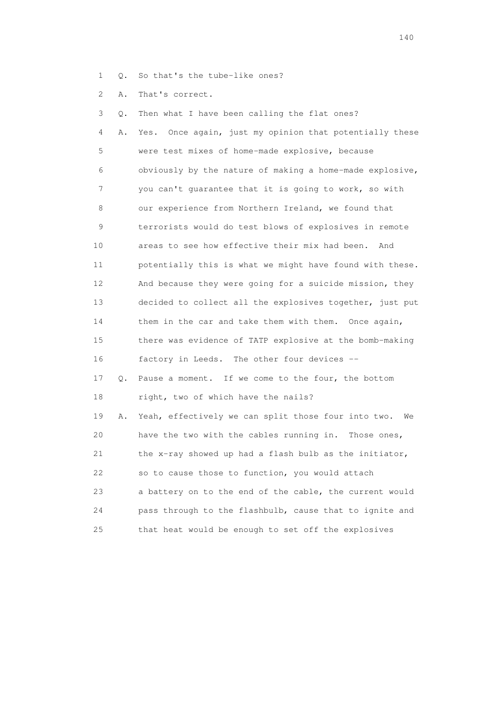- 1 Q. So that's the tube-like ones?
- 2 A. That's correct.

 3 Q. Then what I have been calling the flat ones? 4 A. Yes. Once again, just my opinion that potentially these 5 were test mixes of home-made explosive, because 6 obviously by the nature of making a home-made explosive, 7 you can't guarantee that it is going to work, so with 8 our experience from Northern Ireland, we found that 9 terrorists would do test blows of explosives in remote 10 areas to see how effective their mix had been. And 11 potentially this is what we might have found with these. 12 And because they were going for a suicide mission, they 13 decided to collect all the explosives together, just put 14 them in the car and take them with them. Once again, 15 there was evidence of TATP explosive at the bomb-making 16 factory in Leeds. The other four devices -- 17 Q. Pause a moment. If we come to the four, the bottom 18 right, two of which have the nails? 19 A. Yeah, effectively we can split those four into two. We 20 have the two with the cables running in. Those ones, 21 the x-ray showed up had a flash bulb as the initiator, 22 so to cause those to function, you would attach 23 a battery on to the end of the cable, the current would 24 pass through to the flashbulb, cause that to ignite and 25 that heat would be enough to set off the explosives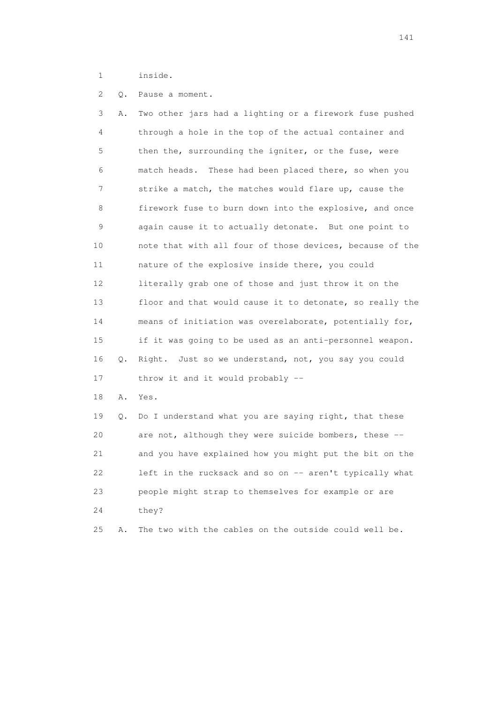1 inside.

2 Q. Pause a moment.

 3 A. Two other jars had a lighting or a firework fuse pushed 4 through a hole in the top of the actual container and 5 then the, surrounding the igniter, or the fuse, were 6 match heads. These had been placed there, so when you 7 strike a match, the matches would flare up, cause the 8 firework fuse to burn down into the explosive, and once 9 again cause it to actually detonate. But one point to 10 note that with all four of those devices, because of the 11 nature of the explosive inside there, you could 12 literally grab one of those and just throw it on the 13 floor and that would cause it to detonate, so really the 14 means of initiation was overelaborate, potentially for, 15 if it was going to be used as an anti-personnel weapon. 16 Q. Right. Just so we understand, not, you say you could 17 throw it and it would probably --

18 A. Yes.

 19 Q. Do I understand what you are saying right, that these 20 are not, although they were suicide bombers, these -- 21 and you have explained how you might put the bit on the 22 left in the rucksack and so on -- aren't typically what 23 people might strap to themselves for example or are 24 they?

25 A. The two with the cables on the outside could well be.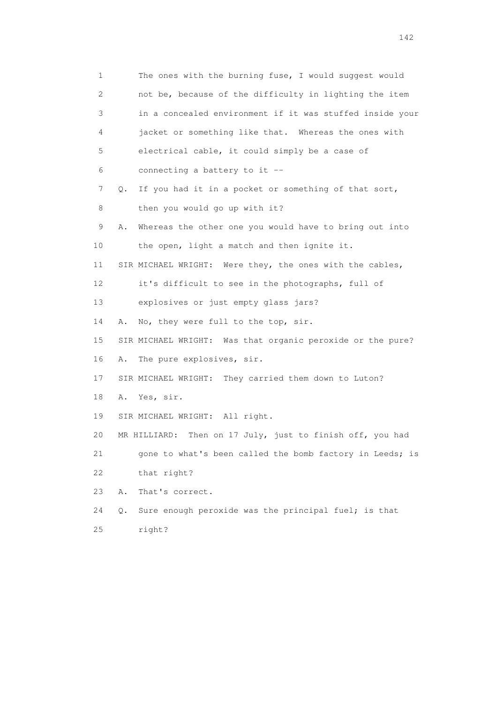1 The ones with the burning fuse, I would suggest would 2 not be, because of the difficulty in lighting the item 3 in a concealed environment if it was stuffed inside your 4 jacket or something like that. Whereas the ones with 5 electrical cable, it could simply be a case of 6 connecting a battery to it -- 7 Q. If you had it in a pocket or something of that sort, 8 then you would go up with it? 9 A. Whereas the other one you would have to bring out into 10 the open, light a match and then ignite it. 11 SIR MICHAEL WRIGHT: Were they, the ones with the cables, 12 it's difficult to see in the photographs, full of 13 explosives or just empty glass jars? 14 A. No, they were full to the top, sir. 15 SIR MICHAEL WRIGHT: Was that organic peroxide or the pure? 16 A. The pure explosives, sir. 17 SIR MICHAEL WRIGHT: They carried them down to Luton? 18 A. Yes, sir. 19 SIR MICHAEL WRIGHT: All right. 20 MR HILLIARD: Then on 17 July, just to finish off, you had 21 gone to what's been called the bomb factory in Leeds; is 22 that right? 23 A. That's correct. 24 Q. Sure enough peroxide was the principal fuel; is that 25 right?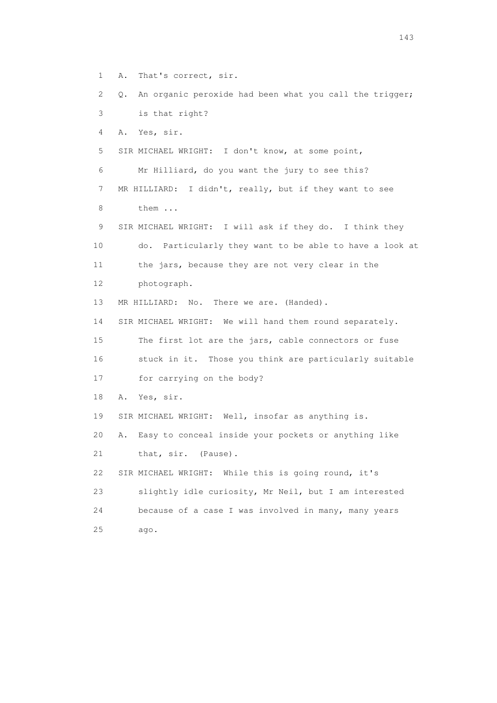1 A. That's correct, sir.

 2 Q. An organic peroxide had been what you call the trigger; 3 is that right?

4 A. Yes, sir.

5 SIR MICHAEL WRIGHT: I don't know, at some point,

6 Mr Hilliard, do you want the jury to see this?

 7 MR HILLIARD: I didn't, really, but if they want to see 8 them ...

 9 SIR MICHAEL WRIGHT: I will ask if they do. I think they 10 do. Particularly they want to be able to have a look at 11 the jars, because they are not very clear in the 12 photograph.

13 MR HILLIARD: No. There we are. (Handed).

14 SIR MICHAEL WRIGHT: We will hand them round separately.

 15 The first lot are the jars, cable connectors or fuse 16 stuck in it. Those you think are particularly suitable

17 for carrying on the body?

18 A. Yes, sir.

19 SIR MICHAEL WRIGHT: Well, insofar as anything is.

20 A. Easy to conceal inside your pockets or anything like

21 that, sir. (Pause).

22 SIR MICHAEL WRIGHT: While this is going round, it's

 23 slightly idle curiosity, Mr Neil, but I am interested 24 because of a case I was involved in many, many years 25 ago.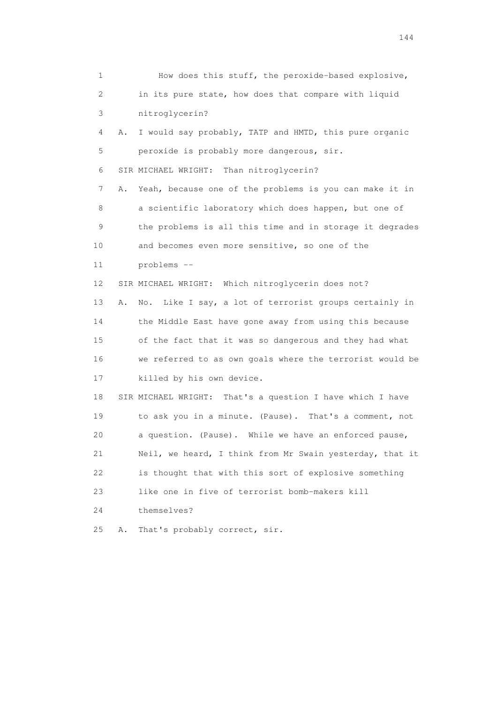| 1                         | How does this stuff, the peroxide-based explosive,                              |
|---------------------------|---------------------------------------------------------------------------------|
| $\mathbf{2}^{\mathsf{I}}$ | in its pure state, how does that compare with liquid                            |
| 3                         | nitroglycerin?                                                                  |
| 4                         | I would say probably, TATP and HMTD, this pure organic<br>Α.                    |
| 5                         | peroxide is probably more dangerous, sir.                                       |
| 6                         | SIR MICHAEL WRIGHT:<br>Than nitroglycerin?                                      |
| 7                         | Yeah, because one of the problems is you can make it in<br>Α.                   |
| 8                         | a scientific laboratory which does happen, but one of                           |
| 9                         | the problems is all this time and in storage it degrades                        |
| 10                        | and becomes even more sensitive, so one of the                                  |
| 11                        | problems --                                                                     |
| 12                        | SIR MICHAEL WRIGHT: Which nitroglycerin does not?                               |
| 13                        | Like I say, a lot of terrorist groups certainly in<br>Α.<br>$\mathbb N \circ$ . |
| 14                        | the Middle East have gone away from using this because                          |
| 15                        | of the fact that it was so dangerous and they had what                          |
| 16                        | we referred to as own goals where the terrorist would be                        |
| 17                        | killed by his own device.                                                       |
| 18                        | SIR MICHAEL WRIGHT: That's a question I have which I have                       |
| 19                        | to ask you in a minute. (Pause). That's a comment, not                          |
| 20                        | a question. (Pause). While we have an enforced pause,                           |
| 21                        | Neil, we heard, I think from Mr Swain yesterday, that it                        |
| 22                        | is thought that with this sort of explosive something                           |
| 23                        | like one in five of terrorist bomb-makers kill                                  |
| 24                        | themselves?                                                                     |
| 25                        | That's probably correct, sir.<br>Α.                                             |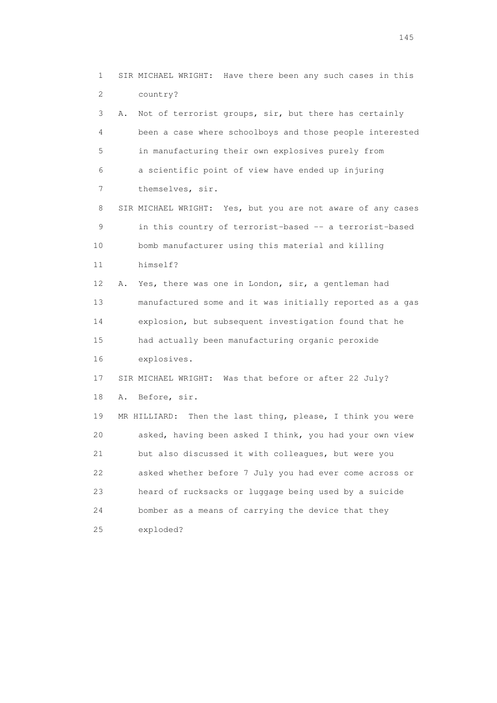1 SIR MICHAEL WRIGHT: Have there been any such cases in this 2 country? 3 A. Not of terrorist groups, sir, but there has certainly 4 been a case where schoolboys and those people interested 5 in manufacturing their own explosives purely from 6 a scientific point of view have ended up injuring 7 themselves, sir. 8 SIR MICHAEL WRIGHT: Yes, but you are not aware of any cases 9 in this country of terrorist-based -- a terrorist-based 10 bomb manufacturer using this material and killing 11 himself? 12 A. Yes, there was one in London, sir, a gentleman had 13 manufactured some and it was initially reported as a gas 14 explosion, but subsequent investigation found that he 15 had actually been manufacturing organic peroxide 16 explosives. 17 SIR MICHAEL WRIGHT: Was that before or after 22 July? 18 A. Before, sir. 19 MR HILLIARD: Then the last thing, please, I think you were 20 asked, having been asked I think, you had your own view 21 but also discussed it with colleagues, but were you 22 asked whether before 7 July you had ever come across or 23 heard of rucksacks or luggage being used by a suicide 24 bomber as a means of carrying the device that they 25 exploded?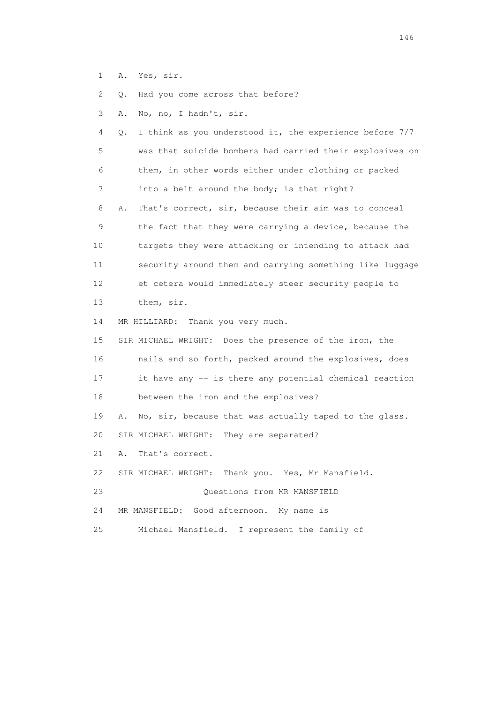1 A. Yes, sir.

2 Q. Had you come across that before?

3 A. No, no, I hadn't, sir.

 4 Q. I think as you understood it, the experience before 7/7 5 was that suicide bombers had carried their explosives on 6 them, in other words either under clothing or packed 7 into a belt around the body; is that right? 8 A. That's correct, sir, because their aim was to conceal 9 the fact that they were carrying a device, because the 10 targets they were attacking or intending to attack had 11 security around them and carrying something like luggage 12 et cetera would immediately steer security people to 13 them, sir. 14 MR HILLIARD: Thank you very much. 15 SIR MICHAEL WRIGHT: Does the presence of the iron, the 16 nails and so forth, packed around the explosives, does 17 it have any -- is there any potential chemical reaction 18 between the iron and the explosives? 19 A. No, sir, because that was actually taped to the glass. 20 SIR MICHAEL WRIGHT: They are separated? 21 A. That's correct. 22 SIR MICHAEL WRIGHT: Thank you. Yes, Mr Mansfield. 23 Questions from MR MANSFIELD 24 MR MANSFIELD: Good afternoon. My name is 25 Michael Mansfield. I represent the family of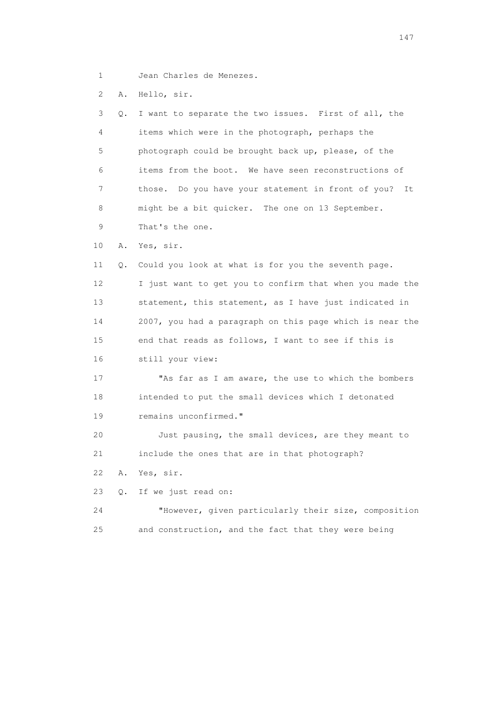1 Jean Charles de Menezes.

2 A. Hello, sir.

|                 | 3<br>Q. | I want to separate the two issues. First of all, the     |
|-----------------|---------|----------------------------------------------------------|
|                 | 4       | items which were in the photograph, perhaps the          |
|                 | 5       | photograph could be brought back up, please, of the      |
|                 | 6       | items from the boot. We have seen reconstructions of     |
|                 | 7       | those. Do you have your statement in front of you?<br>It |
|                 | 8       | might be a bit quicker. The one on 13 September.         |
|                 | 9       | That's the one.                                          |
| 10              | Α.      | Yes, sir.                                                |
| 11              | Q.      | Could you look at what is for you the seventh page.      |
| 12 <sup>°</sup> |         | I just want to get you to confirm that when you made the |
| 13              |         | statement, this statement, as I have just indicated in   |
| 14              |         | 2007, you had a paragraph on this page which is near the |
| 15              |         | end that reads as follows, I want to see if this is      |
| 16              |         | still your view:                                         |
| 17              |         | "As far as I am aware, the use to which the bombers      |
| 18              |         | intended to put the small devices which I detonated      |
| 19              |         | remains unconfirmed."                                    |
| 20              |         | Just pausing, the small devices, are they meant to       |
| 21              |         | include the ones that are in that photograph?            |
| 22              | Α.      | Yes, sir.                                                |
| 23              | Q.      | If we just read on:                                      |
| 24              |         | "However, given particularly their size, composition     |
| 25              |         | and construction, and the fact that they were being      |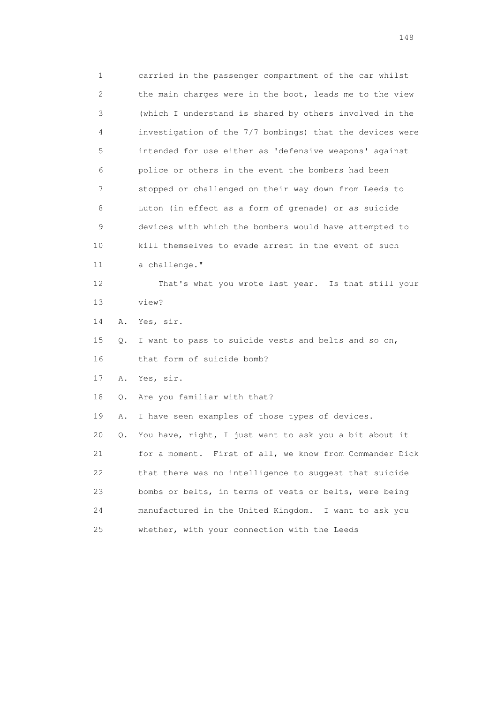1 carried in the passenger compartment of the car whilst 2 the main charges were in the boot, leads me to the view 3 (which I understand is shared by others involved in the 4 investigation of the 7/7 bombings) that the devices were 5 intended for use either as 'defensive weapons' against 6 police or others in the event the bombers had been 7 stopped or challenged on their way down from Leeds to 8 Luton (in effect as a form of grenade) or as suicide 9 devices with which the bombers would have attempted to 10 kill themselves to evade arrest in the event of such 11 a challenge." 12 That's what you wrote last year. Is that still your 13 view? 14 A. Yes, sir. 15 Q. I want to pass to suicide vests and belts and so on, 16 that form of suicide bomb? 17 A. Yes, sir. 18 Q. Are you familiar with that? 19 A. I have seen examples of those types of devices. 20 Q. You have, right, I just want to ask you a bit about it 21 for a moment. First of all, we know from Commander Dick 22 that there was no intelligence to suggest that suicide 23 bombs or belts, in terms of vests or belts, were being 24 manufactured in the United Kingdom. I want to ask you 25 whether, with your connection with the Leeds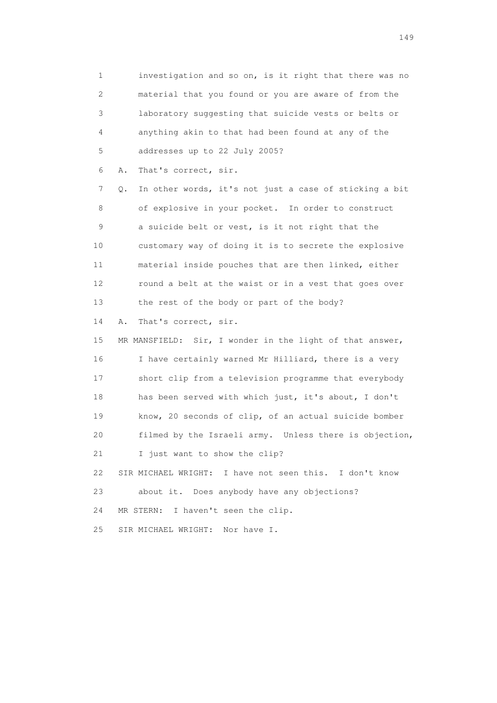1 investigation and so on, is it right that there was no 2 material that you found or you are aware of from the 3 laboratory suggesting that suicide vests or belts or 4 anything akin to that had been found at any of the 5 addresses up to 22 July 2005?

6 A. That's correct, sir.

 7 Q. In other words, it's not just a case of sticking a bit 8 of explosive in your pocket. In order to construct 9 a suicide belt or vest, is it not right that the 10 customary way of doing it is to secrete the explosive 11 material inside pouches that are then linked, either 12 round a belt at the waist or in a vest that goes over 13 the rest of the body or part of the body?

14 A. That's correct, sir.

 15 MR MANSFIELD: Sir, I wonder in the light of that answer, 16 I have certainly warned Mr Hilliard, there is a very 17 short clip from a television programme that everybody 18 has been served with which just, it's about, I don't 19 know, 20 seconds of clip, of an actual suicide bomber 20 filmed by the Israeli army. Unless there is objection, 21 I just want to show the clip? 22 SIR MICHAEL WRIGHT: I have not seen this. I don't know 23 about it. Does anybody have any objections?

24 MR STERN: I haven't seen the clip.

25 SIR MICHAEL WRIGHT: Nor have I.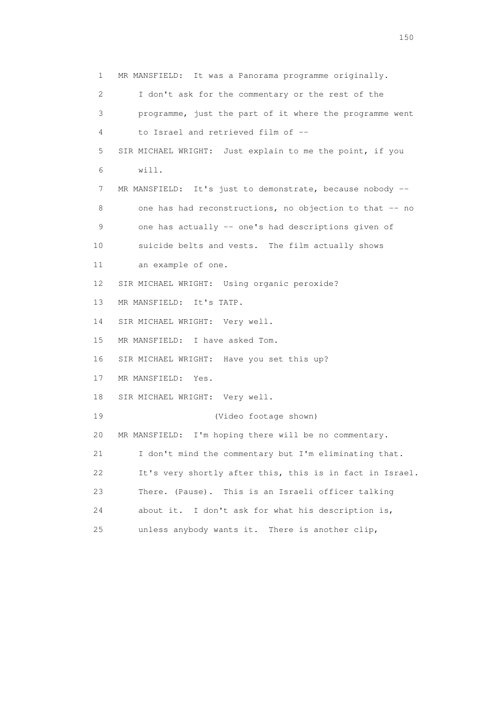1 MR MANSFIELD: It was a Panorama programme originally. 2 I don't ask for the commentary or the rest of the 3 programme, just the part of it where the programme went 4 to Israel and retrieved film of -- 5 SIR MICHAEL WRIGHT: Just explain to me the point, if you 6 will. 7 MR MANSFIELD: It's just to demonstrate, because nobody -- 8 one has had reconstructions, no objection to that -- no 9 one has actually -- one's had descriptions given of 10 suicide belts and vests. The film actually shows 11 an example of one. 12 SIR MICHAEL WRIGHT: Using organic peroxide? 13 MR MANSFIELD: It's TATP. 14 SIR MICHAEL WRIGHT: Very well. 15 MR MANSFIELD: I have asked Tom. 16 SIR MICHAEL WRIGHT: Have you set this up? 17 MR MANSFIELD: Yes. 18 SIR MICHAEL WRIGHT: Very well. 19 (Video footage shown) 20 MR MANSFIELD: I'm hoping there will be no commentary. 21 I don't mind the commentary but I'm eliminating that. 22 It's very shortly after this, this is in fact in Israel. 23 There. (Pause). This is an Israeli officer talking 24 about it. I don't ask for what his description is, 25 unless anybody wants it. There is another clip,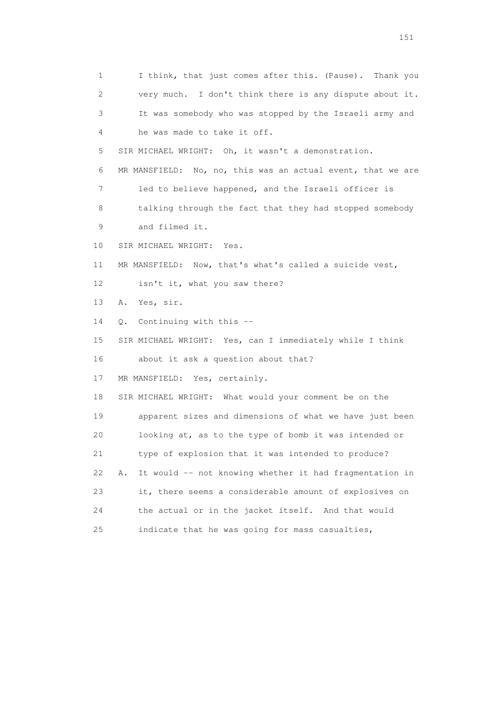1 I think, that just comes after this. (Pause). Thank you 2 very much. I don't think there is any dispute about it. 3 It was somebody who was stopped by the Israeli army and 4 he was made to take it off. 5 SIR MICHAEL WRIGHT: Oh, it wasn't a demonstration. 6 MR MANSFIELD: No, no, this was an actual event, that we are 7 led to believe happened, and the Israeli officer is 8 talking through the fact that they had stopped somebody 9 and filmed it. 10 SIR MICHAEL WRIGHT: Yes. 11 MR MANSFIELD: Now, that's what's called a suicide vest, 12 isn't it, what you saw there? 13 A. Yes, sir. 14 Q. Continuing with this -- 15 SIR MICHAEL WRIGHT: Yes, can I immediately while I think 16 about it ask a question about that? 17 MR MANSFIELD: Yes, certainly. 18 SIR MICHAEL WRIGHT: What would your comment be on the 19 apparent sizes and dimensions of what we have just been 20 looking at, as to the type of bomb it was intended or 21 type of explosion that it was intended to produce? 22 A. It would -- not knowing whether it had fragmentation in 23 it, there seems a considerable amount of explosives on 24 the actual or in the jacket itself. And that would 25 indicate that he was going for mass casualties,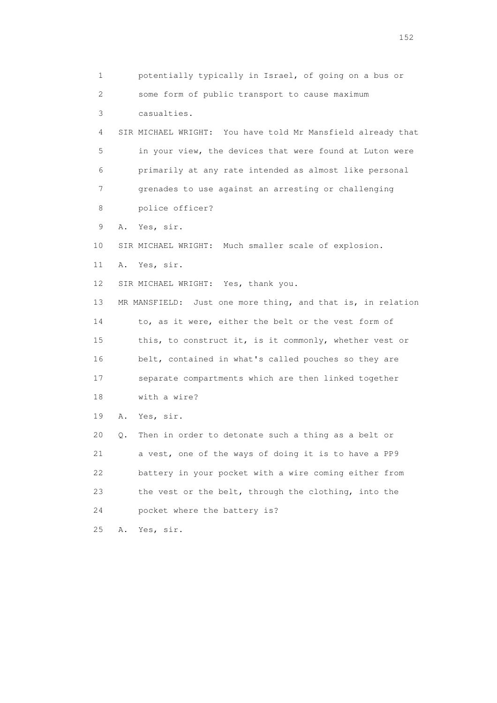1 potentially typically in Israel, of going on a bus or 2 some form of public transport to cause maximum 3 casualties. 4 SIR MICHAEL WRIGHT: You have told Mr Mansfield already that 5 in your view, the devices that were found at Luton were 6 primarily at any rate intended as almost like personal 7 grenades to use against an arresting or challenging 8 police officer? 9 A. Yes, sir. 10 SIR MICHAEL WRIGHT: Much smaller scale of explosion. 11 A. Yes, sir. 12 SIR MICHAEL WRIGHT: Yes, thank you. 13 MR MANSFIELD: Just one more thing, and that is, in relation 14 to, as it were, either the belt or the vest form of 15 this, to construct it, is it commonly, whether vest or 16 belt, contained in what's called pouches so they are 17 separate compartments which are then linked together 18 with a wire? 19 A. Yes, sir. 20 Q. Then in order to detonate such a thing as a belt or 21 a vest, one of the ways of doing it is to have a PP9 22 battery in your pocket with a wire coming either from 23 the vest or the belt, through the clothing, into the 24 pocket where the battery is? 25 A. Yes, sir.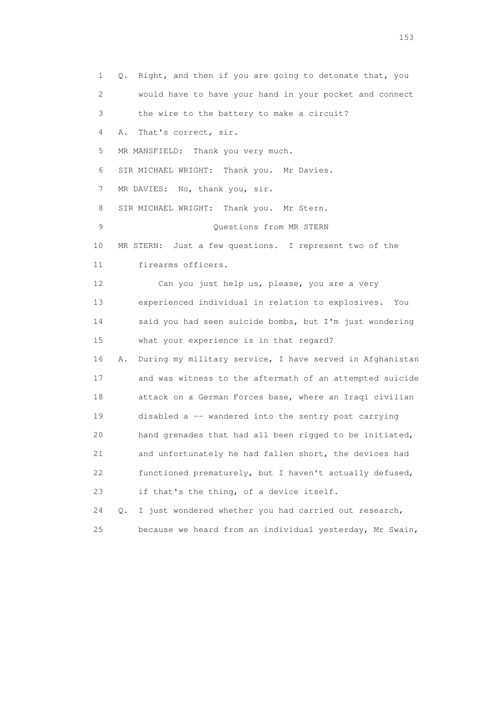1 Q. Right, and then if you are going to detonate that, you 2 would have to have your hand in your pocket and connect 3 the wire to the battery to make a circuit? 4 A. That's correct, sir. 5 MR MANSFIELD: Thank you very much. 6 SIR MICHAEL WRIGHT: Thank you. Mr Davies. 7 MR DAVIES: No, thank you, sir. 8 SIR MICHAEL WRIGHT: Thank you. Mr Stern. 9 Questions from MR STERN 10 MR STERN: Just a few questions. I represent two of the 11 firearms officers. 12 Can you just help us, please, you are a very 13 experienced individual in relation to explosives. You 14 said you had seen suicide bombs, but I'm just wondering 15 what your experience is in that regard? 16 A. During my military service, I have served in Afghanistan 17 and was witness to the aftermath of an attempted suicide 18 attack on a German Forces base, where an Iraqi civilian 19 disabled a -- wandered into the sentry post carrying 20 hand grenades that had all been rigged to be initiated, 21 and unfortunately he had fallen short, the devices had 22 functioned prematurely, but I haven't actually defused, 23 if that's the thing, of a device itself. 24 Q. I just wondered whether you had carried out research, 25 because we heard from an individual yesterday, Mr Swain,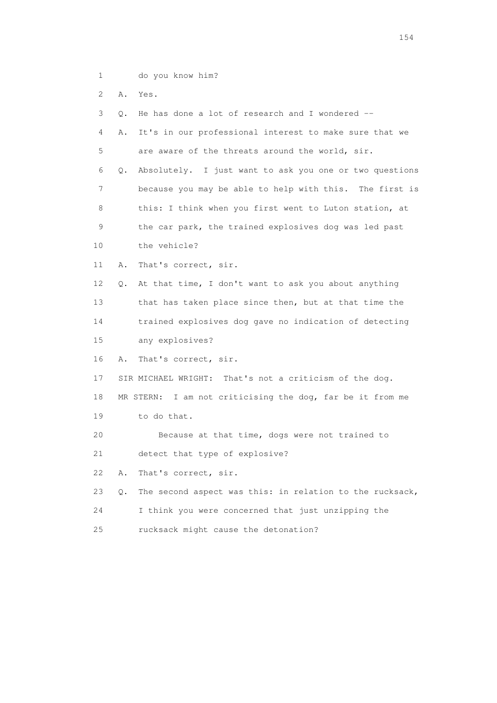2 A. Yes.

 3 Q. He has done a lot of research and I wondered -- 4 A. It's in our professional interest to make sure that we 5 are aware of the threats around the world, sir. 6 Q. Absolutely. I just want to ask you one or two questions 7 because you may be able to help with this. The first is 8 this: I think when you first went to Luton station, at 9 the car park, the trained explosives dog was led past 10 the vehicle? 11 A. That's correct, sir. 12 Q. At that time, I don't want to ask you about anything 13 that has taken place since then, but at that time the 14 trained explosives dog gave no indication of detecting 15 any explosives? 16 A. That's correct, sir. 17 SIR MICHAEL WRIGHT: That's not a criticism of the dog. 18 MR STERN: I am not criticising the dog, far be it from me 19 to do that. 20 Because at that time, dogs were not trained to 21 detect that type of explosive? 22 A. That's correct, sir. 23 Q. The second aspect was this: in relation to the rucksack, 24 I think you were concerned that just unzipping the 25 rucksack might cause the detonation?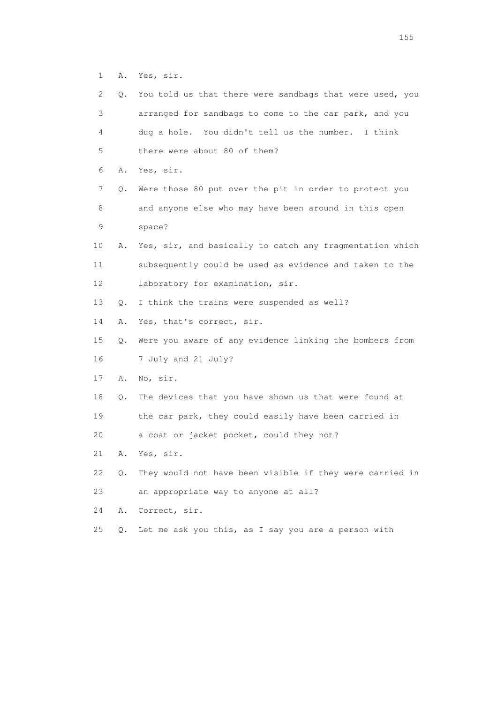1 A. Yes, sir.

| $\mathbf{2}^{\mathsf{I}}$ | Q.    | You told us that there were sandbags that were used, you |
|---------------------------|-------|----------------------------------------------------------|
| 3                         |       | arranged for sandbags to come to the car park, and you   |
| 4                         |       | dug a hole. You didn't tell us the number. I think       |
| 5                         |       | there were about 80 of them?                             |
| 6                         | Α.    | Yes, sir.                                                |
| 7                         | Q.    | Were those 80 put over the pit in order to protect you   |
| 8                         |       | and anyone else who may have been around in this open    |
| 9                         |       | space?                                                   |
| 10                        | Α.    | Yes, sir, and basically to catch any fragmentation which |
| 11                        |       | subsequently could be used as evidence and taken to the  |
| 12                        |       | laboratory for examination, sir.                         |
| 13                        | Q.    | I think the trains were suspended as well?               |
| 14                        | Α.    | Yes, that's correct, sir.                                |
| 15                        | Q.    | Were you aware of any evidence linking the bombers from  |
| 16                        |       | 7 July and 21 July?                                      |
| 17                        | Α.    | No, sir.                                                 |
| 18                        | Q.    | The devices that you have shown us that were found at    |
| 19                        |       | the car park, they could easily have been carried in     |
| 20                        |       | a coat or jacket pocket, could they not?                 |
| 21                        | Α.    | Yes, sir.                                                |
| 22                        | Q.    | They would not have been visible if they were carried in |
| 23                        |       | an appropriate way to anyone at all?                     |
| 24                        | Α.    | Correct, sir.                                            |
| 25                        | $Q$ . | Let me ask you this, as I say you are a person with      |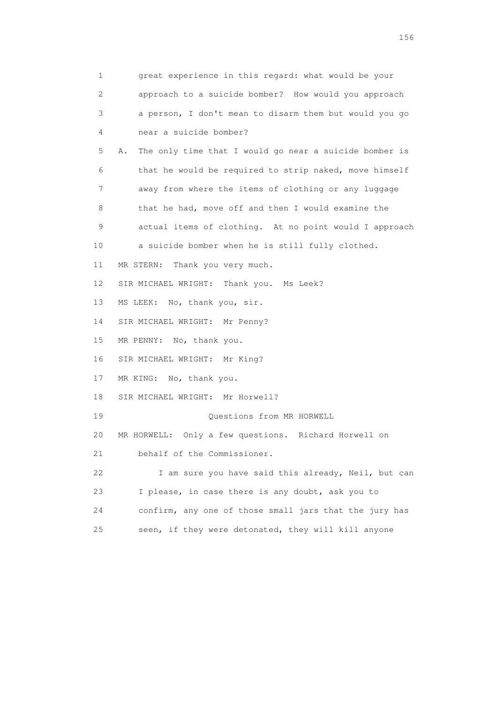1 great experience in this regard: what would be your 2 approach to a suicide bomber? How would you approach 3 a person, I don't mean to disarm them but would you go 4 near a suicide bomber? 5 A. The only time that I would go near a suicide bomber is 6 that he would be required to strip naked, move himself 7 away from where the items of clothing or any luggage 8 that he had, move off and then I would examine the 9 actual items of clothing. At no point would I approach 10 a suicide bomber when he is still fully clothed. 11 MR STERN: Thank you very much. 12 SIR MICHAEL WRIGHT: Thank you. Ms Leek? 13 MS LEEK: No, thank you, sir. 14 SIR MICHAEL WRIGHT: Mr Penny? 15 MR PENNY: No, thank you. 16 SIR MICHAEL WRIGHT: Mr King? 17 MR KING: No, thank you. 18 SIR MICHAEL WRIGHT: Mr Horwell? 19 Questions from MR HORWELL 20 MR HORWELL: Only a few questions. Richard Horwell on 21 behalf of the Commissioner. 22 I am sure you have said this already, Neil, but can 23 I please, in case there is any doubt, ask you to 24 confirm, any one of those small jars that the jury has 25 seen, if they were detonated, they will kill anyone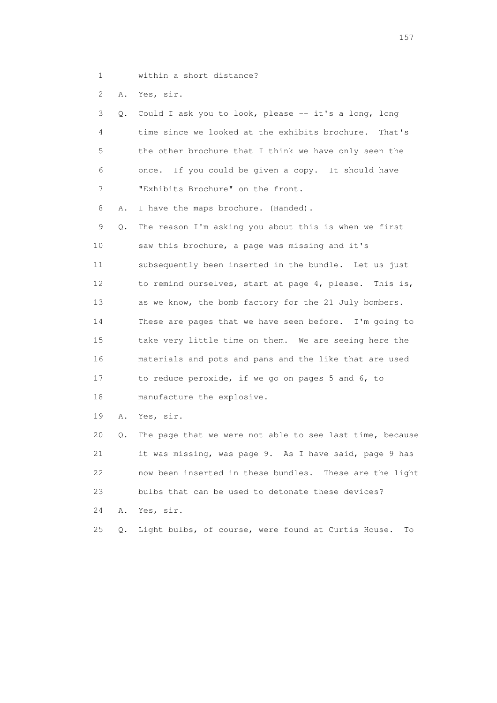- 
- 1 within a short distance?

2 A. Yes, sir.

|     | 3 Q. Could I ask you to look, please -- it's a long, long |
|-----|-----------------------------------------------------------|
| 4   | time since we looked at the exhibits brochure. That's     |
| 5   | the other brochure that I think we have only seen the     |
| 6 — | once. If you could be given a copy. It should have        |
|     | "Exhibits Brochure" on the front.                         |

8 A. I have the maps brochure. (Handed).

 9 Q. The reason I'm asking you about this is when we first 10 saw this brochure, a page was missing and it's 11 subsequently been inserted in the bundle. Let us just 12 to remind ourselves, start at page 4, please. This is, 13 as we know, the bomb factory for the 21 July bombers. 14 These are pages that we have seen before. I'm going to 15 take very little time on them. We are seeing here the 16 materials and pots and pans and the like that are used 17 to reduce peroxide, if we go on pages 5 and 6, to 18 manufacture the explosive.

19 A. Yes, sir.

 20 Q. The page that we were not able to see last time, because 21 it was missing, was page 9. As I have said, page 9 has 22 now been inserted in these bundles. These are the light 23 bulbs that can be used to detonate these devices? 24 A. Yes, sir.

25 Q. Light bulbs, of course, were found at Curtis House. To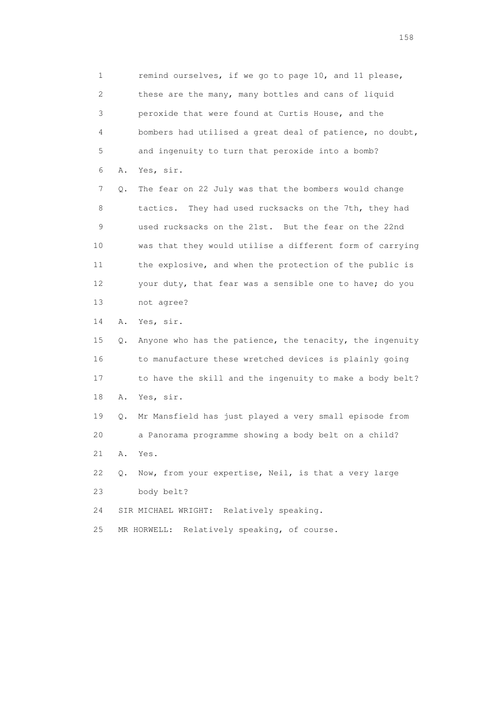1 remind ourselves, if we go to page 10, and 11 please, 2 these are the many, many bottles and cans of liquid 3 peroxide that were found at Curtis House, and the 4 bombers had utilised a great deal of patience, no doubt, 5 and ingenuity to turn that peroxide into a bomb? 6 A. Yes, sir.

 7 Q. The fear on 22 July was that the bombers would change 8 tactics. They had used rucksacks on the 7th, they had 9 used rucksacks on the 21st. But the fear on the 22nd 10 was that they would utilise a different form of carrying 11 the explosive, and when the protection of the public is 12 your duty, that fear was a sensible one to have; do you 13 not agree?

14 A. Yes, sir.

 15 Q. Anyone who has the patience, the tenacity, the ingenuity 16 to manufacture these wretched devices is plainly going 17 to have the skill and the ingenuity to make a body belt? 18 A. Yes, sir.

 19 Q. Mr Mansfield has just played a very small episode from 20 a Panorama programme showing a body belt on a child? 21 A. Yes.

 22 Q. Now, from your expertise, Neil, is that a very large 23 body belt?

24 SIR MICHAEL WRIGHT: Relatively speaking.

25 MR HORWELL: Relatively speaking, of course.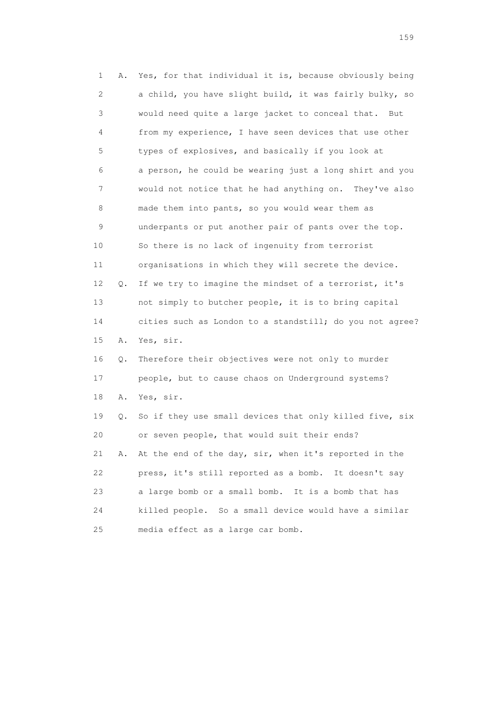1 A. Yes, for that individual it is, because obviously being 2 a child, you have slight build, it was fairly bulky, so 3 would need quite a large jacket to conceal that. But 4 from my experience, I have seen devices that use other 5 types of explosives, and basically if you look at 6 a person, he could be wearing just a long shirt and you 7 would not notice that he had anything on. They've also 8 made them into pants, so you would wear them as 9 underpants or put another pair of pants over the top. 10 So there is no lack of ingenuity from terrorist 11 organisations in which they will secrete the device. 12 Q. If we try to imagine the mindset of a terrorist, it's 13 not simply to butcher people, it is to bring capital 14 cities such as London to a standstill; do you not agree? 15 A. Yes, sir. 16 Q. Therefore their objectives were not only to murder 17 people, but to cause chaos on Underground systems? 18 A. Yes, sir. 19 Q. So if they use small devices that only killed five, six 20 or seven people, that would suit their ends? 21 A. At the end of the day, sir, when it's reported in the 22 press, it's still reported as a bomb. It doesn't say 23 a large bomb or a small bomb. It is a bomb that has 24 killed people. So a small device would have a similar 25 media effect as a large car bomb.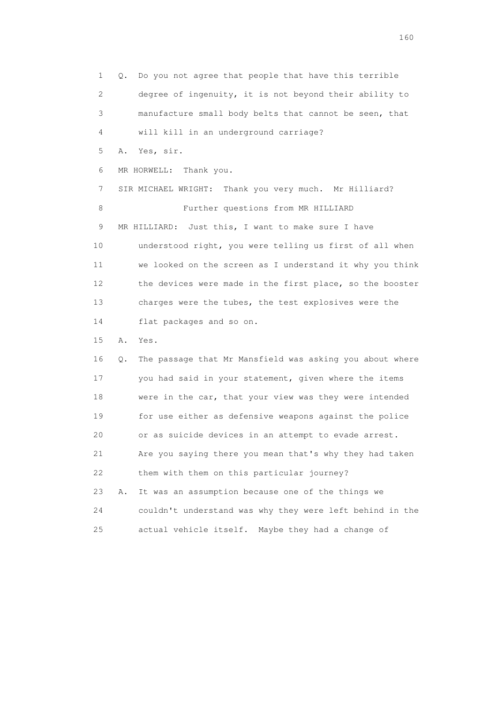1 Q. Do you not agree that people that have this terrible 2 degree of ingenuity, it is not beyond their ability to 3 manufacture small body belts that cannot be seen, that 4 will kill in an underground carriage? 5 A. Yes, sir. 6 MR HORWELL: Thank you. 7 SIR MICHAEL WRIGHT: Thank you very much. Mr Hilliard? 8 Further questions from MR HILLIARD 9 MR HILLIARD: Just this, I want to make sure I have 10 understood right, you were telling us first of all when 11 we looked on the screen as I understand it why you think 12 the devices were made in the first place, so the booster 13 charges were the tubes, the test explosives were the 14 flat packages and so on. 15 A. Yes. 16 Q. The passage that Mr Mansfield was asking you about where 17 you had said in your statement, given where the items 18 were in the car, that your view was they were intended 19 for use either as defensive weapons against the police 20 or as suicide devices in an attempt to evade arrest. 21 Are you saying there you mean that's why they had taken 22 them with them on this particular journey? 23 A. It was an assumption because one of the things we 24 couldn't understand was why they were left behind in the 25 actual vehicle itself. Maybe they had a change of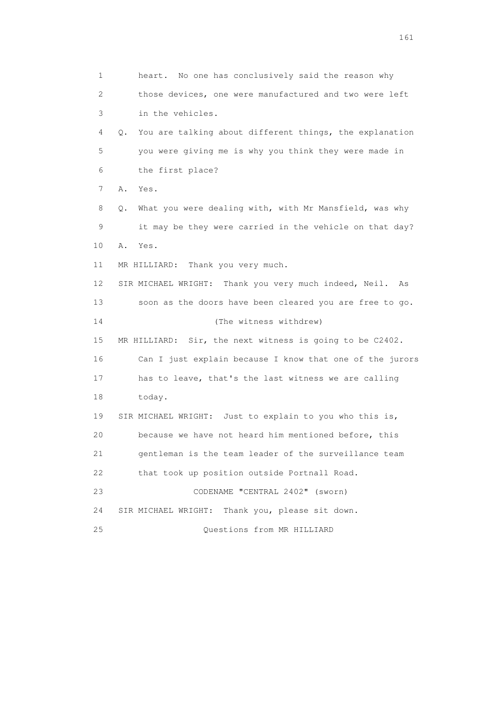1 heart. No one has conclusively said the reason why 2 those devices, one were manufactured and two were left 3 in the vehicles. 4 Q. You are talking about different things, the explanation 5 you were giving me is why you think they were made in 6 the first place? 7 A. Yes. 8 Q. What you were dealing with, with Mr Mansfield, was why 9 it may be they were carried in the vehicle on that day? 10 A. Yes. 11 MR HILLIARD: Thank you very much. 12 SIR MICHAEL WRIGHT: Thank you very much indeed, Neil. As 13 soon as the doors have been cleared you are free to go. 14 (The witness withdrew) 15 MR HILLIARD: Sir, the next witness is going to be C2402. 16 Can I just explain because I know that one of the jurors 17 has to leave, that's the last witness we are calling 18 today. 19 SIR MICHAEL WRIGHT: Just to explain to you who this is, 20 because we have not heard him mentioned before, this 21 gentleman is the team leader of the surveillance team 22 that took up position outside Portnall Road. 23 CODENAME "CENTRAL 2402" (sworn) 24 SIR MICHAEL WRIGHT: Thank you, please sit down. 25 Questions from MR HILLIARD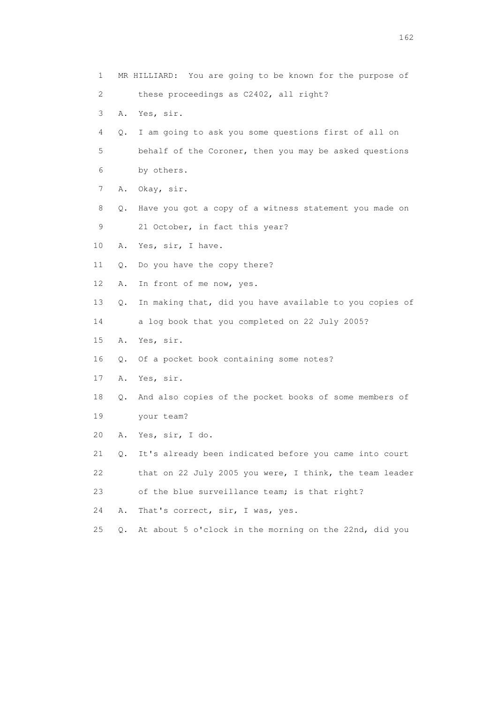1 MR HILLIARD: You are going to be known for the purpose of 2 these proceedings as C2402, all right? 3 A. Yes, sir. 4 Q. I am going to ask you some questions first of all on 5 behalf of the Coroner, then you may be asked questions 6 by others. 7 A. Okay, sir. 8 Q. Have you got a copy of a witness statement you made on 9 21 October, in fact this year? 10 A. Yes, sir, I have. 11 Q. Do you have the copy there? 12 A. In front of me now, yes. 13 Q. In making that, did you have available to you copies of 14 a log book that you completed on 22 July 2005? 15 A. Yes, sir. 16 Q. Of a pocket book containing some notes? 17 A. Yes, sir. 18 Q. And also copies of the pocket books of some members of 19 your team? 20 A. Yes, sir, I do. 21 Q. It's already been indicated before you came into court 22 that on 22 July 2005 you were, I think, the team leader 23 of the blue surveillance team; is that right? 24 A. That's correct, sir, I was, yes. 25 Q. At about 5 o'clock in the morning on the 22nd, did you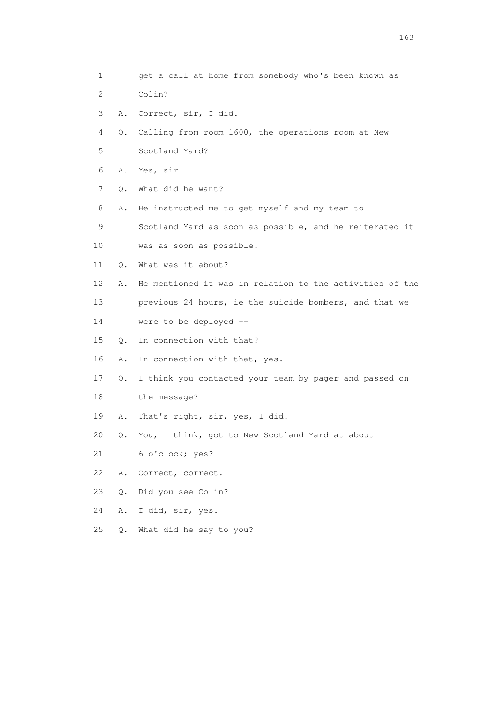1 get a call at home from somebody who's been known as 2 Colin? 3 A. Correct, sir, I did. 4 Q. Calling from room 1600, the operations room at New 5 Scotland Yard? 6 A. Yes, sir. 7 Q. What did he want? 8 A. He instructed me to get myself and my team to 9 Scotland Yard as soon as possible, and he reiterated it 10 was as soon as possible. 11 Q. What was it about? 12 A. He mentioned it was in relation to the activities of the 13 previous 24 hours, ie the suicide bombers, and that we 14 were to be deployed -- 15 Q. In connection with that? 16 A. In connection with that, yes. 17 Q. I think you contacted your team by pager and passed on 18 the message? 19 A. That's right, sir, yes, I did. 20 Q. You, I think, got to New Scotland Yard at about 21 6 o'clock; yes? 22 A. Correct, correct. 23 Q. Did you see Colin? 24 A. I did, sir, yes. 25 Q. What did he say to you?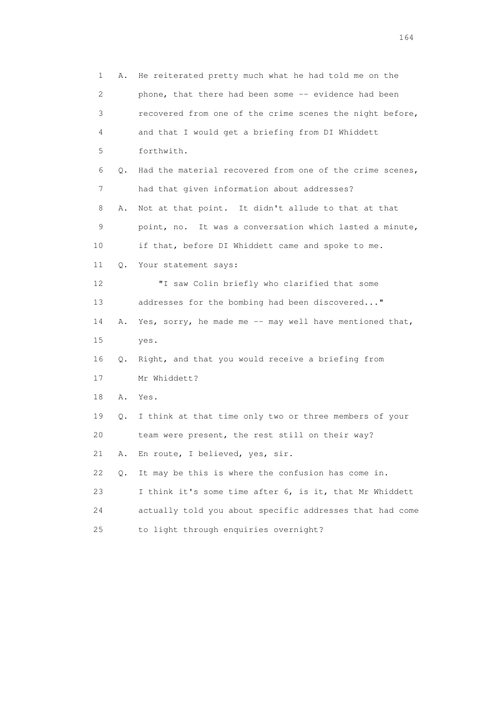1 A. He reiterated pretty much what he had told me on the 2 phone, that there had been some -- evidence had been 3 recovered from one of the crime scenes the night before, 4 and that I would get a briefing from DI Whiddett 5 forthwith. 6 Q. Had the material recovered from one of the crime scenes, 7 had that given information about addresses? 8 A. Not at that point. It didn't allude to that at that 9 point, no. It was a conversation which lasted a minute, 10 if that, before DI Whiddett came and spoke to me. 11 Q. Your statement says: 12 "I saw Colin briefly who clarified that some 13 addresses for the bombing had been discovered..." 14 A. Yes, sorry, he made me -- may well have mentioned that, 15 yes. 16 Q. Right, and that you would receive a briefing from 17 Mr Whiddett? 18 A. Yes. 19 Q. I think at that time only two or three members of your 20 team were present, the rest still on their way? 21 A. En route, I believed, yes, sir. 22 Q. It may be this is where the confusion has come in. 23 I think it's some time after 6, is it, that Mr Whiddett 24 actually told you about specific addresses that had come 25 to light through enquiries overnight?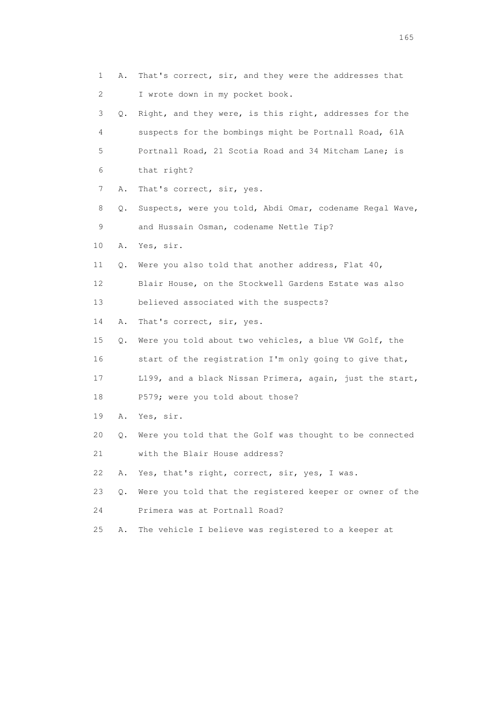| 1  | Α. | That's correct, sir, and they were the addresses that    |
|----|----|----------------------------------------------------------|
| 2  |    | I wrote down in my pocket book.                          |
| 3  | Q. | Right, and they were, is this right, addresses for the   |
| 4  |    | suspects for the bombings might be Portnall Road, 61A    |
| 5  |    | Portnall Road, 21 Scotia Road and 34 Mitcham Lane; is    |
| 6  |    | that right?                                              |
| 7  | Α. | That's correct, sir, yes.                                |
| 8  | Q. | Suspects, were you told, Abdi Omar, codename Regal Wave, |
| 9  |    | and Hussain Osman, codename Nettle Tip?                  |
| 10 | Α. | Yes, sir.                                                |
| 11 | Q. | Were you also told that another address, Flat 40,        |
| 12 |    | Blair House, on the Stockwell Gardens Estate was also    |
| 13 |    | believed associated with the suspects?                   |
| 14 | Α. | That's correct, sir, yes.                                |
| 15 | Q. | Were you told about two vehicles, a blue VW Golf, the    |
| 16 |    | start of the registration I'm only going to give that,   |
| 17 |    | L199, and a black Nissan Primera, again, just the start, |
| 18 |    | P579; were you told about those?                         |
| 19 |    | A. Yes, sir.                                             |
| 20 | Q. | Were you told that the Golf was thought to be connected  |
| 21 |    | with the Blair House address?                            |
| 22 | Α. | Yes, that's right, correct, sir, yes, I was.             |
| 23 | Q. | Were you told that the registered keeper or owner of the |
| 24 |    | Primera was at Portnall Road?                            |
| 25 | Α. | The vehicle I believe was registered to a keeper at      |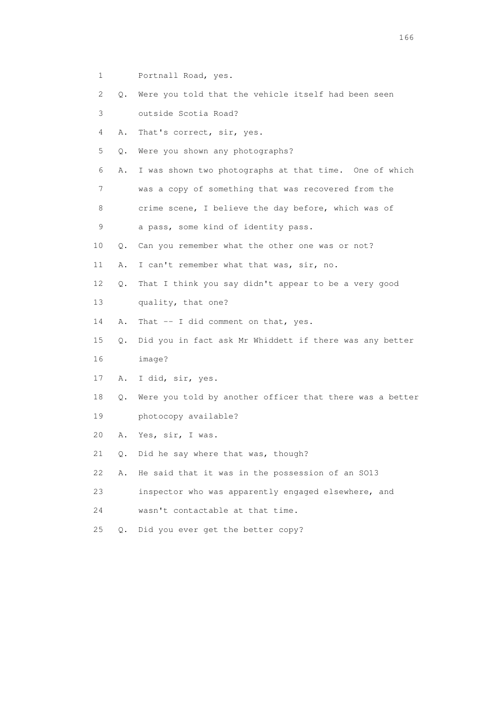- 1 Portnall Road, yes.
- 2 Q. Were you told that the vehicle itself had been seen
- 3 outside Scotia Road?
- 4 A. That's correct, sir, yes.
- 5 Q. Were you shown any photographs?
- 6 A. I was shown two photographs at that time. One of which
- 7 was a copy of something that was recovered from the
- 8 crime scene, I believe the day before, which was of
- 9 a pass, some kind of identity pass.
- 10 Q. Can you remember what the other one was or not?
- 11 A. I can't remember what that was, sir, no.
- 12 Q. That I think you say didn't appear to be a very good
- 13 quality, that one?
- 14 A. That -- I did comment on that, yes.
- 15 Q. Did you in fact ask Mr Whiddett if there was any better 16 image?
- 17 A. I did, sir, yes.
- 18 Q. Were you told by another officer that there was a better 19 photocopy available?
- 20 A. Yes, sir, I was.
- 21 Q. Did he say where that was, though?
- 22 A. He said that it was in the possession of an SO13
- 23 inspector who was apparently engaged elsewhere, and
- 24 wasn't contactable at that time.
- 25 Q. Did you ever get the better copy?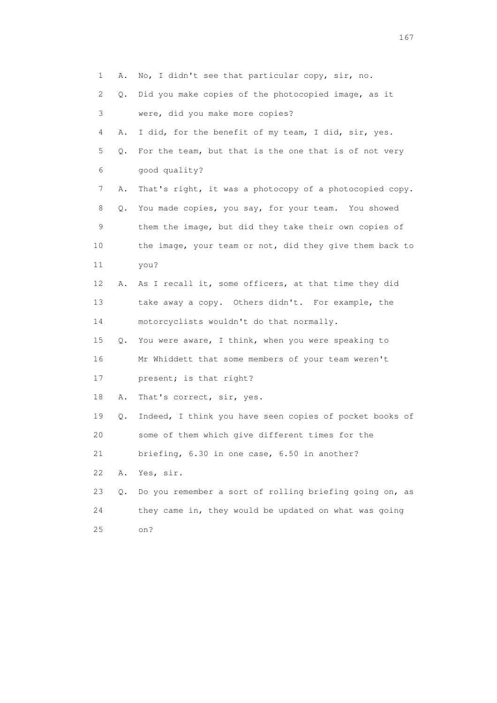1 A. No, I didn't see that particular copy, sir, no. 2 Q. Did you make copies of the photocopied image, as it 3 were, did you make more copies? 4 A. I did, for the benefit of my team, I did, sir, yes. 5 Q. For the team, but that is the one that is of not very 6 good quality? 7 A. That's right, it was a photocopy of a photocopied copy. 8 Q. You made copies, you say, for your team. You showed 9 them the image, but did they take their own copies of 10 the image, your team or not, did they give them back to 11 you? 12 A. As I recall it, some officers, at that time they did 13 take away a copy. Others didn't. For example, the 14 motorcyclists wouldn't do that normally. 15 Q. You were aware, I think, when you were speaking to 16 Mr Whiddett that some members of your team weren't 17 present; is that right? 18 A. That's correct, sir, yes. 19 Q. Indeed, I think you have seen copies of pocket books of 20 some of them which give different times for the 21 briefing, 6.30 in one case, 6.50 in another? 22 A. Yes, sir. 23 Q. Do you remember a sort of rolling briefing going on, as 24 they came in, they would be updated on what was going 25 on?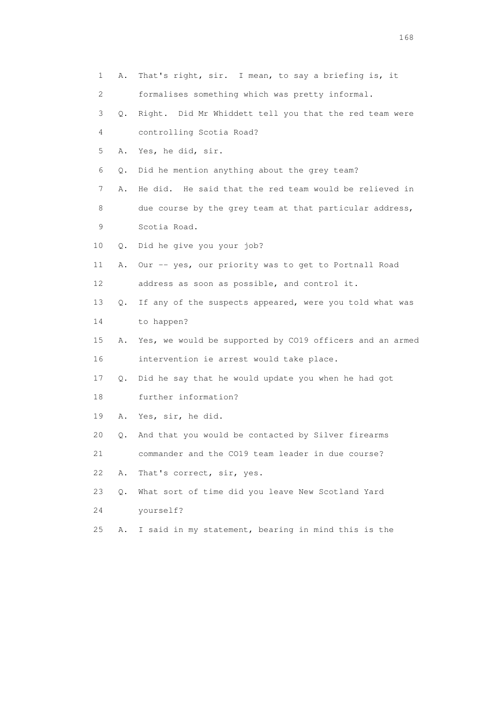| 1  | Α. | That's right, sir. I mean, to say a briefing is, it      |
|----|----|----------------------------------------------------------|
| 2  |    | formalises something which was pretty informal.          |
| 3  | Q. | Right. Did Mr Whiddett tell you that the red team were   |
| 4  |    | controlling Scotia Road?                                 |
| 5  | Α. | Yes, he did, sir.                                        |
| 6  | Q. | Did he mention anything about the grey team?             |
| 7  | Α. | He did. He said that the red team would be relieved in   |
| 8  |    | due course by the grey team at that particular address,  |
| 9  |    | Scotia Road.                                             |
| 10 | Q. | Did he give you your job?                                |
| 11 | Α. | Our -- yes, our priority was to get to Portnall Road     |
| 12 |    | address as soon as possible, and control it.             |
| 13 | Q. | If any of the suspects appeared, were you told what was  |
| 14 |    | to happen?                                               |
| 15 | Α. | Yes, we would be supported by CO19 officers and an armed |
| 16 |    | intervention ie arrest would take place.                 |
| 17 | Q. | Did he say that he would update you when he had got      |
| 18 |    | further information?                                     |
| 19 | Α. | Yes, sir, he did.                                        |
| 20 | Q. | And that you would be contacted by Silver firearms       |
| 21 |    | commander and the CO19 team leader in due course?        |
| 22 | Α. | That's correct, sir, yes.                                |
| 23 | О. | What sort of time did you leave New Scotland Yard        |
| 24 |    | yourself?                                                |
| 25 | Α. | I said in my statement, bearing in mind this is the      |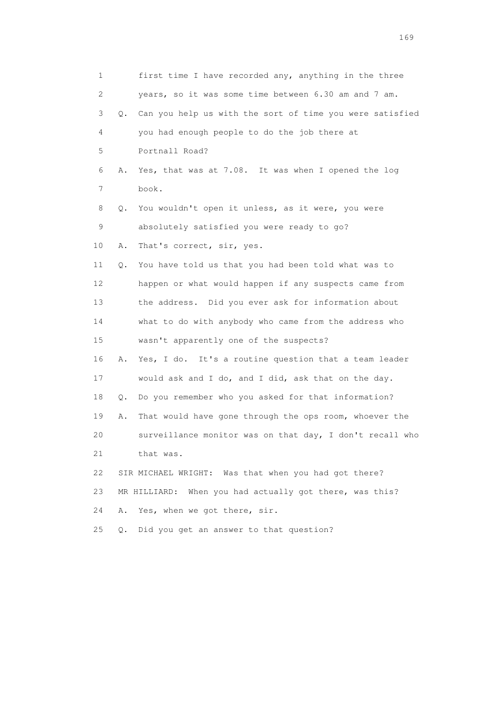1 first time I have recorded any, anything in the three 2 years, so it was some time between 6.30 am and 7 am. 3 Q. Can you help us with the sort of time you were satisfied 4 you had enough people to do the job there at 5 Portnall Road? 6 A. Yes, that was at 7.08. It was when I opened the log 7 book. 8 Q. You wouldn't open it unless, as it were, you were 9 absolutely satisfied you were ready to go? 10 A. That's correct, sir, yes. 11 Q. You have told us that you had been told what was to 12 happen or what would happen if any suspects came from 13 the address. Did you ever ask for information about 14 what to do with anybody who came from the address who 15 wasn't apparently one of the suspects? 16 A. Yes, I do. It's a routine question that a team leader 17 would ask and I do, and I did, ask that on the day. 18 Q. Do you remember who you asked for that information? 19 A. That would have gone through the ops room, whoever the 20 surveillance monitor was on that day, I don't recall who 21 that was. 22 SIR MICHAEL WRIGHT: Was that when you had got there? 23 MR HILLIARD: When you had actually got there, was this? 24 A. Yes, when we got there, sir. 25 Q. Did you get an answer to that question?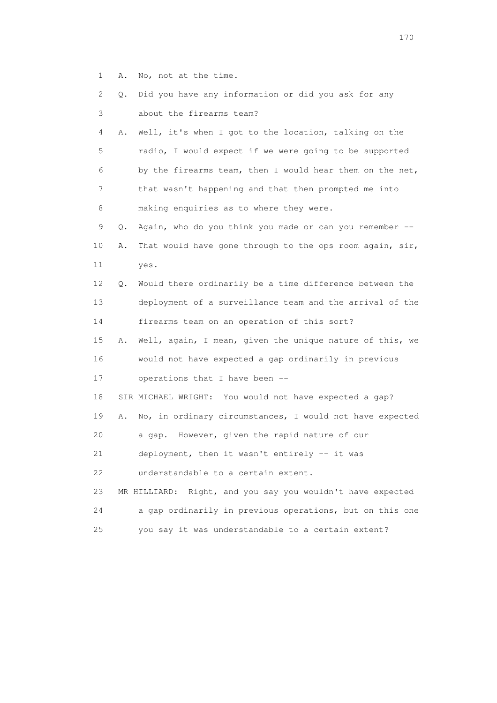1 A. No, not at the time.

| 2  | Q. | Did you have any information or did you ask for any           |
|----|----|---------------------------------------------------------------|
| 3  |    | about the firearms team?                                      |
| 4  | Α. | Well, it's when I got to the location, talking on the         |
| 5  |    | radio, I would expect if we were going to be supported        |
| 6  |    | by the firearms team, then I would hear them on the net,      |
| 7  |    | that wasn't happening and that then prompted me into          |
| 8  |    | making enquiries as to where they were.                       |
| 9  | Q. | Again, who do you think you made or can you remember --       |
| 10 | Α. | That would have gone through to the ops room again, sir,      |
| 11 |    | yes.                                                          |
| 12 | Q. | Would there ordinarily be a time difference between the       |
| 13 |    | deployment of a surveillance team and the arrival of the      |
| 14 |    | firearms team on an operation of this sort?                   |
| 15 | Α. | Well, again, I mean, given the unique nature of this, we      |
| 16 |    | would not have expected a gap ordinarily in previous          |
| 17 |    | operations that I have been --                                |
| 18 |    | SIR MICHAEL WRIGHT: You would not have expected a gap?        |
| 19 | Α. | No, in ordinary circumstances, I would not have expected      |
| 20 |    | a gap. However, given the rapid nature of our                 |
| 21 |    | deployment, then it wasn't entirely -- it was                 |
| 22 |    | understandable to a certain extent.                           |
| 23 |    | Right, and you say you wouldn't have expected<br>MR HILLIARD: |
| 24 |    | a gap ordinarily in previous operations, but on this one      |
| 25 |    | you say it was understandable to a certain extent?            |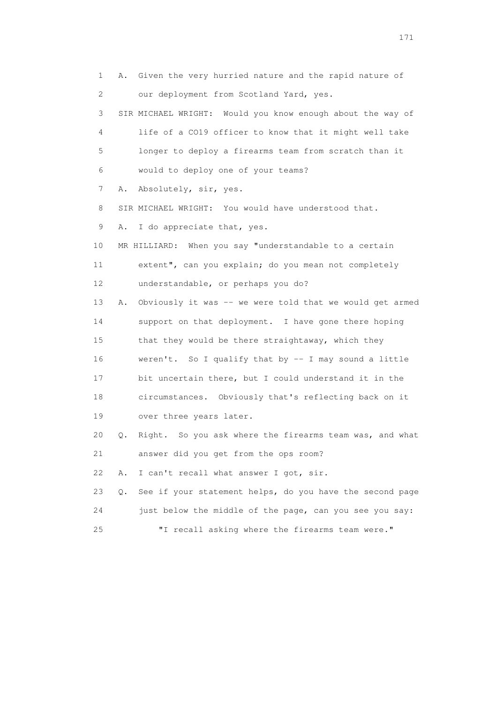1 A. Given the very hurried nature and the rapid nature of 2 our deployment from Scotland Yard, yes. 3 SIR MICHAEL WRIGHT: Would you know enough about the way of 4 life of a CO19 officer to know that it might well take 5 longer to deploy a firearms team from scratch than it 6 would to deploy one of your teams? 7 A. Absolutely, sir, yes. 8 SIR MICHAEL WRIGHT: You would have understood that. 9 A. I do appreciate that, yes. 10 MR HILLIARD: When you say "understandable to a certain 11 extent", can you explain; do you mean not completely 12 understandable, or perhaps you do? 13 A. Obviously it was -- we were told that we would get armed 14 support on that deployment. I have gone there hoping 15 that they would be there straightaway, which they 16 weren't. So I qualify that by -- I may sound a little 17 bit uncertain there, but I could understand it in the 18 circumstances. Obviously that's reflecting back on it 19 over three years later. 20 Q. Right. So you ask where the firearms team was, and what 21 answer did you get from the ops room? 22 A. I can't recall what answer I got, sir. 23 Q. See if your statement helps, do you have the second page 24 just below the middle of the page, can you see you say: 25 "I recall asking where the firearms team were."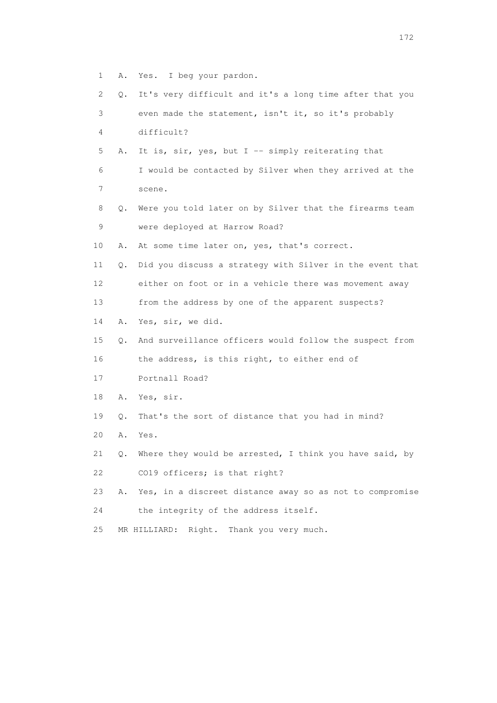- 1 A. Yes. I beg your pardon.
- 2 Q. It's very difficult and it's a long time after that you 3 even made the statement, isn't it, so it's probably 4 difficult? 5 A. It is, sir, yes, but I -- simply reiterating that 6 I would be contacted by Silver when they arrived at the 7 scene. 8 Q. Were you told later on by Silver that the firearms team 9 were deployed at Harrow Road? 10 A. At some time later on, yes, that's correct. 11 Q. Did you discuss a strategy with Silver in the event that 12 either on foot or in a vehicle there was movement away 13 from the address by one of the apparent suspects? 14 A. Yes, sir, we did. 15 Q. And surveillance officers would follow the suspect from 16 the address, is this right, to either end of 17 Portnall Road? 18 A. Yes, sir. 19 Q. That's the sort of distance that you had in mind? 20 A. Yes. 21 Q. Where they would be arrested, I think you have said, by 22 CO19 officers; is that right? 23 A. Yes, in a discreet distance away so as not to compromise 24 the integrity of the address itself.
- 25 MR HILLIARD: Right. Thank you very much.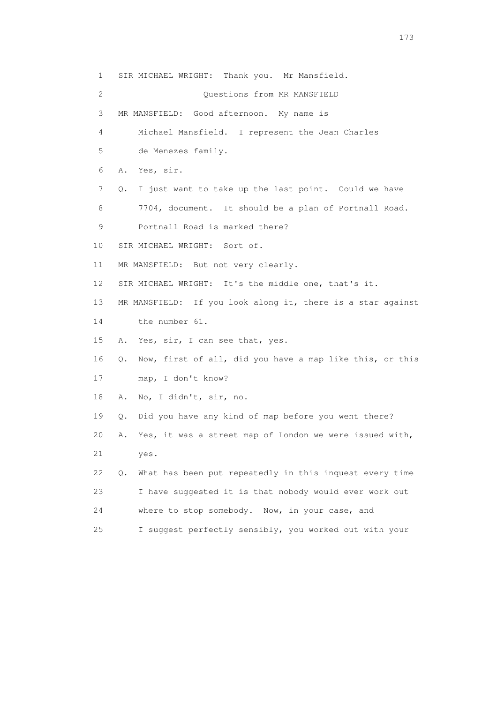1 SIR MICHAEL WRIGHT: Thank you. Mr Mansfield. 2 Questions from MR MANSFIELD 3 MR MANSFIELD: Good afternoon. My name is 4 Michael Mansfield. I represent the Jean Charles 5 de Menezes family. 6 A. Yes, sir. 7 Q. I just want to take up the last point. Could we have 8 7704, document. It should be a plan of Portnall Road. 9 Portnall Road is marked there? 10 SIR MICHAEL WRIGHT: Sort of. 11 MR MANSFIELD: But not very clearly. 12 SIR MICHAEL WRIGHT: It's the middle one, that's it. 13 MR MANSFIELD: If you look along it, there is a star against 14 the number 61. 15 A. Yes, sir, I can see that, yes. 16 Q. Now, first of all, did you have a map like this, or this 17 map, I don't know? 18 A. No, I didn't, sir, no. 19 Q. Did you have any kind of map before you went there? 20 A. Yes, it was a street map of London we were issued with, 21 yes. 22 Q. What has been put repeatedly in this inquest every time 23 I have suggested it is that nobody would ever work out 24 where to stop somebody. Now, in your case, and 25 I suggest perfectly sensibly, you worked out with your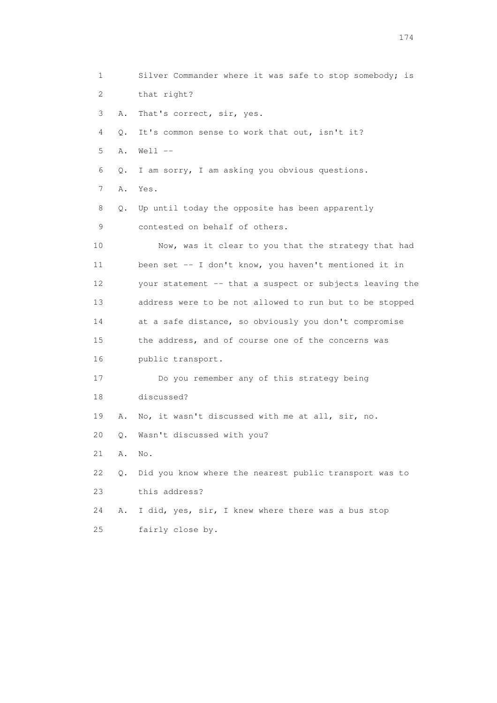1 Silver Commander where it was safe to stop somebody; is 2 that right? 3 A. That's correct, sir, yes. 4 Q. It's common sense to work that out, isn't it? 5 A. Well -- 6 Q. I am sorry, I am asking you obvious questions. 7 A. Yes. 8 Q. Up until today the opposite has been apparently 9 contested on behalf of others. 10 Now, was it clear to you that the strategy that had 11 been set -- I don't know, you haven't mentioned it in 12 your statement -- that a suspect or subjects leaving the 13 address were to be not allowed to run but to be stopped 14 at a safe distance, so obviously you don't compromise 15 the address, and of course one of the concerns was 16 public transport. 17 Do you remember any of this strategy being 18 discussed? 19 A. No, it wasn't discussed with me at all, sir, no. 20 Q. Wasn't discussed with you? 21 A. No. 22 Q. Did you know where the nearest public transport was to 23 this address? 24 A. I did, yes, sir, I knew where there was a bus stop 25 fairly close by.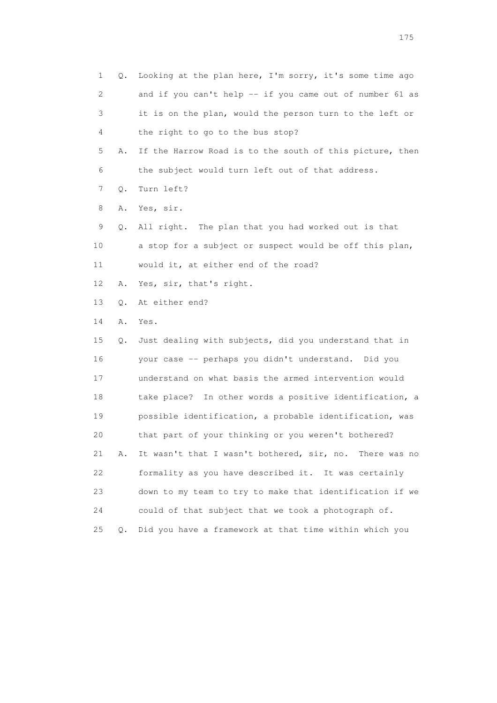1 Q. Looking at the plan here, I'm sorry, it's some time ago 2 and if you can't help -- if you came out of number 61 as 3 it is on the plan, would the person turn to the left or 4 the right to go to the bus stop? 5 A. If the Harrow Road is to the south of this picture, then 6 the subject would turn left out of that address. 7 Q. Turn left? 8 A. Yes, sir. 9 Q. All right. The plan that you had worked out is that 10 a stop for a subject or suspect would be off this plan, 11 would it, at either end of the road? 12 A. Yes, sir, that's right. 13 Q. At either end? 14 A. Yes. 15 Q. Just dealing with subjects, did you understand that in 16 your case -- perhaps you didn't understand. Did you 17 understand on what basis the armed intervention would 18 take place? In other words a positive identification, a 19 possible identification, a probable identification, was 20 that part of your thinking or you weren't bothered? 21 A. It wasn't that I wasn't bothered, sir, no. There was no 22 formality as you have described it. It was certainly 23 down to my team to try to make that identification if we 24 could of that subject that we took a photograph of. 25 Q. Did you have a framework at that time within which you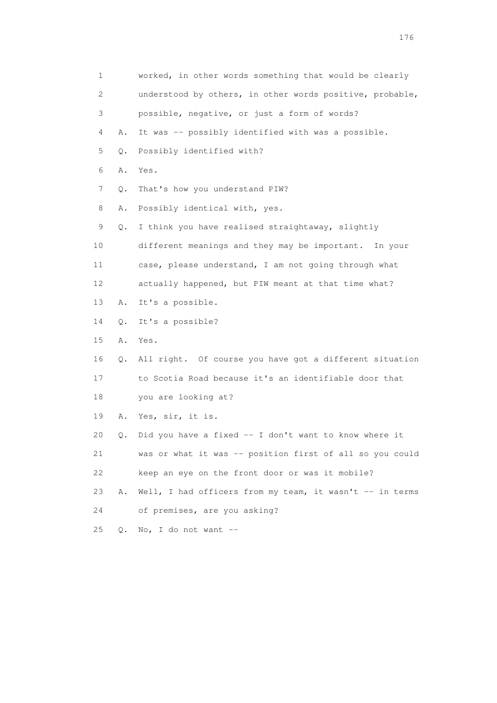| 1  |    | worked, in other words something that would be clearly   |
|----|----|----------------------------------------------------------|
| 2  |    | understood by others, in other words positive, probable, |
| 3  |    | possible, negative, or just a form of words?             |
| 4  | Α. | It was -- possibly identified with was a possible.       |
| 5  | Q. | Possibly identified with?                                |
| 6  | Α. | Yes.                                                     |
| 7  | Q. | That's how you understand PIW?                           |
| 8  | Α. | Possibly identical with, yes.                            |
| 9  | Q. | I think you have realised straightaway, slightly         |
| 10 |    | different meanings and they may be important.<br>In your |
| 11 |    | case, please understand, I am not going through what     |
| 12 |    | actually happened, but PIW meant at that time what?      |
| 13 | Α. | It's a possible.                                         |
| 14 | Q. | It's a possible?                                         |
| 15 | Α. | Yes.                                                     |
| 16 | Q. | All right. Of course you have got a different situation  |
| 17 |    | to Scotia Road because it's an identifiable door that    |
| 18 |    | you are looking at?                                      |
| 19 | Α. | Yes, sir, it is.                                         |
| 20 | Q. | Did you have a fixed -- I don't want to know where it    |
| 21 |    | was or what it was -- position first of all so you could |
| 22 |    | keep an eye on the front door or was it mobile?          |
| 23 | Α. | Well, I had officers from my team, it wasn't -- in terms |
| 24 |    | of premises, are you asking?                             |
| 25 | Q. | No, I do not want $--$                                   |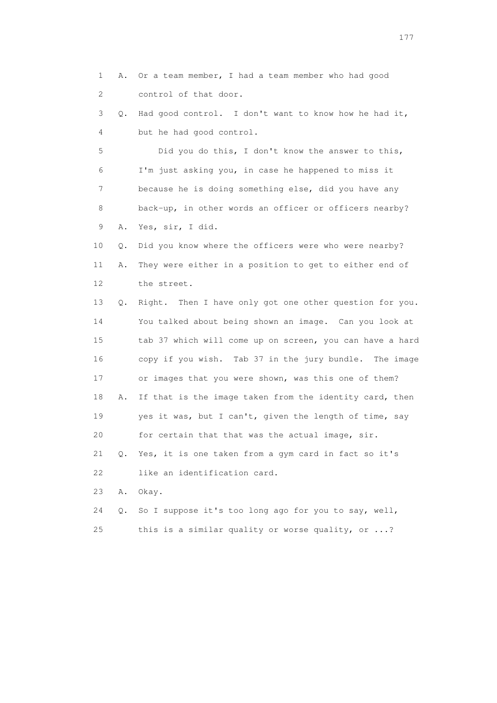1 A. Or a team member, I had a team member who had good 2 control of that door. 3 Q. Had good control. I don't want to know how he had it, 4 but he had good control. 5 Did you do this, I don't know the answer to this, 6 I'm just asking you, in case he happened to miss it 7 because he is doing something else, did you have any 8 back-up, in other words an officer or officers nearby? 9 A. Yes, sir, I did. 10 Q. Did you know where the officers were who were nearby? 11 A. They were either in a position to get to either end of 12 the street. 13 Q. Right. Then I have only got one other question for you. 14 You talked about being shown an image. Can you look at 15 tab 37 which will come up on screen, you can have a hard 16 copy if you wish. Tab 37 in the jury bundle. The image 17 or images that you were shown, was this one of them? 18 A. If that is the image taken from the identity card, then 19 yes it was, but I can't, given the length of time, say 20 for certain that that was the actual image, sir. 21 Q. Yes, it is one taken from a gym card in fact so it's 22 like an identification card. 23 A. Okay. 24 Q. So I suppose it's too long ago for you to say, well,

25 this is a similar quality or worse quality, or ...?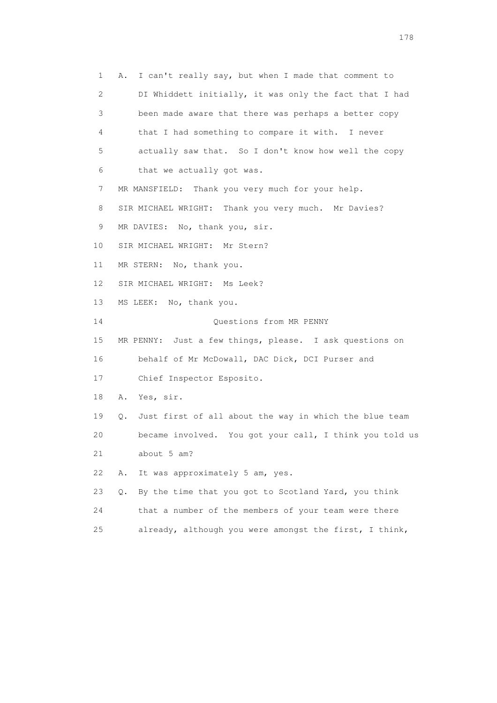1 A. I can't really say, but when I made that comment to 2 DI Whiddett initially, it was only the fact that I had 3 been made aware that there was perhaps a better copy 4 that I had something to compare it with. I never 5 actually saw that. So I don't know how well the copy 6 that we actually got was. 7 MR MANSFIELD: Thank you very much for your help. 8 SIR MICHAEL WRIGHT: Thank you very much. Mr Davies? 9 MR DAVIES: No, thank you, sir. 10 SIR MICHAEL WRIGHT: Mr Stern? 11 MR STERN: No, thank you. 12 SIR MICHAEL WRIGHT: Ms Leek? 13 MS LEEK: No, thank you. 14 Questions from MR PENNY 15 MR PENNY: Just a few things, please. I ask questions on 16 behalf of Mr McDowall, DAC Dick, DCI Purser and 17 Chief Inspector Esposito. 18 A. Yes, sir. 19 Q. Just first of all about the way in which the blue team 20 became involved. You got your call, I think you told us 21 about 5 am? 22 A. It was approximately 5 am, yes. 23 Q. By the time that you got to Scotland Yard, you think 24 that a number of the members of your team were there 25 already, although you were amongst the first, I think,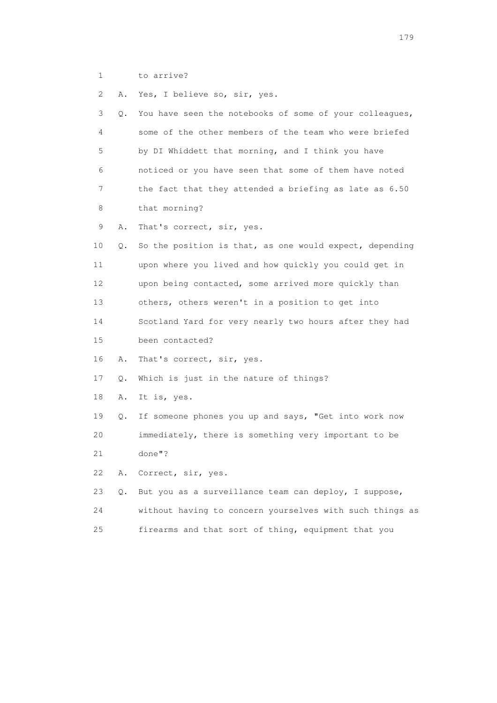1 to arrive?

2 A. Yes, I believe so, sir, yes.

| 3               | О. | You have seen the notebooks of some of your colleagues,  |
|-----------------|----|----------------------------------------------------------|
| 4               |    | some of the other members of the team who were briefed   |
| 5               |    | by DI Whiddett that morning, and I think you have        |
| 6               |    | noticed or you have seen that some of them have noted    |
| 7               |    | the fact that they attended a briefing as late as 6.50   |
| 8               |    | that morning?                                            |
| 9               | Α. | That's correct, sir, yes.                                |
| 10              | Q. | So the position is that, as one would expect, depending  |
| 11              |    | upon where you lived and how quickly you could get in    |
| 12 <sup>°</sup> |    | upon being contacted, some arrived more quickly than     |
| 13              |    | others, others weren't in a position to get into         |
| 14              |    | Scotland Yard for very nearly two hours after they had   |
| 15              |    | been contacted?                                          |
| 16              | Α. | That's correct, sir, yes.                                |
| 17              | Q. | Which is just in the nature of things?                   |
| 18              | Α. | It is, yes.                                              |
| 19              | Q. | If someone phones you up and says, "Get into work now    |
| 20              |    | immediately, there is something very important to be     |
| 21              |    | done"?                                                   |
| 22              | Α. | Correct, sir, yes.                                       |
| 23              | Q. | But you as a surveillance team can deploy, I suppose,    |
| 24              |    | without having to concern yourselves with such things as |
| 25              |    | firearms and that sort of thing, equipment that you      |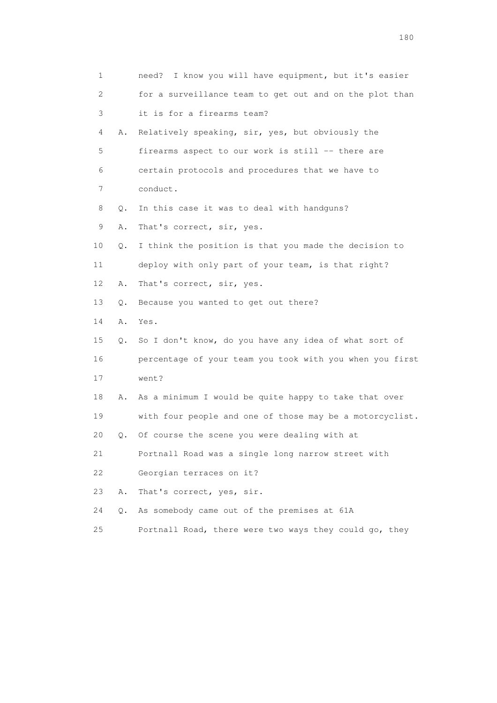| $\mathbf 1$               |       | need? I know you will have equipment, but it's easier    |
|---------------------------|-------|----------------------------------------------------------|
| $\mathbf{2}^{\mathsf{I}}$ |       | for a surveillance team to get out and on the plot than  |
| 3                         |       | it is for a firearms team?                               |
| 4                         | Α.    | Relatively speaking, sir, yes, but obviously the         |
| 5                         |       | firearms aspect to our work is still -- there are        |
| 6                         |       | certain protocols and procedures that we have to         |
| 7                         |       | conduct.                                                 |
| 8                         | Q.    | In this case it was to deal with handguns?               |
| 9                         | Α.    | That's correct, sir, yes.                                |
| 10                        | Q.    | I think the position is that you made the decision to    |
| 11                        |       | deploy with only part of your team, is that right?       |
| 12                        | Α.    | That's correct, sir, yes.                                |
| 13                        | Q.    | Because you wanted to get out there?                     |
| 14                        | Α.    | Yes.                                                     |
| 15                        | Q.    | So I don't know, do you have any idea of what sort of    |
| 16                        |       | percentage of your team you took with you when you first |
| 17                        |       | went?                                                    |
| 18                        | Α.    | As a minimum I would be quite happy to take that over    |
| 19                        |       | with four people and one of those may be a motorcyclist. |
| 20                        | Q.    | Of course the scene you were dealing with at             |
| 21                        |       | Portnall Road was a single long narrow street with       |
| 22                        |       | Georgian terraces on it?                                 |
| 23                        | Α.    | That's correct, yes, sir.                                |
| 24                        | $Q$ . | As somebody came out of the premises at 61A              |
| 25                        |       | Portnall Road, there were two ways they could go, they   |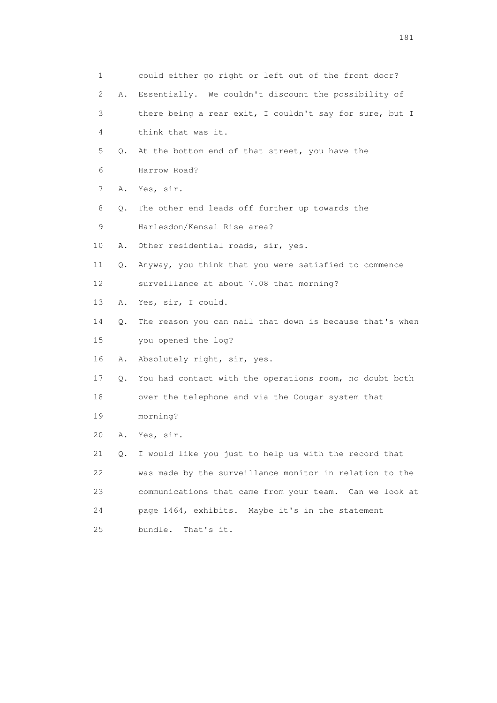|    | 1       | could either go right or left out of the front door?     |
|----|---------|----------------------------------------------------------|
|    | 2<br>Α. | Essentially. We couldn't discount the possibility of     |
|    | 3       | there being a rear exit, I couldn't say for sure, but I  |
|    | 4       | think that was it.                                       |
| 5  | Q.      | At the bottom end of that street, you have the           |
|    | 6       | Harrow Road?                                             |
|    | 7<br>Α. | Yes, sir.                                                |
|    | 8<br>Q. | The other end leads off further up towards the           |
| 9  |         | Harlesdon/Kensal Rise area?                              |
| 10 | Α.      | Other residential roads, sir, yes.                       |
| 11 | Q.      | Anyway, you think that you were satisfied to commence    |
| 12 |         | surveillance at about 7.08 that morning?                 |
| 13 | Α.      | Yes, sir, I could.                                       |
| 14 | Q.      | The reason you can nail that down is because that's when |
| 15 |         | you opened the log?                                      |
| 16 | Α.      | Absolutely right, sir, yes.                              |
| 17 | Q.      | You had contact with the operations room, no doubt both  |
| 18 |         | over the telephone and via the Cougar system that        |
| 19 |         | morning?                                                 |
| 20 | Α.      | Yes, sir.                                                |
| 21 | Q.      | I would like you just to help us with the record that    |
| 22 |         | was made by the surveillance monitor in relation to the  |
| 23 |         | communications that came from your team. Can we look at  |
| 24 |         | page 1464, exhibits. Maybe it's in the statement         |
| 25 |         | That's it.<br>bundle.                                    |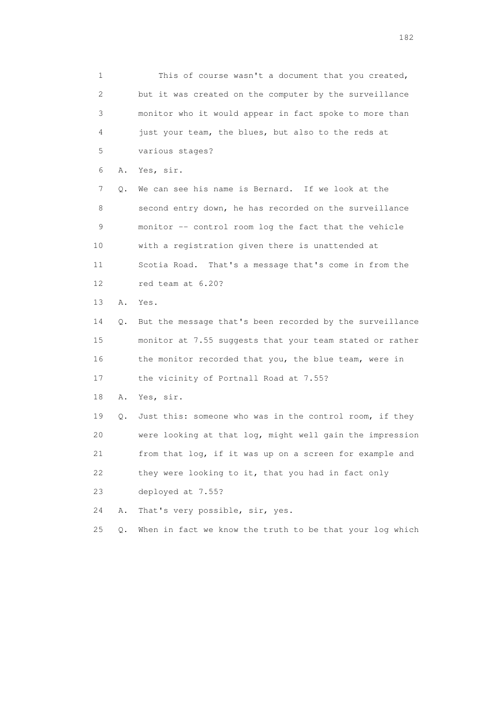1 This of course wasn't a document that you created, 2 but it was created on the computer by the surveillance 3 monitor who it would appear in fact spoke to more than 4 just your team, the blues, but also to the reds at 5 various stages? 6 A. Yes, sir. 7 Q. We can see his name is Bernard. If we look at the 8 second entry down, he has recorded on the surveillance 9 monitor -- control room log the fact that the vehicle 10 with a registration given there is unattended at 11 Scotia Road. That's a message that's come in from the 12 red team at 6.20? 13 A. Yes. 14 Q. But the message that's been recorded by the surveillance 15 monitor at 7.55 suggests that your team stated or rather 16 the monitor recorded that you, the blue team, were in 17 the vicinity of Portnall Road at 7.55? 18 A. Yes, sir. 19 Q. Just this: someone who was in the control room, if they 20 were looking at that log, might well gain the impression 21 from that log, if it was up on a screen for example and 22 they were looking to it, that you had in fact only 23 deployed at 7.55? 24 A. That's very possible, sir, yes. 25 Q. When in fact we know the truth to be that your log which

182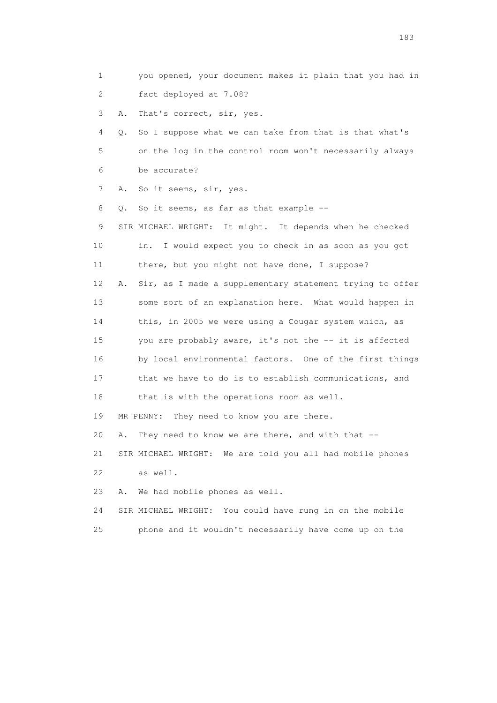- 1 you opened, your document makes it plain that you had in 2 fact deployed at 7.08?
- 3 A. That's correct, sir, yes.

 4 Q. So I suppose what we can take from that is that what's 5 on the log in the control room won't necessarily always 6 be accurate?

7 A. So it seems, sir, yes.

8 Q. So it seems, as far as that example --

 9 SIR MICHAEL WRIGHT: It might. It depends when he checked 10 in. I would expect you to check in as soon as you got 11 there, but you might not have done, I suppose? 12 A. Sir, as I made a supplementary statement trying to offer 13 some sort of an explanation here. What would happen in 14 this, in 2005 we were using a Cougar system which, as 15 you are probably aware, it's not the -- it is affected 16 by local environmental factors. One of the first things 17 that we have to do is to establish communications, and 18 that is with the operations room as well. 19 MR PENNY: They need to know you are there.

20 A. They need to know we are there, and with that --

 21 SIR MICHAEL WRIGHT: We are told you all had mobile phones 22 as well.

23 A. We had mobile phones as well.

24 SIR MICHAEL WRIGHT: You could have rung in on the mobile

25 phone and it wouldn't necessarily have come up on the

183 and the contract of the contract of the contract of the contract of the contract of the contract of the contract of the contract of the contract of the contract of the contract of the contract of the contract of the co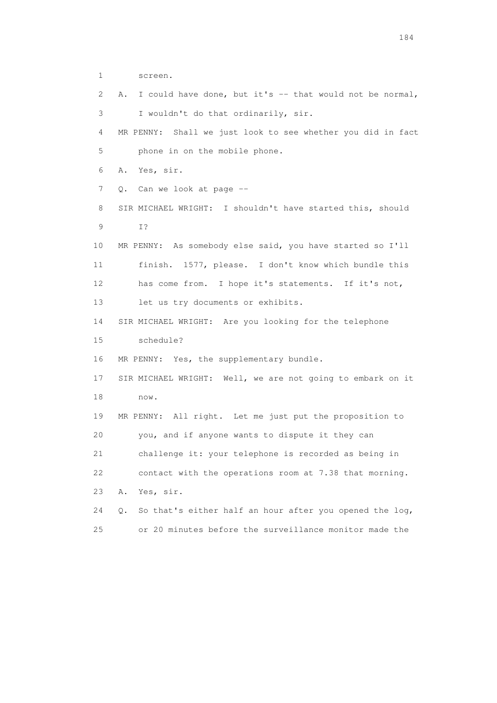- 1 screen.
- 2 A. I could have done, but it's -- that would not be normal, 3 I wouldn't do that ordinarily, sir. 4 MR PENNY: Shall we just look to see whether you did in fact 5 phone in on the mobile phone. 6 A. Yes, sir. 7 Q. Can we look at page -- 8 SIR MICHAEL WRIGHT: I shouldn't have started this, should 9 I? 10 MR PENNY: As somebody else said, you have started so I'll 11 finish. 1577, please. I don't know which bundle this 12 has come from. I hope it's statements. If it's not, 13 let us try documents or exhibits. 14 SIR MICHAEL WRIGHT: Are you looking for the telephone 15 schedule? 16 MR PENNY: Yes, the supplementary bundle. 17 SIR MICHAEL WRIGHT: Well, we are not going to embark on it 18 now. 19 MR PENNY: All right. Let me just put the proposition to 20 you, and if anyone wants to dispute it they can 21 challenge it: your telephone is recorded as being in 22 contact with the operations room at 7.38 that morning. 23 A. Yes, sir. 24 Q. So that's either half an hour after you opened the log, 25 or 20 minutes before the surveillance monitor made the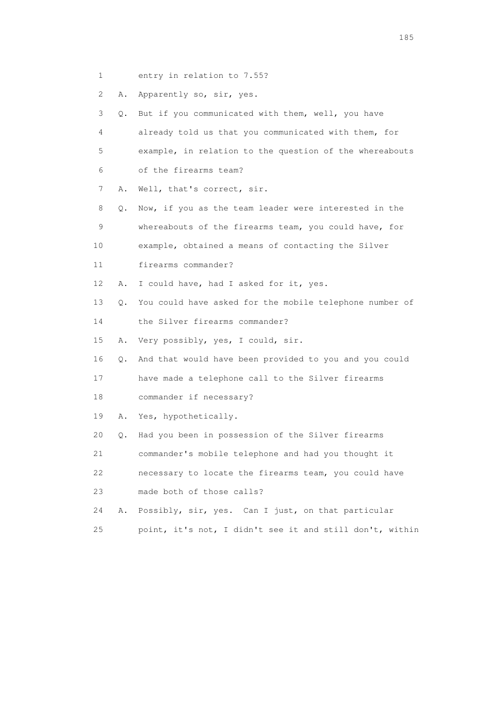1 entry in relation to 7.55?

2 A. Apparently so, sir, yes.

 3 Q. But if you communicated with them, well, you have 4 already told us that you communicated with them, for 5 example, in relation to the question of the whereabouts 6 of the firearms team? 7 A. Well, that's correct, sir. 8 Q. Now, if you as the team leader were interested in the 9 whereabouts of the firearms team, you could have, for 10 example, obtained a means of contacting the Silver 11 firearms commander? 12 A. I could have, had I asked for it, yes. 13 Q. You could have asked for the mobile telephone number of 14 the Silver firearms commander? 15 A. Very possibly, yes, I could, sir. 16 Q. And that would have been provided to you and you could 17 have made a telephone call to the Silver firearms 18 commander if necessary? 19 A. Yes, hypothetically. 20 Q. Had you been in possession of the Silver firearms 21 commander's mobile telephone and had you thought it 22 necessary to locate the firearms team, you could have 23 made both of those calls? 24 A. Possibly, sir, yes. Can I just, on that particular 25 point, it's not, I didn't see it and still don't, within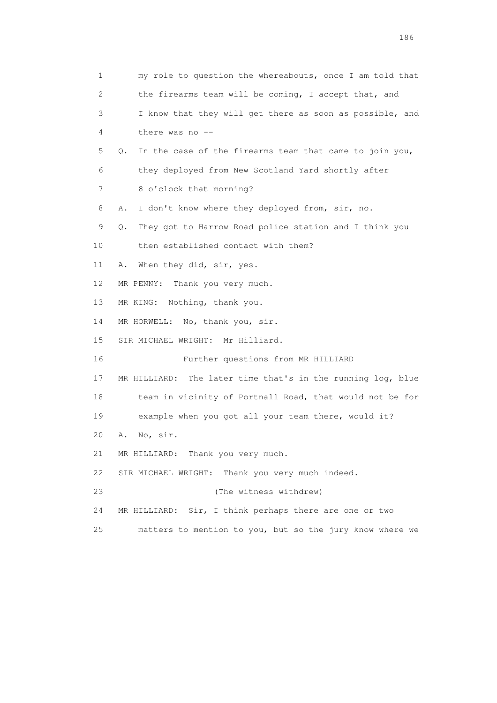1 my role to question the whereabouts, once I am told that 2 the firearms team will be coming, I accept that, and 3 I know that they will get there as soon as possible, and 4 there was no -- 5 Q. In the case of the firearms team that came to join you, 6 they deployed from New Scotland Yard shortly after 7 8 o'clock that morning? 8 A. I don't know where they deployed from, sir, no. 9 Q. They got to Harrow Road police station and I think you 10 then established contact with them? 11 A. When they did, sir, yes. 12 MR PENNY: Thank you very much. 13 MR KING: Nothing, thank you. 14 MR HORWELL: No, thank you, sir. 15 SIR MICHAEL WRIGHT: Mr Hilliard. 16 Further questions from MR HILLIARD 17 MR HILLIARD: The later time that's in the running log, blue 18 team in vicinity of Portnall Road, that would not be for 19 example when you got all your team there, would it? 20 A. No, sir. 21 MR HILLIARD: Thank you very much. 22 SIR MICHAEL WRIGHT: Thank you very much indeed. 23 (The witness withdrew) 24 MR HILLIARD: Sir, I think perhaps there are one or two 25 matters to mention to you, but so the jury know where we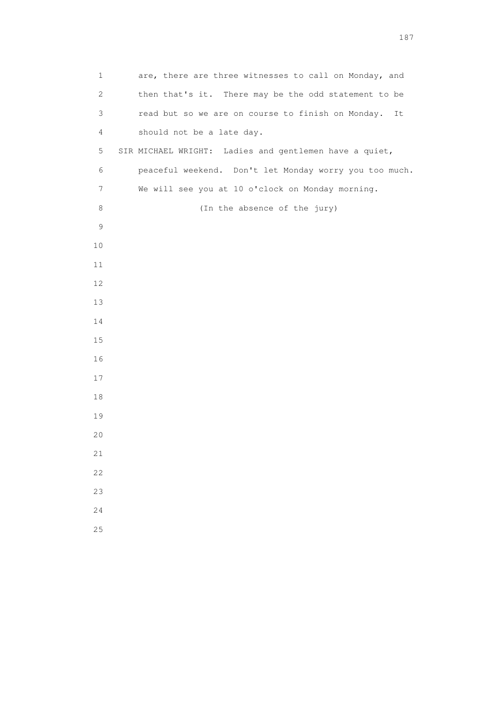| $\mathbf{1}$   | are, there are three witnesses to call on Monday, and   |
|----------------|---------------------------------------------------------|
| 2              | then that's it. There may be the odd statement to be    |
| $\mathfrak{Z}$ | read but so we are on course to finish on Monday.<br>It |
| 4              | should not be a late day.                               |
| 5              | SIR MICHAEL WRIGHT: Ladies and gentlemen have a quiet,  |
| 6              | peaceful weekend. Don't let Monday worry you too much.  |
| 7              | We will see you at 10 o'clock on Monday morning.        |
| 8              | (In the absence of the jury)                            |
| $\mathsf 9$    |                                                         |
| $10$           |                                                         |
| 11             |                                                         |
| 12             |                                                         |
| 13             |                                                         |
| 14             |                                                         |
| 15             |                                                         |
| 16             |                                                         |
| 17             |                                                         |
| 18             |                                                         |
| 19             |                                                         |
| 20             |                                                         |
| 21             |                                                         |
| 22             |                                                         |
| 23             |                                                         |
| 24             |                                                         |
| 25             |                                                         |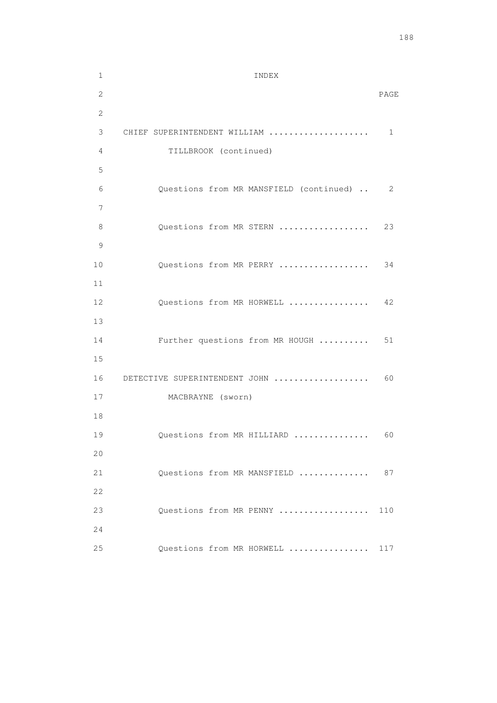1 INDEX 2 PAGE 2 3 CHIEF SUPERINTENDENT WILLIAM .................... 1 4 TILLBROOK (continued) 5 6 Questions from MR MANSFIELD (continued) .. 2 7 8 Questions from MR STERN ................... 23 9 10 Questions from MR PERRY .................. 34 11 12 Questions from MR HORWELL ................ 42 13 14 Further questions from MR HOUGH .......... 51 15 16 DETECTIVE SUPERINTENDENT JOHN ................... 60 17 MACBRAYNE (sworn) 18 19 Questions from MR HILLIARD ................. 60 20 21 Questions from MR MANSFIELD .............. 87 22 23 Questions from MR PENNY .................. 110 24 25 Questions from MR HORWELL ................ 117